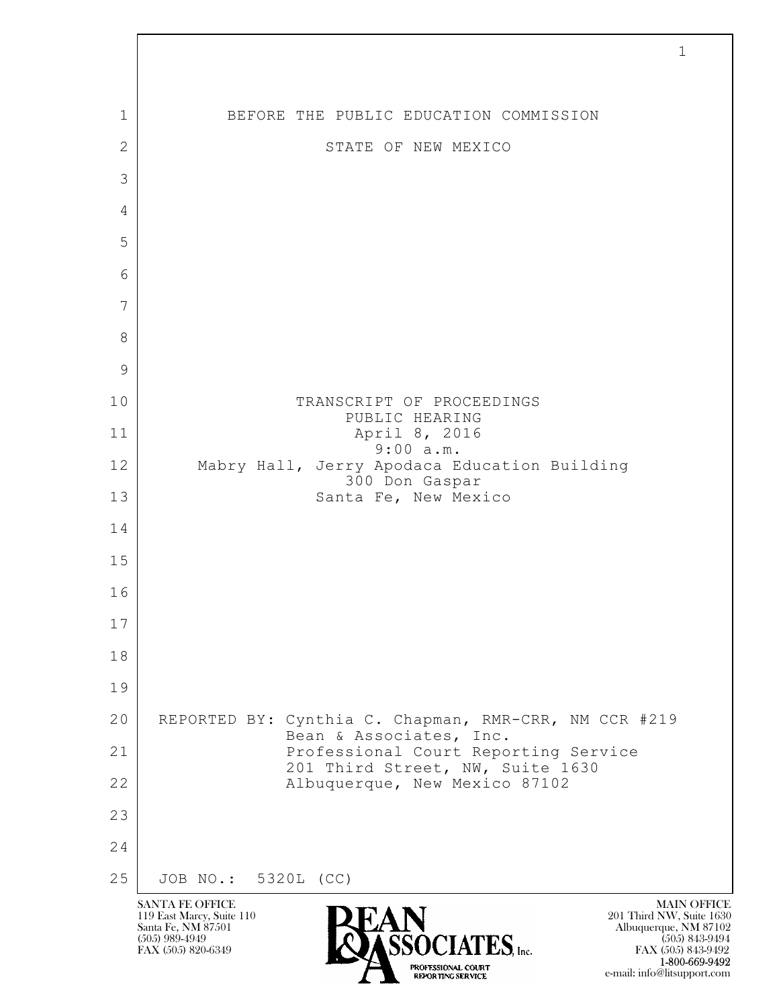$\mathbf{L}$  SANTA FE OFFICE MAIN OFFICE MAIN OFFICE MAIN OFFICE MAIN OFFICE 119 East Marcy, Suite 110<br>Santa Fe, NM 87501 Santa Fe, NM 87501 Albuquerque, NM 87102  $\sum_{\text{FAX (505) 889-4949}} \sum_{\text{FAX (505) 843-9492}} \sum_{\text{FAX (505) 843-9492}} \sum_{\text{FAX (505) 843-9492}}$ FAX (505) 843-9492 1 1 BEFORE THE PUBLIC EDUCATION COMMISSION 2 STATE OF NEW MEXICO 3 4 5 6 7 8 9 10 TRANSCRIPT OF PROCEEDINGS PUBLIC HEARING 11 April 8, 2016 9:00 a.m. 12 Mabry Hall, Jerry Apodaca Education Building 300 Don Gaspar 13 Santa Fe, New Mexico 14 15 16 17 18 19 20 REPORTED BY: Cynthia C. Chapman, RMR-CRR, NM CCR #219 Bean & Associates, Inc. 21 Professional Court Reporting Service 201 Third Street, NW, Suite 1630 22 | Albuquerque, New Mexico 87102 23 24 25 JOB NO.: 5320L (CC)

1-800-669-9492

e-mail: info@litsupport.com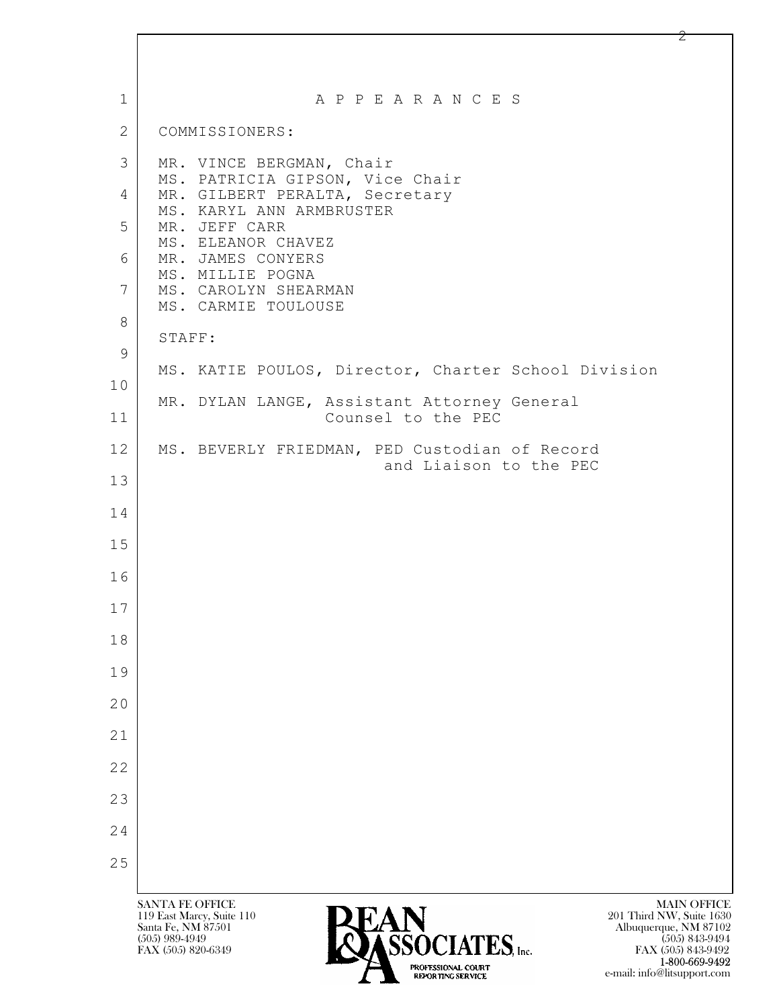| $\mathbf{1}$ | A P P E A R A N C E S                                                                                                                                            |
|--------------|------------------------------------------------------------------------------------------------------------------------------------------------------------------|
| 2            | COMMISSIONERS:                                                                                                                                                   |
| 3            | MR. VINCE BERGMAN, Chair                                                                                                                                         |
| 4            | MS. PATRICIA GIPSON, Vice Chair<br>MR. GILBERT PERALTA, Secretary                                                                                                |
| 5            | MS. KARYL ANN ARMBRUSTER<br>MR. JEFF CARR                                                                                                                        |
| 6            | MS. ELEANOR CHAVEZ<br>MR. JAMES CONYERS                                                                                                                          |
| 7            | MS. MILLIE POGNA<br>MS. CAROLYN SHEARMAN                                                                                                                         |
| 8            | MS. CARMIE TOULOUSE                                                                                                                                              |
| 9            | STAFF:                                                                                                                                                           |
| 10           | MS. KATIE POULOS, Director, Charter School Division                                                                                                              |
| 11           | MR. DYLAN LANGE, Assistant Attorney General<br>Counsel to the PEC                                                                                                |
| 12           | MS. BEVERLY FRIEDMAN, PED Custodian of Record<br>and Liaison to the PEC                                                                                          |
| 13           |                                                                                                                                                                  |
| 14           |                                                                                                                                                                  |
| 15           |                                                                                                                                                                  |
| 16           |                                                                                                                                                                  |
| 17           |                                                                                                                                                                  |
| 18           |                                                                                                                                                                  |
| 19           |                                                                                                                                                                  |
| 20           |                                                                                                                                                                  |
| 21           |                                                                                                                                                                  |
| 22           |                                                                                                                                                                  |
| 23           |                                                                                                                                                                  |
| 24           |                                                                                                                                                                  |
| 25           |                                                                                                                                                                  |
|              | <b>SANTA FE OFFICE</b><br><b>MAIN OFFICE</b>                                                                                                                     |
|              | 201 Third NW, Suite 1630<br>119 East Marcy, Suite 110<br>Santa Fe, NM 87501<br>Albuquerque, NM 87102<br><b>CCOCLATEC</b><br>$(505)$ 989-4949<br>$(505)$ 843-9494 |

 $F$ ASSOCIATES, Inc. **1-800-669-9492** e-mail: info@litsupport.com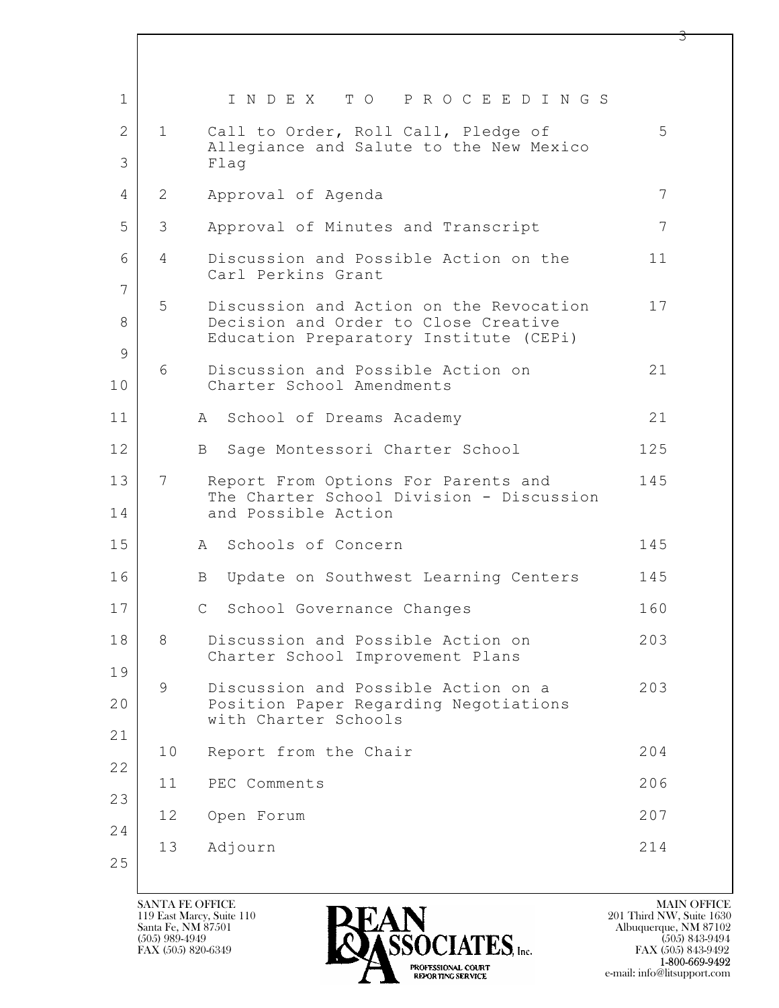| 1        |    | INDEX TO PROCEEDINGS                                                                                                      |     |
|----------|----|---------------------------------------------------------------------------------------------------------------------------|-----|
| 2        | 1  | Call to Order, Roll Call, Pledge of<br>Allegiance and Salute to the New Mexico                                            | 5   |
| 3        |    | Flaq                                                                                                                      |     |
| 4        | 2  | Approval of Agenda                                                                                                        | 7   |
| 5        | 3  | Approval of Minutes and Transcript                                                                                        | 7   |
| 6<br>7   | 4  | Discussion and Possible Action on the<br>Carl Perkins Grant                                                               | 11  |
| 8        | 5  | Discussion and Action on the Revocation<br>Decision and Order to Close Creative<br>Education Preparatory Institute (CEPi) | 17  |
| 9<br>10  | 6  | Discussion and Possible Action on<br>Charter School Amendments                                                            | 21  |
| 11       |    | A School of Dreams Academy                                                                                                | 21  |
| 12       |    | Sage Montessori Charter School<br>B                                                                                       | 125 |
| 13<br>14 | 7  | Report From Options For Parents and<br>The Charter School Division - Discussion<br>and Possible Action                    | 145 |
| 15       |    | A Schools of Concern                                                                                                      | 145 |
| 16       |    | Update on Southwest Learning Centers<br>B                                                                                 | 145 |
| 17       |    | $\mathsf{C}$<br>School Governance Changes                                                                                 | 160 |
| 18       | 8  | Discussion and Possible Action on<br>Charter School Improvement Plans                                                     | 203 |
| 19<br>20 | 9  | Discussion and Possible Action on a<br>Position Paper Regarding Negotiations                                              | 203 |
| 21       |    | with Charter Schools                                                                                                      |     |
| 22       | 10 | Report from the Chair                                                                                                     | 204 |
| 23       | 11 | PEC Comments                                                                                                              | 206 |
| 24       | 12 | Open Forum                                                                                                                | 207 |
| 25       | 13 | Adjourn                                                                                                                   | 214 |

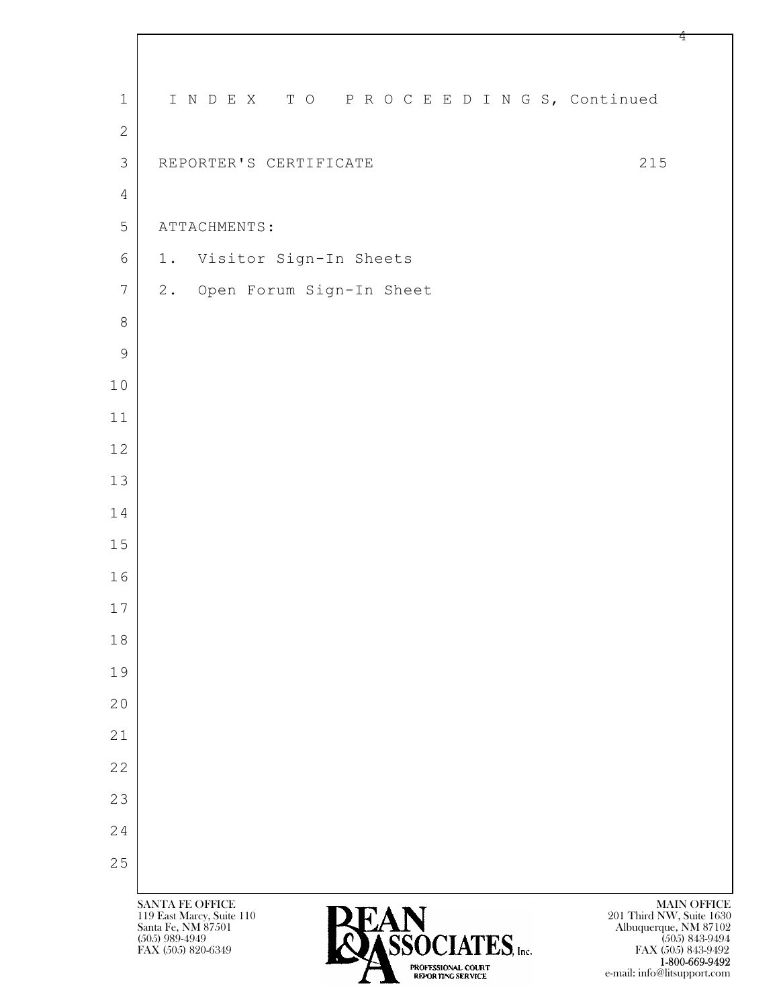| $\mathbf{1}$   | INDEX TO PROCEEDINGS, Continued                                                                                                                                                                                                                                                      |
|----------------|--------------------------------------------------------------------------------------------------------------------------------------------------------------------------------------------------------------------------------------------------------------------------------------|
| $\mathbf{2}$   |                                                                                                                                                                                                                                                                                      |
| $\mathfrak{Z}$ | 215<br>REPORTER'S CERTIFICATE                                                                                                                                                                                                                                                        |
| $\overline{4}$ |                                                                                                                                                                                                                                                                                      |
| 5              | ATTACHMENTS:                                                                                                                                                                                                                                                                         |
| 6              | 1. Visitor Sign-In Sheets                                                                                                                                                                                                                                                            |
| $\overline{7}$ | 2. Open Forum Sign-In Sheet                                                                                                                                                                                                                                                          |
| $\,8\,$        |                                                                                                                                                                                                                                                                                      |
| $\overline{9}$ |                                                                                                                                                                                                                                                                                      |
| 10             |                                                                                                                                                                                                                                                                                      |
| 11             |                                                                                                                                                                                                                                                                                      |
| 12             |                                                                                                                                                                                                                                                                                      |
| 13             |                                                                                                                                                                                                                                                                                      |
| 14             |                                                                                                                                                                                                                                                                                      |
| 15             |                                                                                                                                                                                                                                                                                      |
| 16             |                                                                                                                                                                                                                                                                                      |
| 17             |                                                                                                                                                                                                                                                                                      |
| 18             |                                                                                                                                                                                                                                                                                      |
| 19             |                                                                                                                                                                                                                                                                                      |
| 20             |                                                                                                                                                                                                                                                                                      |
| 21             |                                                                                                                                                                                                                                                                                      |
| 22             |                                                                                                                                                                                                                                                                                      |
| 23             |                                                                                                                                                                                                                                                                                      |
| 24             |                                                                                                                                                                                                                                                                                      |
| 25             |                                                                                                                                                                                                                                                                                      |
|                | <b>SANTA FE OFFICE</b><br><b>MAIN OFFICE</b><br>119 East Marcy, Suite 110<br>201 Third NW, Suite 1630<br><b>PEAN</b><br><b>PASSOCIATES</b> , Inc.<br>Santa Fe, NM 87501<br>Albuquerque, NM 87102<br>$(505)$ 989-4949<br>$(505)$ 843-9494<br>FAX (505) 820-6349<br>FAX (505) 843-9492 |

**1-800-669-9492** e-mail: info@litsupport.com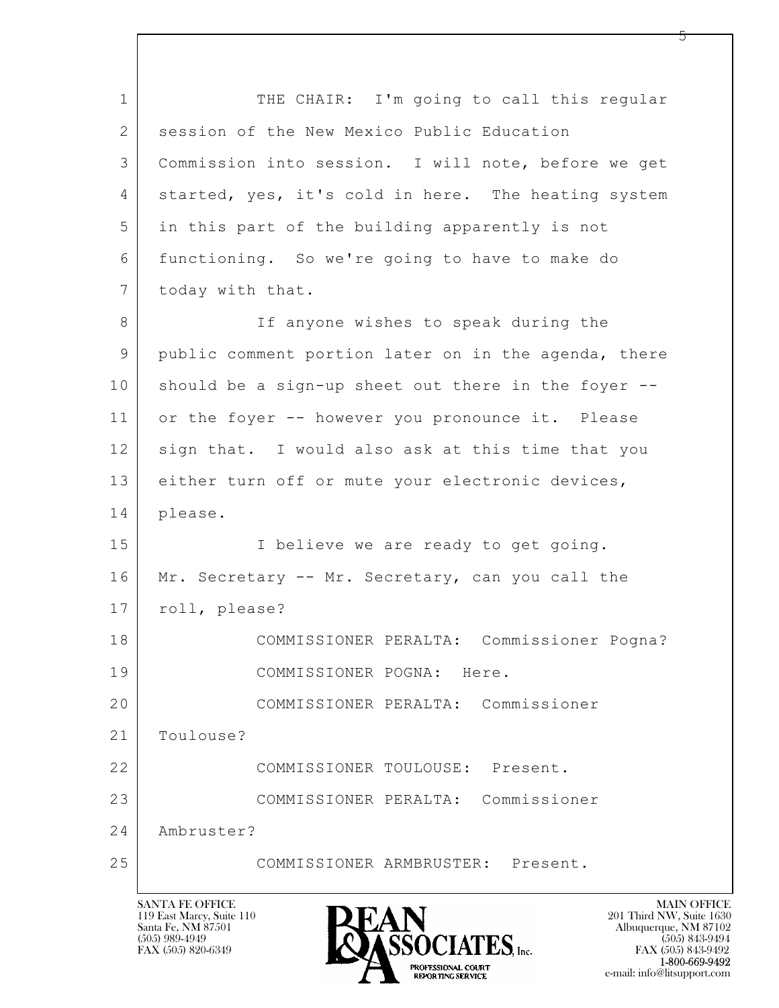$\mathbf{L}$  1 THE CHAIR: I'm going to call this regular 2 session of the New Mexico Public Education 3 Commission into session. I will note, before we get 4 started, yes, it's cold in here. The heating system 5 in this part of the building apparently is not 6 functioning. So we're going to have to make do 7 today with that. 8 If anyone wishes to speak during the 9 public comment portion later on in the agenda, there 10 should be a sign-up sheet out there in the foyer --11 or the foyer -- however you pronounce it. Please 12 sign that. I would also ask at this time that you 13 either turn off or mute your electronic devices, 14 please. 15 | Thelieve we are ready to get going. 16 Mr. Secretary -- Mr. Secretary, can you call the 17 | roll, please? 18 COMMISSIONER PERALTA: Commissioner Pogna? 19 COMMISSIONER POGNA: Here. 20 COMMISSIONER PERALTA: Commissioner 21 Toulouse? 22 COMMISSIONER TOULOUSE: Present. 23 COMMISSIONER PERALTA: Commissioner 24 Ambruster? 25 COMMISSIONER ARMBRUSTER: Present.

119 East Marcy, Suite 110<br>Santa Fe, NM 87501



FAX (505) 843-9492 e-mail: info@litsupport.com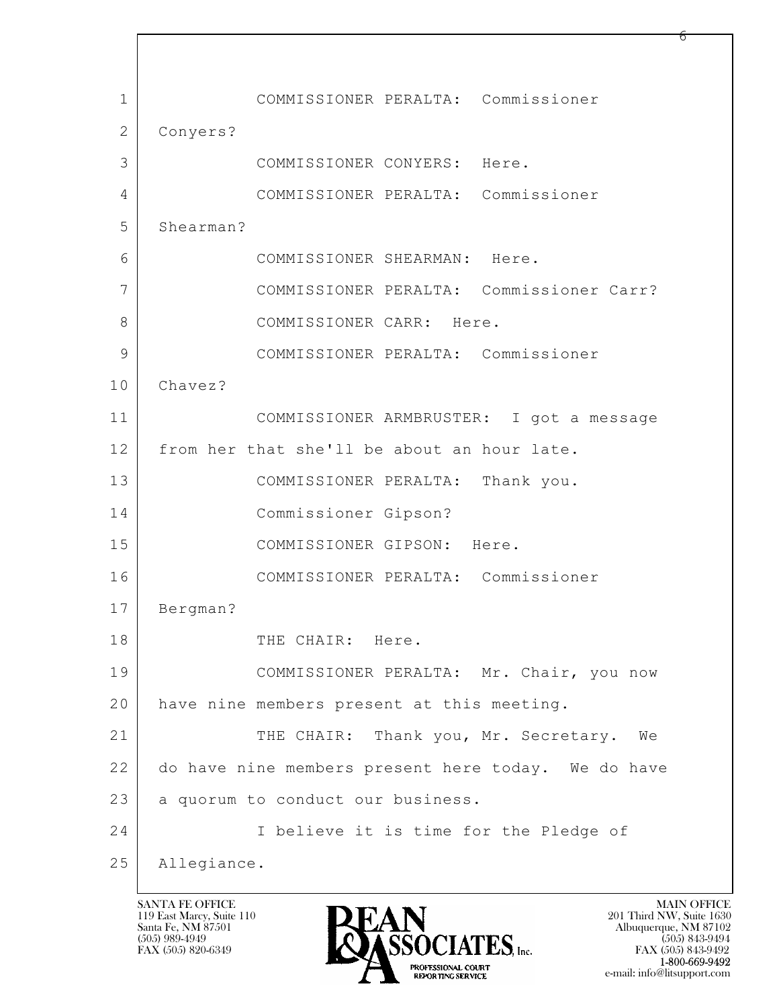$\mathbf{L}$  1 COMMISSIONER PERALTA: Commissioner 2 Conyers? 3 COMMISSIONER CONYERS: Here. 4 COMMISSIONER PERALTA: Commissioner 5 Shearman? 6 COMMISSIONER SHEARMAN: Here. 7 COMMISSIONER PERALTA: Commissioner Carr? 8 COMMISSIONER CARR: Here. 9 COMMISSIONER PERALTA: Commissioner 10 Chavez? 11 COMMISSIONER ARMBRUSTER: I got a message 12 from her that she'll be about an hour late. 13 COMMISSIONER PERALTA: Thank you. 14 Commissioner Gipson? 15 COMMISSIONER GIPSON: Here. 16 COMMISSIONER PERALTA: Commissioner 17 Bergman? 18 THE CHAIR: Here. 19 COMMISSIONER PERALTA: Mr. Chair, you now 20 have nine members present at this meeting. 21 THE CHAIR: Thank you, Mr. Secretary. We 22 do have nine members present here today. We do have 23 | a quorum to conduct our business. 24 I believe it is time for the Pledge of 25 Allegiance.

119 East Marcy, Suite 110<br>Santa Fe, NM 87501

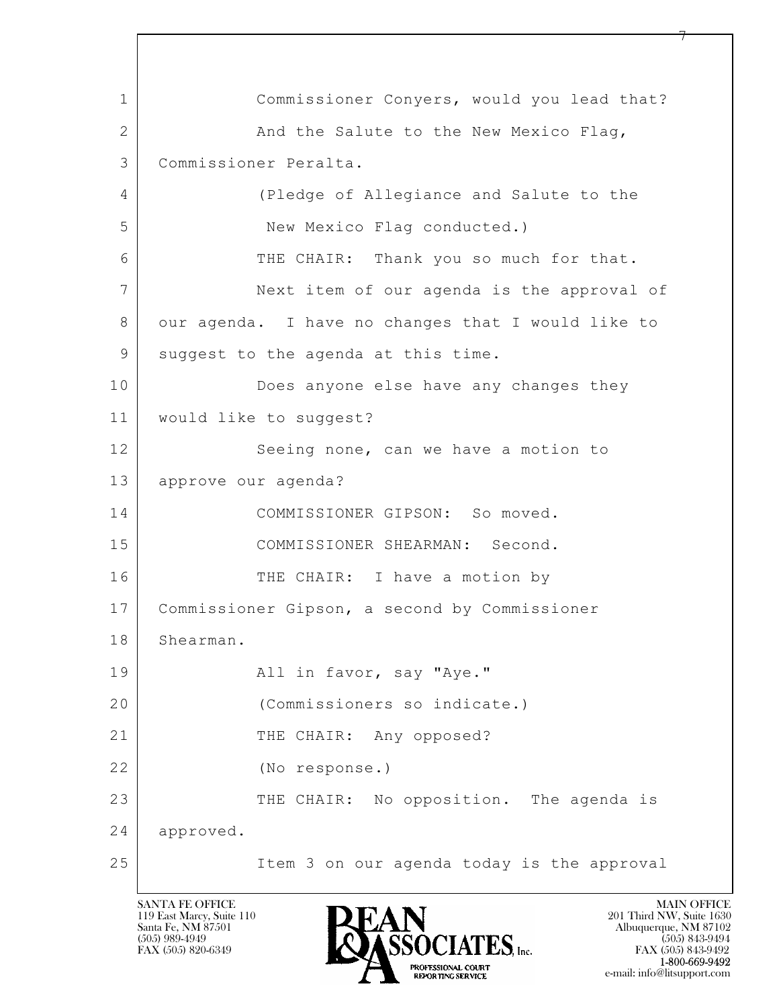$\mathbf{L}$  1 Commissioner Conyers, would you lead that? 2 And the Salute to the New Mexico Flag, 3 Commissioner Peralta. 4 (Pledge of Allegiance and Salute to the 5 New Mexico Flag conducted.) 6 THE CHAIR: Thank you so much for that. 7 Next item of our agenda is the approval of 8 our agenda. I have no changes that I would like to 9 suggest to the agenda at this time. 10 Does anyone else have any changes they 11 would like to suggest? 12 Seeing none, can we have a motion to 13 approve our agenda? 14 COMMISSIONER GIPSON: So moved. 15 COMMISSIONER SHEARMAN: Second. 16 THE CHAIR: I have a motion by 17 Commissioner Gipson, a second by Commissioner 18 Shearman. 19 | Rail in favor, say "Aye." 20 (Commissioners so indicate.) 21 THE CHAIR: Any opposed? 22 (No response.) 23 THE CHAIR: No opposition. The agenda is 24 approved. 25 Item 3 on our agenda today is the approval

119 East Marcy, Suite 110<br>Santa Fe, NM 87501

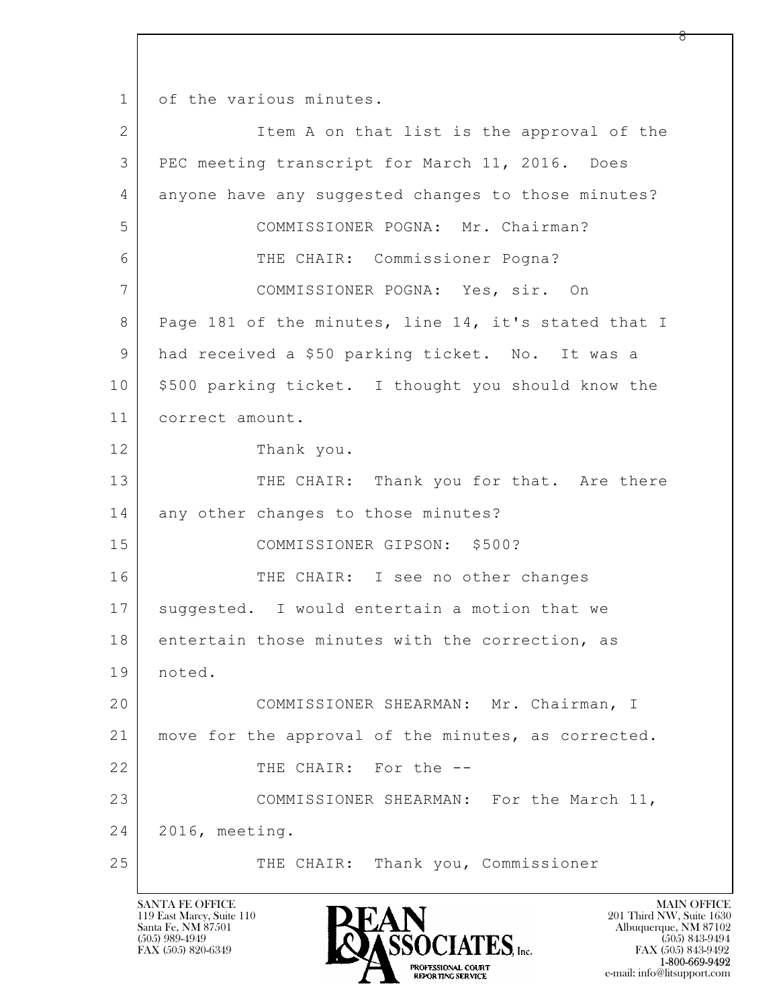1 of the various minutes.

| $\overline{2}$ | Item A on that list is the approval of the           |
|----------------|------------------------------------------------------|
| 3              | PEC meeting transcript for March 11, 2016. Does      |
| 4              | anyone have any suggested changes to those minutes?  |
| 5              | COMMISSIONER POGNA: Mr. Chairman?                    |
| 6              | THE CHAIR: Commissioner Pogna?                       |
| 7              | COMMISSIONER POGNA: Yes, sir. On                     |
| 8              | Page 181 of the minutes, line 14, it's stated that I |
| 9              | had received a \$50 parking ticket. No. It was a     |
| 10             | \$500 parking ticket. I thought you should know the  |
| 11             | correct amount.                                      |
| 12             | Thank you.                                           |
| 13             | THE CHAIR: Thank you for that. Are there             |
| 14             | any other changes to those minutes?                  |
| 15             | COMMISSIONER GIPSON: \$500?                          |
| 16             | THE CHAIR: I see no other changes                    |
| 17             | suggested. I would entertain a motion that we        |
| 18             | entertain those minutes with the correction, as      |
| 19             | noted.                                               |
| 20             | COMMISSIONER SHEARMAN: Mr. Chairman, I               |
| 21             | move for the approval of the minutes, as corrected.  |
| 22             | THE CHAIR: For the --                                |
| 23             | COMMISSIONER SHEARMAN: For the March 11,             |
| 24             | 2016, meeting.                                       |
| 25             | Thank you, Commissioner<br>THE CHAIR:                |

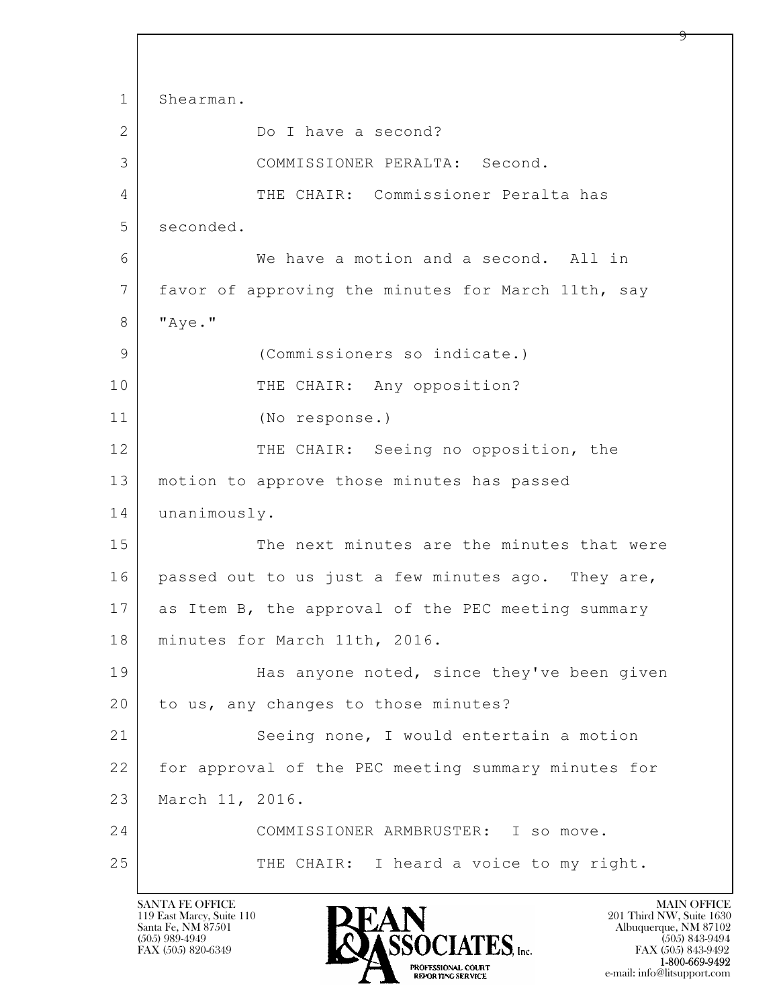```
\mathbf{L} 
1 Shearman.
2 Do I have a second?
3 COMMISSIONER PERALTA: Second.
4 THE CHAIR: Commissioner Peralta has
5 seconded.
6 We have a motion and a second. All in
7 favor of approving the minutes for March 11th, say
8 | "Aye."
9 (Commissioners so indicate.)
10 THE CHAIR: Any opposition?
11 (No response.)
12 THE CHAIR: Seeing no opposition, the
13 motion to approve those minutes has passed
14 unanimously.
15 The next minutes are the minutes that were
16 passed out to us just a few minutes ago. They are,
17 as Item B, the approval of the PEC meeting summary
18 minutes for March 11th, 2016.
19 | Has anyone noted, since they've been given
20 to us, any changes to those minutes?
21 Seeing none, I would entertain a motion
22 for approval of the PEC meeting summary minutes for
23 March 11, 2016.
24 COMMISSIONER ARMBRUSTER: I so move.
25 THE CHAIR: I heard a voice to my right.
```
119 East Marcy, Suite 110<br>Santa Fe, NM 87501

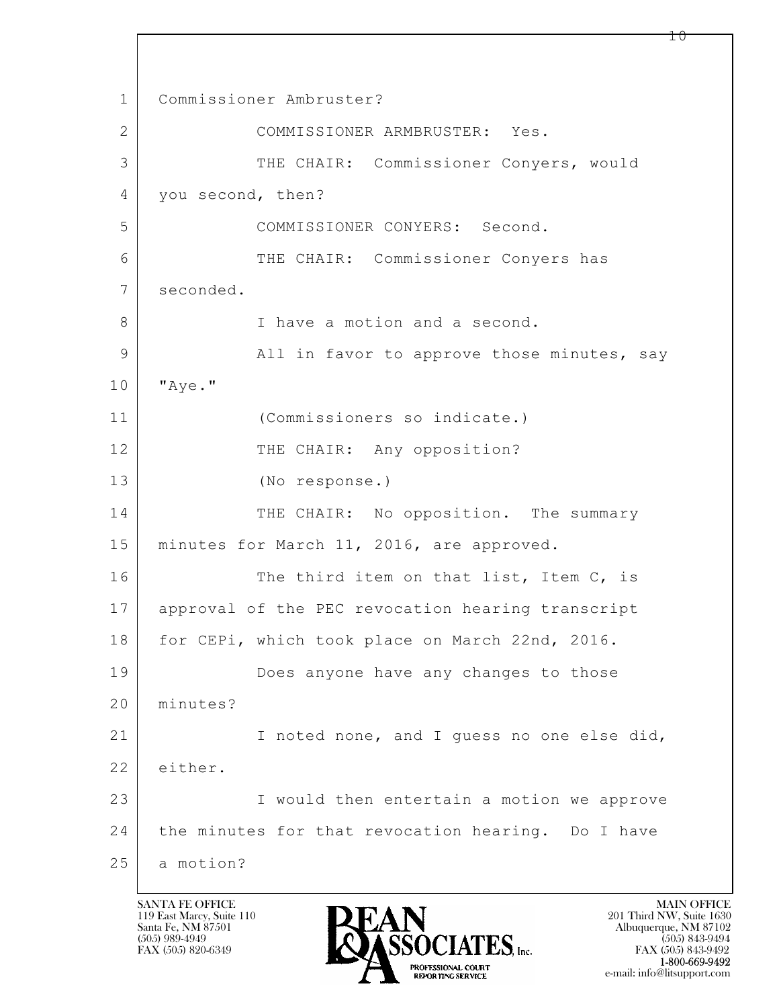$\mathbf{L}$  1 Commissioner Ambruster? 2 COMMISSIONER ARMBRUSTER: Yes. 3 THE CHAIR: Commissioner Conyers, would 4 you second, then? 5 COMMISSIONER CONYERS: Second. 6 THE CHAIR: Commissioner Conyers has 7 seconded. 8 I have a motion and a second. 9 all in favor to approve those minutes, say 10 "Aye." 11 (Commissioners so indicate.) 12 THE CHAIR: Any opposition? 13 (No response.) 14 THE CHAIR: No opposition. The summary 15 | minutes for March 11, 2016, are approved. 16 The third item on that list, Item C, is 17 approval of the PEC revocation hearing transcript 18 | for CEPi, which took place on March 22nd, 2016. 19 Does anyone have any changes to those 20 minutes? 21 I noted none, and I guess no one else did, 22 either. 23 I would then entertain a motion we approve 24 the minutes for that revocation hearing. Do I have 25 a motion?

119 East Marcy, Suite 110<br>Santa Fe, NM 87501



 $10 \,$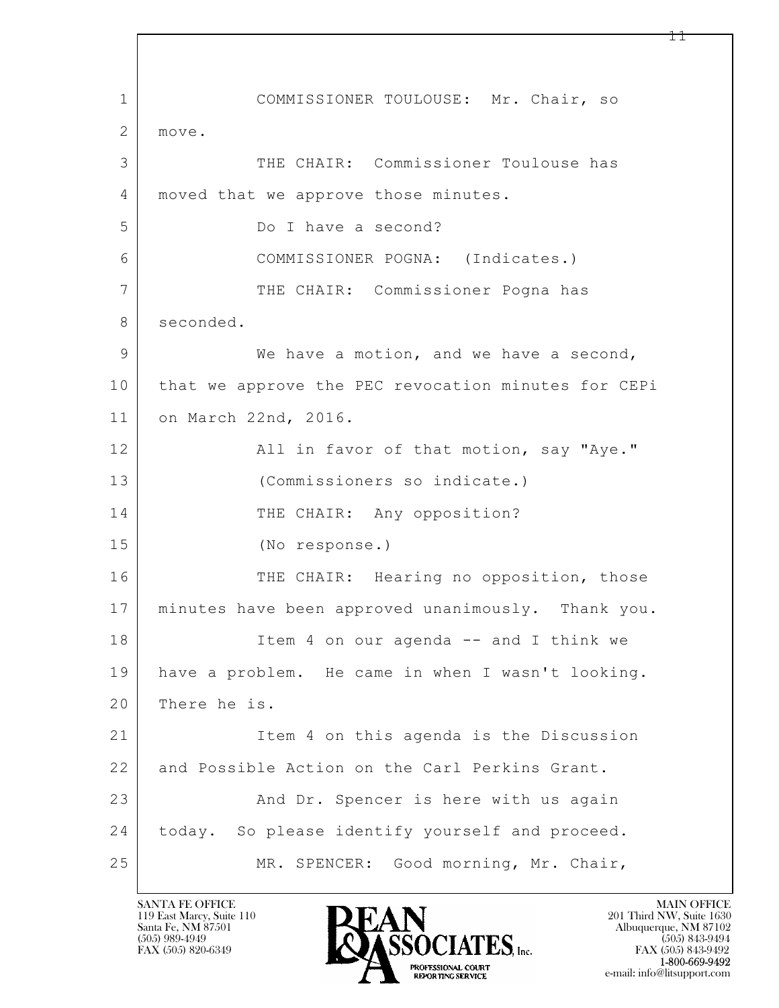$\mathbf{L}$  1 COMMISSIONER TOULOUSE: Mr. Chair, so 2 move. 3 THE CHAIR: Commissioner Toulouse has 4 | moved that we approve those minutes. 5 Do I have a second? 6 COMMISSIONER POGNA: (Indicates.) 7 THE CHAIR: Commissioner Pogna has 8 seconded. 9 We have a motion, and we have a second, 10 that we approve the PEC revocation minutes for CEPi 11 on March 22nd, 2016. 12 | All in favor of that motion, say "Aye." 13 (Commissioners so indicate.) 14 THE CHAIR: Any opposition? 15 (No response.) 16 THE CHAIR: Hearing no opposition, those 17 minutes have been approved unanimously. Thank you. 18 Item 4 on our agenda -- and I think we 19 have a problem. He came in when I wasn't looking. 20 There he is. 21 Item 4 on this agenda is the Discussion 22 and Possible Action on the Carl Perkins Grant. 23 | And Dr. Spencer is here with us again 24 today. So please identify yourself and proceed. 25 | MR. SPENCER: Good morning, Mr. Chair,

119 East Marcy, Suite 110<br>Santa Fe, NM 87501

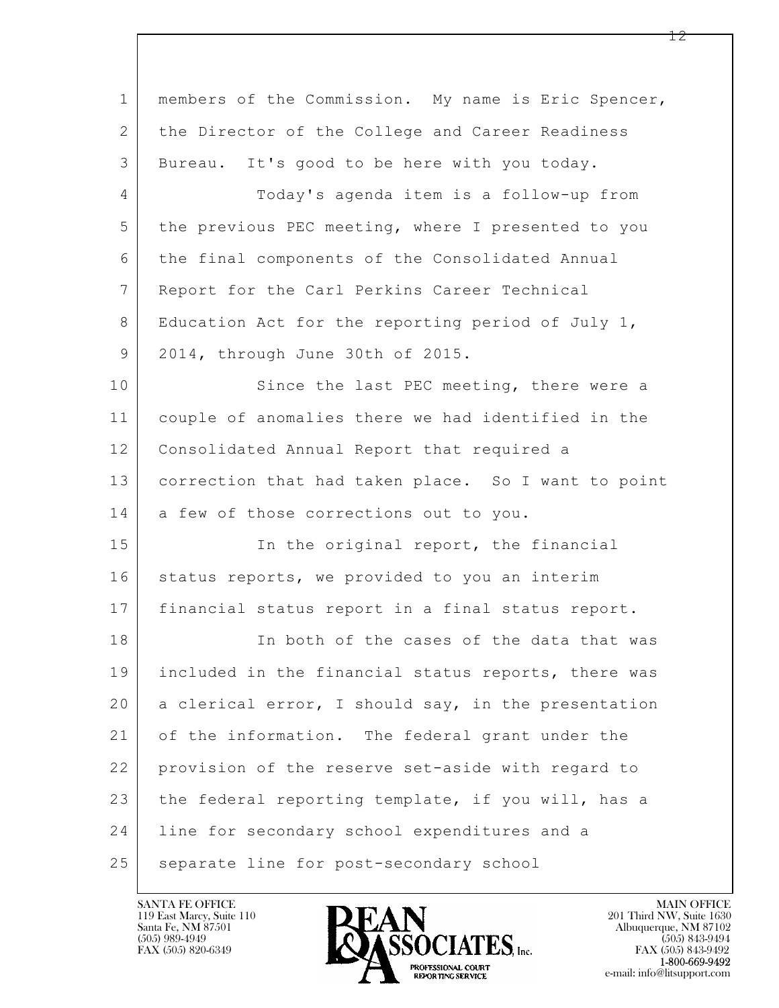| $\mathbf 1$    | members of the Commission. My name is Eric Spencer,  |
|----------------|------------------------------------------------------|
| $\mathbf{2}$   | the Director of the College and Career Readiness     |
| 3              | Bureau. It's good to be here with you today.         |
| $\overline{4}$ | Today's agenda item is a follow-up from              |
| 5              | the previous PEC meeting, where I presented to you   |
| 6              | the final components of the Consolidated Annual      |
| $7\phantom{.}$ | Report for the Carl Perkins Career Technical         |
| 8              | Education Act for the reporting period of July $1$ , |
| 9              | 2014, through June 30th of 2015.                     |
| 10             | Since the last PEC meeting, there were a             |
| 11             | couple of anomalies there we had identified in the   |
| 12             | Consolidated Annual Report that required a           |
| 13             | correction that had taken place. So I want to point  |
| 14             | a few of those corrections out to you.               |
| 15             | In the original report, the financial                |
| 16             | status reports, we provided to you an interim        |
| 17             | financial status report in a final status report.    |
| 18             | In both of the cases of the data that was            |
| 19             | included in the financial status reports, there was  |
| 20             | a clerical error, I should say, in the presentation  |
| 21             | of the information. The federal grant under the      |
| 22             | provision of the reserve set-aside with regard to    |
| 23             | the federal reporting template, if you will, has a   |
| 24             | line for secondary school expenditures and a         |
| 25             | separate line for post-secondary school              |

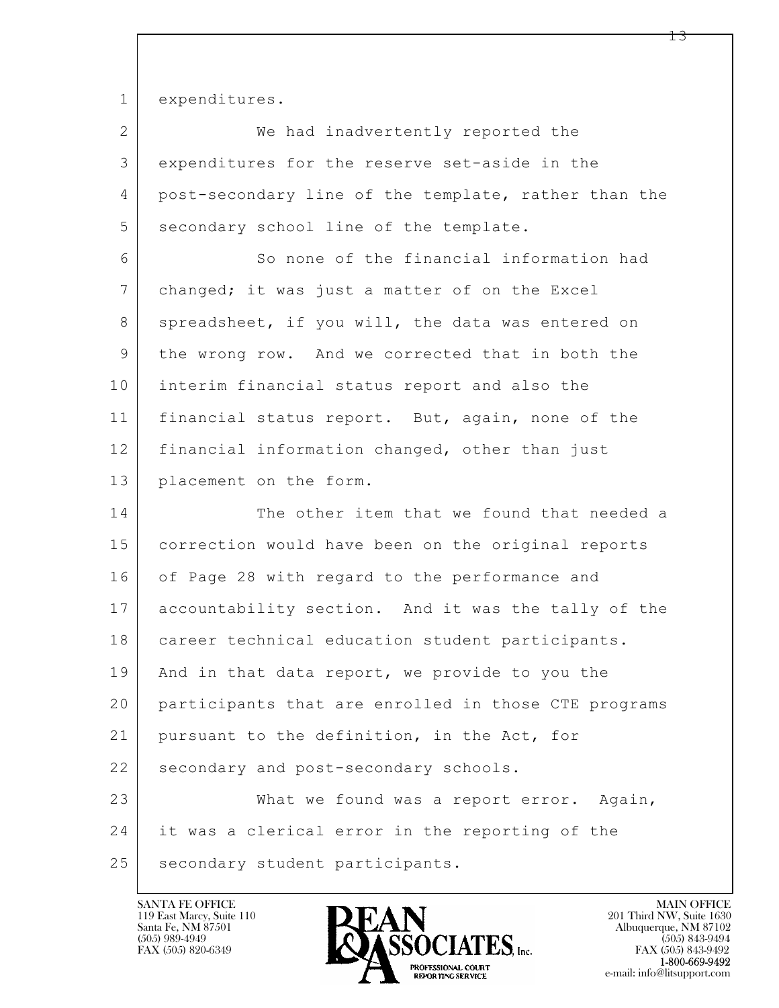1 expenditures.

| $\mathbf{2}$   | We had inadvertently reported the                    |
|----------------|------------------------------------------------------|
| 3              | expenditures for the reserve set-aside in the        |
| 4              | post-secondary line of the template, rather than the |
| 5              | secondary school line of the template.               |
| 6              | So none of the financial information had             |
| $7\phantom{.}$ | changed; it was just a matter of on the Excel        |
| 8              | spreadsheet, if you will, the data was entered on    |
| 9              | the wrong row. And we corrected that in both the     |
| 10             | interim financial status report and also the         |
| 11             | financial status report. But, again, none of the     |
| 12             | financial information changed, other than just       |
| 13             | placement on the form.                               |
| 14             | The other item that we found that needed a           |
|                |                                                      |
| 15             | correction would have been on the original reports   |
| 16             | of Page 28 with regard to the performance and        |
| 17             | accountability section. And it was the tally of the  |
| 18             | career technical education student participants.     |
| 19             | And in that data report, we provide to you the       |
| 20             | participants that are enrolled in those CTE programs |
| 21             | pursuant to the definition, in the Act, for          |
| 22             | secondary and post-secondary schools.                |
| 23             | What we found was a report error. Again,             |
| 24             | it was a clerical error in the reporting of the      |

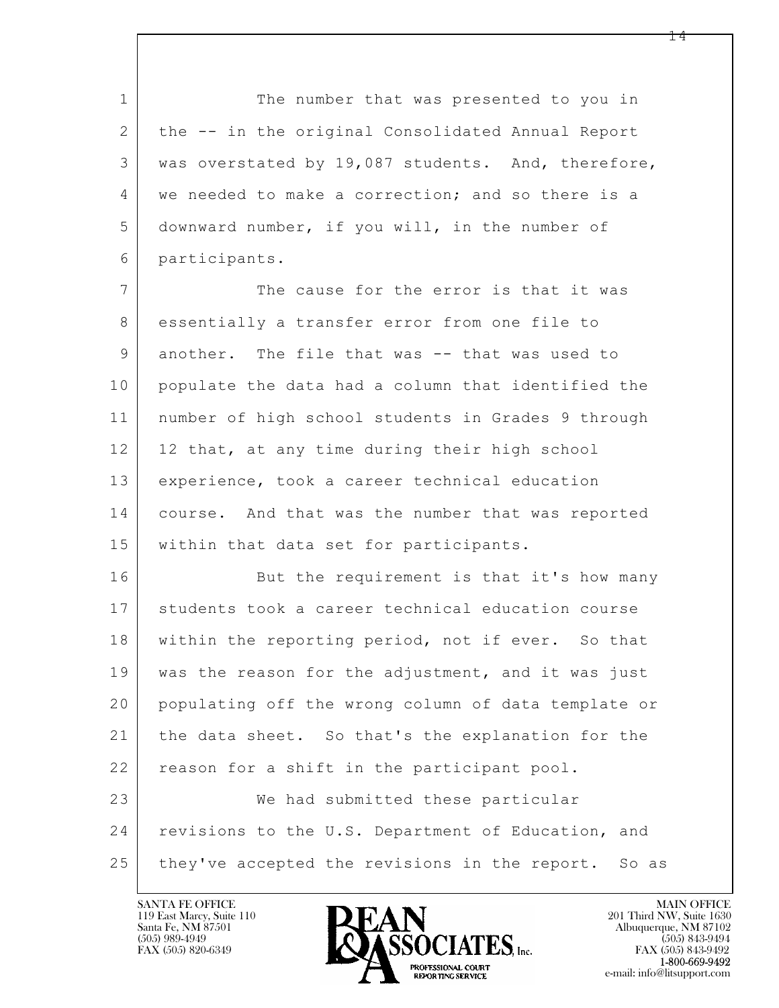1 The number that was presented to you in 2 the -- in the original Consolidated Annual Report 3 was overstated by 19,087 students. And, therefore, 4 | we needed to make a correction; and so there is a 5 downward number, if you will, in the number of 6 participants.

7 The cause for the error is that it was 8 essentially a transfer error from one file to 9 another. The file that was -- that was used to 10 populate the data had a column that identified the 11 number of high school students in Grades 9 through 12 | 12 that, at any time during their high school 13 experience, took a career technical education 14 course. And that was the number that was reported 15 within that data set for participants.

 $\mathbf{L}$  16 But the requirement is that it's how many 17 students took a career technical education course 18 within the reporting period, not if ever. So that 19 was the reason for the adjustment, and it was just 20 populating off the wrong column of data template or 21 the data sheet. So that's the explanation for the 22 reason for a shift in the participant pool. 23 We had submitted these particular 24 revisions to the U.S. Department of Education, and 25 they've accepted the revisions in the report. So as

119 East Marcy, Suite 110<br>Santa Fe, NM 87501



FAX (505) 843-9492 e-mail: info@litsupport.com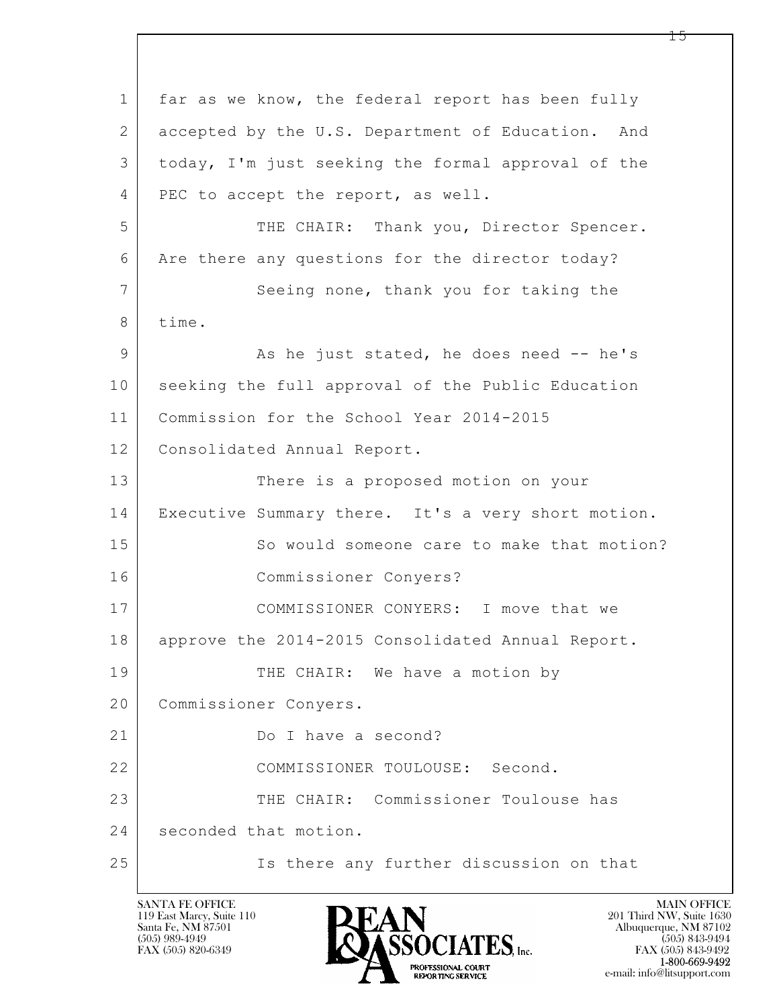$\mathbf{L}$  1 far as we know, the federal report has been fully 2 accepted by the U.S. Department of Education. And 3 today, I'm just seeking the formal approval of the 4 PEC to accept the report, as well. 5 THE CHAIR: Thank you, Director Spencer. 6 Are there any questions for the director today? 7 Seeing none, thank you for taking the 8 time. 9 As he just stated, he does need -- he's 10 seeking the full approval of the Public Education 11 Commission for the School Year 2014-2015 12 | Consolidated Annual Report. 13 There is a proposed motion on your 14 Executive Summary there. It's a very short motion. 15 So would someone care to make that motion? 16 Commissioner Conyers? 17 | COMMISSIONER CONYERS: I move that we 18 | approve the 2014-2015 Consolidated Annual Report. 19 THE CHAIR: We have a motion by 20 Commissioner Conyers. 21 Do I have a second? 22 COMMISSIONER TOULOUSE: Second. 23 THE CHAIR: Commissioner Toulouse has 24 seconded that motion. 25 | Ts there any further discussion on that

119 East Marcy, Suite 110<br>Santa Fe, NM 87501

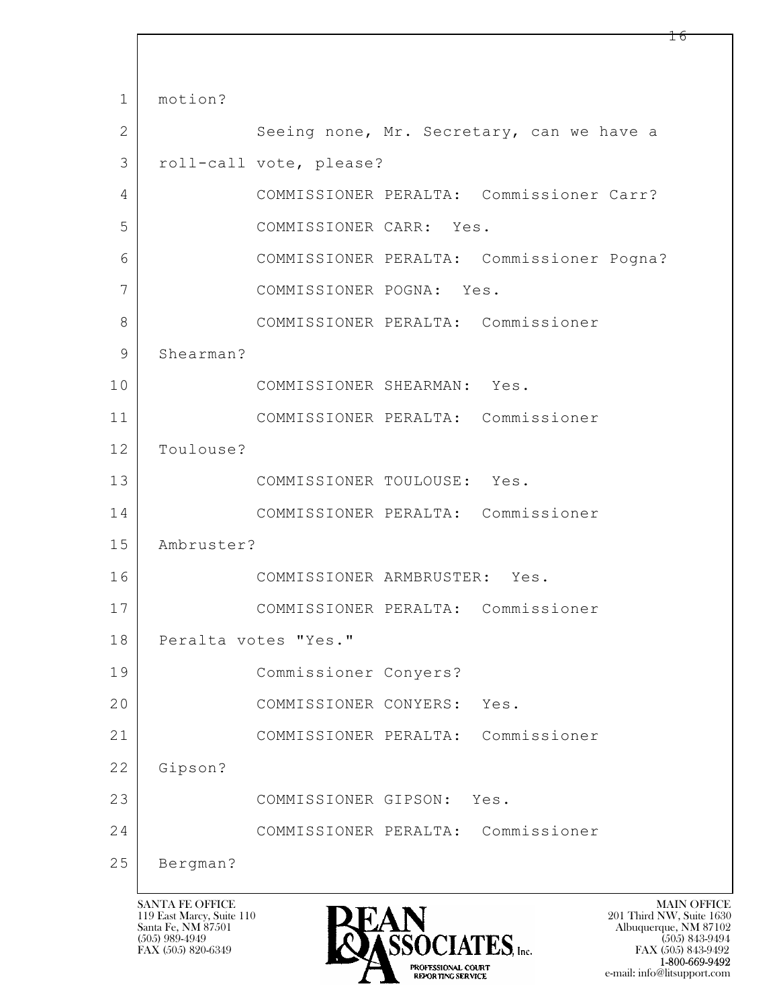$\mathbf{L}$  1 motion? 2 Seeing none, Mr. Secretary, can we have a 3 roll-call vote, please? 4 COMMISSIONER PERALTA: Commissioner Carr? 5 COMMISSIONER CARR: Yes. 6 COMMISSIONER PERALTA: Commissioner Pogna? 7 COMMISSIONER POGNA: Yes. 8 COMMISSIONER PERALTA: Commissioner 9 Shearman? 10 COMMISSIONER SHEARMAN: Yes. 11 COMMISSIONER PERALTA: Commissioner 12 Toulouse? 13 COMMISSIONER TOULOUSE: Yes. 14 COMMISSIONER PERALTA: Commissioner 15 Ambruster? 16 COMMISSIONER ARMBRUSTER: Yes. 17 COMMISSIONER PERALTA: Commissioner 18 | Peralta votes "Yes." 19 Commissioner Conyers? 20 | COMMISSIONER CONYERS: Yes. 21 COMMISSIONER PERALTA: Commissioner 22 Gipson? 23 COMMISSIONER GIPSON: Yes. 24 COMMISSIONER PERALTA: Commissioner 25 Bergman?

119 East Marcy, Suite 110<br>Santa Fe, NM 87501



 $FAX (505) 843-9492$ <br>1-800-669-9492 e-mail: info@litsupport.com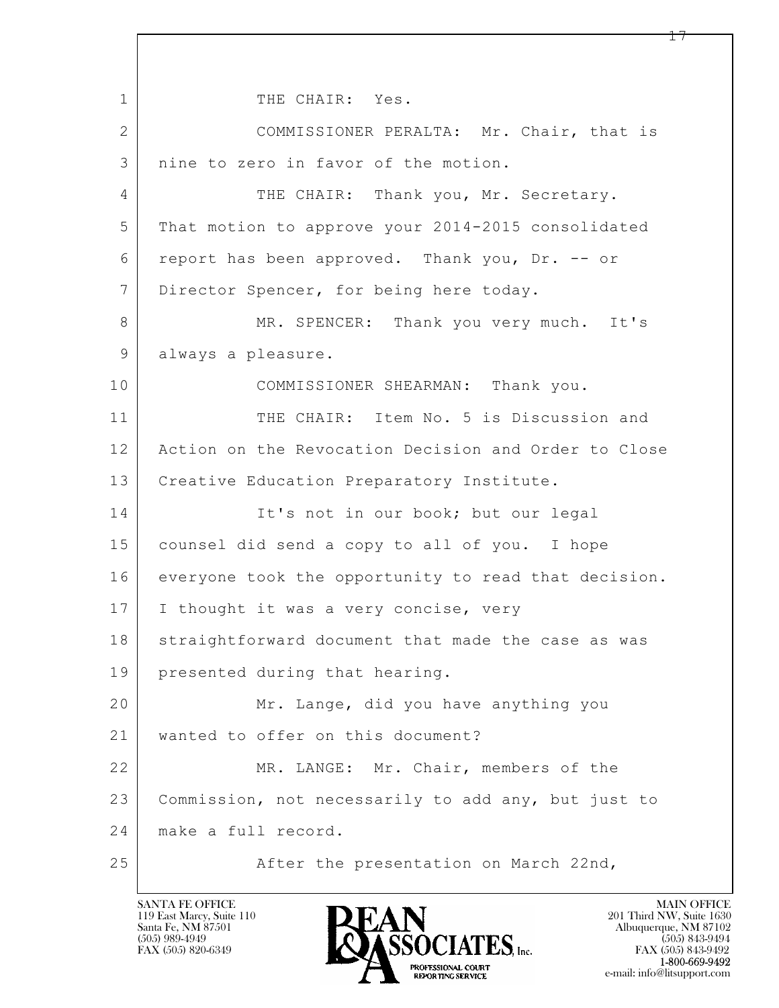$\mathbf{L}$  1 THE CHAIR: Yes. 2 COMMISSIONER PERALTA: Mr. Chair, that is 3 | nine to zero in favor of the motion. 4 THE CHAIR: Thank you, Mr. Secretary. 5 That motion to approve your 2014-2015 consolidated 6 report has been approved. Thank you, Dr. -- or 7 Director Spencer, for being here today. 8 MR. SPENCER: Thank you very much. It's 9 always a pleasure. 10 COMMISSIONER SHEARMAN: Thank you. 11 THE CHAIR: Item No. 5 is Discussion and 12 Action on the Revocation Decision and Order to Close 13 | Creative Education Preparatory Institute. 14 It's not in our book; but our legal 15 counsel did send a copy to all of you. I hope 16 everyone took the opportunity to read that decision. 17 | I thought it was a very concise, very 18 straightforward document that made the case as was 19 presented during that hearing. 20 Mr. Lange, did you have anything you 21 wanted to offer on this document? 22 MR. LANGE: Mr. Chair, members of the 23 Commission, not necessarily to add any, but just to 24 make a full record. 25 After the presentation on March 22nd,

119 East Marcy, Suite 110<br>Santa Fe, NM 87501

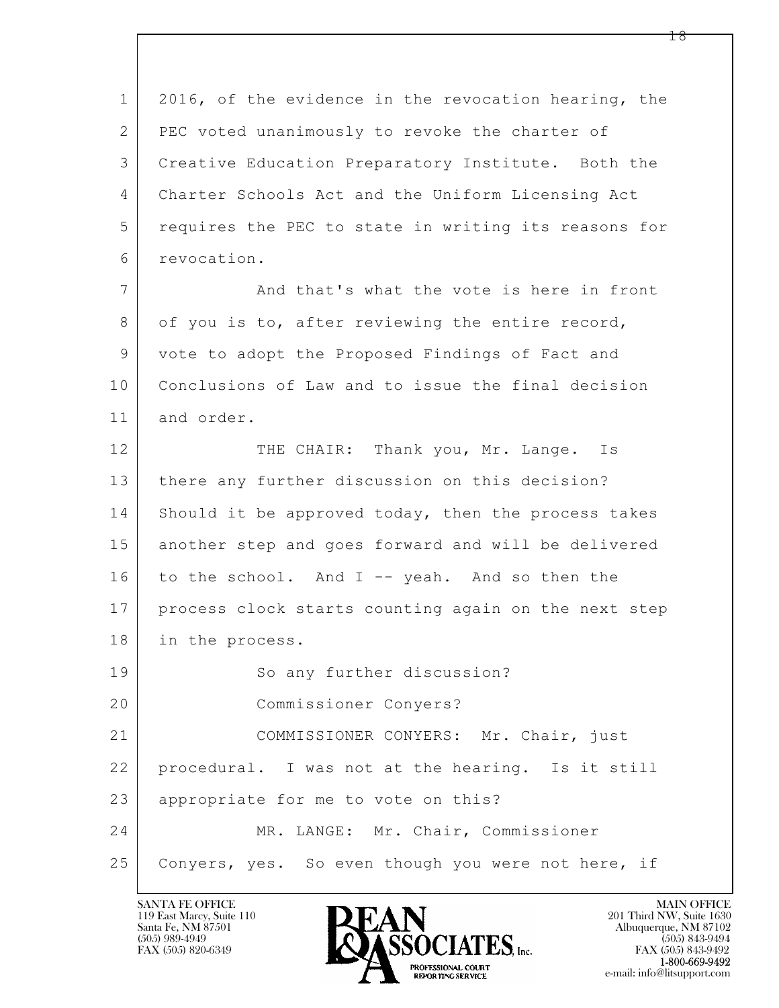$\mathbf{L}$  1 2016, of the evidence in the revocation hearing, the 2 PEC voted unanimously to revoke the charter of 3 Creative Education Preparatory Institute. Both the 4 Charter Schools Act and the Uniform Licensing Act 5 requires the PEC to state in writing its reasons for 6 revocation. 7 And that's what the vote is here in front 8 of you is to, after reviewing the entire record, 9 vote to adopt the Proposed Findings of Fact and 10 Conclusions of Law and to issue the final decision 11 and order. 12 THE CHAIR: Thank you, Mr. Lange. Is 13 | there any further discussion on this decision? 14 Should it be approved today, then the process takes 15 another step and goes forward and will be delivered 16 to the school. And I -- yeah. And so then the 17 process clock starts counting again on the next step 18 in the process. 19 So any further discussion? 20 Commissioner Conyers? 21 COMMISSIONER CONYERS: Mr. Chair, just 22 procedural. I was not at the hearing. Is it still 23 appropriate for me to vote on this? 24 MR. LANGE: Mr. Chair, Commissioner 25 Conyers, yes. So even though you were not here, if

119 East Marcy, Suite 110<br>Santa Fe, NM 87501



FAX (505) 843-9492 e-mail: info@litsupport.com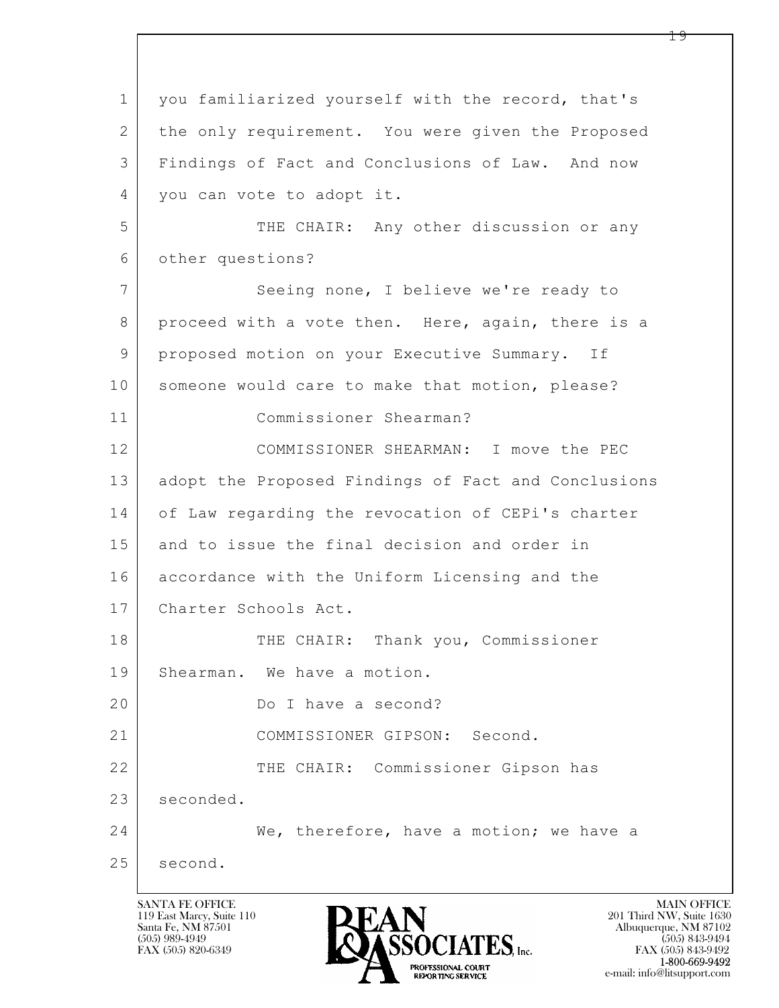$\mathbf{L}$  1 you familiarized yourself with the record, that's 2 the only requirement. You were given the Proposed 3 Findings of Fact and Conclusions of Law. And now 4 | you can vote to adopt it. 5 THE CHAIR: Any other discussion or any 6 other questions? 7 Seeing none, I believe we're ready to 8 proceed with a vote then. Here, again, there is a 9 proposed motion on your Executive Summary. If 10 someone would care to make that motion, please? 11 Commissioner Shearman? 12 COMMISSIONER SHEARMAN: I move the PEC 13 adopt the Proposed Findings of Fact and Conclusions 14 of Law regarding the revocation of CEPi's charter 15 and to issue the final decision and order in 16 accordance with the Uniform Licensing and the 17 Charter Schools Act. 18 | THE CHAIR: Thank you, Commissioner 19 Shearman. We have a motion. 20 Do I have a second? 21 COMMISSIONER GIPSON: Second. 22 THE CHAIR: Commissioner Gipson has 23 seconded. 24 We, therefore, have a motion; we have a 25 second.

119 East Marcy, Suite 110<br>Santa Fe, NM 87501



FAX (505) 843-9492 e-mail: info@litsupport.com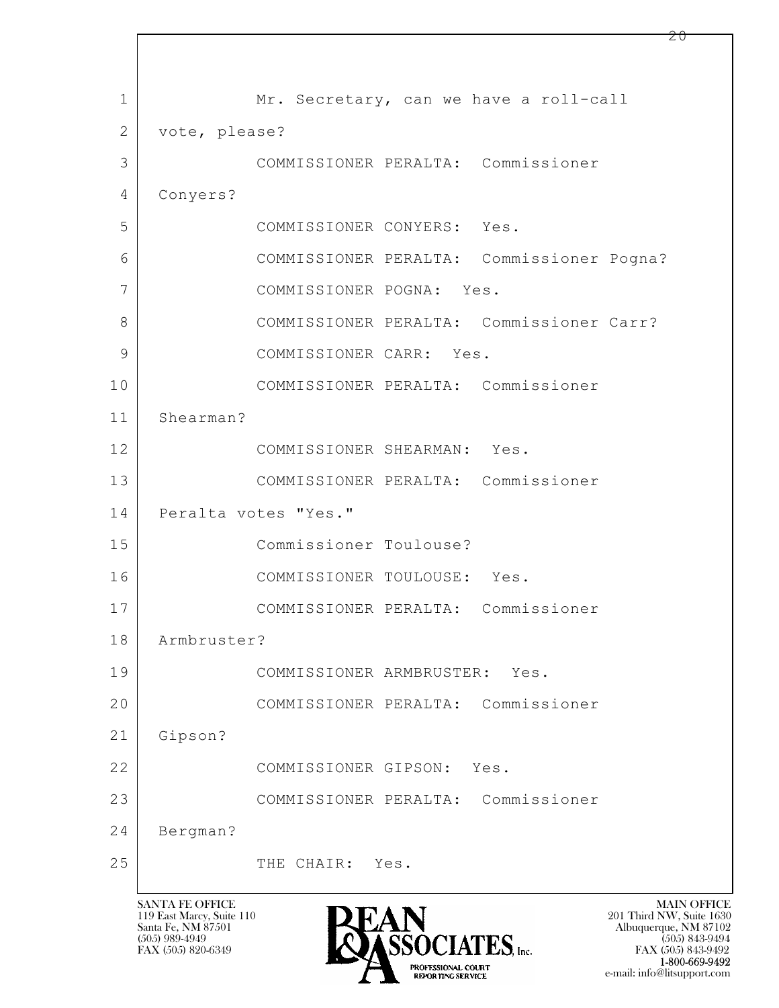$\mathbf{L}$  1 Mr. Secretary, can we have a roll-call 2 vote, please? 3 COMMISSIONER PERALTA: Commissioner 4 Conyers? 5 COMMISSIONER CONYERS: Yes. 6 COMMISSIONER PERALTA: Commissioner Pogna? 7 COMMISSIONER POGNA: Yes. 8 COMMISSIONER PERALTA: Commissioner Carr? 9 | COMMISSIONER CARR: Yes. 10 COMMISSIONER PERALTA: Commissioner 11 Shearman? 12 COMMISSIONER SHEARMAN: Yes. 13 COMMISSIONER PERALTA: Commissioner 14 Peralta votes "Yes." 15 Commissioner Toulouse? 16 COMMISSIONER TOULOUSE: Yes. 17 COMMISSIONER PERALTA: Commissioner 18 Armbruster? 19 COMMISSIONER ARMBRUSTER: Yes. 20 COMMISSIONER PERALTA: Commissioner 21 Gipson? 22 COMMISSIONER GIPSON: Yes. 23 COMMISSIONER PERALTA: Commissioner 24 Bergman? 25 THE CHAIR: Yes.

119 East Marcy, Suite 110<br>Santa Fe, NM 87501



 $FAX (505) 843-9492$ <br>1-800-669-9492 e-mail: info@litsupport.com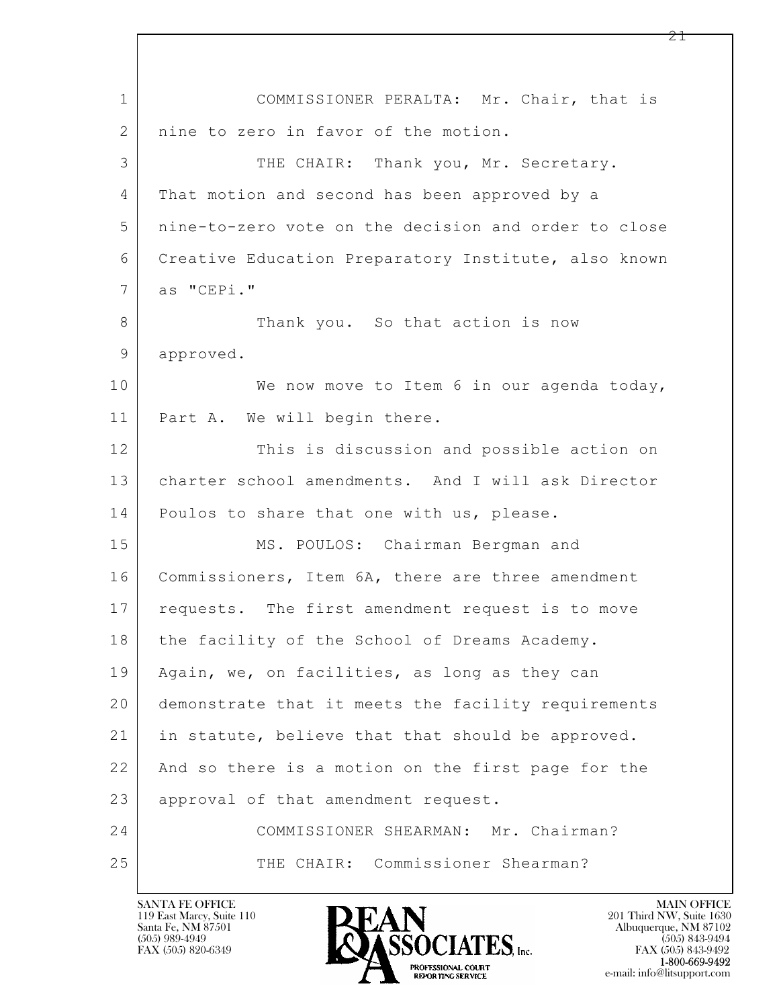| $\mathbf 1$ | COMMISSIONER PERALTA: Mr. Chair, that is             |
|-------------|------------------------------------------------------|
| 2           | nine to zero in favor of the motion.                 |
| 3           | THE CHAIR: Thank you, Mr. Secretary.                 |
| 4           | That motion and second has been approved by a        |
| 5           | nine-to-zero vote on the decision and order to close |
| 6           | Creative Education Preparatory Institute, also known |
| 7           | as "CEPi."                                           |
| 8           | Thank you. So that action is now                     |
| 9           | approved.                                            |
| 10          | We now move to Item 6 in our agenda today,           |
| 11          | Part A. We will begin there.                         |
| 12          | This is discussion and possible action on            |
| 13          | charter school amendments. And I will ask Director   |
| 14          | Poulos to share that one with us, please.            |
| 15          | MS. POULOS: Chairman Bergman and                     |
| 16          | Commissioners, Item 6A, there are three amendment    |
| 17          | requests. The first amendment request is to move     |
| 18          | the facility of the School of Dreams Academy.        |
| 19          | Again, we, on facilities, as long as they can        |
| 20          | demonstrate that it meets the facility requirements  |
| 21          | in statute, believe that that should be approved.    |
| 22          | And so there is a motion on the first page for the   |
| 23          | approval of that amendment request.                  |
| 24          | COMMISSIONER SHEARMAN: Mr. Chairman?                 |
| 25          | THE CHAIR: Commissioner Shearman?                    |

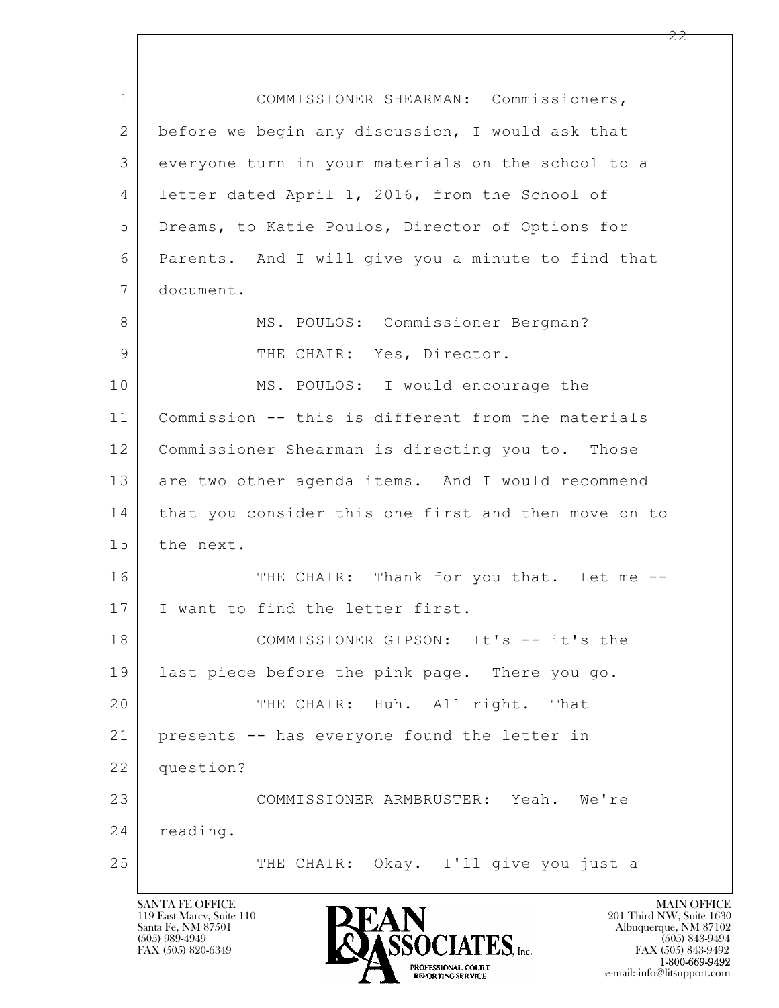$\mathbf{L}$  1 COMMISSIONER SHEARMAN: Commissioners, 2 before we begin any discussion, I would ask that 3 everyone turn in your materials on the school to a 4 letter dated April 1, 2016, from the School of 5 Dreams, to Katie Poulos, Director of Options for 6 Parents. And I will give you a minute to find that 7 document. 8 | MS. POULOS: Commissioner Bergman? 9 | THE CHAIR: Yes, Director. 10 MS. POULOS: I would encourage the 11 Commission -- this is different from the materials 12 Commissioner Shearman is directing you to. Those 13 are two other agenda items. And I would recommend 14 that you consider this one first and then move on to 15 the next. 16 THE CHAIR: Thank for you that. Let me --17 | I want to find the letter first. 18 COMMISSIONER GIPSON: It's -- it's the 19 last piece before the pink page. There you go. 20 THE CHAIR: Huh. All right. That 21 presents -- has everyone found the letter in 22 question? 23 COMMISSIONER ARMBRUSTER: Yeah. We're 24 reading. 25 THE CHAIR: Okay. I'll give you just a

119 East Marcy, Suite 110<br>Santa Fe, NM 87501

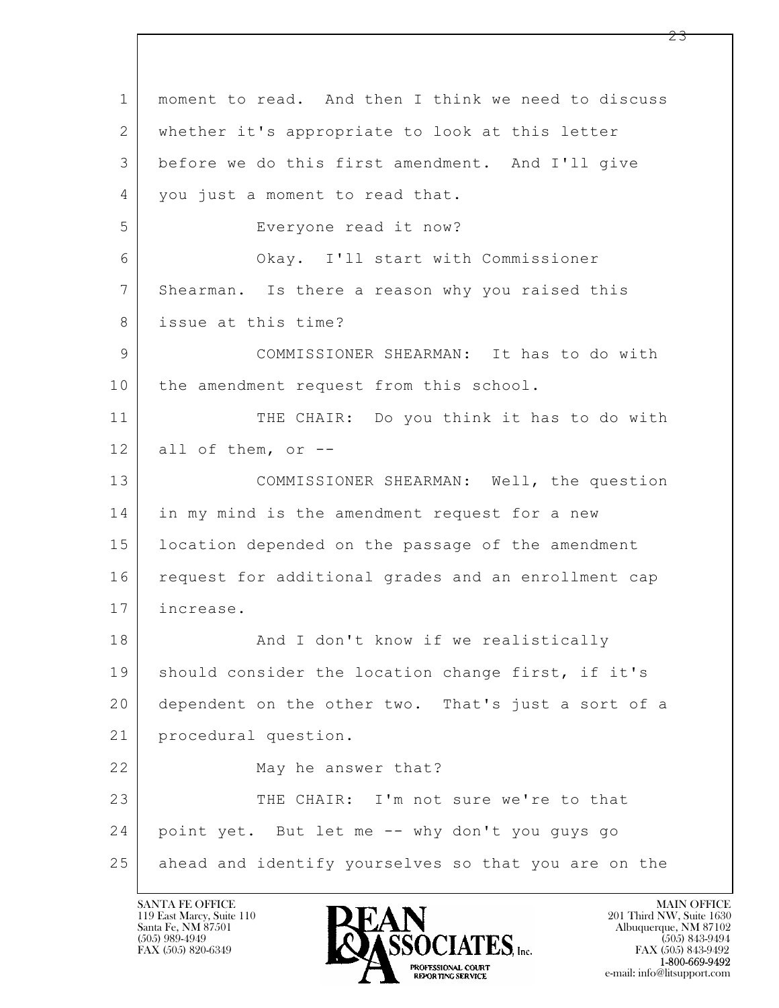$\mathbf{L}$  1 moment to read. And then I think we need to discuss 2 whether it's appropriate to look at this letter 3 before we do this first amendment. And I'll give 4 | you just a moment to read that. 5 Everyone read it now? 6 Okay. I'll start with Commissioner 7 Shearman. Is there a reason why you raised this 8 issue at this time? 9 COMMISSIONER SHEARMAN: It has to do with 10 the amendment request from this school. 11 THE CHAIR: Do you think it has to do with  $12$  all of them, or  $-$ 13 COMMISSIONER SHEARMAN: Well, the question 14 in my mind is the amendment request for a new 15 location depended on the passage of the amendment 16 request for additional grades and an enrollment cap 17 increase. 18 | Research Mand I don't know if we realistically 19 | should consider the location change first, if it's 20 dependent on the other two. That's just a sort of a 21 procedural question. 22 May he answer that? 23 THE CHAIR: I'm not sure we're to that 24 point yet. But let me -- why don't you guys go 25 ahead and identify yourselves so that you are on the

119 East Marcy, Suite 110<br>Santa Fe, NM 87501

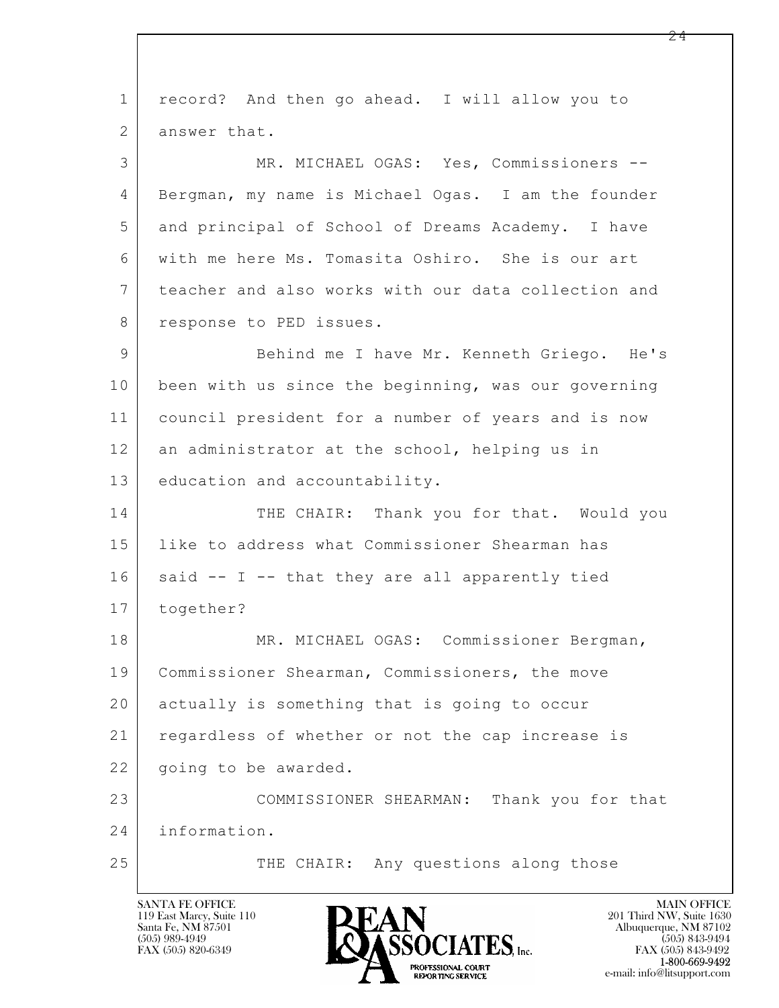$\mathbf{L}$  1 record? And then go ahead. I will allow you to 2 answer that. 3 MR. MICHAEL OGAS: Yes, Commissioners -- 4 Bergman, my name is Michael Ogas. I am the founder 5 and principal of School of Dreams Academy. I have 6 with me here Ms. Tomasita Oshiro. She is our art 7 teacher and also works with our data collection and 8 response to PED issues. 9 Behind me I have Mr. Kenneth Griego. He's 10 been with us since the beginning, was our governing 11 council president for a number of years and is now 12 an administrator at the school, helping us in 13 education and accountability. 14 THE CHAIR: Thank you for that. Would you 15 like to address what Commissioner Shearman has  $16$  said -- I -- that they are all apparently tied 17 together? 18 MR. MICHAEL OGAS: Commissioner Bergman, 19 Commissioner Shearman, Commissioners, the move 20 actually is something that is going to occur 21 regardless of whether or not the cap increase is 22 | going to be awarded. 23 COMMISSIONER SHEARMAN: Thank you for that 24 information. 25 | THE CHAIR: Any questions along those

119 East Marcy, Suite 110<br>Santa Fe, NM 87501

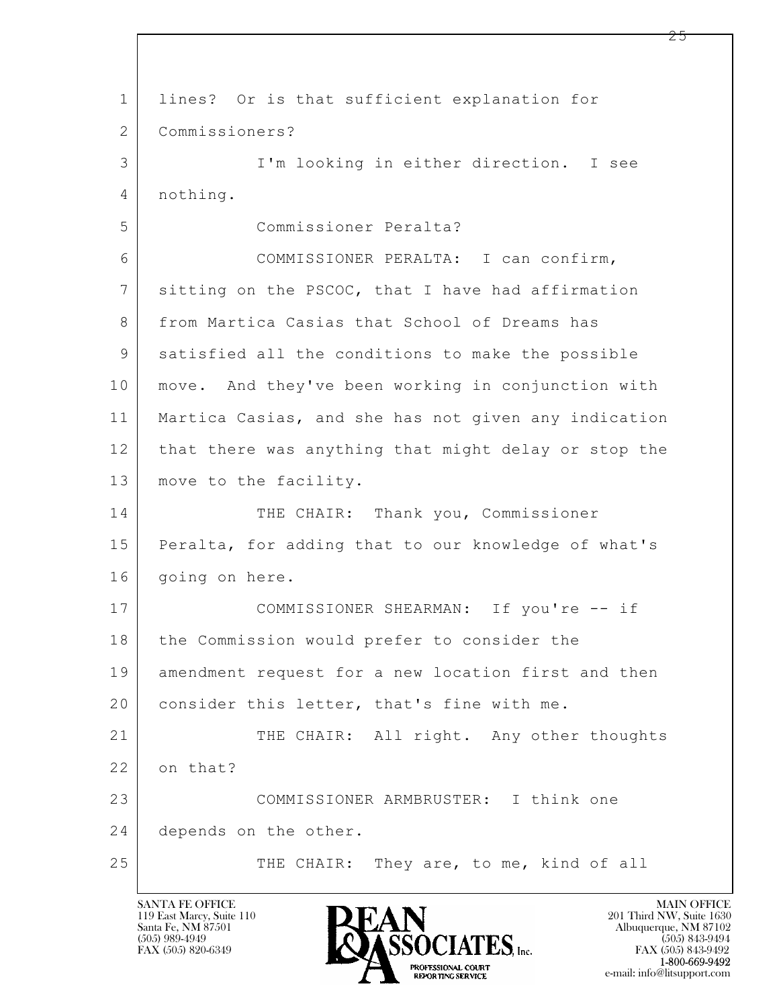$\mathbf{L}$  1 lines? Or is that sufficient explanation for 2 Commissioners? 3 I'm looking in either direction. I see 4 nothing. 5 Commissioner Peralta? 6 COMMISSIONER PERALTA: I can confirm, 7 sitting on the PSCOC, that I have had affirmation 8 from Martica Casias that School of Dreams has 9 satisfied all the conditions to make the possible 10 move. And they've been working in conjunction with 11 Martica Casias, and she has not given any indication 12 that there was anything that might delay or stop the 13 | move to the facility. 14 THE CHAIR: Thank you, Commissioner 15 Peralta, for adding that to our knowledge of what's 16 | going on here. 17 COMMISSIONER SHEARMAN: If you're -- if 18 | the Commission would prefer to consider the 19 amendment request for a new location first and then 20 consider this letter, that's fine with me. 21 THE CHAIR: All right. Any other thoughts 22 on that? 23 COMMISSIONER ARMBRUSTER: I think one 24 depends on the other. 25 THE CHAIR: They are, to me, kind of all

119 East Marcy, Suite 110<br>Santa Fe, NM 87501

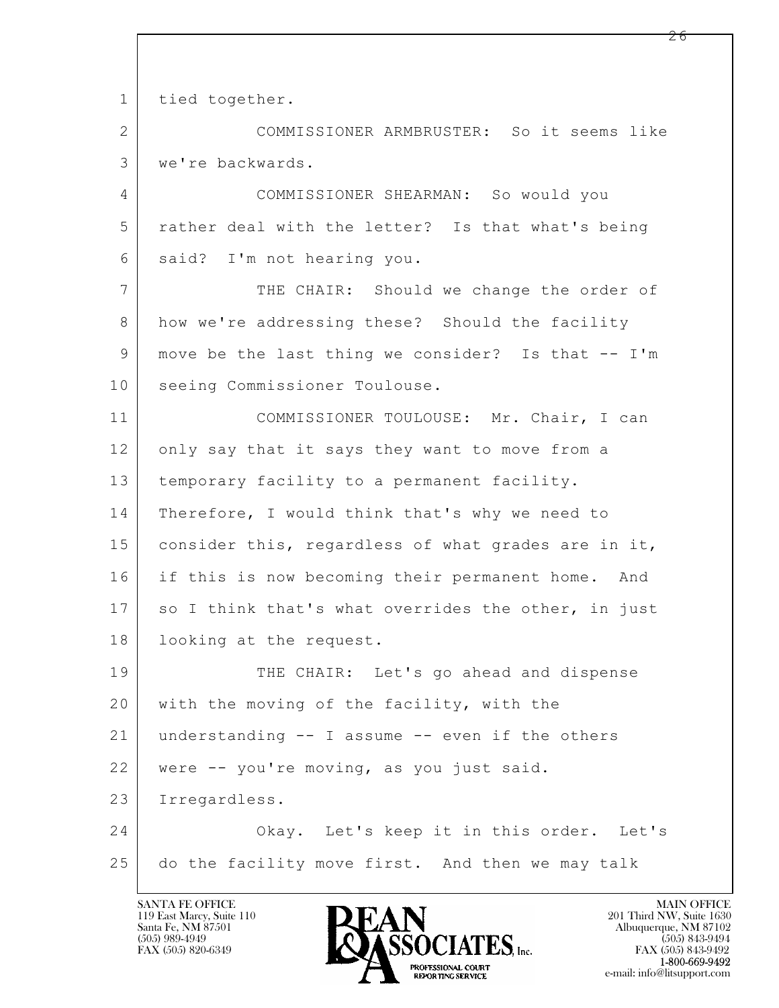$\mathbf{L}$  1 tied together. 2 COMMISSIONER ARMBRUSTER: So it seems like 3 we're backwards. 4 COMMISSIONER SHEARMAN: So would you 5 rather deal with the letter? Is that what's being 6 said? I'm not hearing you. 7 THE CHAIR: Should we change the order of 8 how we're addressing these? Should the facility 9 move be the last thing we consider? Is that -- I'm 10 | seeing Commissioner Toulouse. 11 COMMISSIONER TOULOUSE: Mr. Chair, I can 12 only say that it says they want to move from a 13 | temporary facility to a permanent facility. 14 | Therefore, I would think that's why we need to 15 | consider this, regardless of what grades are in it, 16 if this is now becoming their permanent home. And 17 so I think that's what overrides the other, in just 18 | looking at the request. 19 THE CHAIR: Let's go ahead and dispense 20 with the moving of the facility, with the 21 understanding -- I assume -- even if the others 22 were -- you're moving, as you just said. 23 Irregardless. 24 Okay. Let's keep it in this order. Let's 25 do the facility move first. And then we may talk

119 East Marcy, Suite 110<br>Santa Fe, NM 87501

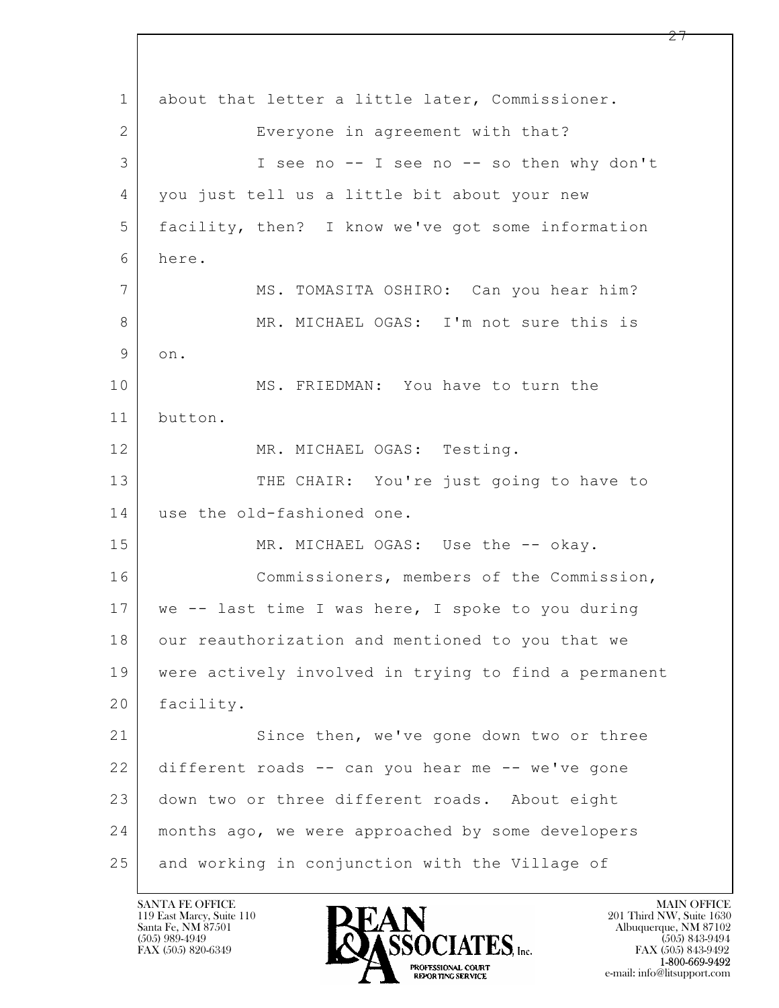$\mathbf{L}$  1 about that letter a little later, Commissioner. 2 Everyone in agreement with that? 3 I see no -- I see no -- so then why don't 4 you just tell us a little bit about your new 5 facility, then? I know we've got some information 6 here. 7 MS. TOMASITA OSHIRO: Can you hear him? 8 MR. MICHAEL OGAS: I'm not sure this is 9 on. 10 MS. FRIEDMAN: You have to turn the 11 button. 12 MR. MICHAEL OGAS: Testing. 13 THE CHAIR: You're just going to have to 14 use the old-fashioned one. 15 MR. MICHAEL OGAS: Use the -- okay. 16 Commissioners, members of the Commission, 17 we -- last time I was here, I spoke to you during 18 | our reauthorization and mentioned to you that we 19 were actively involved in trying to find a permanent 20 facility. 21 Since then, we've gone down two or three 22 different roads -- can you hear me -- we've gone 23 down two or three different roads. About eight 24 months ago, we were approached by some developers 25 and working in conjunction with the Village of

119 East Marcy, Suite 110<br>Santa Fe, NM 87501



FAX (505) 843-9492 e-mail: info@litsupport.com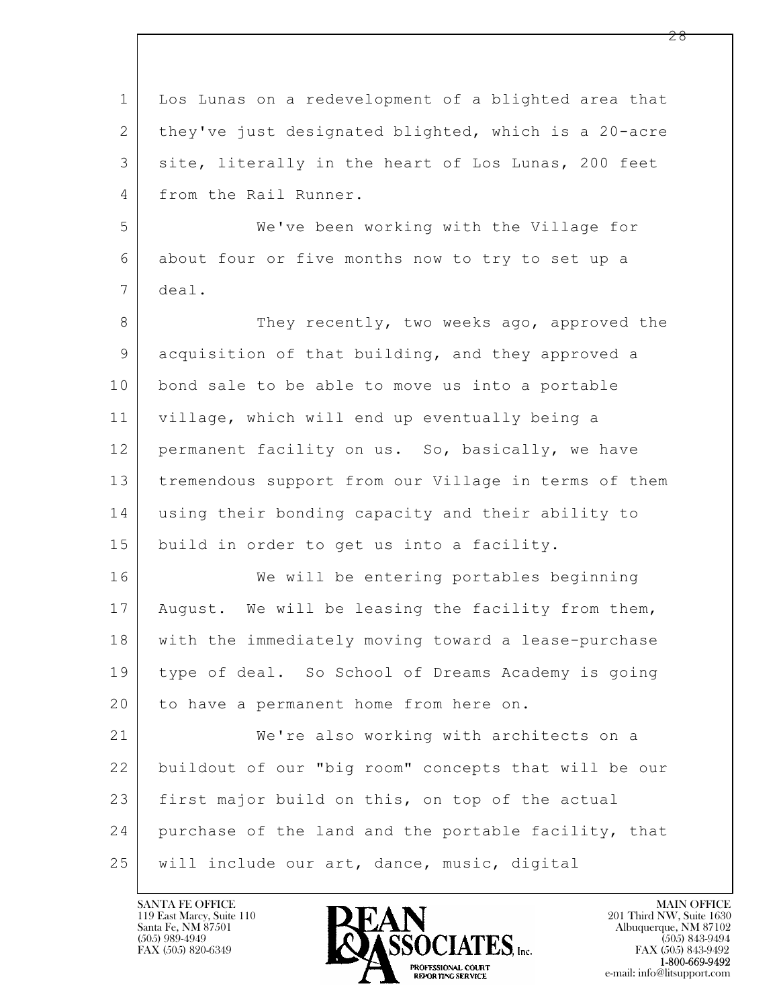| $\mathbf 1$    | Los Lunas on a redevelopment of a blighted area that |
|----------------|------------------------------------------------------|
| $\overline{2}$ | they've just designated blighted, which is a 20-acre |
| 3              | site, literally in the heart of Los Lunas, 200 feet  |
| 4              | from the Rail Runner.                                |
| 5              | We've been working with the Village for              |
| 6              | about four or five months now to try to set up a     |
| 7              | deal.                                                |
| 8              | They recently, two weeks ago, approved the           |
| 9              | acquisition of that building, and they approved a    |
| 10             | bond sale to be able to move us into a portable      |
| 11             | village, which will end up eventually being a        |
| 12             | permanent facility on us. So, basically, we have     |
| 13             | tremendous support from our Village in terms of them |
| 14             | using their bonding capacity and their ability to    |
| 15             | build in order to get us into a facility.            |
| 16             | We will be entering portables beginning              |
| 17             | August. We will be leasing the facility from them,   |
| 18             | with the immediately moving toward a lease-purchase  |
| 19             | type of deal. So School of Dreams Academy is going   |
| 20             | to have a permanent home from here on.               |
| 21             | We're also working with architects on a              |
| 22             | buildout of our "big room" concepts that will be our |
| 23             | first major build on this, on top of the actual      |
| 24             | purchase of the land and the portable facility, that |
| 25             | will include our art, dance, music, digital          |

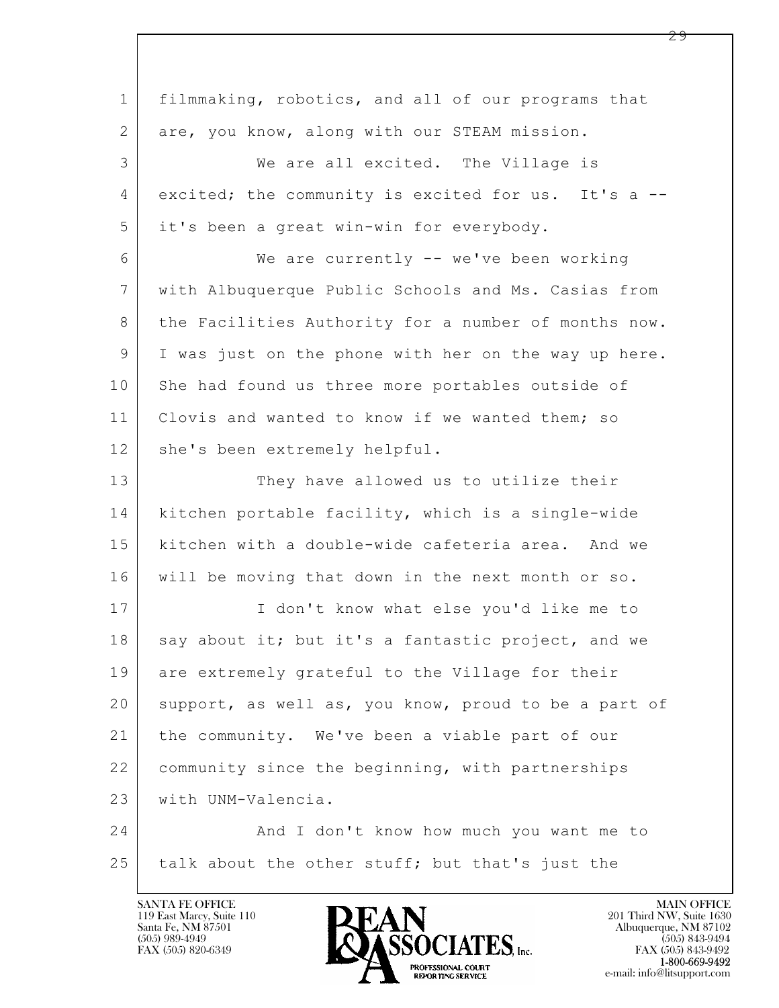| $\mathbf 1$    | filmmaking, robotics, and all of our programs that   |
|----------------|------------------------------------------------------|
| $\mathbf{2}$   | are, you know, along with our STEAM mission.         |
| 3              | We are all excited. The Village is                   |
| 4              | excited; the community is excited for us. It's a --  |
| 5              | it's been a great win-win for everybody.             |
| 6              | We are currently -- we've been working               |
| $7\phantom{.}$ | with Albuquerque Public Schools and Ms. Casias from  |
| 8              | the Facilities Authority for a number of months now. |
| 9              | I was just on the phone with her on the way up here. |
| 10             | She had found us three more portables outside of     |
| 11             | Clovis and wanted to know if we wanted them; so      |
| 12             | she's been extremely helpful.                        |
| 13             | They have allowed us to utilize their                |
| 14             | kitchen portable facility, which is a single-wide    |
| 15             | kitchen with a double-wide cafeteria area. And we    |
| 16             | will be moving that down in the next month or so.    |
| 17             | I don't know what else you'd like me to              |
| 18             | say about it; but it's a fantastic project, and we   |
| 19             | are extremely grateful to the Village for their      |
| 20             | support, as well as, you know, proud to be a part of |
| 21             | the community. We've been a viable part of our       |
| 22             | community since the beginning, with partnerships     |
| 23             | with UNM-Valencia.                                   |
| 24             | And I don't know how much you want me to             |
| 25             | talk about the other stuff; but that's just the      |
|                |                                                      |

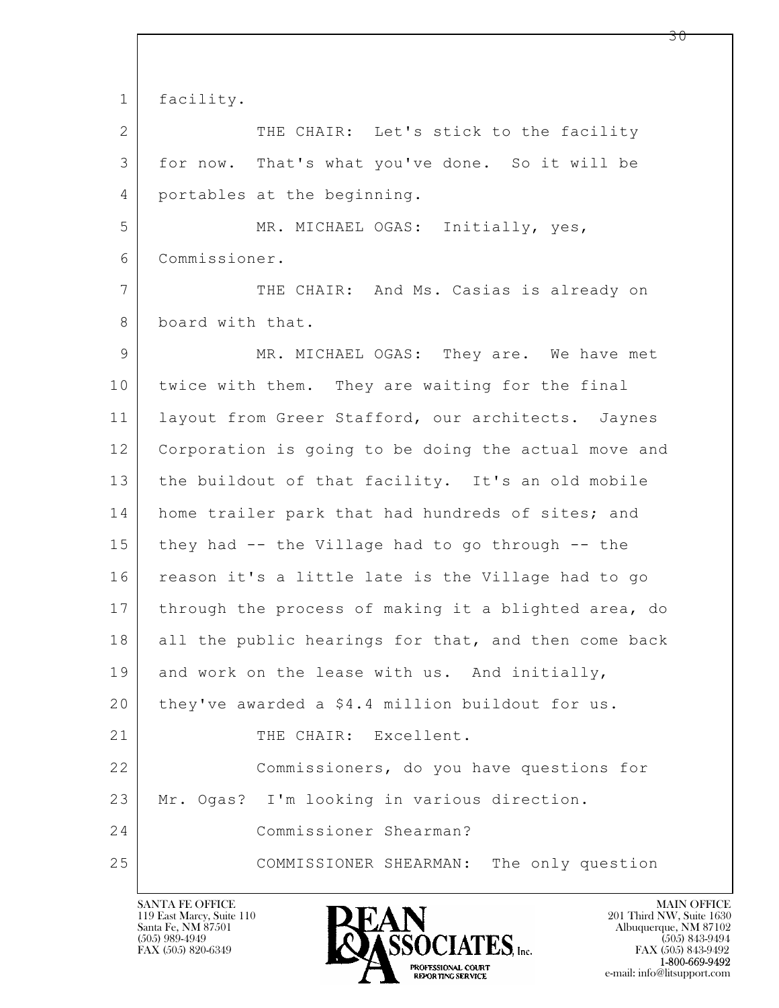$\mathbf{L}$  1 facility. 2 THE CHAIR: Let's stick to the facility 3 for now. That's what you've done. So it will be 4 portables at the beginning. 5 MR. MICHAEL OGAS: Initially, yes, 6 Commissioner. 7 THE CHAIR: And Ms. Casias is already on 8 board with that. 9 MR. MICHAEL OGAS: They are. We have met 10 twice with them. They are waiting for the final 11 layout from Greer Stafford, our architects. Jaynes 12 Corporation is going to be doing the actual move and 13 the buildout of that facility. It's an old mobile 14 home trailer park that had hundreds of sites; and 15 they had -- the Village had to go through -- the 16 reason it's a little late is the Village had to go 17 | through the process of making it a blighted area, do 18 all the public hearings for that, and then come back 19 and work on the lease with us. And initially, 20 they've awarded a \$4.4 million buildout for us. 21 | THE CHAIR: Excellent. 22 Commissioners, do you have questions for 23 Mr. Ogas? I'm looking in various direction. 24 Commissioner Shearman? 25 COMMISSIONER SHEARMAN: The only question

119 East Marcy, Suite 110<br>Santa Fe, NM 87501

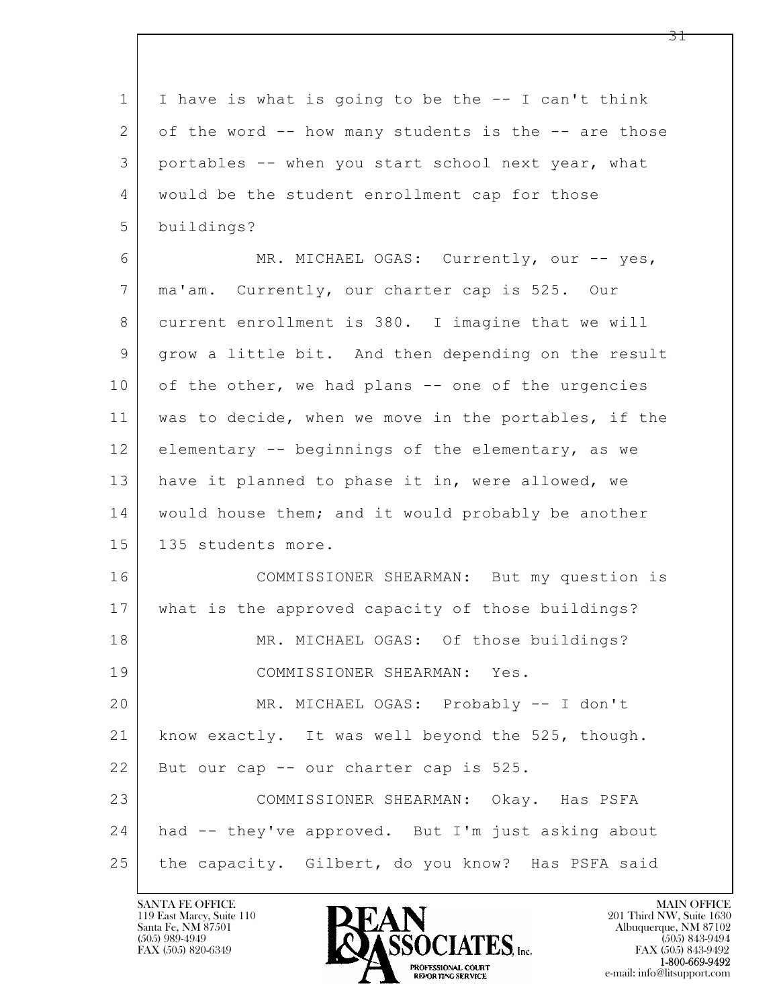$\mathbf{L}$  1 I have is what is going to be the -- I can't think 2 of the word -- how many students is the -- are those 3 portables -- when you start school next year, what 4 would be the student enrollment cap for those 5 buildings? 6 MR. MICHAEL OGAS: Currently, our -- yes, 7 ma'am. Currently, our charter cap is 525. Our 8 current enrollment is 380. I imagine that we will 9 grow a little bit. And then depending on the result  $10$  of the other, we had plans  $-$  one of the urgencies 11 was to decide, when we move in the portables, if the 12 elementary -- beginnings of the elementary, as we 13 have it planned to phase it in, were allowed, we 14 | would house them; and it would probably be another 15 | 135 students more. 16 COMMISSIONER SHEARMAN: But my question is 17 what is the approved capacity of those buildings? 18 MR. MICHAEL OGAS: Of those buildings? 19 COMMISSIONER SHEARMAN: Yes. 20 MR. MICHAEL OGAS: Probably -- I don't 21 know exactly. It was well beyond the 525, though. 22 | But our cap -- our charter cap is 525. 23 COMMISSIONER SHEARMAN: Okay. Has PSFA 24 had -- they've approved. But I'm just asking about 25 the capacity. Gilbert, do you know? Has PSFA said

119 East Marcy, Suite 110<br>Santa Fe, NM 87501

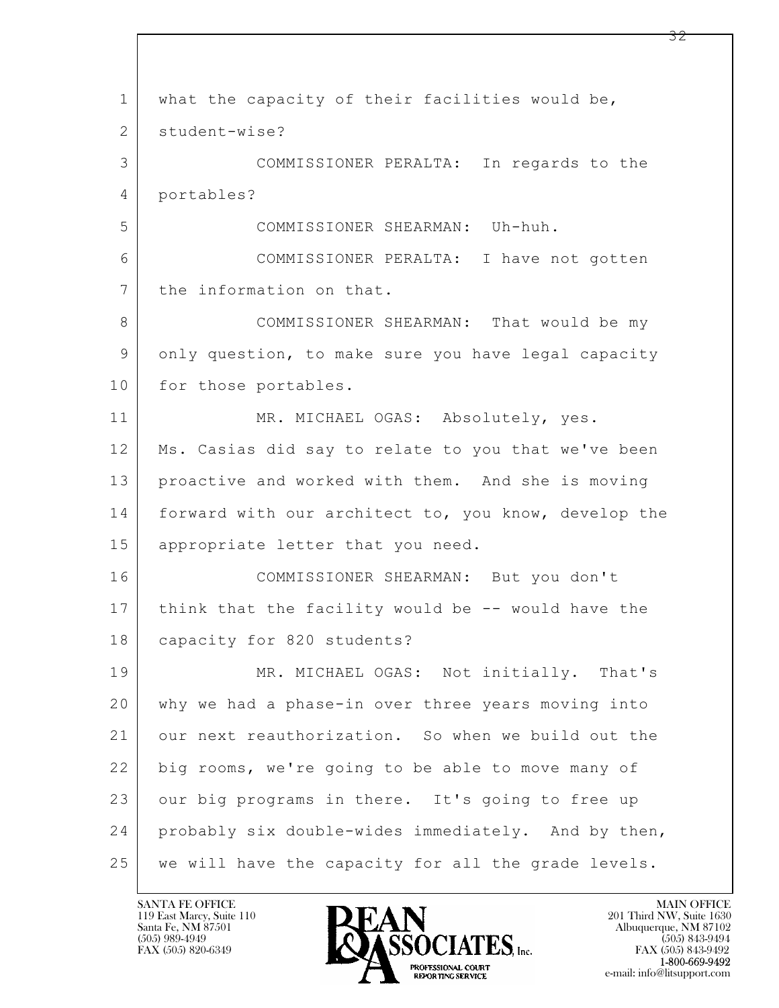$\mathbf{L}$  1 what the capacity of their facilities would be, 2 student-wise? 3 COMMISSIONER PERALTA: In regards to the 4 portables? 5 COMMISSIONER SHEARMAN: Uh-huh. 6 COMMISSIONER PERALTA: I have not gotten 7 the information on that. 8 COMMISSIONER SHEARMAN: That would be my 9 only question, to make sure you have legal capacity 10 for those portables. 11 MR. MICHAEL OGAS: Absolutely, yes. 12 Ms. Casias did say to relate to you that we've been 13 | proactive and worked with them. And she is moving 14 forward with our architect to, you know, develop the 15 appropriate letter that you need. 16 COMMISSIONER SHEARMAN: But you don't 17 think that the facility would be -- would have the 18 capacity for 820 students? 19 MR. MICHAEL OGAS: Not initially. That's 20 why we had a phase-in over three years moving into 21 our next reauthorization. So when we build out the 22 big rooms, we're going to be able to move many of 23 our big programs in there. It's going to free up 24 probably six double-wides immediately. And by then, 25 | we will have the capacity for all the grade levels.

119 East Marcy, Suite 110<br>Santa Fe, NM 87501

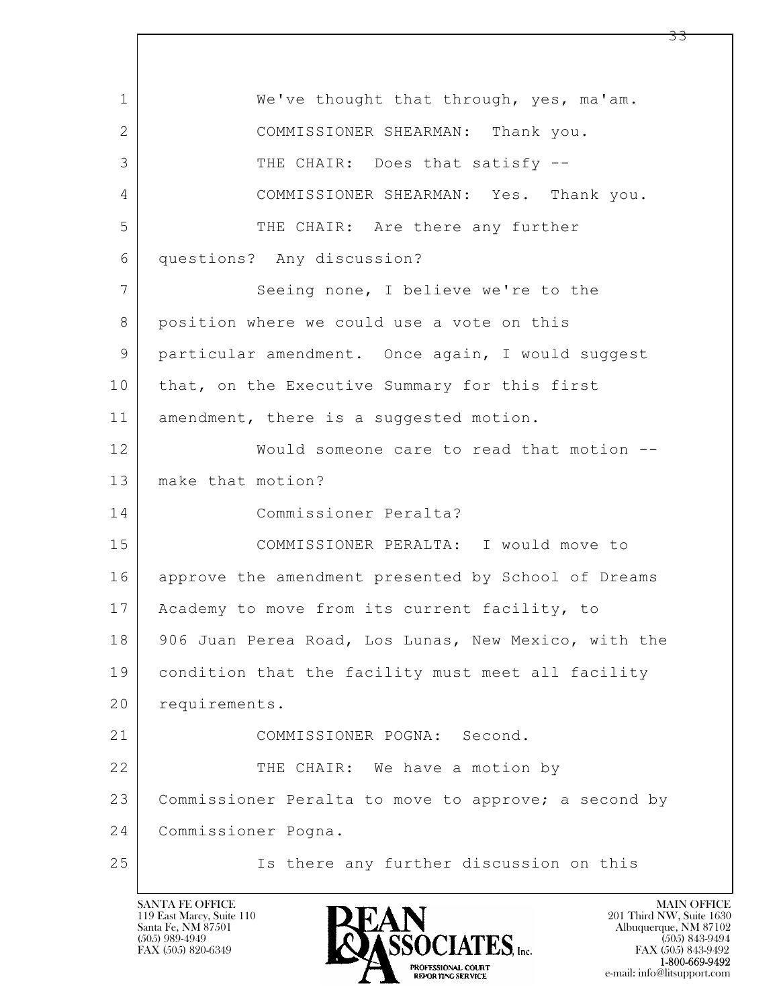$\mathbf{L}$  1 We've thought that through, yes, ma'am. 2 COMMISSIONER SHEARMAN: Thank you. 3 THE CHAIR: Does that satisfy --4 COMMISSIONER SHEARMAN: Yes. Thank you. 5 THE CHAIR: Are there any further 6 questions? Any discussion? 7 Seeing none, I believe we're to the 8 | position where we could use a vote on this 9 particular amendment. Once again, I would suggest 10 | that, on the Executive Summary for this first 11 amendment, there is a suggested motion. 12 Would someone care to read that motion -- 13 make that motion? 14 Commissioner Peralta? 15 COMMISSIONER PERALTA: I would move to 16 approve the amendment presented by School of Dreams 17 | Academy to move from its current facility, to 18 906 Juan Perea Road, Los Lunas, New Mexico, with the 19 condition that the facility must meet all facility 20 requirements. 21 COMMISSIONER POGNA: Second. 22 THE CHAIR: We have a motion by 23 Commissioner Peralta to move to approve; a second by 24 Commissioner Pogna. 25 | Ts there any further discussion on this

119 East Marcy, Suite 110<br>Santa Fe, NM 87501

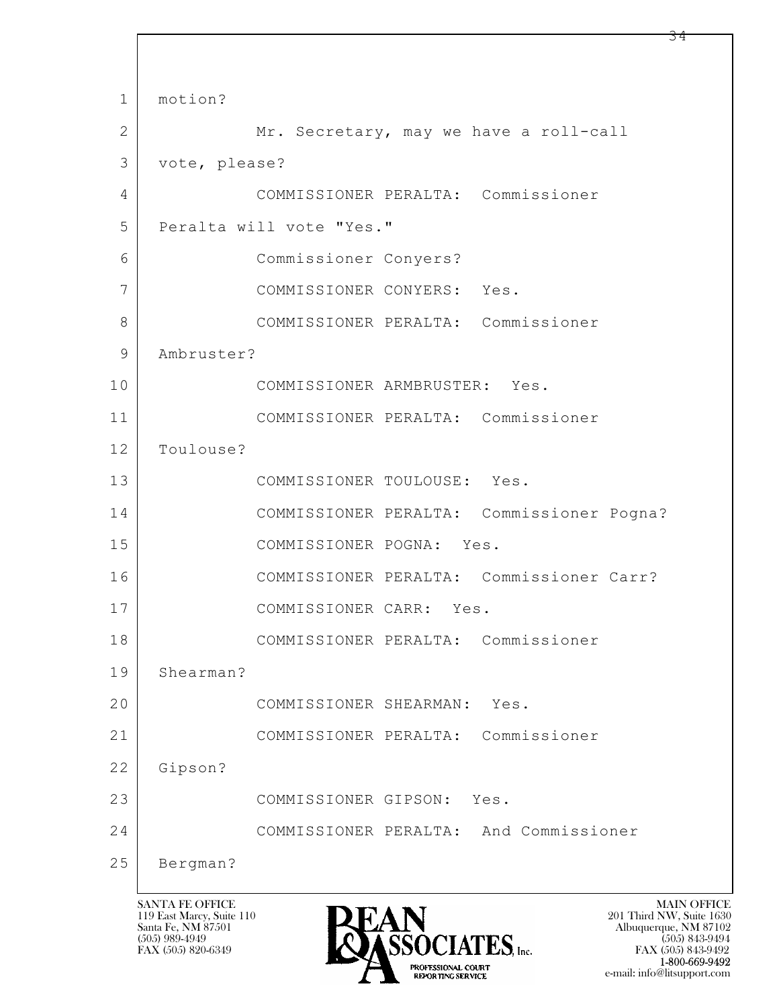$\mathbf{L}$  1 motion? 2 Mr. Secretary, may we have a roll-call 3 vote, please? 4 COMMISSIONER PERALTA: Commissioner 5 Peralta will vote "Yes." 6 Commissioner Conyers? 7 COMMISSIONER CONYERS: Yes. 8 COMMISSIONER PERALTA: Commissioner 9 Ambruster? 10 COMMISSIONER ARMBRUSTER: Yes. 11 COMMISSIONER PERALTA: Commissioner 12 Toulouse? 13 COMMISSIONER TOULOUSE: Yes. 14 COMMISSIONER PERALTA: Commissioner Pogna? 15 COMMISSIONER POGNA: Yes. 16 COMMISSIONER PERALTA: Commissioner Carr? 17 COMMISSIONER CARR: Yes. 18 COMMISSIONER PERALTA: Commissioner 19 Shearman? 20 COMMISSIONER SHEARMAN: Yes. 21 COMMISSIONER PERALTA: Commissioner 22 Gipson? 23 COMMISSIONER GIPSON: Yes. 24 COMMISSIONER PERALTA: And Commissioner 25 Bergman?

119 East Marcy, Suite 110<br>Santa Fe, NM 87501



 $FAX (505) 843-9492$ <br>1-800-669-9492 e-mail: info@litsupport.com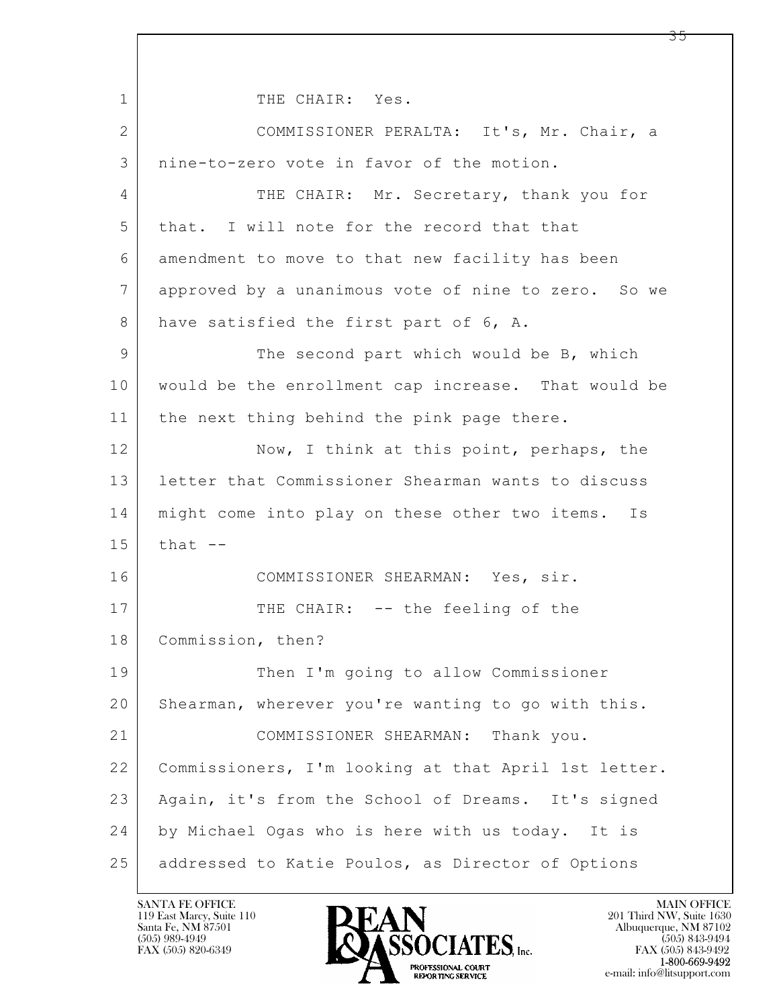$\mathbf{L}$  1 THE CHAIR: Yes. 2 COMMISSIONER PERALTA: It's, Mr. Chair, a 3 nine-to-zero vote in favor of the motion. 4 THE CHAIR: Mr. Secretary, thank you for 5 that. I will note for the record that that 6 amendment to move to that new facility has been 7 approved by a unanimous vote of nine to zero. So we 8 have satisfied the first part of 6, A. 9 The second part which would be B, which 10 would be the enrollment cap increase. That would be 11 | the next thing behind the pink page there. 12 Now, I think at this point, perhaps, the 13 letter that Commissioner Shearman wants to discuss 14 | might come into play on these other two items. Is  $15$  that  $-$ 16 COMMISSIONER SHEARMAN: Yes, sir. 17 THE CHAIR: -- the feeling of the 18 Commission, then? 19 Then I'm going to allow Commissioner 20 Shearman, wherever you're wanting to go with this. 21 COMMISSIONER SHEARMAN: Thank you. 22 Commissioners, I'm looking at that April 1st letter. 23 Again, it's from the School of Dreams. It's signed 24 by Michael Ogas who is here with us today. It is 25 addressed to Katie Poulos, as Director of Options

119 East Marcy, Suite 110<br>Santa Fe, NM 87501

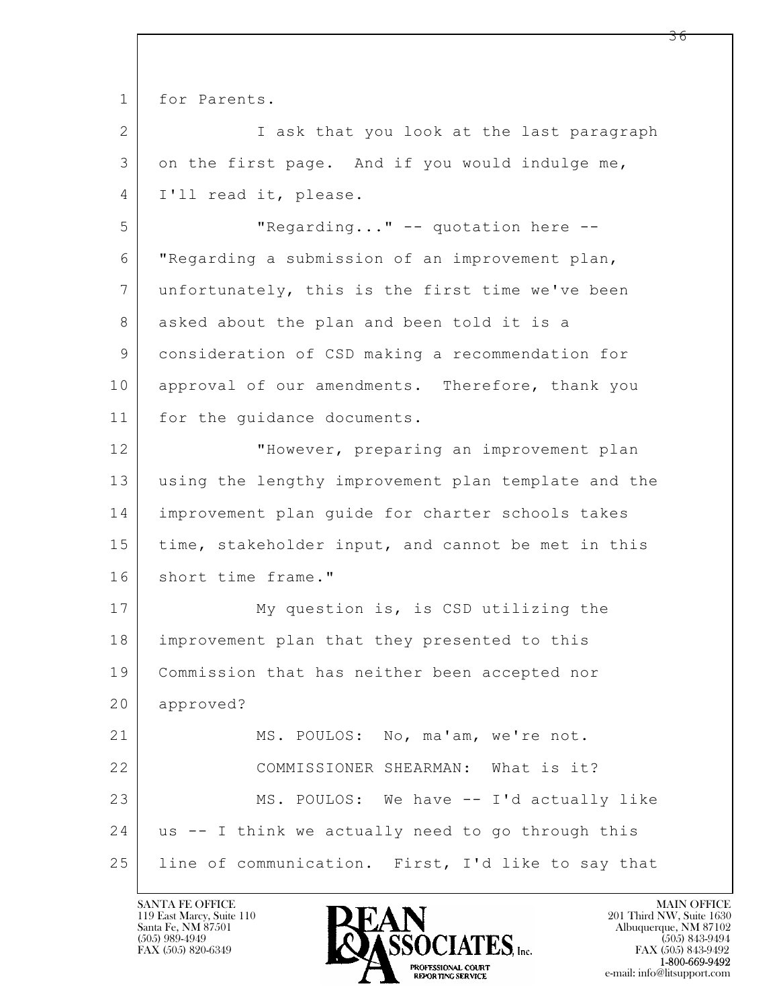$\mathbf{L}$  1 for Parents. 2 I ask that you look at the last paragraph 3 on the first page. And if you would indulge me, 4 I'll read it, please. 5 "Regarding..." -- quotation here -- 6 "Regarding a submission of an improvement plan, 7 unfortunately, this is the first time we've been 8 asked about the plan and been told it is a 9 consideration of CSD making a recommendation for 10 approval of our amendments. Therefore, thank you 11 for the quidance documents. 12 "However, preparing an improvement plan 13 using the lengthy improvement plan template and the 14 improvement plan guide for charter schools takes 15 | time, stakeholder input, and cannot be met in this 16 short time frame." 17 My question is, is CSD utilizing the 18 improvement plan that they presented to this 19 Commission that has neither been accepted nor 20 approved? 21 MS. POULOS: No, ma'am, we're not. 22 COMMISSIONER SHEARMAN: What is it? 23 MS. POULOS: We have -- I'd actually like 24 us -- I think we actually need to go through this 25 line of communication. First, I'd like to say that

119 East Marcy, Suite 110<br>Santa Fe, NM 87501

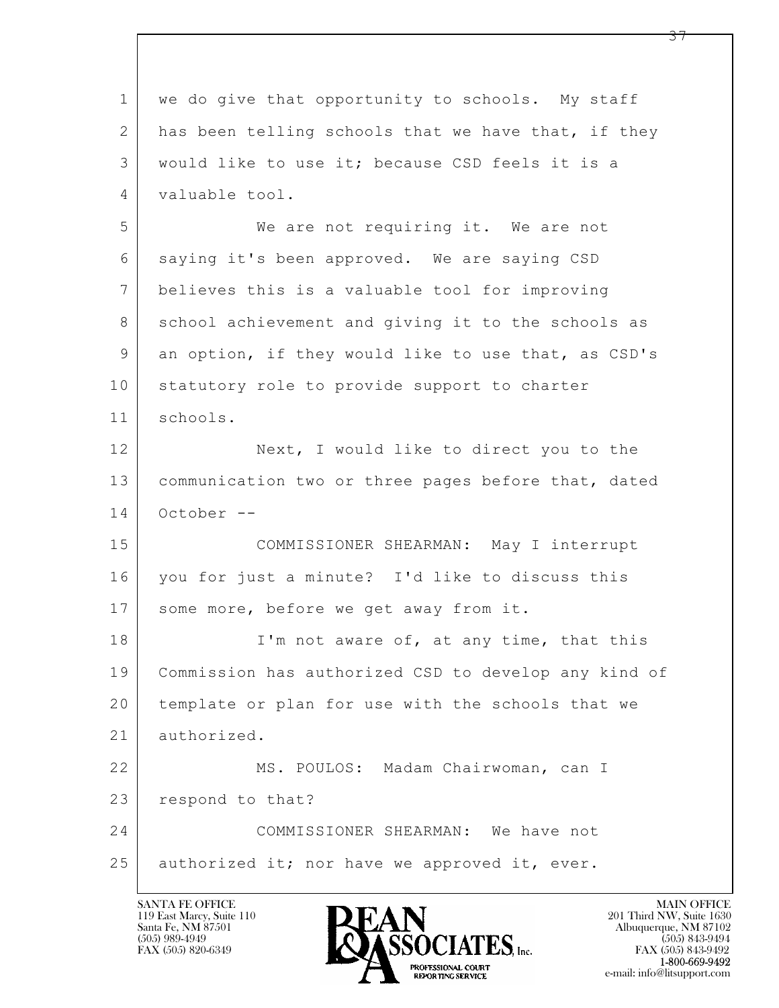| $\mathbf 1$    | we do give that opportunity to schools. My staff     |
|----------------|------------------------------------------------------|
| $\mathbf{2}$   | has been telling schools that we have that, if they  |
| 3              | would like to use it; because CSD feels it is a      |
| 4              | valuable tool.                                       |
| 5              | We are not requiring it. We are not                  |
| 6              | saying it's been approved. We are saying CSD         |
| $7\phantom{.}$ | believes this is a valuable tool for improving       |
| 8              | school achievement and giving it to the schools as   |
| 9              | an option, if they would like to use that, as CSD's  |
| 10             | statutory role to provide support to charter         |
| 11             | schools.                                             |
| 12             | Next, I would like to direct you to the              |
| 13             | communication two or three pages before that, dated  |
| 14             | October --                                           |
| 15             | COMMISSIONER SHEARMAN: May I interrupt               |
| 16             | you for just a minute? I'd like to discuss this      |
| 17             | some more, before we get away from it.               |
| 18             | I'm not aware of, at any time, that this             |
| 19             | Commission has authorized CSD to develop any kind of |
| 20             | template or plan for use with the schools that we    |
| 21             | authorized.                                          |
| 22             | MS. POULOS: Madam Chairwoman, can I                  |
| 23             | respond to that?                                     |
| 24             | COMMISSIONER SHEARMAN: We have not                   |
| 25             | authorized it; nor have we approved it, ever.        |
|                |                                                      |

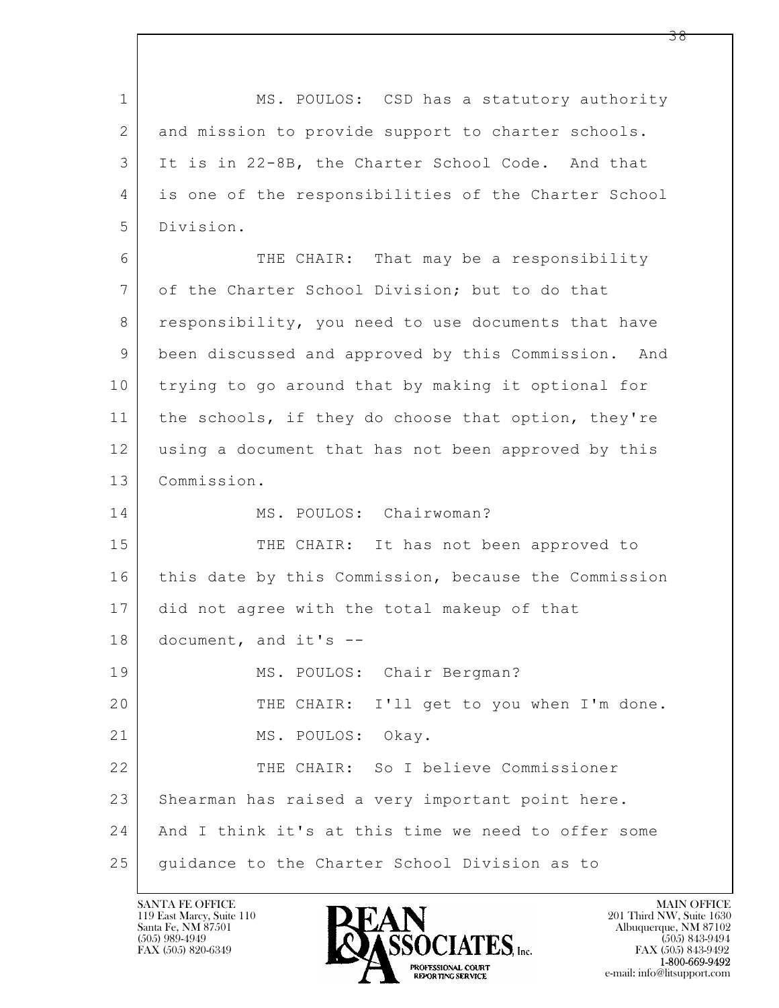$\mathbf{L}$  1 MS. POULOS: CSD has a statutory authority 2 and mission to provide support to charter schools. 3 It is in 22-8B, the Charter School Code. And that 4 is one of the responsibilities of the Charter School 5 Division. 6 THE CHAIR: That may be a responsibility 7 of the Charter School Division; but to do that 8 responsibility, you need to use documents that have 9 been discussed and approved by this Commission. And 10 trying to go around that by making it optional for 11 | the schools, if they do choose that option, they're 12 using a document that has not been approved by this 13 Commission. 14 MS. POULOS: Chairwoman? 15 THE CHAIR: It has not been approved to 16 this date by this Commission, because the Commission 17 did not agree with the total makeup of that 18 document, and it's -- 19 | MS. POULOS: Chair Bergman? 20 THE CHAIR: I'll get to you when I'm done. 21 MS. POULOS: Okay. 22 THE CHAIR: So I believe Commissioner 23 Shearman has raised a very important point here. 24 And I think it's at this time we need to offer some 25 | quidance to the Charter School Division as to

119 East Marcy, Suite 110<br>Santa Fe, NM 87501



FAX (505) 843-9492 e-mail: info@litsupport.com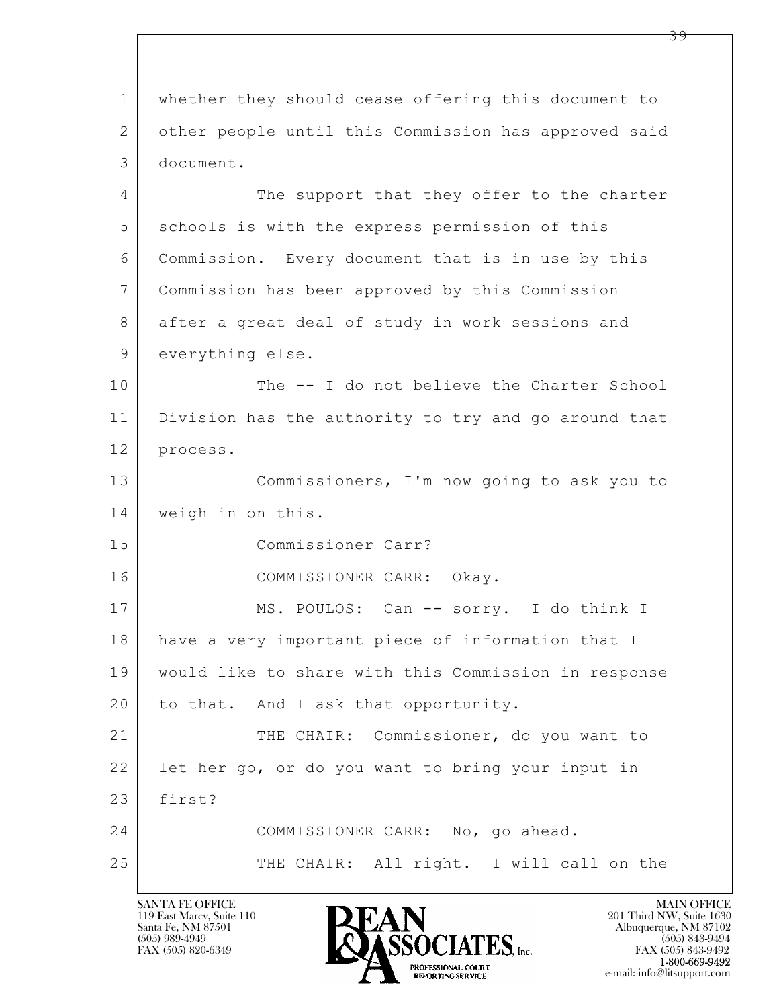$\mathbf{L}$  1 whether they should cease offering this document to 2 other people until this Commission has approved said 3 document. 4 The support that they offer to the charter 5 schools is with the express permission of this 6 Commission. Every document that is in use by this 7 Commission has been approved by this Commission 8 | after a great deal of study in work sessions and 9 everything else. 10 The -- I do not believe the Charter School 11 Division has the authority to try and go around that 12 process. 13 Commissioners, I'm now going to ask you to 14 weigh in on this. 15 Commissioner Carr? 16 COMMISSIONER CARR: Okay. 17 | MS. POULOS: Can -- sorry. I do think I 18 | have a very important piece of information that I 19 would like to share with this Commission in response 20 to that. And I ask that opportunity. 21 THE CHAIR: Commissioner, do you want to 22 let her go, or do you want to bring your input in 23 first? 24 COMMISSIONER CARR: No, go ahead. 25 THE CHAIR: All right. I will call on the

119 East Marcy, Suite 110<br>Santa Fe, NM 87501

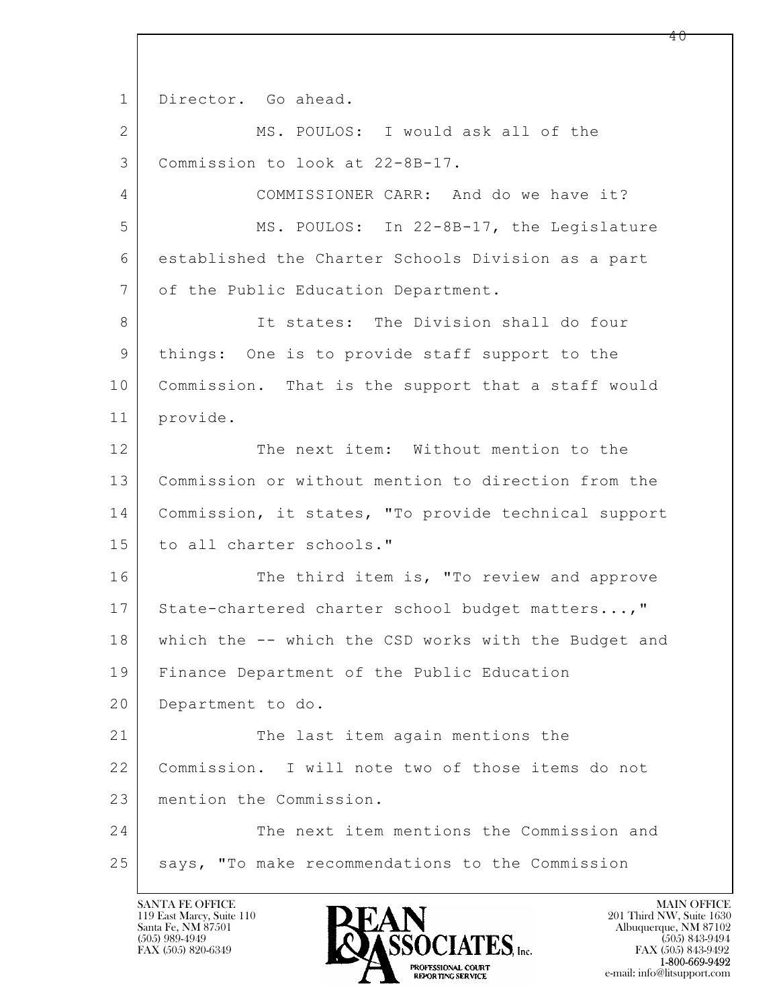$\mathbf{L}$  1 Director. Go ahead. 2 MS. POULOS: I would ask all of the 3 Commission to look at 22-8B-17. 4 COMMISSIONER CARR: And do we have it? 5 MS. POULOS: In 22-8B-17, the Legislature 6 established the Charter Schools Division as a part 7 | of the Public Education Department. 8 It states: The Division shall do four 9 things: One is to provide staff support to the 10 | Commission. That is the support that a staff would 11 provide. 12 The next item: Without mention to the 13 Commission or without mention to direction from the 14 Commission, it states, "To provide technical support 15 to all charter schools." 16 The third item is, "To review and approve 17 State-chartered charter school budget matters...," 18 which the -- which the CSD works with the Budget and 19 Finance Department of the Public Education 20 Department to do. 21 The last item again mentions the 22 Commission. I will note two of those items do not 23 mention the Commission. 24 The next item mentions the Commission and 25 says, "To make recommendations to the Commission

119 East Marcy, Suite 110<br>Santa Fe, NM 87501

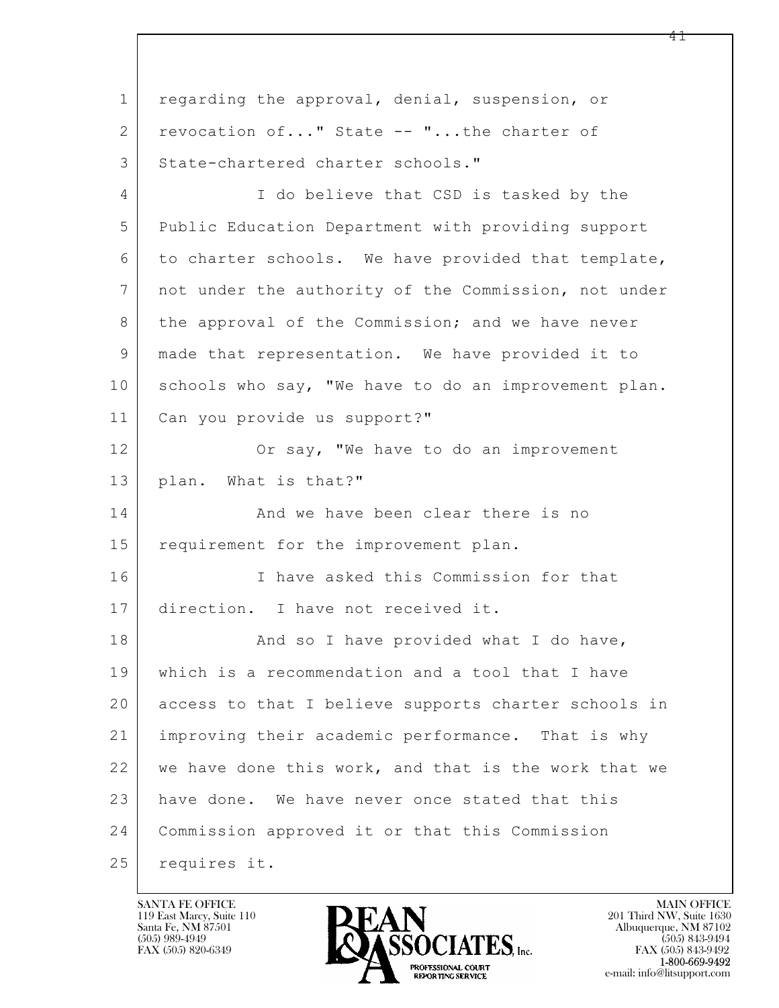$\mathbf{L}$  1 regarding the approval, denial, suspension, or 2 revocation of..." State -- "...the charter of 3 State-chartered charter schools." 4 I do believe that CSD is tasked by the 5 Public Education Department with providing support 6 to charter schools. We have provided that template, 7 not under the authority of the Commission, not under 8 the approval of the Commission; and we have never 9 made that representation. We have provided it to 10 schools who say, "We have to do an improvement plan. 11 Can you provide us support?" 12 Or say, "We have to do an improvement 13 plan. What is that?" 14 And we have been clear there is no 15 requirement for the improvement plan. 16 I have asked this Commission for that 17 direction. I have not received it. 18 | Rand so I have provided what I do have, 19 which is a recommendation and a tool that I have 20 access to that I believe supports charter schools in 21 improving their academic performance. That is why 22 we have done this work, and that is the work that we 23 have done. We have never once stated that this 24 Commission approved it or that this Commission 25 requires it.

119 East Marcy, Suite 110<br>Santa Fe, NM 87501



FAX (505) 843-9492 e-mail: info@litsupport.com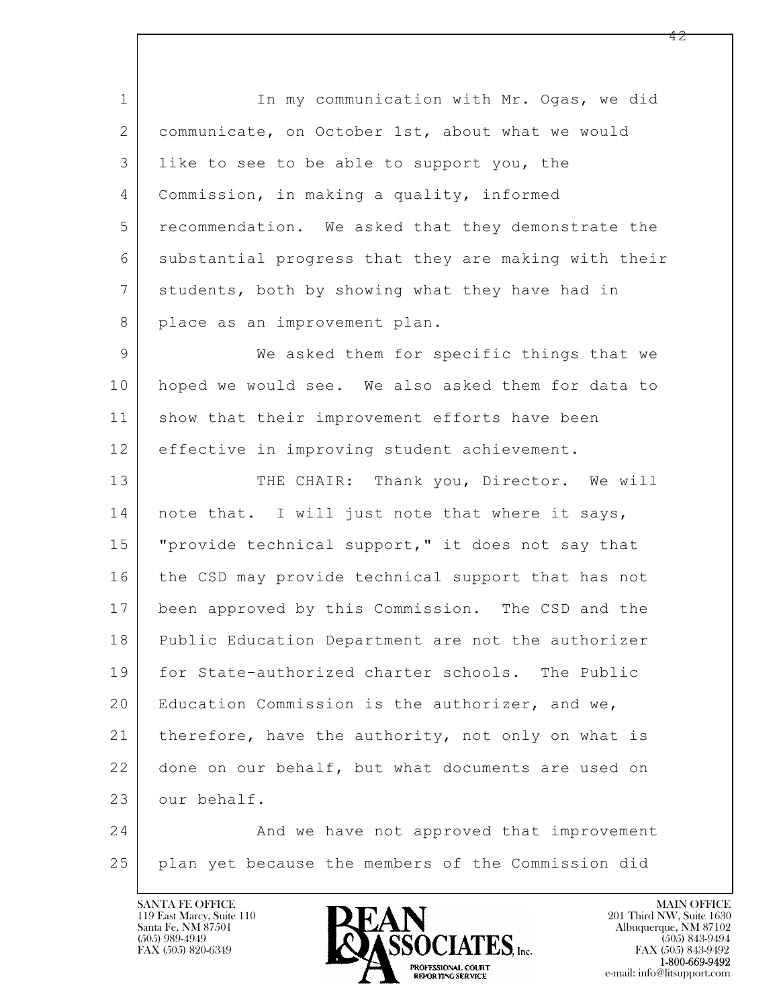1 In my communication with Mr. Ogas, we did 2 | communicate, on October 1st, about what we would 3 like to see to be able to support you, the 4 Commission, in making a quality, informed 5 recommendation. We asked that they demonstrate the 6 substantial progress that they are making with their 7 students, both by showing what they have had in 8 place as an improvement plan.

9 We asked them for specific things that we 10 hoped we would see. We also asked them for data to 11 | show that their improvement efforts have been 12 effective in improving student achievement.

13 THE CHAIR: Thank you, Director. We will 14 | note that. I will just note that where it says, 15 | "provide technical support," it does not say that 16 the CSD may provide technical support that has not 17 been approved by this Commission. The CSD and the 18 Public Education Department are not the authorizer 19 for State-authorized charter schools. The Public 20 | Education Commission is the authorizer, and we, 21 | therefore, have the authority, not only on what is 22 done on our behalf, but what documents are used on 23 our behalf.

 $\mathbf{L}$  24 And we have not approved that improvement 25 plan yet because the members of the Commission did

119 East Marcy, Suite 110<br>Santa Fe, NM 87501



FAX (505) 843-9492 e-mail: info@litsupport.com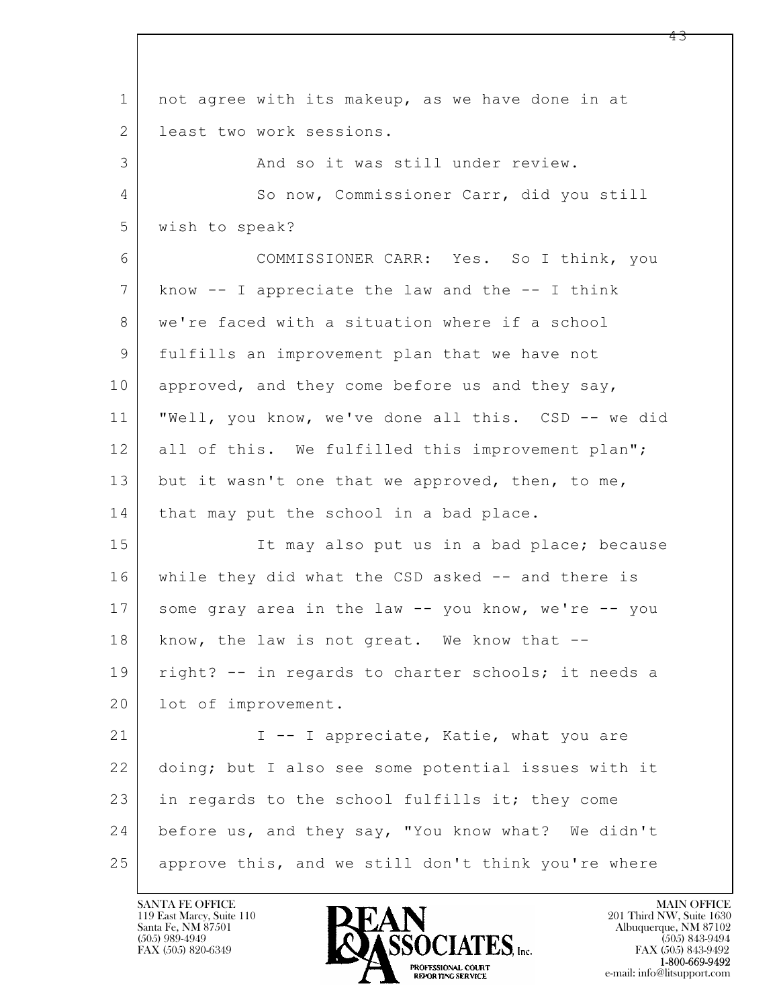$\mathbf{L}$  1 not agree with its makeup, as we have done in at 2 l least two work sessions. 3 And so it was still under review. 4 So now, Commissioner Carr, did you still 5 wish to speak? 6 COMMISSIONER CARR: Yes. So I think, you 7 know -- I appreciate the law and the -- I think 8 we're faced with a situation where if a school 9 fulfills an improvement plan that we have not 10 approved, and they come before us and they say, 11 "Well, you know, we've done all this. CSD -- we did 12 all of this. We fulfilled this improvement plan"; 13 but it wasn't one that we approved, then, to me, 14 | that may put the school in a bad place. 15 It may also put us in a bad place; because 16 while they did what the CSD asked -- and there is 17 some gray area in the law -- you know, we're -- you 18 know, the law is not great. We know that --19 | right? -- in regards to charter schools; it needs a 20 | lot of improvement. 21 | I -- I appreciate, Katie, what you are 22 doing; but I also see some potential issues with it 23 in regards to the school fulfills it; they come 24 before us, and they say, "You know what? We didn't 25 approve this, and we still don't think you're where

119 East Marcy, Suite 110<br>Santa Fe, NM 87501

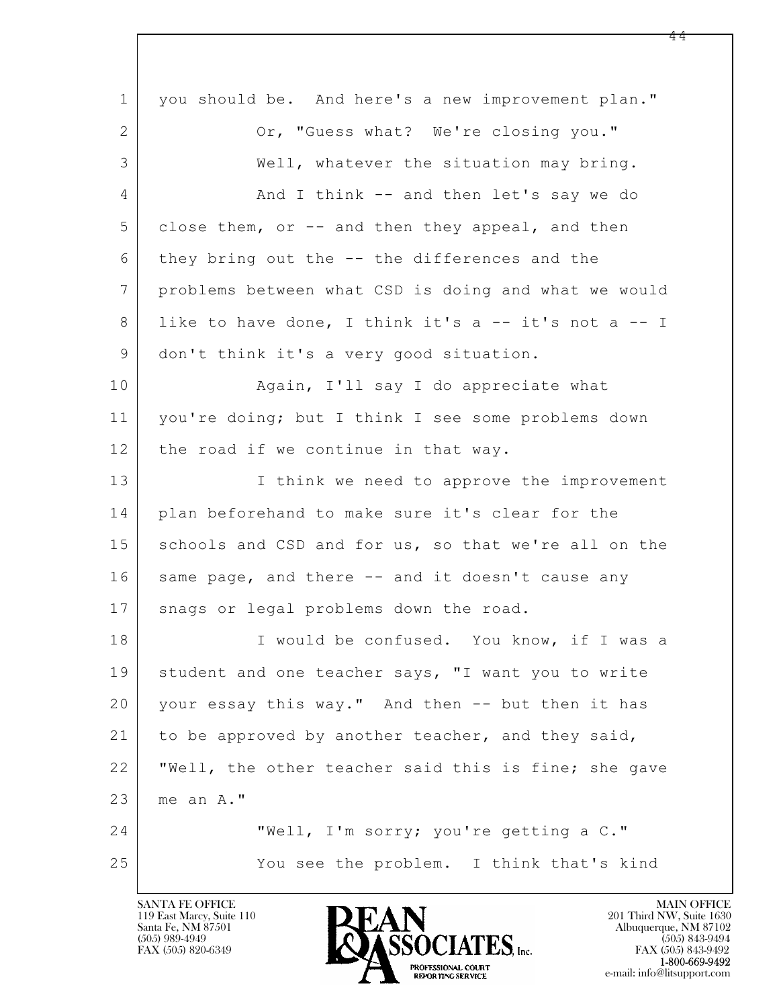$\mathbf{L}$  1 you should be. And here's a new improvement plan." 2 Or, "Guess what? We're closing you." 3 Well, whatever the situation may bring. 4 And I think -- and then let's say we do 5 close them, or -- and then they appeal, and then 6 they bring out the -- the differences and the 7 problems between what CSD is doing and what we would 8 like to have done, I think it's a -- it's not a -- I 9 don't think it's a very good situation. 10 | Again, I'll say I do appreciate what 11 you're doing; but I think I see some problems down  $12$  the road if we continue in that way. 13 I think we need to approve the improvement 14 plan beforehand to make sure it's clear for the 15 schools and CSD and for us, so that we're all on the 16 | same page, and there -- and it doesn't cause any 17 | snags or legal problems down the road. 18 I would be confused. You know, if I was a 19 | student and one teacher says, "I want you to write 20 your essay this way." And then -- but then it has 21 to be approved by another teacher, and they said, 22 "Well, the other teacher said this is fine; she gave 23 me an A." 24 "Well, I'm sorry; you're getting a C." 25 You see the problem. I think that's kind

119 East Marcy, Suite 110<br>Santa Fe, NM 87501

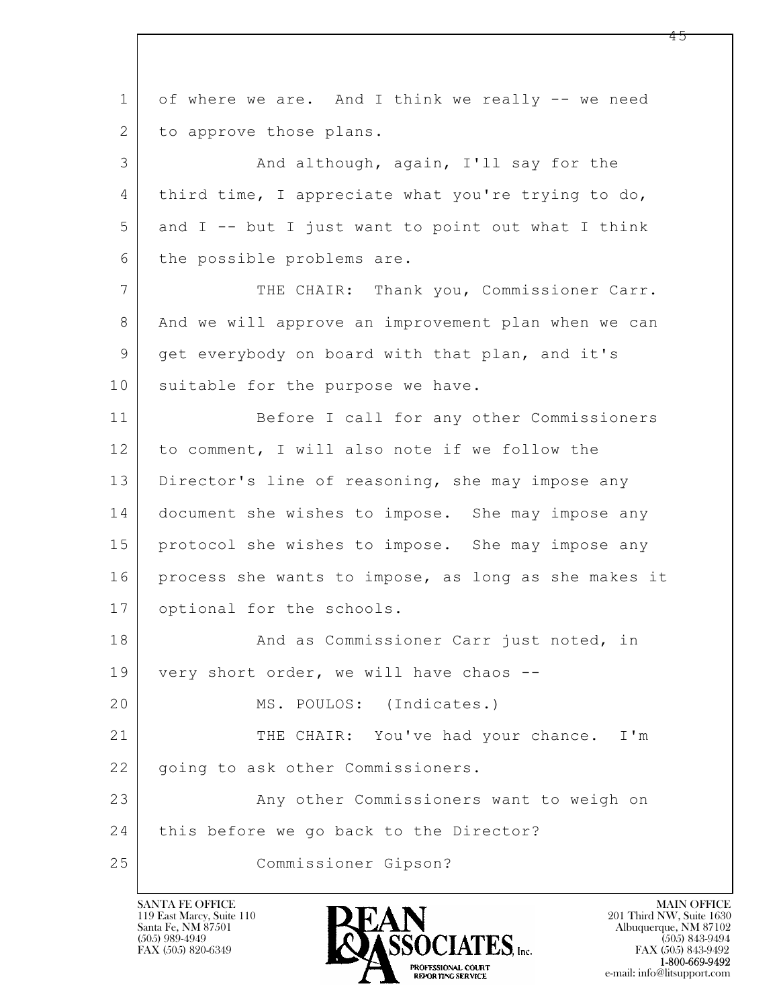$\mathbf{L}$  1 of where we are. And I think we really -- we need 2 to approve those plans. 3 And although, again, I'll say for the 4 third time, I appreciate what you're trying to do, 5 and I -- but I just want to point out what I think 6 the possible problems are. 7 THE CHAIR: Thank you, Commissioner Carr. 8 And we will approve an improvement plan when we can 9 get everybody on board with that plan, and it's 10 suitable for the purpose we have. 11 Before I call for any other Commissioners 12 to comment, I will also note if we follow the 13 | Director's line of reasoning, she may impose any 14 document she wishes to impose. She may impose any 15 protocol she wishes to impose. She may impose any 16 process she wants to impose, as long as she makes it 17 optional for the schools. 18 And as Commissioner Carr just noted, in 19 very short order, we will have chaos --20 MS. POULOS: (Indicates.) 21 THE CHAIR: You've had your chance. I'm 22 | going to ask other Commissioners. 23 | Any other Commissioners want to weigh on 24 | this before we go back to the Director? 25 Commissioner Gipson?

119 East Marcy, Suite 110<br>Santa Fe, NM 87501



FAX (505) 843-9492 e-mail: info@litsupport.com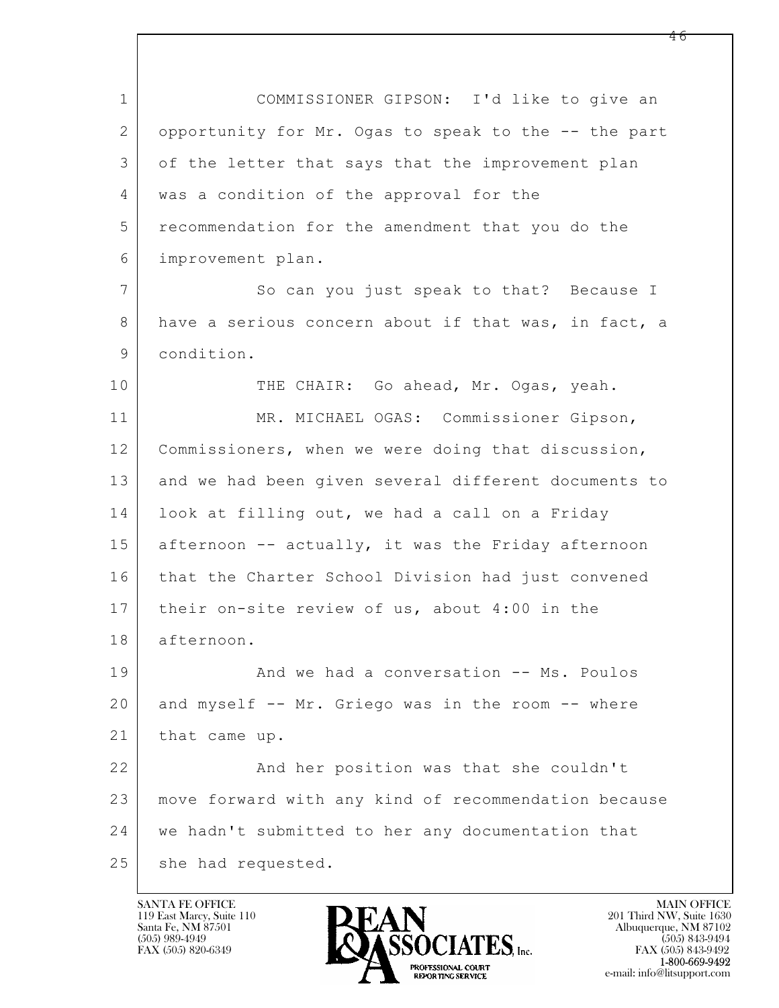$\mathbf{L}$  1 COMMISSIONER GIPSON: I'd like to give an 2 opportunity for Mr. Ogas to speak to the -- the part 3 of the letter that says that the improvement plan 4 was a condition of the approval for the 5 recommendation for the amendment that you do the 6 improvement plan. 7 So can you just speak to that? Because I 8 have a serious concern about if that was, in fact, a 9 condition. 10 THE CHAIR: Go ahead, Mr. Ogas, yeah. 11 MR. MICHAEL OGAS: Commissioner Gipson, 12 Commissioners, when we were doing that discussion, 13 and we had been given several different documents to 14 | look at filling out, we had a call on a Friday 15 afternoon -- actually, it was the Friday afternoon 16 that the Charter School Division had just convened 17 their on-site review of us, about 4:00 in the 18 afternoon. 19 | Richard We had a conversation -- Ms. Poulos 20 and myself -- Mr. Griego was in the room -- where 21 | that came up. 22 And her position was that she couldn't 23 move forward with any kind of recommendation because 24 we hadn't submitted to her any documentation that 25 she had requested.

119 East Marcy, Suite 110<br>Santa Fe, NM 87501



FAX (505) 843-9492 e-mail: info@litsupport.com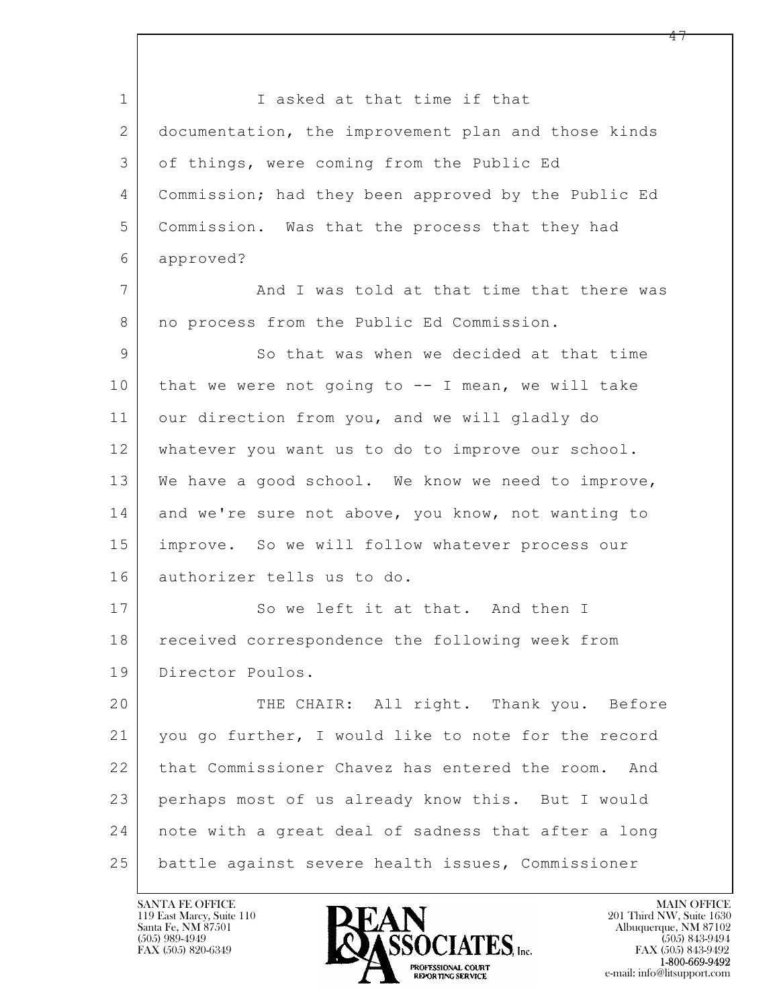$\mathbf{L}$  1 I asked at that time if that 2 documentation, the improvement plan and those kinds 3 of things, were coming from the Public Ed 4 Commission; had they been approved by the Public Ed 5 Commission. Was that the process that they had 6 approved? 7 and I was told at that time that there was 8 | no process from the Public Ed Commission. 9 So that was when we decided at that time  $10$  that we were not going to  $-$ - I mean, we will take 11 our direction from you, and we will gladly do 12 whatever you want us to do to improve our school. 13 We have a good school. We know we need to improve, 14 and we're sure not above, you know, not wanting to 15 improve. So we will follow whatever process our 16 authorizer tells us to do. 17 So we left it at that. And then I 18 | received correspondence the following week from 19 Director Poulos. 20 THE CHAIR: All right. Thank you. Before 21 you go further, I would like to note for the record 22 that Commissioner Chavez has entered the room. And 23 perhaps most of us already know this. But I would 24 note with a great deal of sadness that after a long 25 battle against severe health issues, Commissioner

119 East Marcy, Suite 110<br>Santa Fe, NM 87501

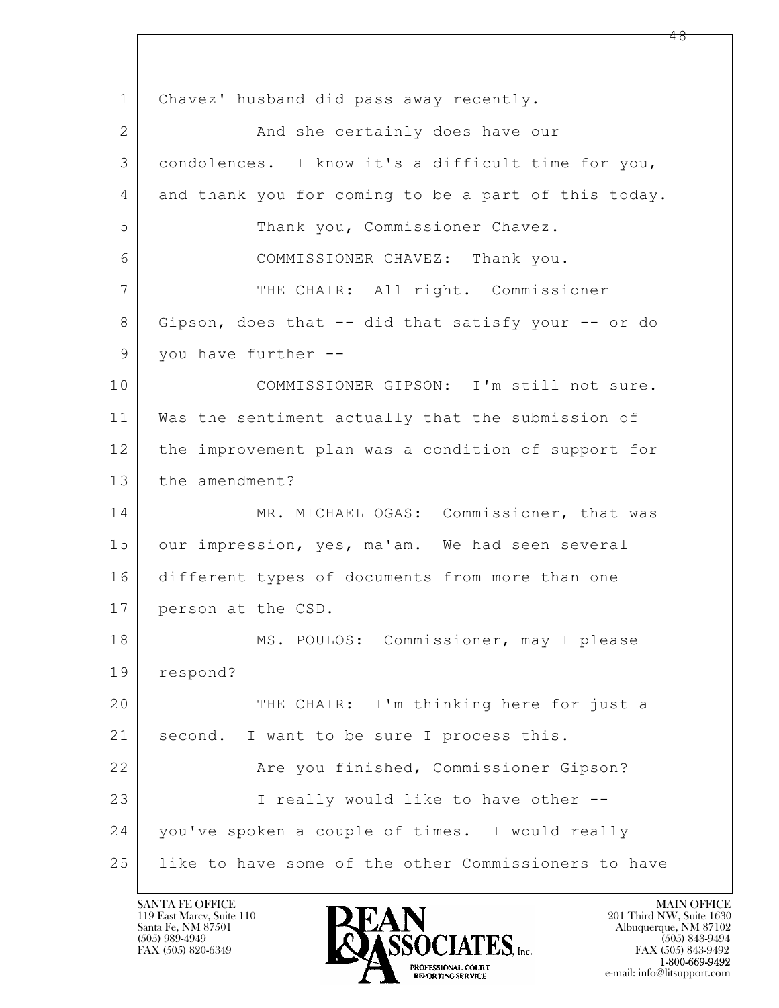$\mathbf{L}$  1 Chavez' husband did pass away recently. 2 | The Sand she certainly does have our 3 condolences. I know it's a difficult time for you, 4 and thank you for coming to be a part of this today. 5 Thank you, Commissioner Chavez. 6 COMMISSIONER CHAVEZ: Thank you. 7 | THE CHAIR: All right. Commissioner 8 Gipson, does that -- did that satisfy your -- or do 9 you have further --10 COMMISSIONER GIPSON: I'm still not sure. 11 Was the sentiment actually that the submission of 12 the improvement plan was a condition of support for 13 the amendment? 14 MR. MICHAEL OGAS: Commissioner, that was 15 our impression, yes, ma'am. We had seen several 16 different types of documents from more than one 17 person at the CSD. 18 MS. POULOS: Commissioner, may I please 19 respond? 20 THE CHAIR: I'm thinking here for just a 21 | second. I want to be sure I process this. 22 | The you finished, Commissioner Gipson? 23 | Treally would like to have other --24 you've spoken a couple of times. I would really 25 like to have some of the other Commissioners to have

119 East Marcy, Suite 110<br>Santa Fe, NM 87501



FAX (505) 843-9492 e-mail: info@litsupport.com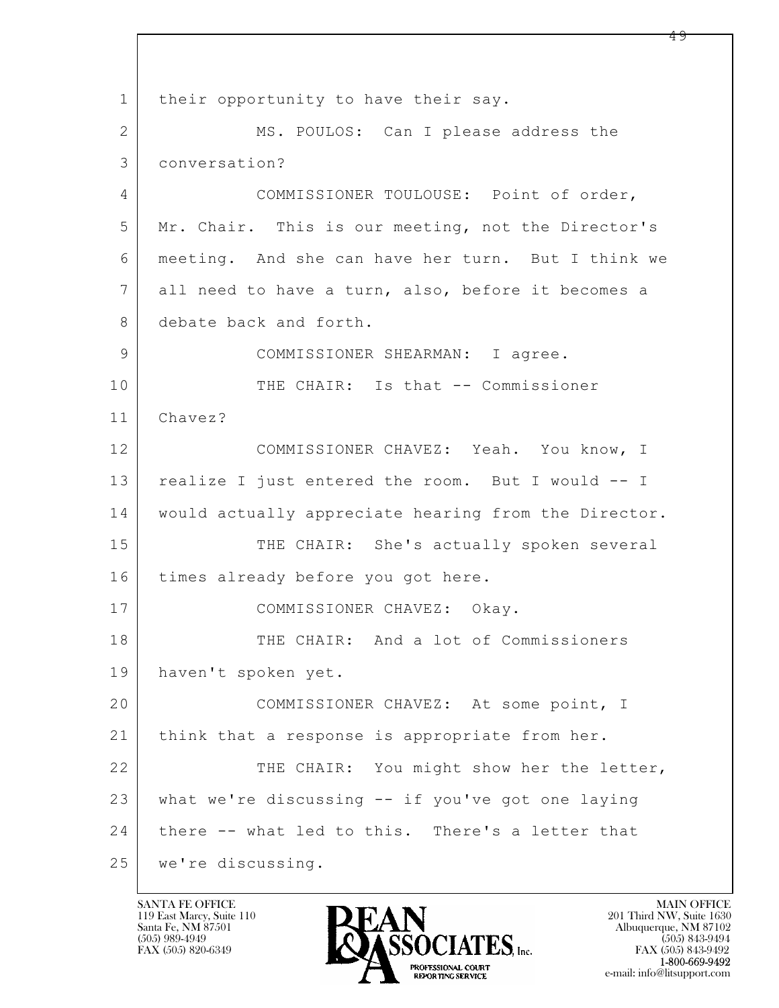$\mathbf{L}$  1 | their opportunity to have their say. 2 MS. POULOS: Can I please address the 3 conversation? 4 COMMISSIONER TOULOUSE: Point of order, 5 Mr. Chair. This is our meeting, not the Director's 6 meeting. And she can have her turn. But I think we 7 all need to have a turn, also, before it becomes a 8 debate back and forth. 9 | COMMISSIONER SHEARMAN: I agree. 10 THE CHAIR: Is that -- Commissioner 11 Chavez? 12 COMMISSIONER CHAVEZ: Yeah. You know, I 13 | realize I just entered the room. But I would -- I 14 | would actually appreciate hearing from the Director. 15 THE CHAIR: She's actually spoken several 16 | times already before you got here. 17 | COMMISSIONER CHAVEZ: Okay. 18 THE CHAIR: And a lot of Commissioners 19 haven't spoken yet. 20 COMMISSIONER CHAVEZ: At some point, I 21 | think that a response is appropriate from her. 22 THE CHAIR: You might show her the letter, 23 what we're discussing -- if you've got one laying 24 | there -- what led to this. There's a letter that 25 we're discussing.

119 East Marcy, Suite 110<br>Santa Fe, NM 87501

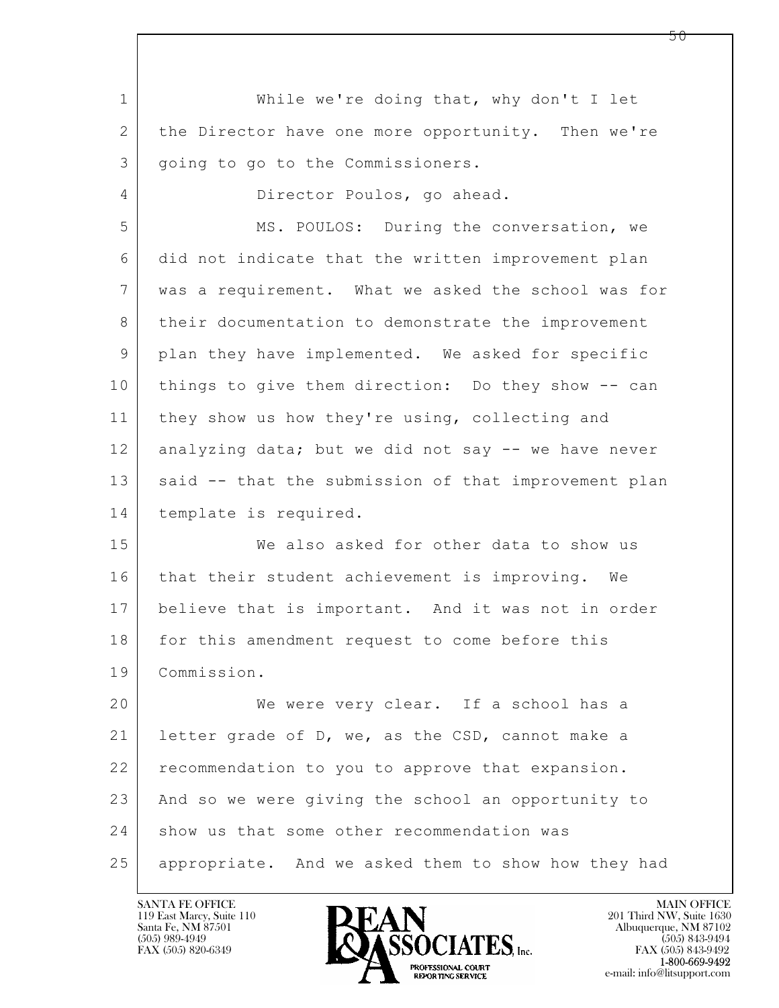$\mathbf{L}$  1 While we're doing that, why don't I let 2 the Director have one more opportunity. Then we're 3 | going to go to the Commissioners. 4 Director Poulos, go ahead. 5 MS. POULOS: During the conversation, we 6 did not indicate that the written improvement plan 7 was a requirement. What we asked the school was for 8 | their documentation to demonstrate the improvement 9 plan they have implemented. We asked for specific 10 things to give them direction: Do they show -- can 11 | they show us how they're using, collecting and 12 analyzing data; but we did not say -- we have never 13 | said -- that the submission of that improvement plan 14 template is required. 15 We also asked for other data to show us 16 that their student achievement is improving. We 17 believe that is important. And it was not in order 18 for this amendment request to come before this 19 Commission. 20 We were very clear. If a school has a 21 | letter grade of D, we, as the CSD, cannot make a 22 recommendation to you to approve that expansion. 23 And so we were giving the school an opportunity to 24 show us that some other recommendation was 25 appropriate. And we asked them to show how they had

119 East Marcy, Suite 110<br>Santa Fe, NM 87501

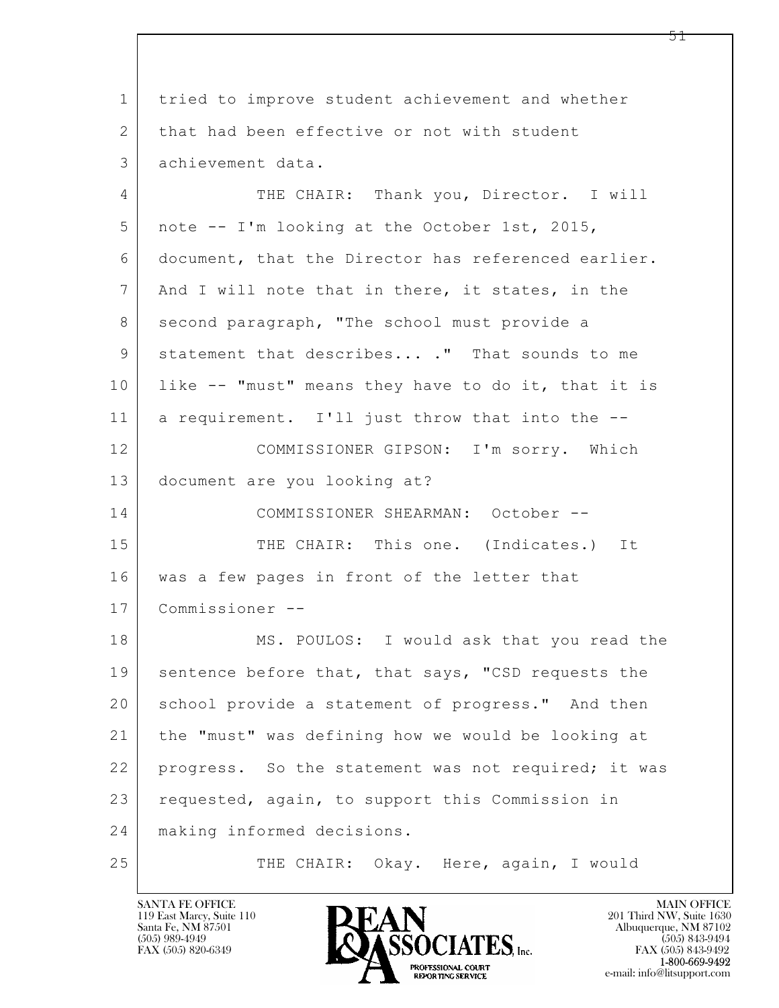$\mathbf{L}$  1 tried to improve student achievement and whether 2 that had been effective or not with student 3 achievement data. 4 THE CHAIR: Thank you, Director. I will 5 note -- I'm looking at the October 1st, 2015, 6 document, that the Director has referenced earlier. 7 | And I will note that in there, it states, in the 8 second paragraph, "The school must provide a 9 statement that describes... ." That sounds to me 10 like -- "must" means they have to do it, that it is 11 a requirement. I'll just throw that into the --12 COMMISSIONER GIPSON: I'm sorry. Which 13 document are you looking at? 14 COMMISSIONER SHEARMAN: October -- 15 THE CHAIR: This one. (Indicates.) It 16 | was a few pages in front of the letter that 17 Commissioner -- 18 MS. POULOS: I would ask that you read the 19 sentence before that, that says, "CSD requests the 20 school provide a statement of progress." And then 21 the "must" was defining how we would be looking at 22 progress. So the statement was not required; it was 23 requested, again, to support this Commission in 24 making informed decisions. 25 THE CHAIR: Okay. Here, again, I would

119 East Marcy, Suite 110<br>Santa Fe, NM 87501

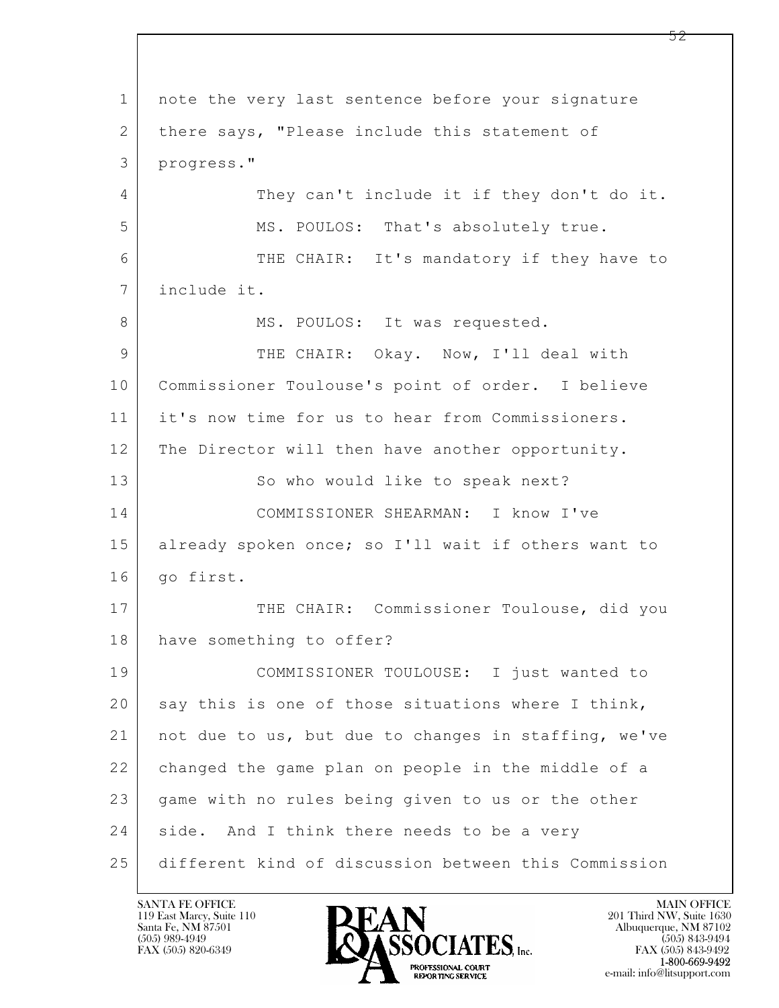$\mathbf{L}$  1 | note the very last sentence before your signature 2 | there says, "Please include this statement of 3 progress." 4 They can't include it if they don't do it. 5 MS. POULOS: That's absolutely true. 6 THE CHAIR: It's mandatory if they have to 7 include it. 8 | MS. POULOS: It was requested. 9 THE CHAIR: Okay. Now, I'll deal with 10 Commissioner Toulouse's point of order. I believe 11 it's now time for us to hear from Commissioners. 12 The Director will then have another opportunity. 13 So who would like to speak next? 14 COMMISSIONER SHEARMAN: I know I've 15 already spoken once; so I'll wait if others want to 16 | go first. 17 THE CHAIR: Commissioner Toulouse, did you 18 have something to offer? 19 COMMISSIONER TOULOUSE: I just wanted to 20 say this is one of those situations where I think, 21 not due to us, but due to changes in staffing, we've 22 changed the game plan on people in the middle of a 23 game with no rules being given to us or the other 24 side. And I think there needs to be a very 25 different kind of discussion between this Commission

119 East Marcy, Suite 110<br>Santa Fe, NM 87501

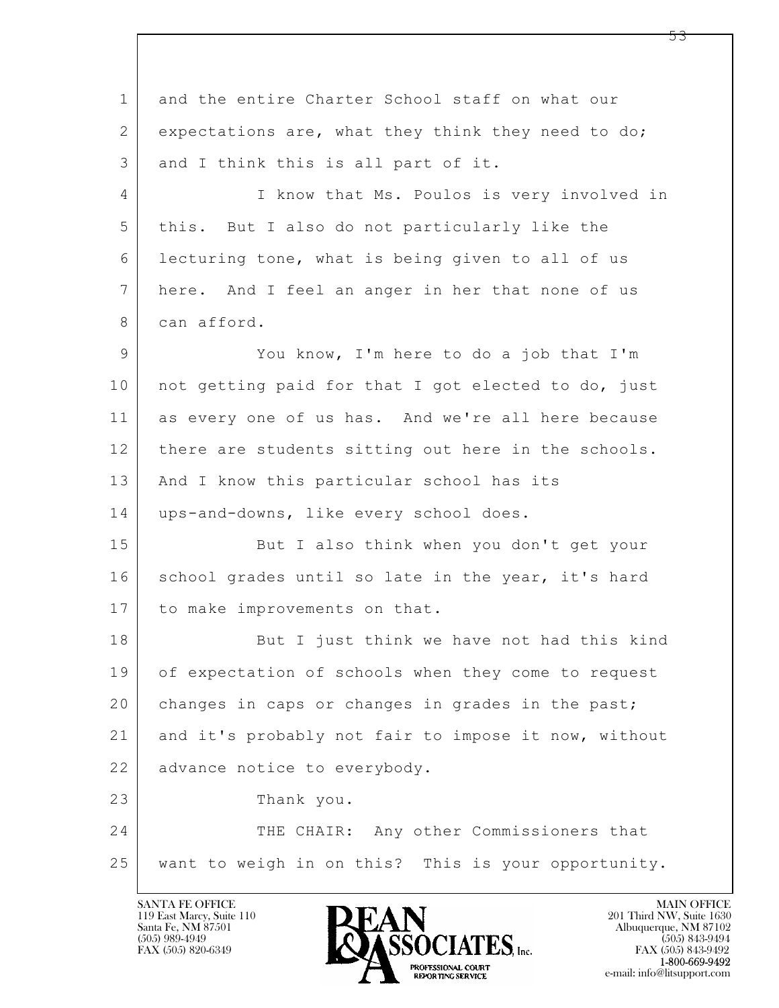$\mathbf{L}$  1 and the entire Charter School staff on what our 2 expectations are, what they think they need to do; 3 and I think this is all part of it. 4 | I know that Ms. Poulos is very involved in 5 this. But I also do not particularly like the 6 lecturing tone, what is being given to all of us 7 here. And I feel an anger in her that none of us 8 can afford. 9 You know, I'm here to do a job that I'm 10 | not getting paid for that I got elected to do, just 11 as every one of us has. And we're all here because 12 there are students sitting out here in the schools. 13 | And I know this particular school has its 14 | ups-and-downs, like every school does. 15 But I also think when you don't get your 16 school grades until so late in the year, it's hard 17 | to make improvements on that. 18 But I just think we have not had this kind 19 of expectation of schools when they come to request 20 changes in caps or changes in grades in the past; 21 and it's probably not fair to impose it now, without 22 advance notice to everybody. 23 Thank you. 24 THE CHAIR: Any other Commissioners that 25 want to weigh in on this? This is your opportunity.

119 East Marcy, Suite 110<br>Santa Fe, NM 87501



FAX (505) 843-9492 e-mail: info@litsupport.com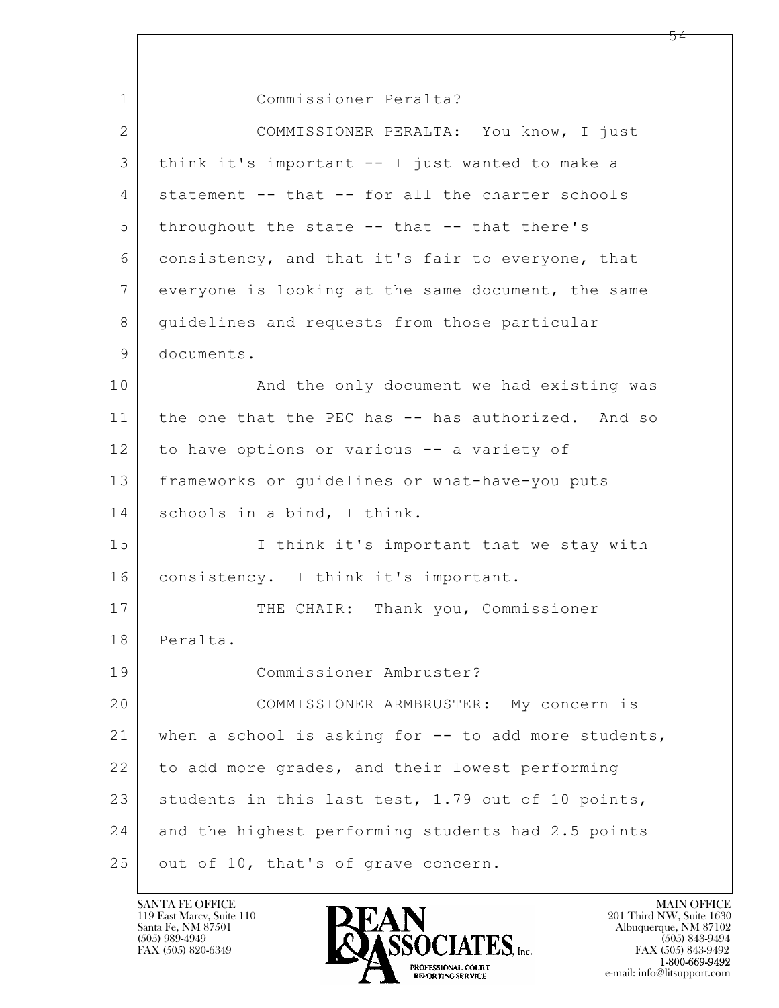$\mathbf{L}$  1 Commissioner Peralta? 2 COMMISSIONER PERALTA: You know, I just 3 think it's important -- I just wanted to make a 4 | statement -- that -- for all the charter schools  $5$  throughout the state  $-$  that  $-$  that there's 6 consistency, and that it's fair to everyone, that 7 everyone is looking at the same document, the same 8 guidelines and requests from those particular 9 documents. 10 | And the only document we had existing was 11 | the one that the PEC has -- has authorized. And so 12 to have options or various -- a variety of 13 frameworks or guidelines or what-have-you puts 14 schools in a bind, I think. 15 | I think it's important that we stay with 16 | consistency. I think it's important. 17 THE CHAIR: Thank you, Commissioner 18 Peralta. 19 Commissioner Ambruster? 20 COMMISSIONER ARMBRUSTER: My concern is 21 when a school is asking for -- to add more students, 22 to add more grades, and their lowest performing 23 students in this last test, 1.79 out of 10 points, 24 and the highest performing students had 2.5 points 25 out of 10, that's of grave concern.

119 East Marcy, Suite 110<br>Santa Fe, NM 87501

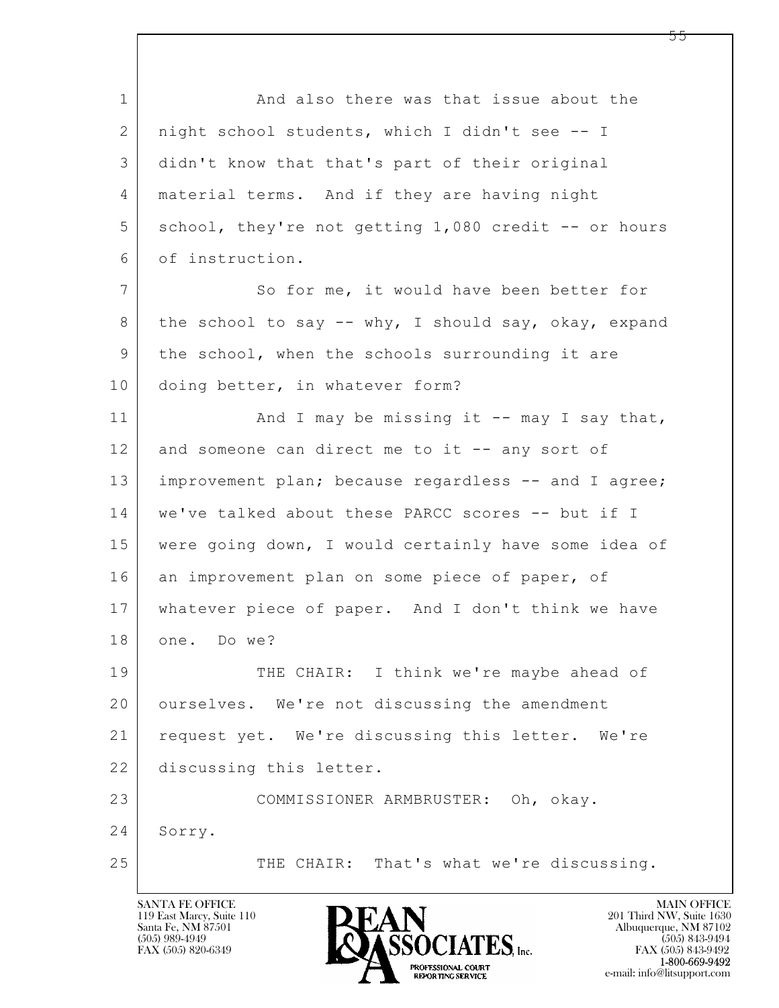$\mathbf{L}$  1 And also there was that issue about the 2 night school students, which I didn't see -- I 3 didn't know that that's part of their original 4 material terms. And if they are having night 5 | school, they're not getting 1,080 credit -- or hours 6 of instruction. 7 So for me, it would have been better for 8 the school to say -- why, I should say, okay, expand 9 the school, when the schools surrounding it are 10 doing better, in whatever form? 11 | And I may be missing it -- may I say that, 12 and someone can direct me to it -- any sort of 13 | improvement plan; because regardless -- and I agree; 14 we've talked about these PARCC scores -- but if I 15 were going down, I would certainly have some idea of 16 an improvement plan on some piece of paper, of 17 whatever piece of paper. And I don't think we have 18 one. Do we? 19 THE CHAIR: I think we're maybe ahead of 20 ourselves. We're not discussing the amendment 21 request yet. We're discussing this letter. We're 22 discussing this letter. 23 COMMISSIONER ARMBRUSTER: Oh, okay. 24 Sorry. 25 THE CHAIR: That's what we're discussing.

119 East Marcy, Suite 110<br>Santa Fe, NM 87501

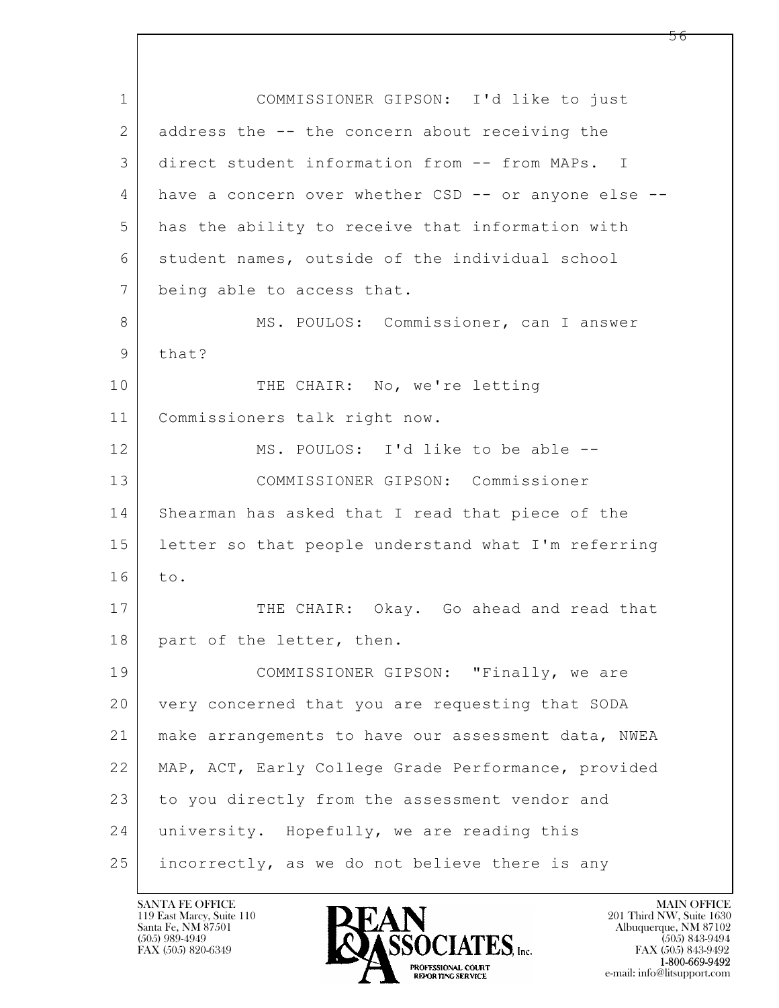$\mathbf{L}$  1 COMMISSIONER GIPSON: I'd like to just 2 address the -- the concern about receiving the 3 direct student information from -- from MAPs. I 4 have a concern over whether CSD -- or anyone else -- 5 has the ability to receive that information with 6 student names, outside of the individual school 7 being able to access that. 8 MS. POULOS: Commissioner, can I answer 9 that? 10 THE CHAIR: No, we're letting 11 Commissioners talk right now. 12 MS. POULOS: I'd like to be able --13 COMMISSIONER GIPSON: Commissioner 14 Shearman has asked that I read that piece of the 15 letter so that people understand what I'm referring 16 to. 17 THE CHAIR: Okay. Go ahead and read that 18 | part of the letter, then. 19 | COMMISSIONER GIPSON: "Finally, we are 20 very concerned that you are requesting that SODA 21 make arrangements to have our assessment data, NWEA 22 MAP, ACT, Early College Grade Performance, provided 23 to you directly from the assessment vendor and 24 university. Hopefully, we are reading this 25 incorrectly, as we do not believe there is any

119 East Marcy, Suite 110<br>Santa Fe, NM 87501

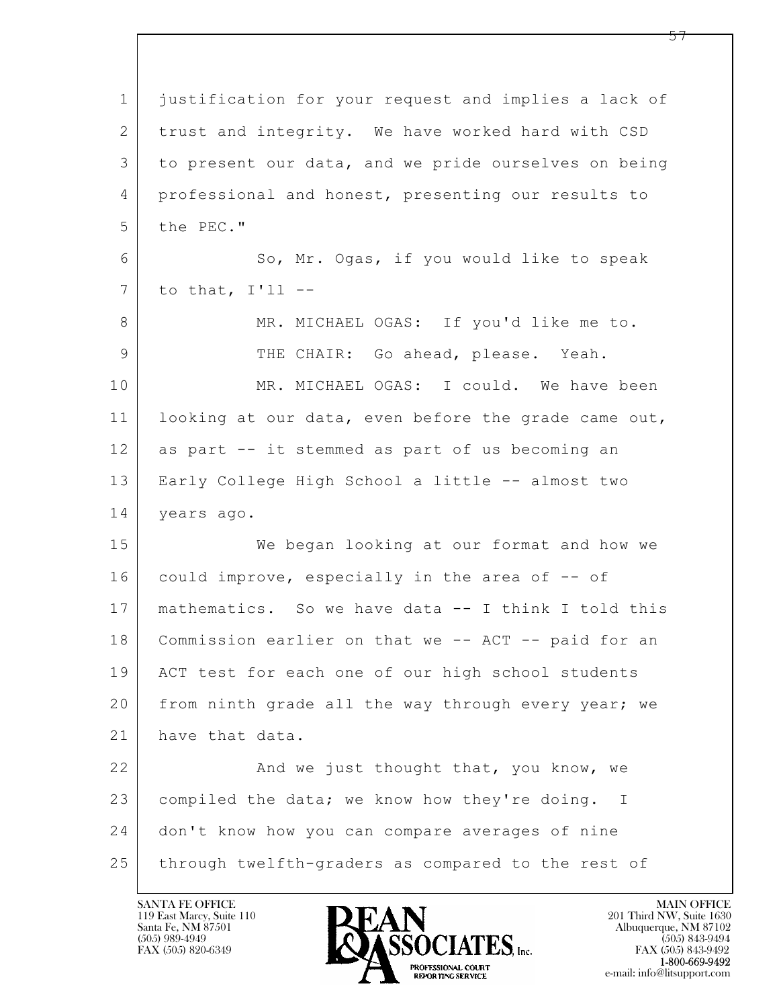| $\mathbf 1$    | justification for your request and implies a lack of |
|----------------|------------------------------------------------------|
| 2              | trust and integrity. We have worked hard with CSD    |
| 3              | to present our data, and we pride ourselves on being |
| 4              | professional and honest, presenting our results to   |
| 5              | the PEC."                                            |
| 6              | So, Mr. Ogas, if you would like to speak             |
| $7\phantom{.}$ | to that, $I'11$ --                                   |
| 8              | MR. MICHAEL OGAS: If you'd like me to.               |
| 9              | THE CHAIR: Go ahead, please. Yeah.                   |
| 10             | MR. MICHAEL OGAS: I could. We have been              |
| 11             | looking at our data, even before the grade came out, |
| 12             | as part -- it stemmed as part of us becoming an      |
| 13             | Early College High School a little -- almost two     |
| 14             | years ago.                                           |
| 15             | We began looking at our format and how we            |
| 16             | could improve, especially in the area of -- of       |
| 17             | mathematics. So we have data -- I think I told this  |
| 18             | Commission earlier on that we -- ACT -- paid for an  |
| 19             | ACT test for each one of our high school students    |
| 20             | from ninth grade all the way through every year; we  |
| 21             | have that data.                                      |
| 22             | And we just thought that, you know, we               |
| 23             | compiled the data; we know how they're doing. I      |
| 24             | don't know how you can compare averages of nine      |
| 25             | through twelfth-graders as compared to the rest of   |

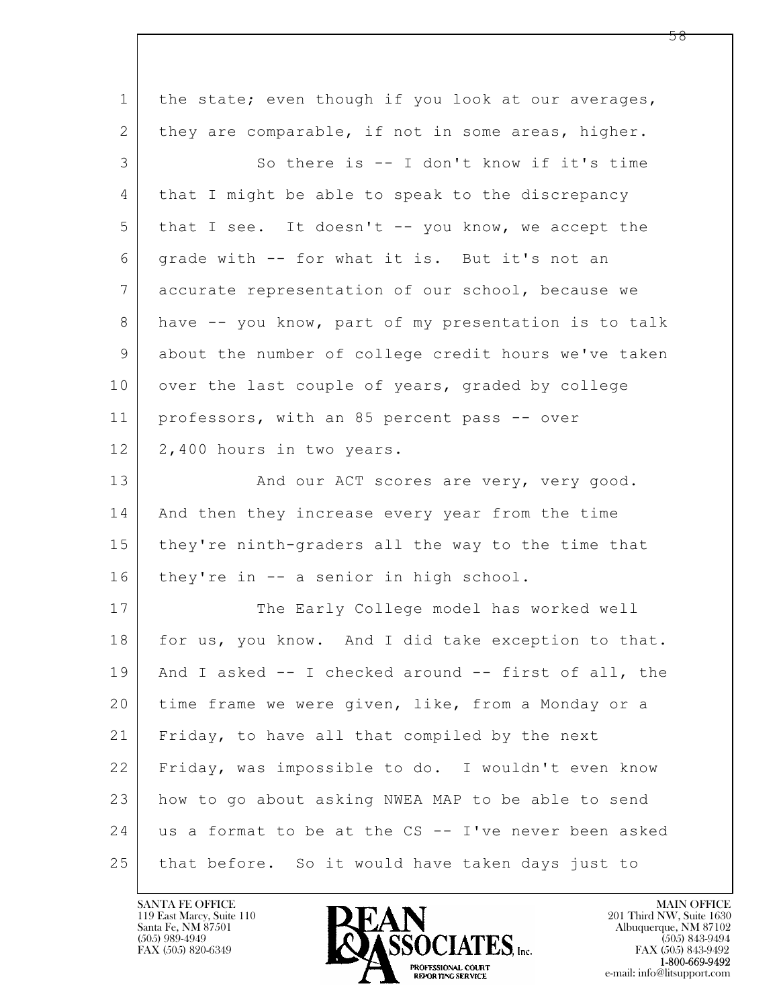| $\mathbf 1$ | the state; even though if you look at our averages,  |
|-------------|------------------------------------------------------|
| 2           | they are comparable, if not in some areas, higher.   |
| 3           | So there is -- I don't know if it's time             |
| 4           | that I might be able to speak to the discrepancy     |
| 5           | that I see. It doesn't -- you know, we accept the    |
| 6           | grade with -- for what it is. But it's not an        |
| 7           | accurate representation of our school, because we    |
| 8           | have -- you know, part of my presentation is to talk |
| 9           | about the number of college credit hours we've taken |
| 10          | over the last couple of years, graded by college     |
| 11          | professors, with an 85 percent pass -- over          |
| 12          | 2,400 hours in two years.                            |
| 13          | And our ACT scores are very, very good.              |
| 14          | And then they increase every year from the time      |
| 15          | they're ninth-graders all the way to the time that   |
| 16          | they're in -- a senior in high school.               |
| 17          | The Early College model has worked well              |
| 18          | for us, you know. And I did take exception to that.  |
| 19          | And I asked -- I checked around -- first of all, the |
| 20          | time frame we were given, like, from a Monday or a   |
| 21          | Friday, to have all that compiled by the next        |
| 22          | Friday, was impossible to do. I wouldn't even know   |
| 23          | how to go about asking NWEA MAP to be able to send   |
| 24          | us a format to be at the CS -- I've never been asked |
| 25          | that before. So it would have taken days just to     |

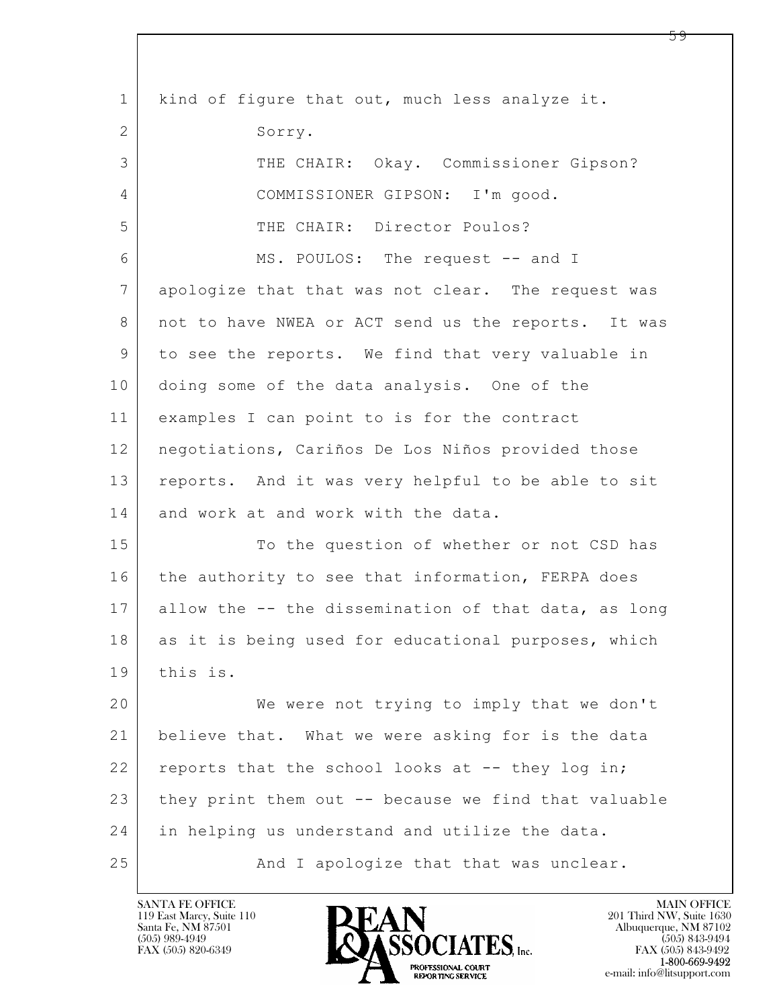| $\mathbf{1}$    | kind of figure that out, much less analyze it.       |
|-----------------|------------------------------------------------------|
| 2               | Sorry.                                               |
| 3               | THE CHAIR: Okay. Commissioner Gipson?                |
| 4               | COMMISSIONER GIPSON: I'm good.                       |
| 5               | THE CHAIR: Director Poulos?                          |
| 6               | MS. POULOS: The request -- and I                     |
| $7\phantom{.0}$ | apologize that that was not clear. The request was   |
| 8               | not to have NWEA or ACT send us the reports. It was  |
| 9               | to see the reports. We find that very valuable in    |
| 10              | doing some of the data analysis. One of the          |
| 11              | examples I can point to is for the contract          |
| 12              | negotiations, Cariños De Los Niños provided those    |
| 13              | reports. And it was very helpful to be able to sit   |
| 14              | and work at and work with the data.                  |
| 15              | To the question of whether or not CSD has            |
| 16              | the authority to see that information, FERPA does    |
| 17              | allow the -- the dissemination of that data, as long |
| 18              | as it is being used for educational purposes, which  |
| 19              | this is.                                             |
| 20              | We were not trying to imply that we don't            |
| 21              | believe that. What we were asking for is the data    |
| 22              | reports that the school looks at -- they log in;     |
| 23              | they print them out -- because we find that valuable |
| 24              | in helping us understand and utilize the data.       |
| 25              | And I apologize that that was unclear.               |

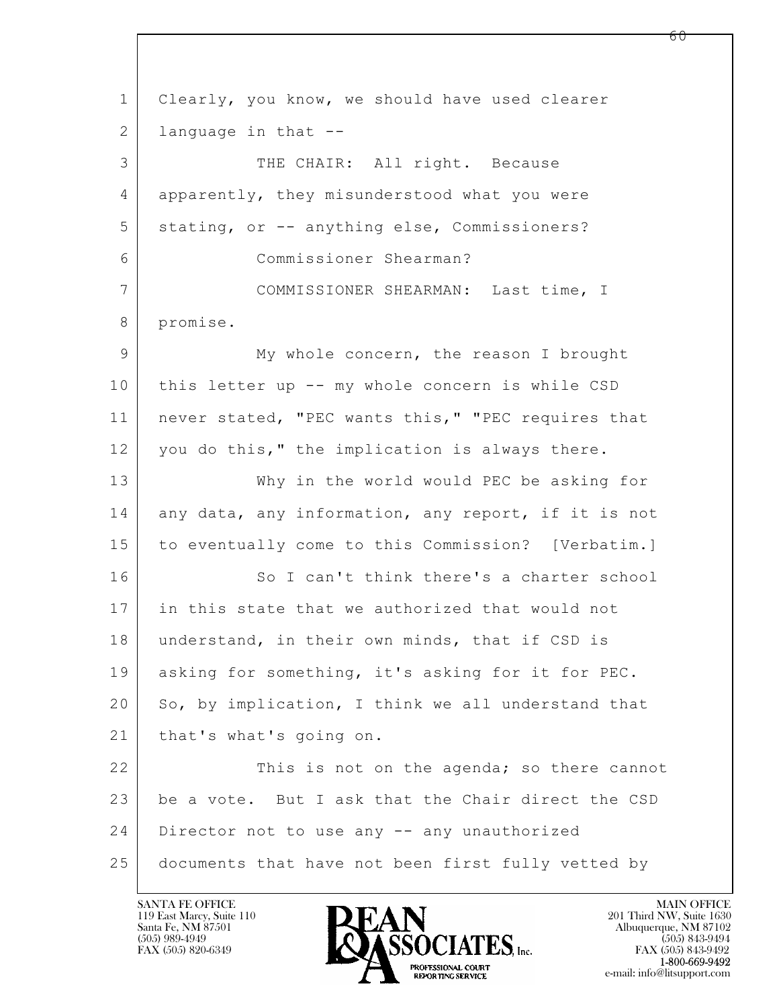$\mathbf{L}$  1 Clearly, you know, we should have used clearer  $2$  language in that  $-$ 3 | THE CHAIR: All right. Because 4 apparently, they misunderstood what you were 5 | stating, or -- anything else, Commissioners? 6 Commissioner Shearman? 7 COMMISSIONER SHEARMAN: Last time, I 8 promise. 9 My whole concern, the reason I brought 10 | this letter up -- my whole concern is while CSD 11 | never stated, "PEC wants this," "PEC requires that 12 you do this," the implication is always there. 13 Why in the world would PEC be asking for 14 any data, any information, any report, if it is not 15 to eventually come to this Commission? [Verbatim.] 16 So I can't think there's a charter school 17 in this state that we authorized that would not 18 | understand, in their own minds, that if CSD is 19 asking for something, it's asking for it for PEC. 20 So, by implication, I think we all understand that 21 | that's what's going on. 22 This is not on the agenda; so there cannot 23 be a vote. But I ask that the Chair direct the CSD 24 Director not to use any -- any unauthorized 25 documents that have not been first fully vetted by

119 East Marcy, Suite 110<br>Santa Fe, NM 87501



FAX (505) 843-9492 e-mail: info@litsupport.com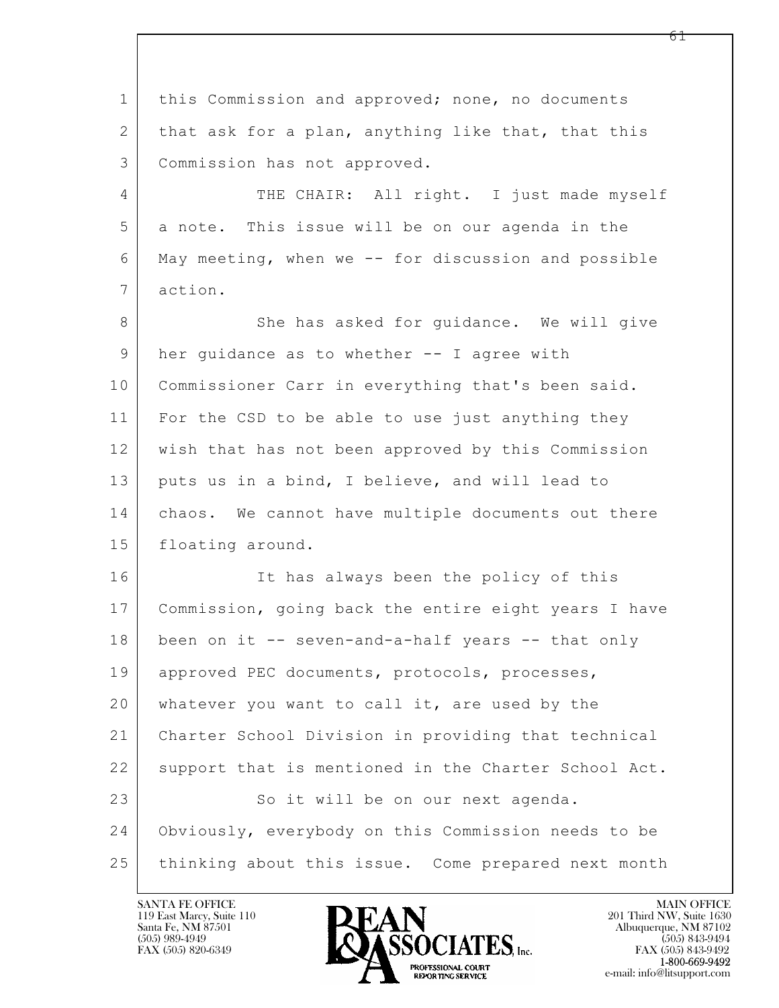$\mathbf{L}$  1 this Commission and approved; none, no documents 2 that ask for a plan, anything like that, that this 3 Commission has not approved. 4 THE CHAIR: All right. I just made myself 5 a note. This issue will be on our agenda in the 6 May meeting, when we -- for discussion and possible 7 action. 8 She has asked for guidance. We will give 9 | her guidance as to whether -- I agree with 10 | Commissioner Carr in everything that's been said. 11 For the CSD to be able to use just anything they 12 wish that has not been approved by this Commission 13 puts us in a bind, I believe, and will lead to 14 | chaos. We cannot have multiple documents out there 15 floating around. 16 It has always been the policy of this 17 Commission, going back the entire eight years I have 18 been on it -- seven-and-a-half years -- that only 19 approved PEC documents, protocols, processes, 20 whatever you want to call it, are used by the 21 Charter School Division in providing that technical 22 support that is mentioned in the Charter School Act. 23 So it will be on our next agenda. 24 Obviously, everybody on this Commission needs to be 25 thinking about this issue. Come prepared next month

119 East Marcy, Suite 110<br>Santa Fe, NM 87501

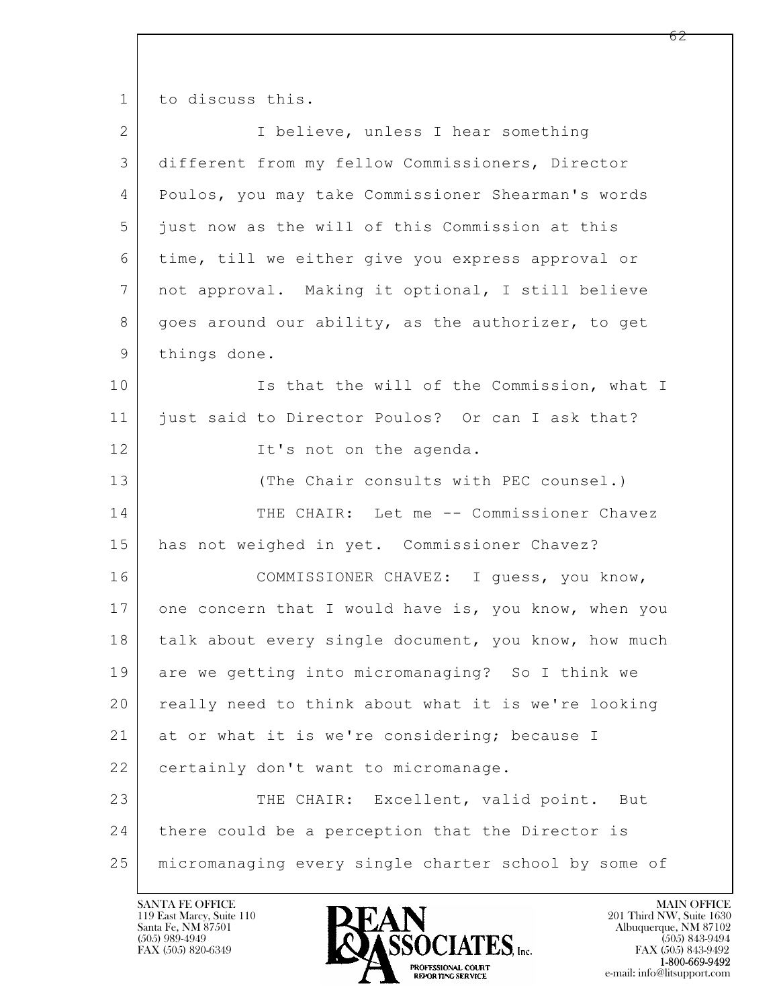1 to discuss this.

| $\overline{2}$ | I believe, unless I hear something                   |
|----------------|------------------------------------------------------|
| 3              | different from my fellow Commissioners, Director     |
| 4              | Poulos, you may take Commissioner Shearman's words   |
| 5              | just now as the will of this Commission at this      |
| 6              | time, till we either give you express approval or    |
| 7              | not approval. Making it optional, I still believe    |
| 8              | goes around our ability, as the authorizer, to get   |
| 9              | things done.                                         |
| 10             | Is that the will of the Commission, what I           |
| 11             | just said to Director Poulos? Or can I ask that?     |
| 12             | It's not on the agenda.                              |
| 13             | (The Chair consults with PEC counsel.)               |
| 14             | THE CHAIR: Let me -- Commissioner Chavez             |
| 15             | has not weighed in yet. Commissioner Chavez?         |
| 16             | COMMISSIONER CHAVEZ: I guess, you know,              |
| 17             | one concern that I would have is, you know, when you |
| 18             | talk about every single document, you know, how much |
| 19             | are we getting into micromanaging? So I think we     |
| 20             | really need to think about what it is we're looking  |
| 21             | at or what it is we're considering; because I        |
| 22             | certainly don't want to micromanage.                 |
| 23             | THE CHAIR: Excellent, valid point. But               |
| 24             | there could be a perception that the Director is     |
| 25             | micromanaging every single charter school by some of |

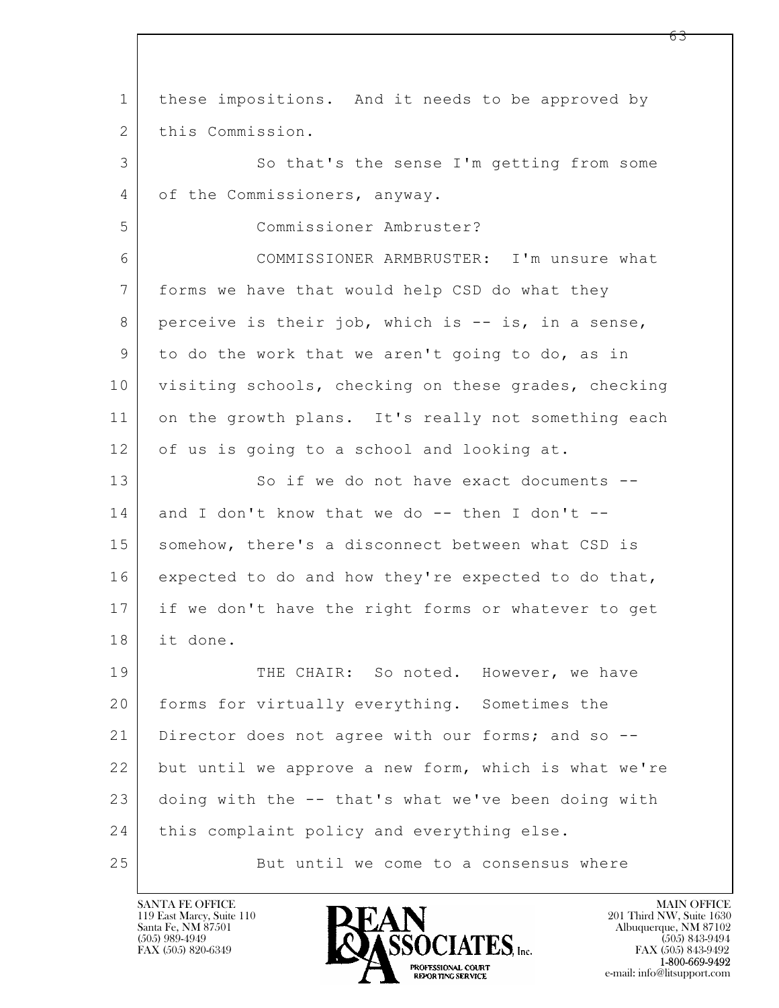$\mathbf{L}$  1 these impositions. And it needs to be approved by 2 this Commission. 3 So that's the sense I'm getting from some 4 of the Commissioners, anyway. 5 Commissioner Ambruster? 6 COMMISSIONER ARMBRUSTER: I'm unsure what 7 forms we have that would help CSD do what they 8 perceive is their job, which is -- is, in a sense, 9 to do the work that we aren't going to do, as in 10 visiting schools, checking on these grades, checking 11 on the growth plans. It's really not something each 12 of us is going to a school and looking at. 13 So if we do not have exact documents --14 and I don't know that we do -- then I don't --15 | somehow, there's a disconnect between what CSD is 16 expected to do and how they're expected to do that, 17 if we don't have the right forms or whatever to get 18 it done. 19 THE CHAIR: So noted. However, we have 20 forms for virtually everything. Sometimes the 21 Director does not agree with our forms; and so -- 22 but until we approve a new form, which is what we're 23 doing with the -- that's what we've been doing with 24 | this complaint policy and everything else. 25 But until we come to a consensus where

119 East Marcy, Suite 110<br>Santa Fe, NM 87501



<u>რ3</u>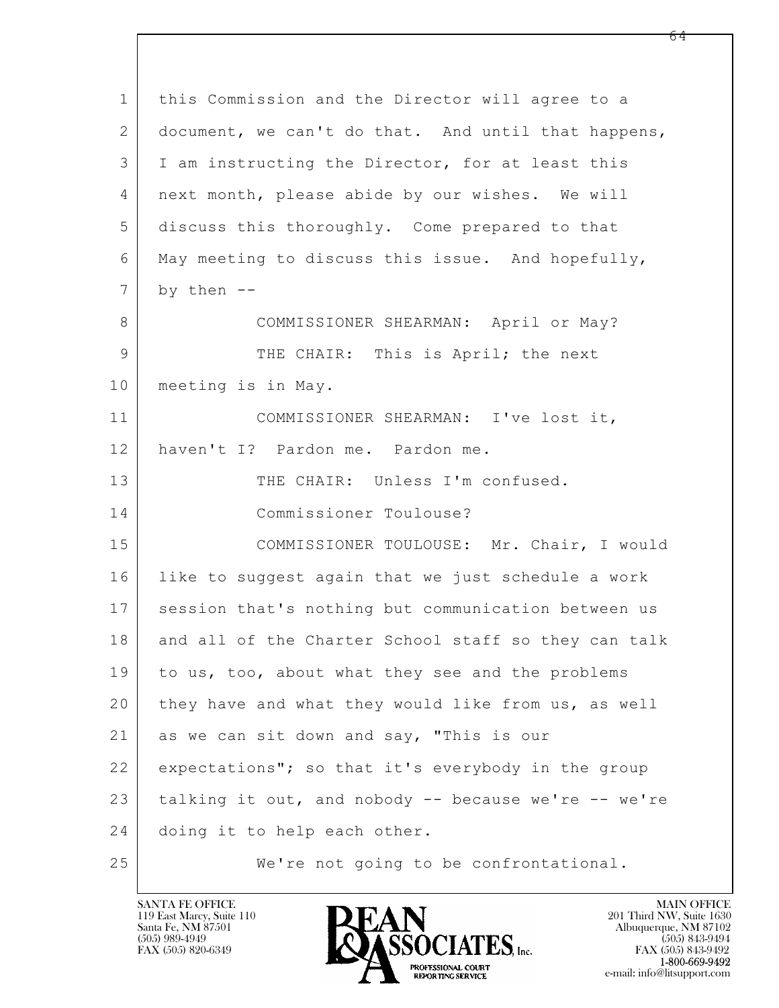| $\mathbf 1$ | this Commission and the Director will agree to a     |
|-------------|------------------------------------------------------|
| 2           | document, we can't do that. And until that happens,  |
| 3           | I am instructing the Director, for at least this     |
| 4           | next month, please abide by our wishes. We will      |
| 5           | discuss this thoroughly. Come prepared to that       |
| 6           | May meeting to discuss this issue. And hopefully,    |
| 7           | by then $--$                                         |
| 8           | COMMISSIONER SHEARMAN: April or May?                 |
| 9           | THE CHAIR: This is April; the next                   |
| 10          | meeting is in May.                                   |
| 11          | COMMISSIONER SHEARMAN: I've lost it,                 |
| 12          | haven't I? Pardon me. Pardon me.                     |
| 13          | THE CHAIR: Unless I'm confused.                      |
| 14          | Commissioner Toulouse?                               |
| 15          | COMMISSIONER TOULOUSE: Mr. Chair, I would            |
| 16          | like to suggest again that we just schedule a work   |
| 17          | session that's nothing but communication between us  |
| 18          | and all of the Charter School staff so they can talk |
| 19          | to us, too, about what they see and the problems     |
| 20          | they have and what they would like from us, as well  |
| 21          | as we can sit down and say, "This is our             |
| 22          | expectations"; so that it's everybody in the group   |
| 23          | talking it out, and nobody -- because we're -- we're |
| 24          | doing it to help each other.                         |
| 25          | We're not going to be confrontational.               |

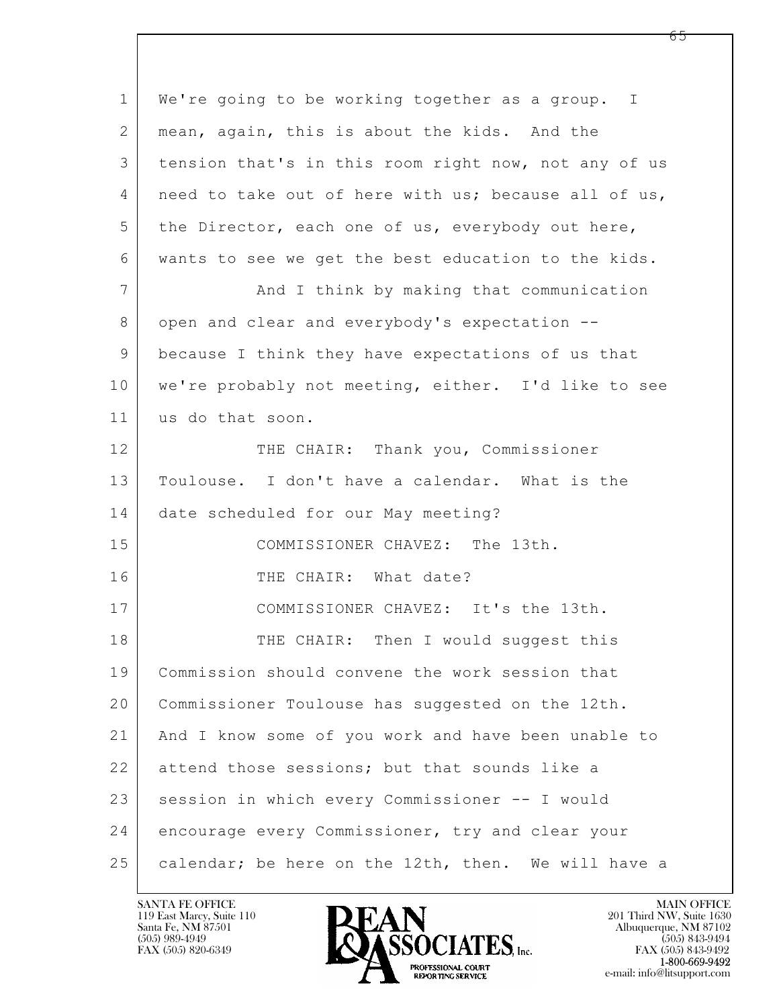| $\mathbf 1$    | We're going to be working together as a group. I     |
|----------------|------------------------------------------------------|
| $\overline{2}$ | mean, again, this is about the kids. And the         |
| 3              | tension that's in this room right now, not any of us |
| 4              | need to take out of here with us; because all of us, |
| 5              | the Director, each one of us, everybody out here,    |
| 6              | wants to see we get the best education to the kids.  |
| $\overline{7}$ | And I think by making that communication             |
| 8              | open and clear and everybody's expectation --        |
| 9              | because I think they have expectations of us that    |
| 10             | we're probably not meeting, either. I'd like to see  |
| 11             | us do that soon.                                     |
| 12             | THE CHAIR: Thank you, Commissioner                   |
| 13             | Toulouse. I don't have a calendar. What is the       |
| 14             | date scheduled for our May meeting?                  |
| 15             | COMMISSIONER CHAVEZ: The 13th.                       |
| 16             | THE CHAIR: What date?                                |
| 17             | COMMISSIONER CHAVEZ: It's the 13th.                  |
| 18             | THE CHAIR: Then I would suggest this                 |
| 19             | Commission should convene the work session that      |
| 20             | Commissioner Toulouse has suggested on the 12th.     |
| 21             | And I know some of you work and have been unable to  |
| 22             | attend those sessions; but that sounds like a        |
| 23             | session in which every Commissioner -- I would       |
| 24             | encourage every Commissioner, try and clear your     |
| 25             | calendar; be here on the 12th, then. We will have a  |

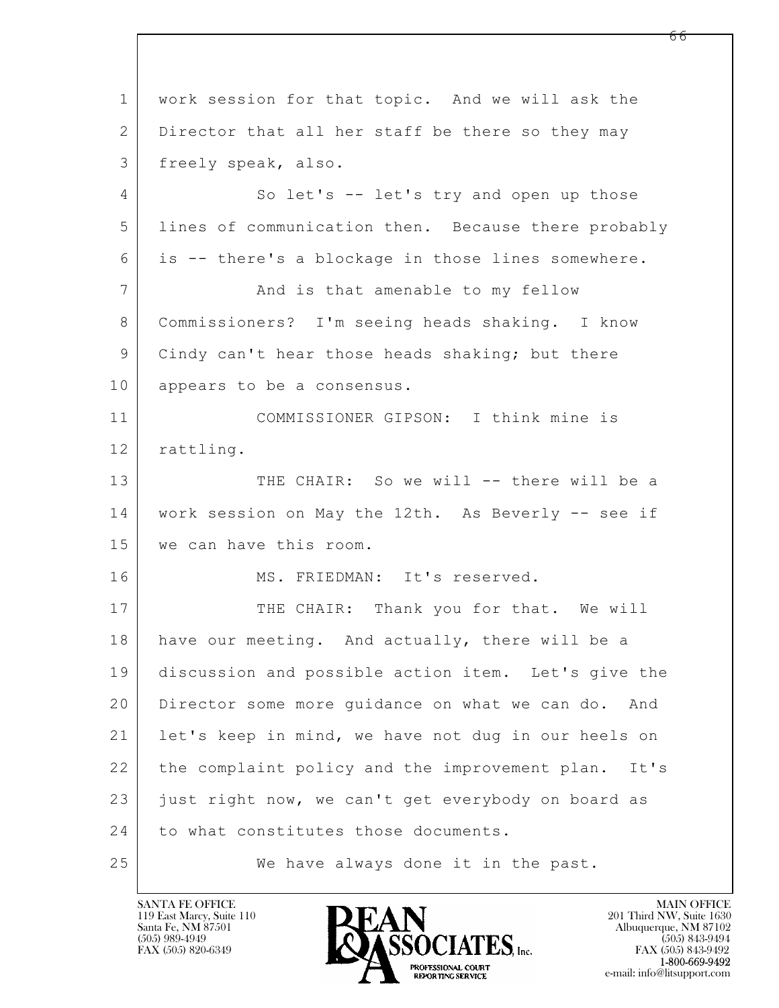$\mathbf{L}$  1 work session for that topic. And we will ask the 2 Director that all her staff be there so they may 3 freely speak, also. 4 So let's -- let's try and open up those 5 lines of communication then. Because there probably 6 is -- there's a blockage in those lines somewhere. 7 | The Mand is that amenable to my fellow 8 Commissioners? I'm seeing heads shaking. I know 9 | Cindy can't hear those heads shaking; but there 10 appears to be a consensus. 11 COMMISSIONER GIPSON: I think mine is 12 | rattling. 13 THE CHAIR: So we will -- there will be a 14 work session on May the 12th. As Beverly -- see if 15 we can have this room. 16 MS. FRIEDMAN: It's reserved. 17 THE CHAIR: Thank you for that. We will 18 have our meeting. And actually, there will be a 19 discussion and possible action item. Let's give the 20 Director some more guidance on what we can do. And 21 let's keep in mind, we have not dug in our heels on 22 the complaint policy and the improvement plan. It's  $23$  just right now, we can't get everybody on board as 24 to what constitutes those documents. 25 We have always done it in the past.

119 East Marcy, Suite 110<br>Santa Fe, NM 87501

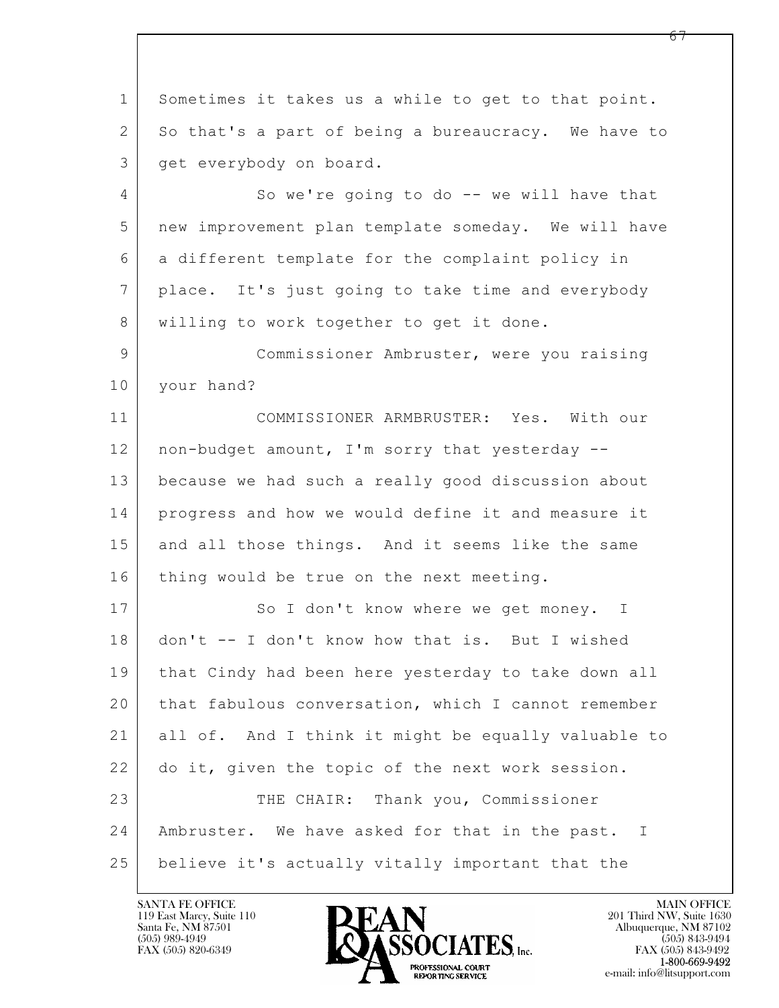$\mathbf{L}$  1 Sometimes it takes us a while to get to that point. 2 So that's a part of being a bureaucracy. We have to 3 get everybody on board. 4 So we're going to do -- we will have that 5 new improvement plan template someday. We will have 6 a different template for the complaint policy in 7 place. It's just going to take time and everybody 8 | willing to work together to get it done. 9 | Commissioner Ambruster, were you raising 10 | your hand? 11 COMMISSIONER ARMBRUSTER: Yes. With our 12 | non-budget amount, I'm sorry that yesterday --13 because we had such a really good discussion about 14 progress and how we would define it and measure it 15 and all those things. And it seems like the same 16 thing would be true on the next meeting. 17 So I don't know where we get money. I 18 don't -- I don't know how that is. But I wished 19 that Cindy had been here yesterday to take down all 20 that fabulous conversation, which I cannot remember 21 all of. And I think it might be equally valuable to 22 do it, given the topic of the next work session. 23 THE CHAIR: Thank you, Commissioner 24 Ambruster. We have asked for that in the past. I 25 believe it's actually vitally important that the

119 East Marcy, Suite 110<br>Santa Fe, NM 87501

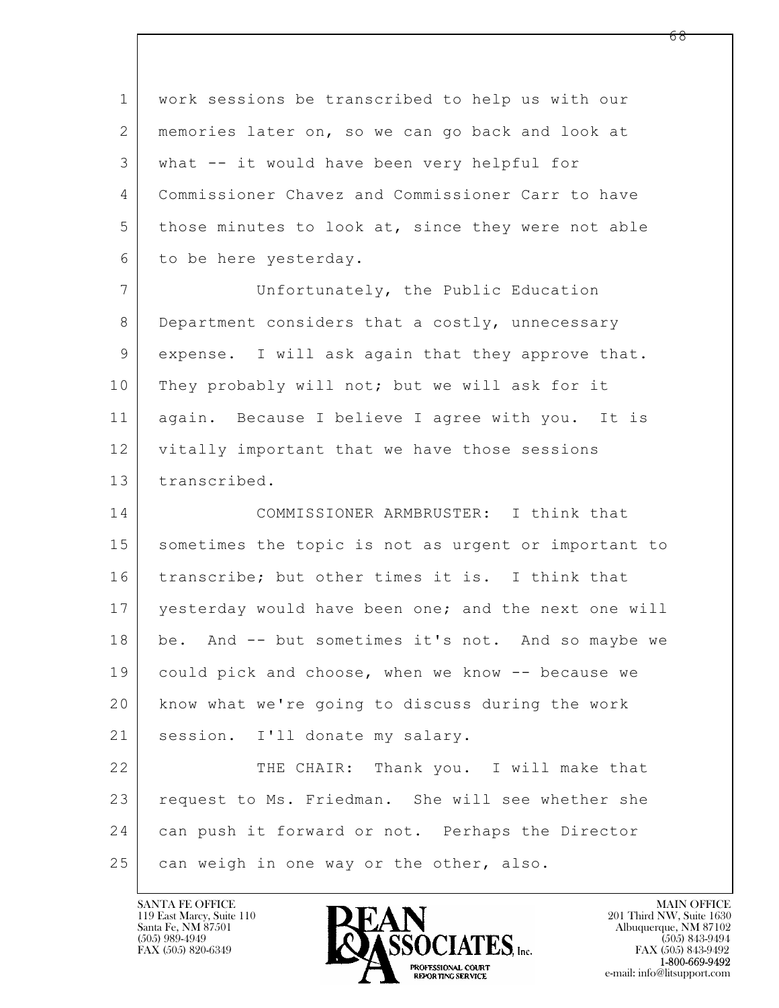1 work sessions be transcribed to help us with our 2 memories later on, so we can go back and look at 3 what -- it would have been very helpful for 4 Commissioner Chavez and Commissioner Carr to have 5 those minutes to look at, since they were not able 6 to be here yesterday.

7 Unfortunately, the Public Education 8 | Department considers that a costly, unnecessary 9 expense. I will ask again that they approve that. 10 They probably will not; but we will ask for it 11 again. Because I believe I agree with you. It is 12 vitally important that we have those sessions 13 transcribed.

14 COMMISSIONER ARMBRUSTER: I think that 15 | sometimes the topic is not as urgent or important to 16 transcribe; but other times it is. I think that 17 yesterday would have been one; and the next one will 18 be. And -- but sometimes it's not. And so maybe we 19 could pick and choose, when we know -- because we 20 know what we're going to discuss during the work 21 | session. I'll donate my salary. 22 THE CHAIR: Thank you. I will make that 23 request to Ms. Friedman. She will see whether she

24 can push it forward or not. Perhaps the Director

 $25$  can weigh in one way or the other, also.

 $\mathbf{L}$ 

119 East Marcy, Suite 110<br>Santa Fe, NM 87501

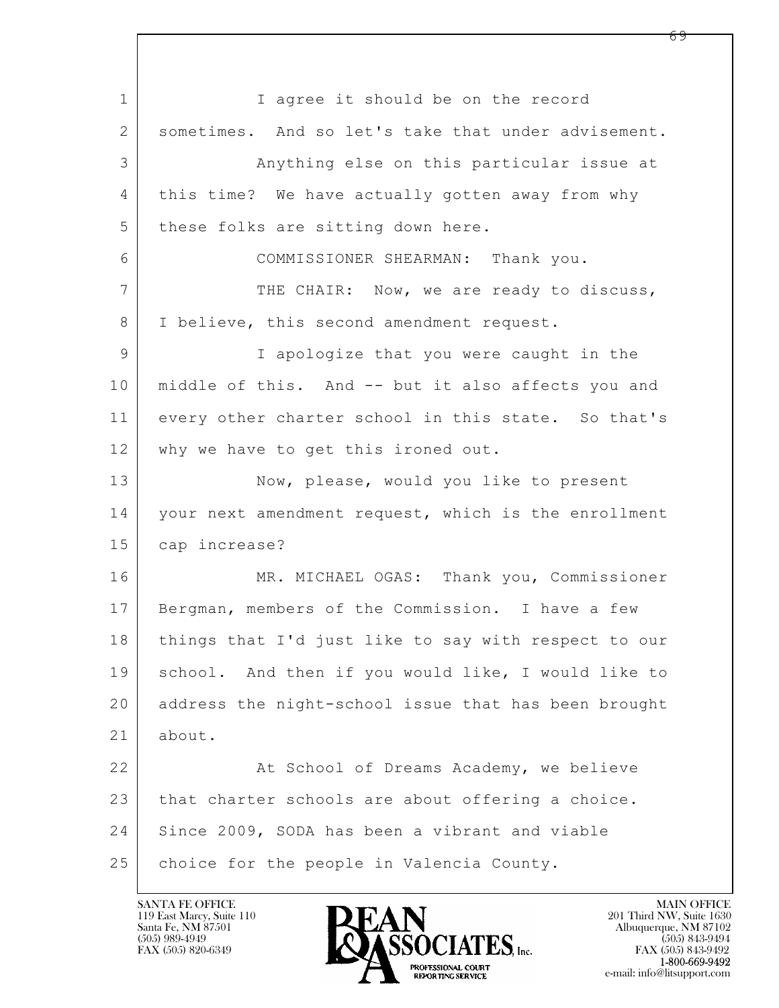$\mathbf{L}$  1 I aqree it should be on the record 2 sometimes. And so let's take that under advisement. 3 Anything else on this particular issue at 4 this time? We have actually gotten away from why 5 | these folks are sitting down here. 6 COMMISSIONER SHEARMAN: Thank you. 7 THE CHAIR: Now, we are ready to discuss, 8 | I believe, this second amendment request. 9 I apologize that you were caught in the 10 middle of this. And -- but it also affects you and 11 every other charter school in this state. So that's 12 why we have to get this ironed out. 13 Now, please, would you like to present 14 | your next amendment request, which is the enrollment 15 cap increase? 16 MR. MICHAEL OGAS: Thank you, Commissioner 17 Bergman, members of the Commission. I have a few 18 | things that I'd just like to say with respect to our 19 school. And then if you would like, I would like to 20 address the night-school issue that has been brought 21 about. 22 At School of Dreams Academy, we believe 23 that charter schools are about offering a choice. 24 Since 2009, SODA has been a vibrant and viable  $25$  choice for the people in Valencia County.

119 East Marcy, Suite 110<br>Santa Fe, NM 87501



FAX (505) 843-9492 e-mail: info@litsupport.com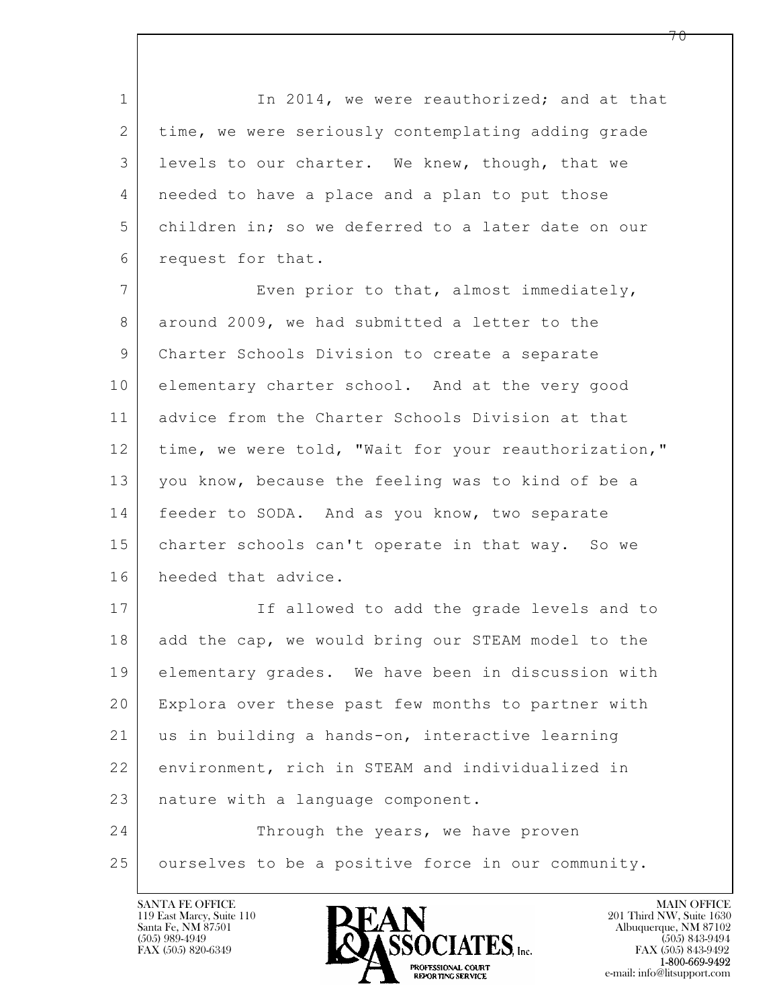1 In 2014, we were reauthorized; and at that 2 time, we were seriously contemplating adding grade 3 levels to our charter. We knew, though, that we 4 needed to have a place and a plan to put those 5 children in; so we deferred to a later date on our 6 request for that.

7 Even prior to that, almost immediately, 8 around 2009, we had submitted a letter to the 9 Charter Schools Division to create a separate 10 elementary charter school. And at the very good 11 advice from the Charter Schools Division at that 12 | time, we were told, "Wait for your reauthorization," 13 you know, because the feeling was to kind of be a 14 | feeder to SODA. And as you know, two separate 15 | charter schools can't operate in that way. So we 16 heeded that advice.

17 If allowed to add the grade levels and to 18 add the cap, we would bring our STEAM model to the 19 elementary grades. We have been in discussion with 20 Explora over these past few months to partner with 21 us in building a hands-on, interactive learning 22 environment, rich in STEAM and individualized in 23 | nature with a language component.

 $\mathbf{L}$  24 Through the years, we have proven 25 ourselves to be a positive force in our community.

119 East Marcy, Suite 110<br>Santa Fe, NM 87501



FAX (505) 843-9492 e-mail: info@litsupport.com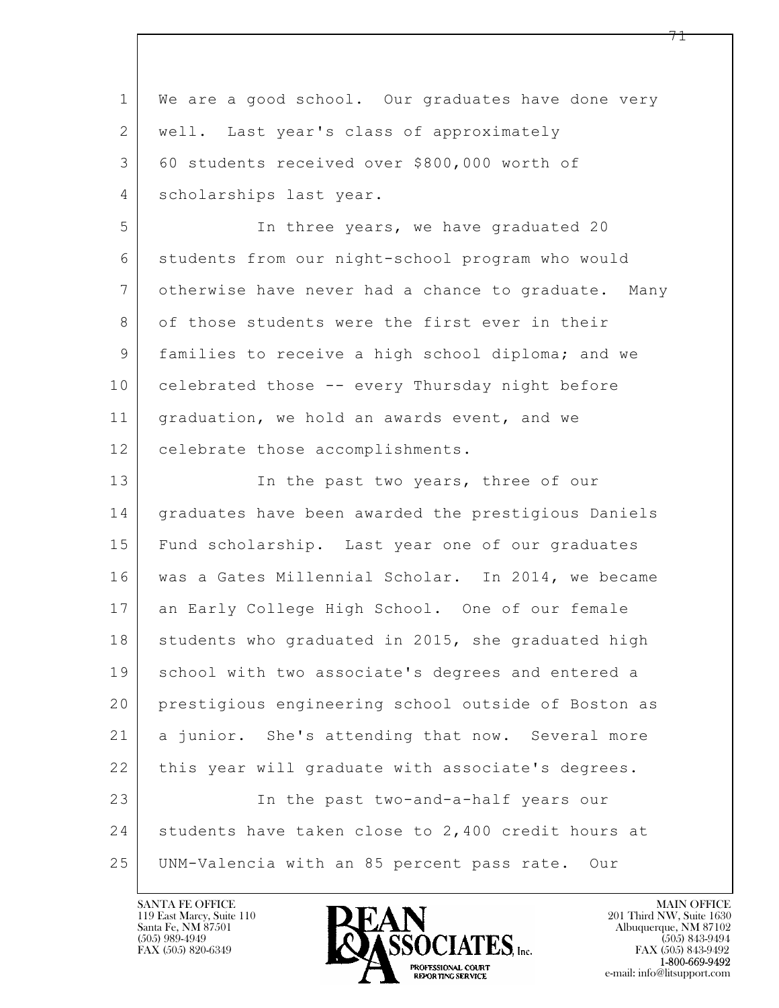| $\mathbf 1$    | We are a good school. Our graduates have done very  |
|----------------|-----------------------------------------------------|
| $\overline{2}$ | well. Last year's class of approximately            |
| 3              | 60 students received over \$800,000 worth of        |
| 4              | scholarships last year.                             |
| 5              | In three years, we have graduated 20                |
| 6              | students from our night-school program who would    |
| 7              | otherwise have never had a chance to graduate. Many |
| 8              | of those students were the first ever in their      |
| 9              | families to receive a high school diploma; and we   |
| 10             | celebrated those -- every Thursday night before     |
| 11             | graduation, we hold an awards event, and we         |
| 12             | celebrate those accomplishments.                    |
| 13             | In the past two years, three of our                 |
| 14             | graduates have been awarded the prestigious Daniels |
| 15             | Fund scholarship. Last year one of our graduates    |
| 16             | was a Gates Millennial Scholar. In 2014, we became  |
| 17             | an Early College High School. One of our female     |
| 18             | students who graduated in 2015, she graduated high  |
| 19             | school with two associate's degrees and entered a   |
| 20             | prestigious engineering school outside of Boston as |
| 21             | a junior. She's attending that now. Several more    |
| 22             | this year will graduate with associate's degrees.   |
| 23             | In the past two-and-a-half years our                |
| 24             | students have taken close to 2,400 credit hours at  |
| 25             | UNM-Valencia with an 85 percent pass rate. Our      |

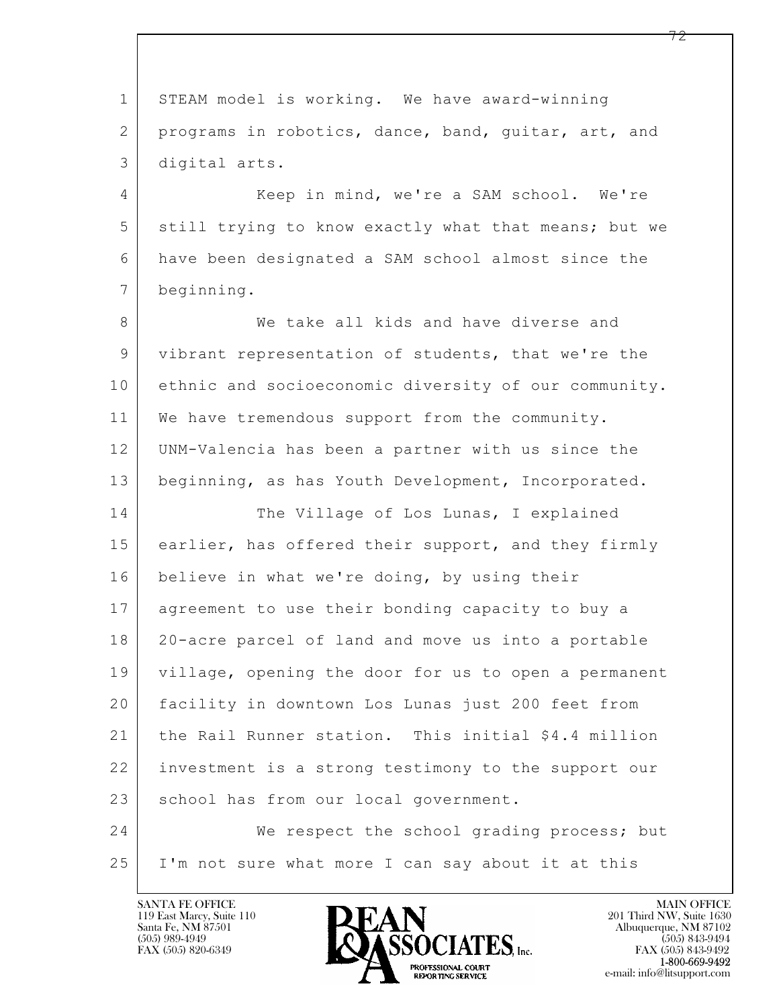$\mathbf{L}$  1 STEAM model is working. We have award-winning 2 | programs in robotics, dance, band, guitar, art, and 3 digital arts. 4 Keep in mind, we're a SAM school. We're 5 still trying to know exactly what that means; but we 6 have been designated a SAM school almost since the 7 beginning. 8 We take all kids and have diverse and 9 vibrant representation of students, that we're the 10 ethnic and socioeconomic diversity of our community. 11 | We have tremendous support from the community. 12 UNM-Valencia has been a partner with us since the 13 beginning, as has Youth Development, Incorporated. 14 The Village of Los Lunas, I explained 15 earlier, has offered their support, and they firmly 16 believe in what we're doing, by using their 17 agreement to use their bonding capacity to buy a 18 20-acre parcel of land and move us into a portable 19 village, opening the door for us to open a permanent 20 facility in downtown Los Lunas just 200 feet from 21 the Rail Runner station. This initial \$4.4 million 22 investment is a strong testimony to the support our 23 school has from our local government. 24 We respect the school grading process; but 25 I'm not sure what more I can say about it at this

119 East Marcy, Suite 110<br>Santa Fe, NM 87501

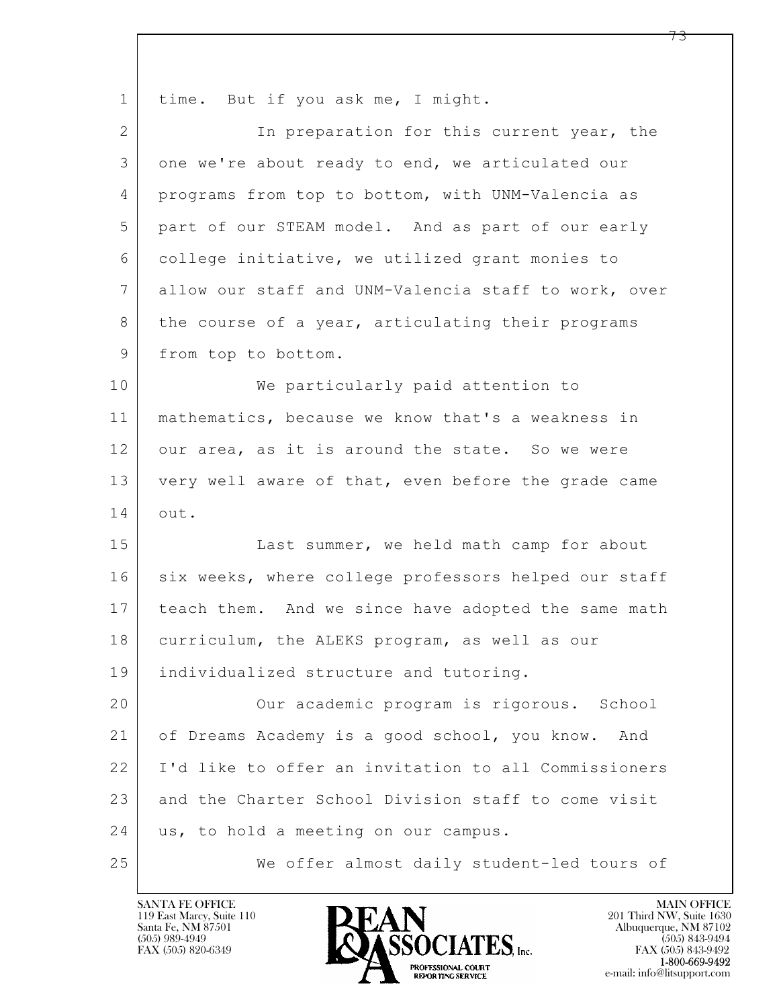| $\mathbf 1$ | time. But if you ask me, I might.                    |
|-------------|------------------------------------------------------|
| 2           | In preparation for this current year, the            |
| 3           | one we're about ready to end, we articulated our     |
| 4           | programs from top to bottom, with UNM-Valencia as    |
| 5           | part of our STEAM model. And as part of our early    |
| 6           | college initiative, we utilized grant monies to      |
| 7           | allow our staff and UNM-Valencia staff to work, over |
| 8           | the course of a year, articulating their programs    |
| 9           | from top to bottom.                                  |
| 10          | We particularly paid attention to                    |
| 11          | mathematics, because we know that's a weakness in    |
| 12          | our area, as it is around the state. So we were      |
| 13          | very well aware of that, even before the grade came  |
| 14          | out.                                                 |
| 15          | Last summer, we held math camp for about             |
| 16          | six weeks, where college professors helped our staff |
| 17          | teach them. And we since have adopted the same math  |
| 18          | curriculum, the ALEKS program, as well as our        |
| 19          | individualized structure and tutoring.               |
| 20          | Our academic program is rigorous. School             |
| 21          | of Dreams Academy is a good school, you know.<br>And |
| 22          | I'd like to offer an invitation to all Commissioners |
| 23          | and the Charter School Division staff to come visit  |
| 24          | us, to hold a meeting on our campus.                 |
| 25          | We offer almost daily student-led tours of           |

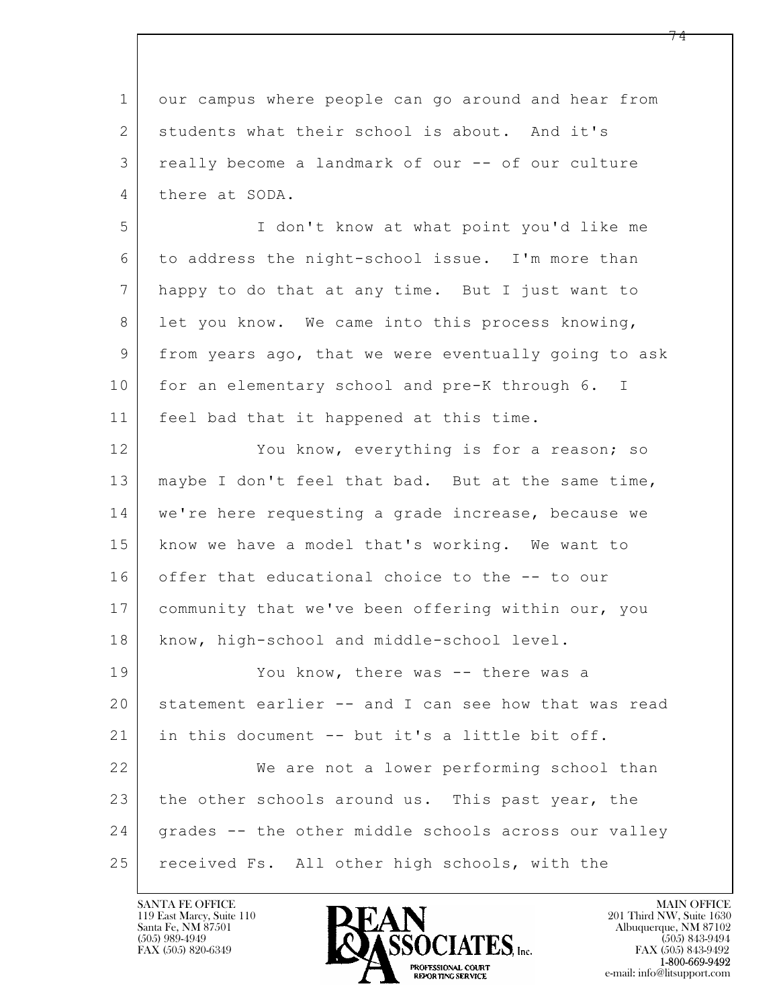$\mathbf{L}$  1 our campus where people can go around and hear from 2 students what their school is about. And it's 3 really become a landmark of our -- of our culture 4 there at SODA. 5 I don't know at what point you'd like me 6 to address the night-school issue. I'm more than 7 happy to do that at any time. But I just want to 8 let you know. We came into this process knowing, 9 | from years ago, that we were eventually going to ask 10 for an elementary school and pre-K through 6. I 11 feel bad that it happened at this time. 12 You know, everything is for a reason; so 13 maybe I don't feel that bad. But at the same time, 14 | we're here requesting a grade increase, because we 15 know we have a model that's working. We want to 16 offer that educational choice to the -- to our 17 community that we've been offering within our, you 18 | know, high-school and middle-school level. 19 You know, there was -- there was a 20 statement earlier -- and I can see how that was read 21 in this document -- but it's a little bit off. 22 We are not a lower performing school than 23 the other schools around us. This past year, the 24 grades -- the other middle schools across our valley 25 received Fs. All other high schools, with the

119 East Marcy, Suite 110<br>Santa Fe, NM 87501

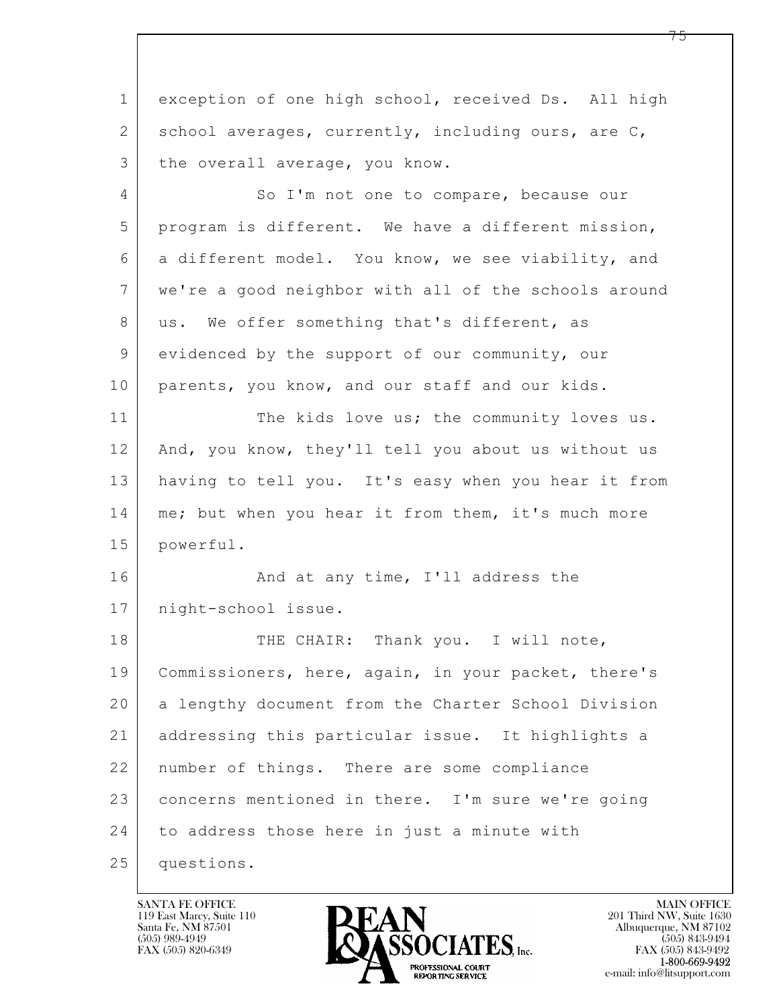$\mathbf{L}$  1 exception of one high school, received Ds. All high 2 school averages, currently, including ours, are C, 3 the overall average, you know. 4 So I'm not one to compare, because our 5 program is different. We have a different mission, 6 a different model. You know, we see viability, and 7 we're a good neighbor with all of the schools around 8 us. We offer something that's different, as 9 evidenced by the support of our community, our 10 parents, you know, and our staff and our kids. 11 The kids love us; the community loves us. 12 And, you know, they'll tell you about us without us 13 having to tell you. It's easy when you hear it from 14 | me; but when you hear it from them, it's much more 15 powerful. 16 And at any time, I'll address the 17 night-school issue. 18 THE CHAIR: Thank you. I will note, 19 Commissioners, here, again, in your packet, there's 20 a lengthy document from the Charter School Division 21 addressing this particular issue. It highlights a 22 | number of things. There are some compliance 23 concerns mentioned in there. I'm sure we're going 24 to address those here in just a minute with 25 questions.

119 East Marcy, Suite 110<br>Santa Fe, NM 87501



FAX (505) 843-9492 e-mail: info@litsupport.com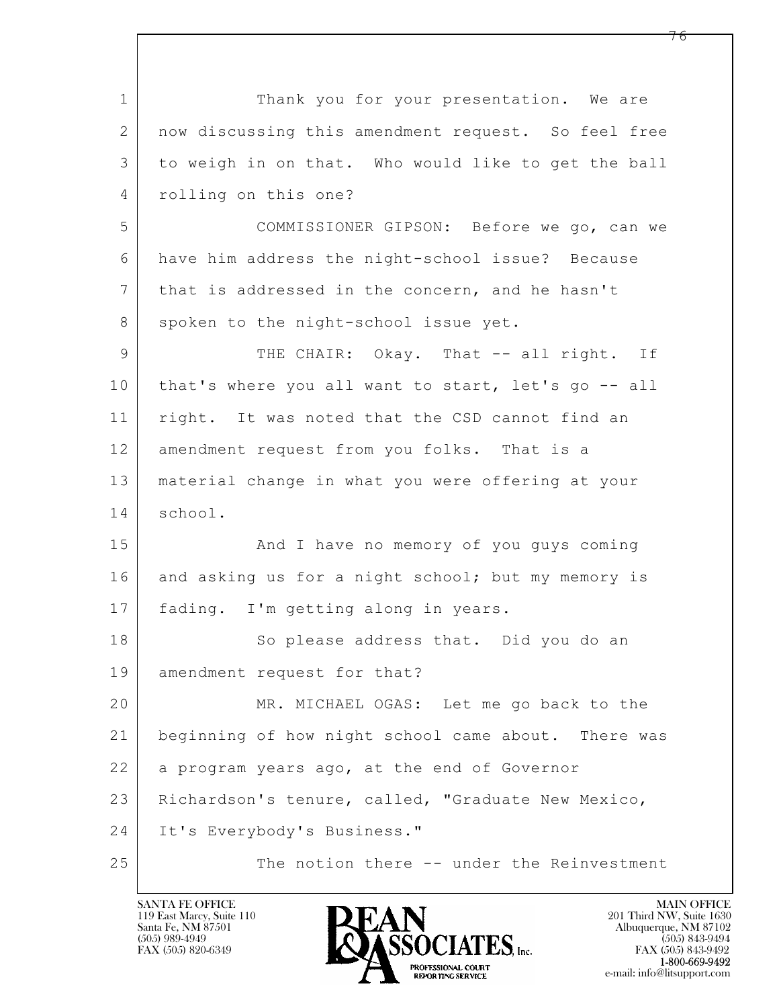$\mathbf{L}$  1 Thank you for your presentation. We are 2 now discussing this amendment request. So feel free 3 to weigh in on that. Who would like to get the ball 4 rolling on this one? 5 COMMISSIONER GIPSON: Before we go, can we 6 have him address the night-school issue? Because 7 that is addressed in the concern, and he hasn't 8 spoken to the night-school issue yet. 9 THE CHAIR: Okay. That -- all right. If 10 | that's where you all want to start, let's go -- all 11 | right. It was noted that the CSD cannot find an 12 amendment request from you folks. That is a 13 material change in what you were offering at your 14 school. 15 | That I have no memory of you guys coming 16 and asking us for a night school; but my memory is 17 fading. I'm getting along in years. 18 So please address that. Did you do an 19 amendment request for that? 20 MR. MICHAEL OGAS: Let me go back to the 21 beginning of how night school came about. There was  $22$  a program years ago, at the end of Governor 23 Richardson's tenure, called, "Graduate New Mexico, 24 It's Everybody's Business." 25 The notion there -- under the Reinvestment

119 East Marcy, Suite 110<br>Santa Fe, NM 87501

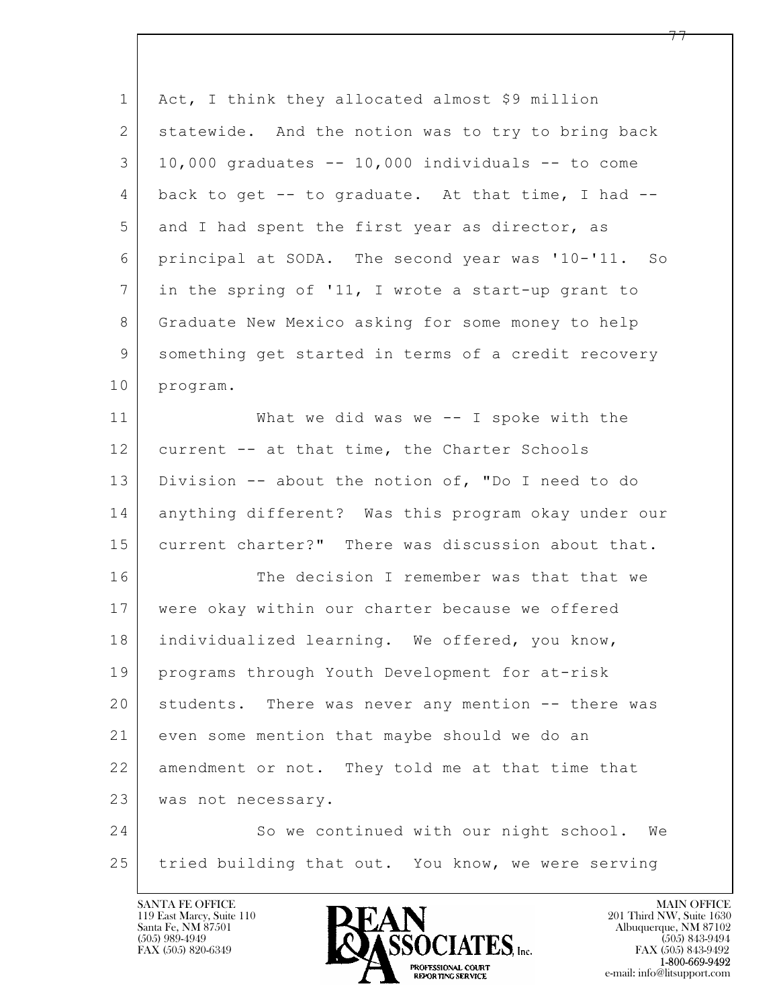| $\mathbf{1}$   | Act, I think they allocated almost \$9 million        |
|----------------|-------------------------------------------------------|
| $\mathbf{2}$   | statewide. And the notion was to try to bring back    |
| 3              | $10,000$ graduates $-$ 10,000 individuals $-$ to come |
| 4              | back to get -- to graduate. At that time, I had --    |
| 5              | and I had spent the first year as director, as        |
| 6              | principal at SODA. The second year was '10-'11. So    |
| $7\phantom{.}$ | in the spring of '11, I wrote a start-up grant to     |
| 8              | Graduate New Mexico asking for some money to help     |
| 9              | something get started in terms of a credit recovery   |
| 10             | program.                                              |
| 11             | What we did was we $--$ I spoke with the              |
| 12             | current -- at that time, the Charter Schools          |
| 13             | Division -- about the notion of, "Do I need to do     |
| 14             | anything different? Was this program okay under our   |
| 15             | current charter?" There was discussion about that.    |
| 16             | The decision I remember was that that we              |
| 17             | were okay within our charter because we offered       |
| 18             | individualized learning. We offered, you know,        |
| 19             | programs through Youth Development for at-risk        |
| 20             | students. There was never any mention -- there was    |
| 21             | even some mention that maybe should we do an          |
| 22             | amendment or not. They told me at that time that      |
| 23             | was not necessary.                                    |
| 24             | So we continued with our night school.<br>We          |
| 25             | tried building that out. You know, we were serving    |

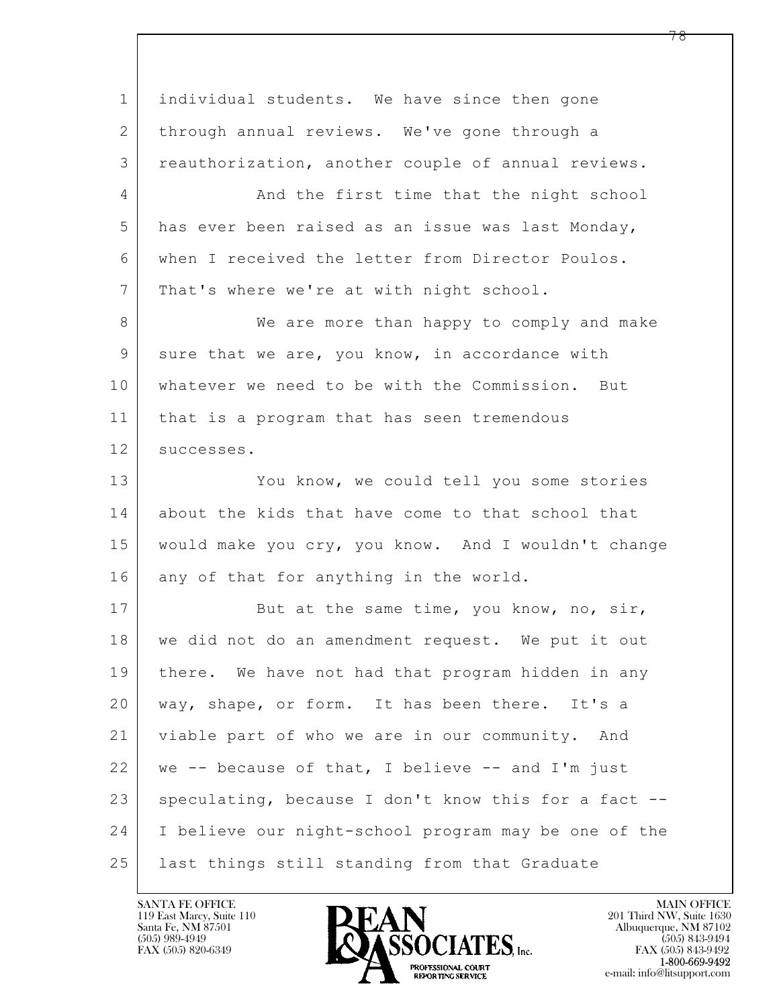$\mathbf{L}$  1 | individual students. We have since then gone 2 through annual reviews. We've gone through a 3 reauthorization, another couple of annual reviews. 4 And the first time that the night school 5 has ever been raised as an issue was last Monday, 6 when I received the letter from Director Poulos. 7 | That's where we're at with night school. 8 We are more than happy to comply and make 9 sure that we are, you know, in accordance with 10 whatever we need to be with the Commission. But 11 that is a program that has seen tremendous 12 | successes. 13 You know, we could tell you some stories 14 about the kids that have come to that school that 15 would make you cry, you know. And I wouldn't change 16 any of that for anything in the world. 17 But at the same time, you know, no, sir, 18 we did not do an amendment request. We put it out 19 there. We have not had that program hidden in any 20 way, shape, or form. It has been there. It's a 21 viable part of who we are in our community. And  $22$  we -- because of that, I believe -- and I'm just 23 speculating, because I don't know this for a fact --24 I believe our night-school program may be one of the 25 last things still standing from that Graduate

119 East Marcy, Suite 110<br>Santa Fe, NM 87501

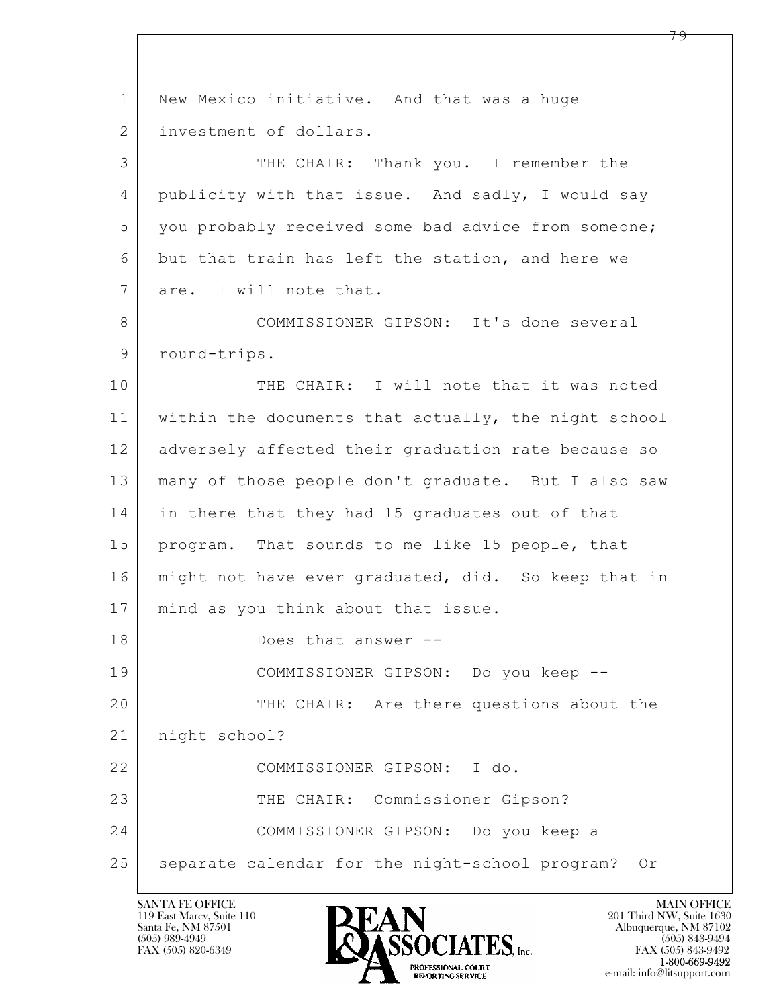$\mathbf{L}$  1 New Mexico initiative. And that was a huge 2 investment of dollars. 3 THE CHAIR: Thank you. I remember the 4 publicity with that issue. And sadly, I would say 5 you probably received some bad advice from someone; 6 but that train has left the station, and here we 7 are. I will note that. 8 COMMISSIONER GIPSON: It's done several 9 round-trips. 10 THE CHAIR: I will note that it was noted 11 within the documents that actually, the night school 12 adversely affected their graduation rate because so 13 many of those people don't graduate. But I also saw 14 in there that they had 15 graduates out of that 15 program. That sounds to me like 15 people, that 16 | might not have ever graduated, did. So keep that in 17 mind as you think about that issue. 18 Does that answer -- 19 COMMISSIONER GIPSON: Do you keep -- 20 THE CHAIR: Are there questions about the 21 night school? 22 COMMISSIONER GIPSON: I do. 23 THE CHAIR: Commissioner Gipson? 24 COMMISSIONER GIPSON: Do you keep a 25 | separate calendar for the night-school program? Or

119 East Marcy, Suite 110<br>Santa Fe, NM 87501

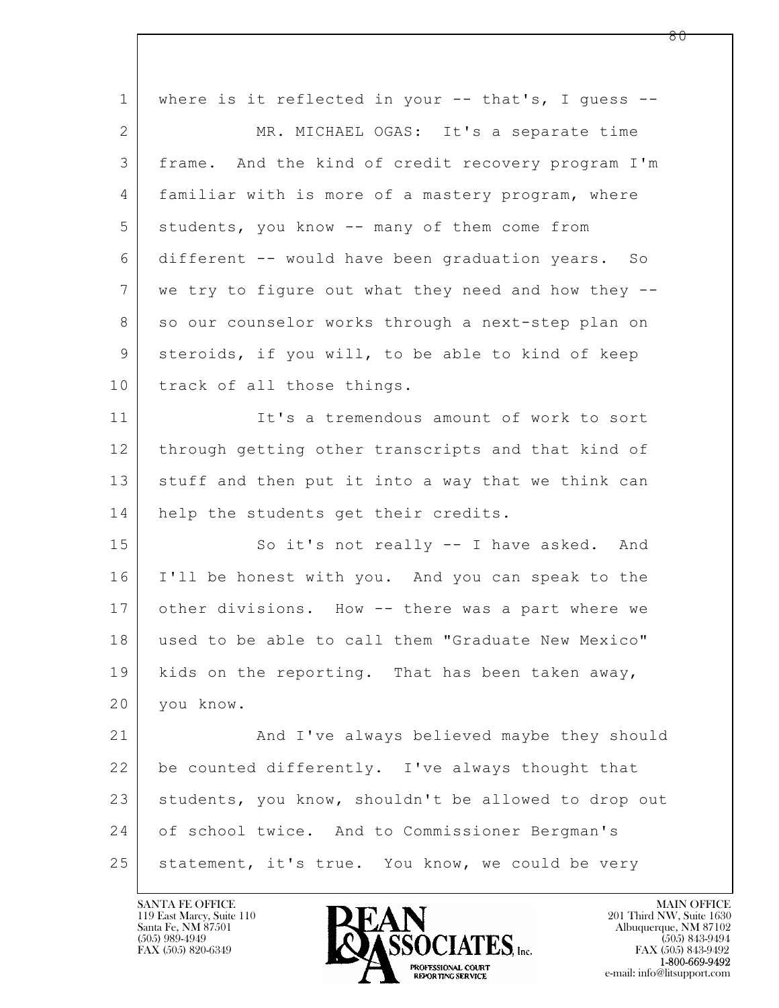| $\mathbf{1}$   | where is it reflected in your $--$ that's, I guess $--$ |
|----------------|---------------------------------------------------------|
| 2              | MR. MICHAEL OGAS: It's a separate time                  |
| 3              | frame. And the kind of credit recovery program I'm      |
| $\overline{4}$ | familiar with is more of a mastery program, where       |
| 5              | students, you know -- many of them come from            |
| 6              | different -- would have been graduation years. So       |
| 7              | we try to figure out what they need and how they --     |
| 8              | so our counselor works through a next-step plan on      |
| 9              | steroids, if you will, to be able to kind of keep       |
| 10             | track of all those things.                              |
| 11             | It's a tremendous amount of work to sort                |
| 12             | through getting other transcripts and that kind of      |
| 13             | stuff and then put it into a way that we think can      |
| 14             | help the students get their credits.                    |
| 15             | So it's not really -- I have asked. And                 |
| 16             | I'll be honest with you. And you can speak to the       |
| 17             | other divisions. How -- there was a part where we       |
| 18             | used to be able to call them "Graduate New Mexico"      |
| 19             | kids on the reporting. That has been taken away,        |
| 20             | you know.                                               |
| 21             | And I've always believed maybe they should              |
| 22             | be counted differently. I've always thought that        |
| 23             | students, you know, shouldn't be allowed to drop out    |
| 24             | of school twice. And to Commissioner Bergman's          |
| 25             | statement, it's true. You know, we could be very        |
|                |                                                         |

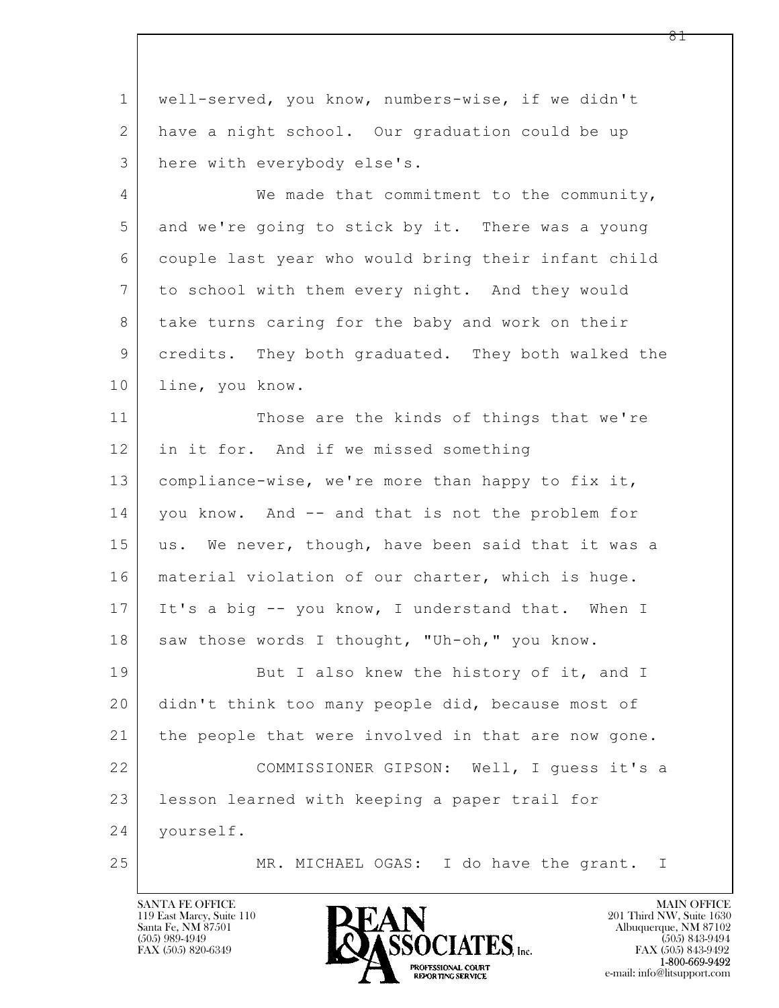$\mathbf{L}$  1 well-served, you know, numbers-wise, if we didn't 2 have a night school. Our graduation could be up 3 here with everybody else's. 4 We made that commitment to the community, 5 and we're going to stick by it. There was a young 6 couple last year who would bring their infant child 7 to school with them every night. And they would 8 take turns caring for the baby and work on their 9 credits. They both graduated. They both walked the 10 line, you know. 11 Those are the kinds of things that we're 12 in it for. And if we missed something 13 | compliance-wise, we're more than happy to fix it, 14 you know. And -- and that is not the problem for 15 us. We never, though, have been said that it was a 16 | material violation of our charter, which is huge. 17 It's a big -- you know, I understand that. When I 18 saw those words I thought, "Uh-oh," you know. 19 But I also knew the history of it, and I 20 didn't think too many people did, because most of 21 the people that were involved in that are now gone. 22 COMMISSIONER GIPSON: Well, I guess it's a 23 lesson learned with keeping a paper trail for 24 yourself. 25 MR. MICHAEL OGAS: I do have the grant. I

119 East Marcy, Suite 110<br>Santa Fe, NM 87501

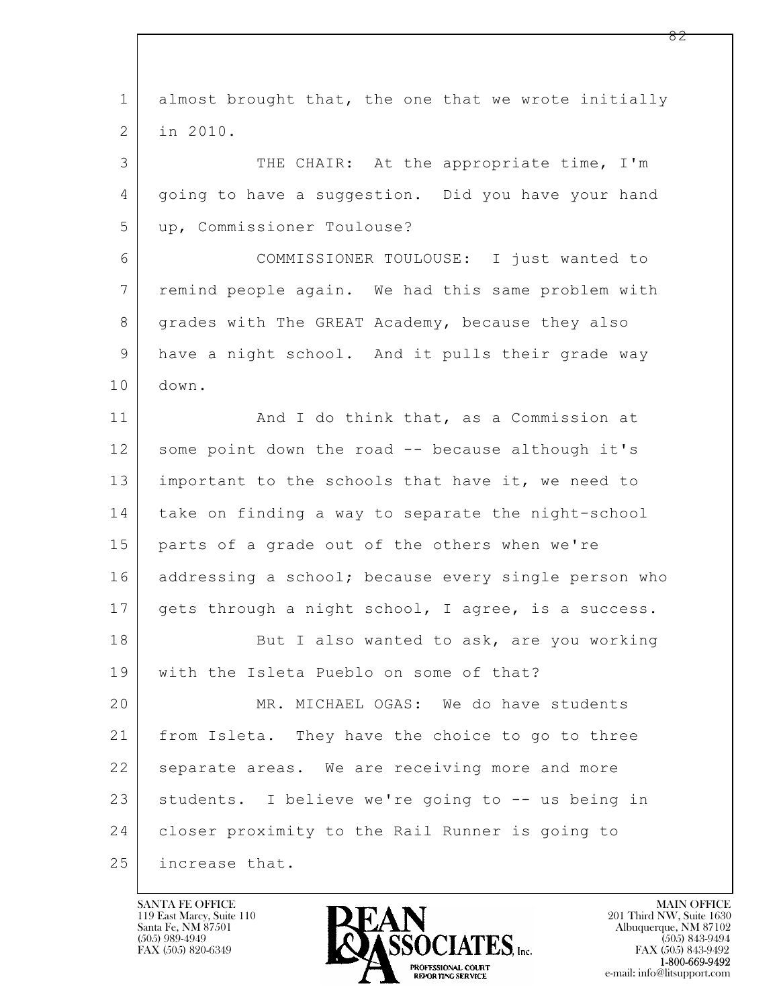$\mathbf{L}$  1 almost brought that, the one that we wrote initially 2 in 2010. 3 THE CHAIR: At the appropriate time, I'm 4 going to have a suggestion. Did you have your hand 5 up, Commissioner Toulouse? 6 COMMISSIONER TOULOUSE: I just wanted to 7 remind people again. We had this same problem with 8 grades with The GREAT Academy, because they also 9 have a night school. And it pulls their grade way 10 down. 11 | And I do think that, as a Commission at 12 some point down the road -- because although it's 13 important to the schools that have it, we need to 14 take on finding a way to separate the night-school 15 parts of a grade out of the others when we're 16 addressing a school; because every single person who 17 gets through a night school, I agree, is a success. 18 But I also wanted to ask, are you working 19 with the Isleta Pueblo on some of that? 20 MR. MICHAEL OGAS: We do have students 21 from Isleta. They have the choice to go to three 22 separate areas. We are receiving more and more 23 | students. I believe we're going to -- us being in 24 closer proximity to the Rail Runner is going to 25 increase that.

119 East Marcy, Suite 110<br>Santa Fe, NM 87501

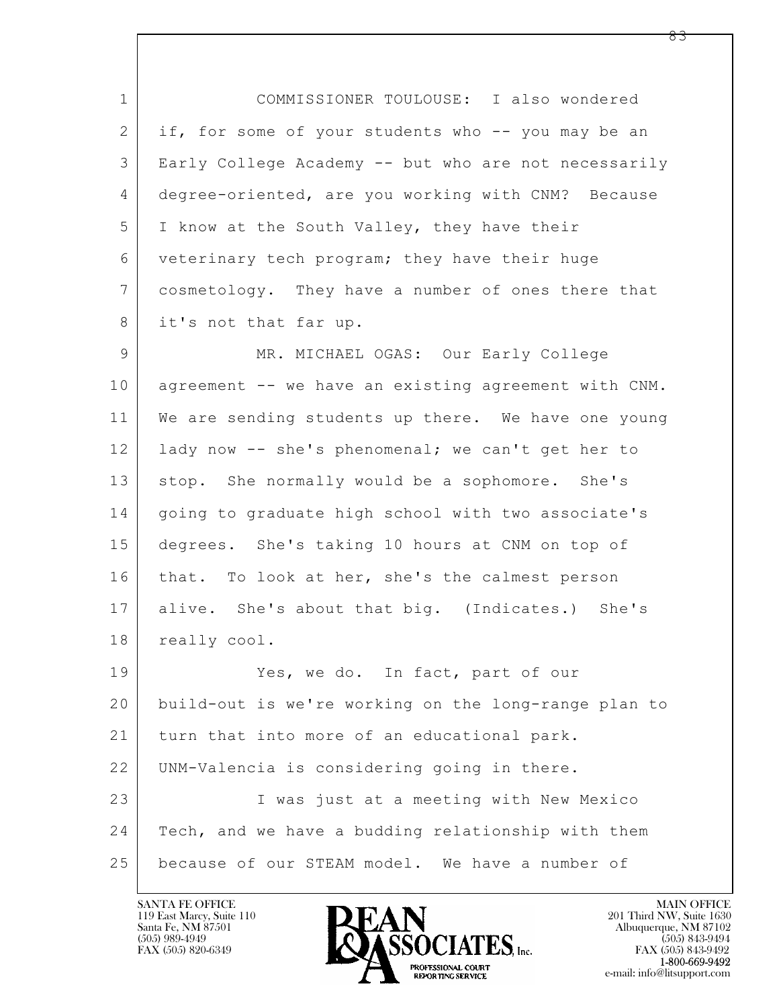1 COMMISSIONER TOULOUSE: I also wondered 2 if, for some of your students who -- you may be an 3 Early College Academy -- but who are not necessarily 4 degree-oriented, are you working with CNM? Because 5 I know at the South Valley, they have their 6 veterinary tech program; they have their huge 7 cosmetology. They have a number of ones there that 8 it's not that far up.

9 MR. MICHAEL OGAS: Our Early College 10 agreement -- we have an existing agreement with CNM. 11 We are sending students up there. We have one young 12 lady now -- she's phenomenal; we can't get her to 13 stop. She normally would be a sophomore. She's 14 | going to graduate high school with two associate's 15 degrees. She's taking 10 hours at CNM on top of 16 that. To look at her, she's the calmest person 17 alive. She's about that big. (Indicates.) She's 18 | really cool. 19 Yes, we do. In fact, part of our 20 build-out is we're working on the long-range plan to

 $\mathbf{L}$  21 turn that into more of an educational park. 22 UNM-Valencia is considering going in there. 23 I was just at a meeting with New Mexico 24 | Tech, and we have a budding relationship with them 25 because of our STEAM model. We have a number of

119 East Marcy, Suite 110<br>Santa Fe, NM 87501

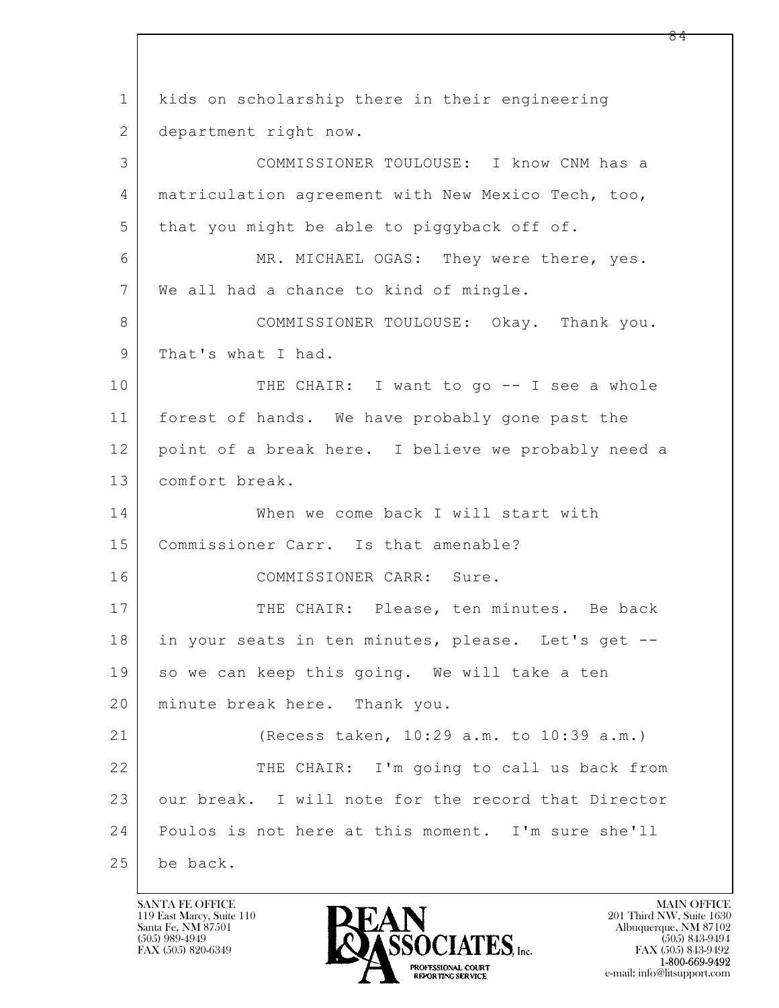$\mathbf{L}$  1 kids on scholarship there in their engineering 2 department right now. 3 COMMISSIONER TOULOUSE: I know CNM has a 4 matriculation agreement with New Mexico Tech, too, 5 that you might be able to piggyback off of. 6 MR. MICHAEL OGAS: They were there, yes. 7 We all had a chance to kind of mingle. 8 COMMISSIONER TOULOUSE: Okay. Thank you. 9 | That's what I had. 10 THE CHAIR: I want to go -- I see a whole 11 forest of hands. We have probably gone past the 12 point of a break here. I believe we probably need a 13 comfort break. 14 When we come back I will start with 15 | Commissioner Carr. Is that amenable? 16 COMMISSIONER CARR: Sure. 17 THE CHAIR: Please, ten minutes. Be back 18 in your seats in ten minutes, please. Let's get --19 so we can keep this going. We will take a ten 20 minute break here. Thank you. 21 (Recess taken, 10:29 a.m. to 10:39 a.m.) 22 THE CHAIR: I'm going to call us back from 23 our break. I will note for the record that Director 24 Poulos is not here at this moment. I'm sure she'll 25 be back.

119 East Marcy, Suite 110<br>Santa Fe, NM 87501



FAX (505) 843-9492 e-mail: info@litsupport.com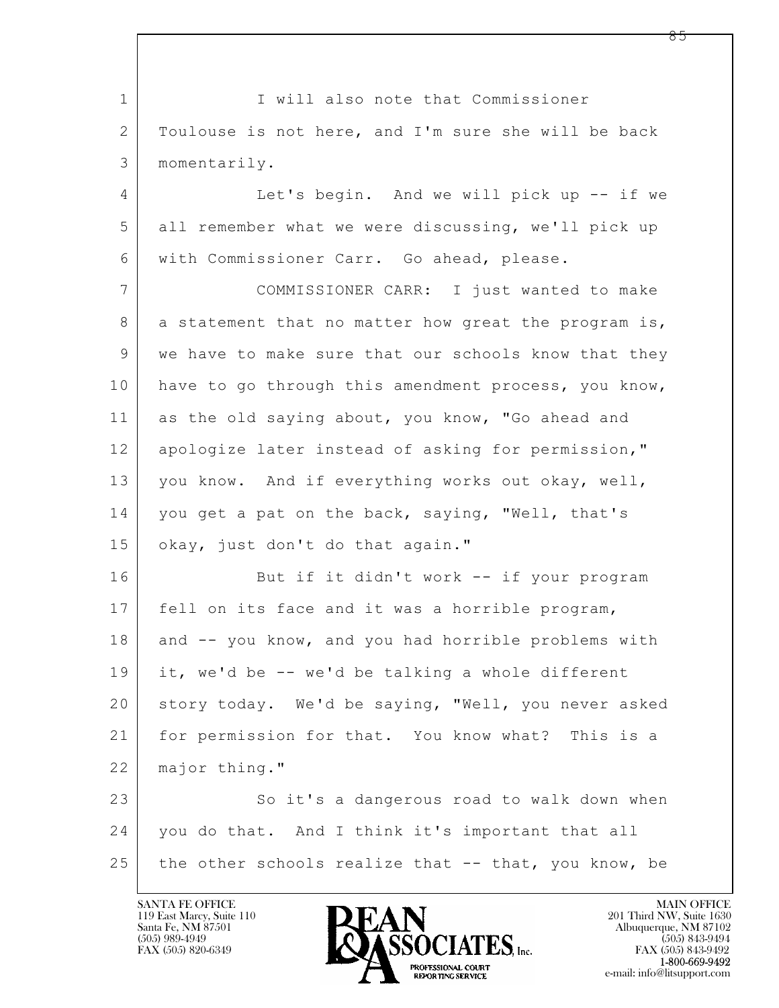$\mathbf{L}$  1 | I will also note that Commissioner 2 Toulouse is not here, and I'm sure she will be back 3 momentarily. 4 Let's begin. And we will pick up -- if we 5 all remember what we were discussing, we'll pick up 6 with Commissioner Carr. Go ahead, please. 7 COMMISSIONER CARR: I just wanted to make 8 a statement that no matter how great the program is, 9 we have to make sure that our schools know that they 10 have to go through this amendment process, you know, 11 as the old saying about, you know, "Go ahead and 12 apologize later instead of asking for permission," 13 you know. And if everything works out okay, well, 14 you get a pat on the back, saying, "Well, that's 15 | okay, just don't do that again." 16 But if it didn't work -- if your program 17 fell on its face and it was a horrible program, 18 and -- you know, and you had horrible problems with 19 it, we'd be -- we'd be talking a whole different 20 story today. We'd be saying, "Well, you never asked 21 for permission for that. You know what? This is a 22 major thing." 23 So it's a dangerous road to walk down when 24 you do that. And I think it's important that all 25 the other schools realize that  $-$  that, you know, be

119 East Marcy, Suite 110<br>Santa Fe, NM 87501



 $FAX (505) 843-9492$ <br>1-800-669-9492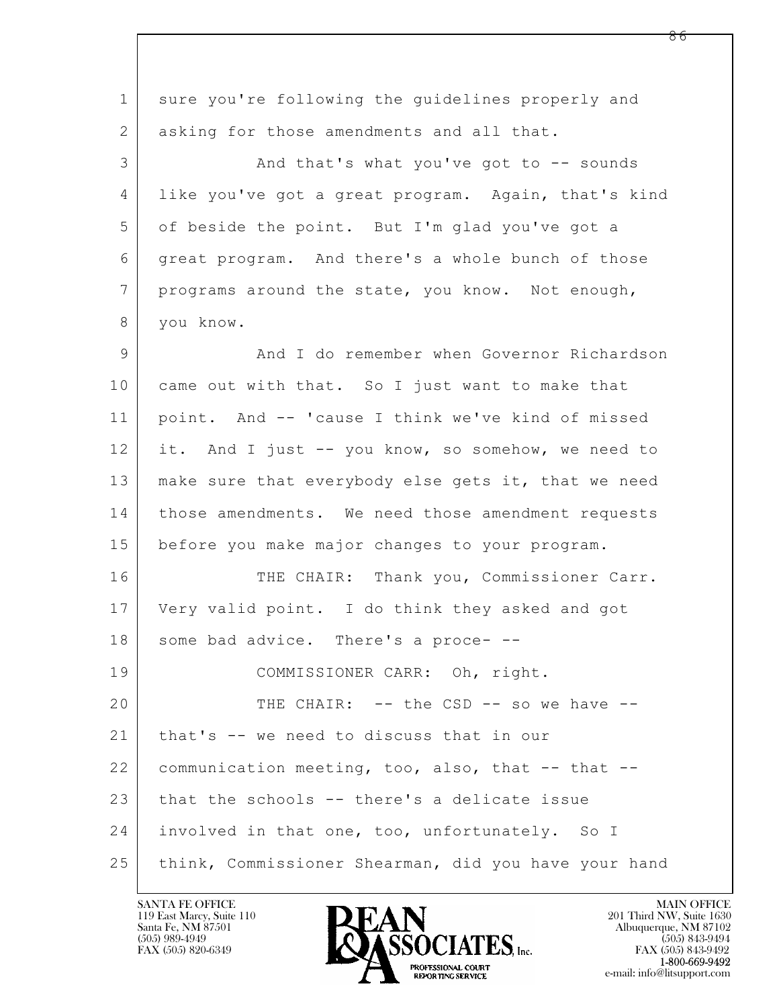| $\mathbf 1$    | sure you're following the quidelines properly and    |
|----------------|------------------------------------------------------|
| $\overline{2}$ | asking for those amendments and all that.            |
| 3              | And that's what you've got to -- sounds              |
| 4              | like you've got a great program. Again, that's kind  |
| 5              | of beside the point. But I'm glad you've got a       |
| 6              | great program. And there's a whole bunch of those    |
| $\overline{7}$ | programs around the state, you know. Not enough,     |
| 8              | you know.                                            |
| 9              | And I do remember when Governor Richardson           |
| 10             | came out with that. So I just want to make that      |
| 11             | point. And -- 'cause I think we've kind of missed    |
| 12             | it. And I just -- you know, so somehow, we need to   |
| 13             | make sure that everybody else gets it, that we need  |
| 14             | those amendments. We need those amendment requests   |
| 15             | before you make major changes to your program.       |
| 16             | THE CHAIR: Thank you, Commissioner Carr.             |
| 17             | Very valid point. I do think they asked and got      |
| 18             | some bad advice. There's a proce- --                 |
| 19             | COMMISSIONER CARR: Oh, right.                        |
| 20             | THE CHAIR: -- the CSD -- so we have --               |
| 21             | that's -- we need to discuss that in our             |
| 22             | communication meeting, too, also, that -- that --    |
| 23             | that the schools -- there's a delicate issue         |
| 24             | involved in that one, too, unfortunately. So I       |
| 25             | think, Commissioner Shearman, did you have your hand |

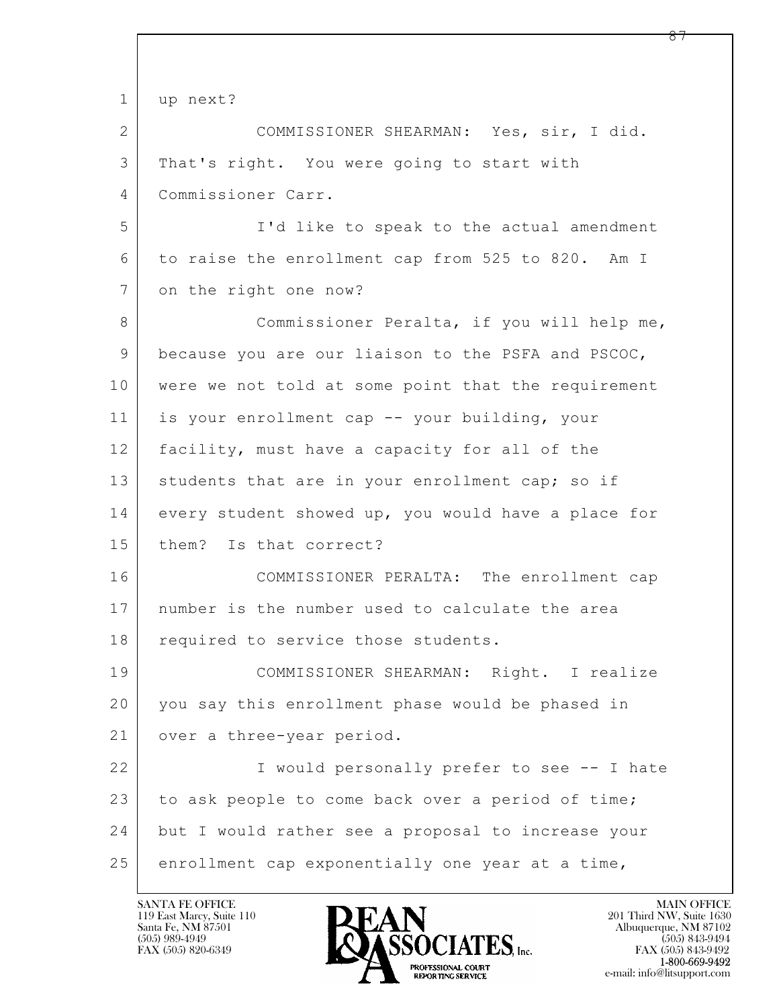```
\mathbf{L} 
1 up next?
2 COMMISSIONER SHEARMAN: Yes, sir, I did.
3 That's right. You were going to start with
4 Commissioner Carr.
5 I'd like to speak to the actual amendment
6 to raise the enrollment cap from 525 to 820. Am I
7 on the right one now?
8 Commissioner Peralta, if you will help me,
9 because you are our liaison to the PSFA and PSCOC,
10 were we not told at some point that the requirement
11 is your enrollment cap -- your building, your
12 facility, must have a capacity for all of the
13 students that are in your enrollment cap; so if
14 every student showed up, you would have a place for
15 them? Is that correct?
16 COMMISSIONER PERALTA: The enrollment cap
17 number is the number used to calculate the area
18 required to service those students.
19 COMMISSIONER SHEARMAN: Right. I realize
20 you say this enrollment phase would be phased in
21 | over a three-year period.
22 I would personally prefer to see -- I hate
23 to ask people to come back over a period of time;
24 but I would rather see a proposal to increase your
25 enrollment cap exponentially one year at a time,
```
119 East Marcy, Suite 110<br>Santa Fe, NM 87501

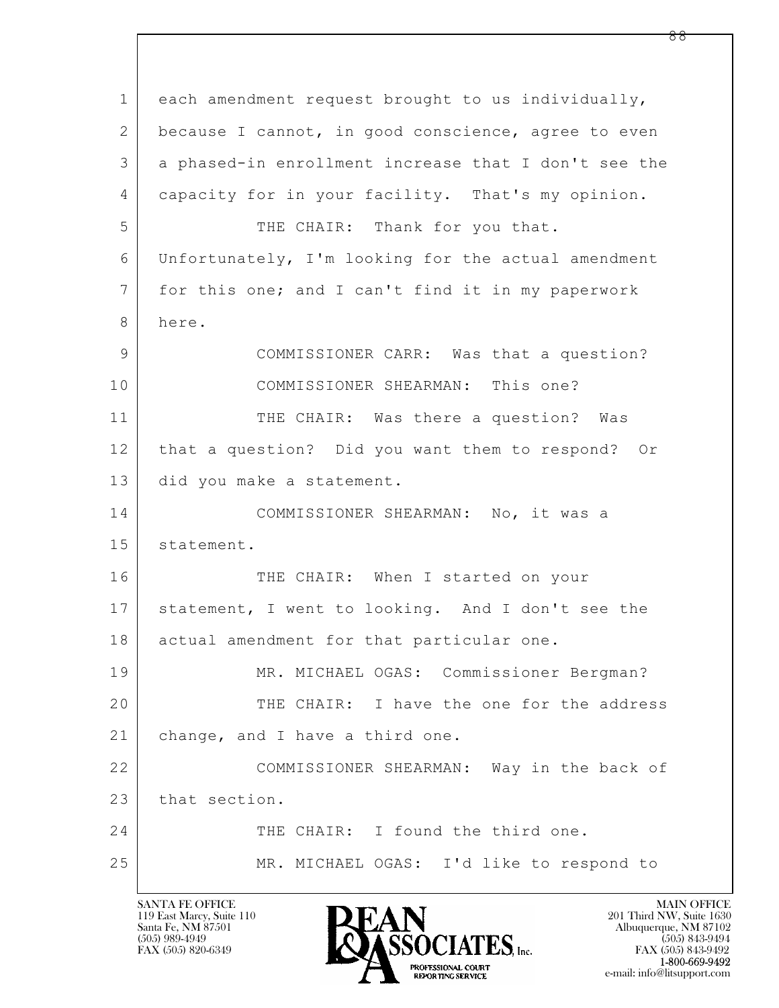$\mathbf{L}$  1 each amendment request brought to us individually, 2 because I cannot, in good conscience, agree to even 3 a phased-in enrollment increase that I don't see the 4 capacity for in your facility. That's my opinion. 5 THE CHAIR: Thank for you that. 6 Unfortunately, I'm looking for the actual amendment 7 for this one; and I can't find it in my paperwork 8 here. 9 COMMISSIONER CARR: Was that a question? 10 COMMISSIONER SHEARMAN: This one? 11 THE CHAIR: Was there a question? Was 12 that a question? Did you want them to respond? Or 13 did you make a statement. 14 COMMISSIONER SHEARMAN: No, it was a 15 | statement. 16 THE CHAIR: When I started on your 17 statement, I went to looking. And I don't see the 18 actual amendment for that particular one. 19 MR. MICHAEL OGAS: Commissioner Bergman? 20 THE CHAIR: I have the one for the address 21 | change, and I have a third one. 22 COMMISSIONER SHEARMAN: Way in the back of 23 that section. 24 THE CHAIR: I found the third one. 25 MR. MICHAEL OGAS: I'd like to respond to

119 East Marcy, Suite 110<br>Santa Fe, NM 87501



FAX (505) 843-9492 e-mail: info@litsupport.com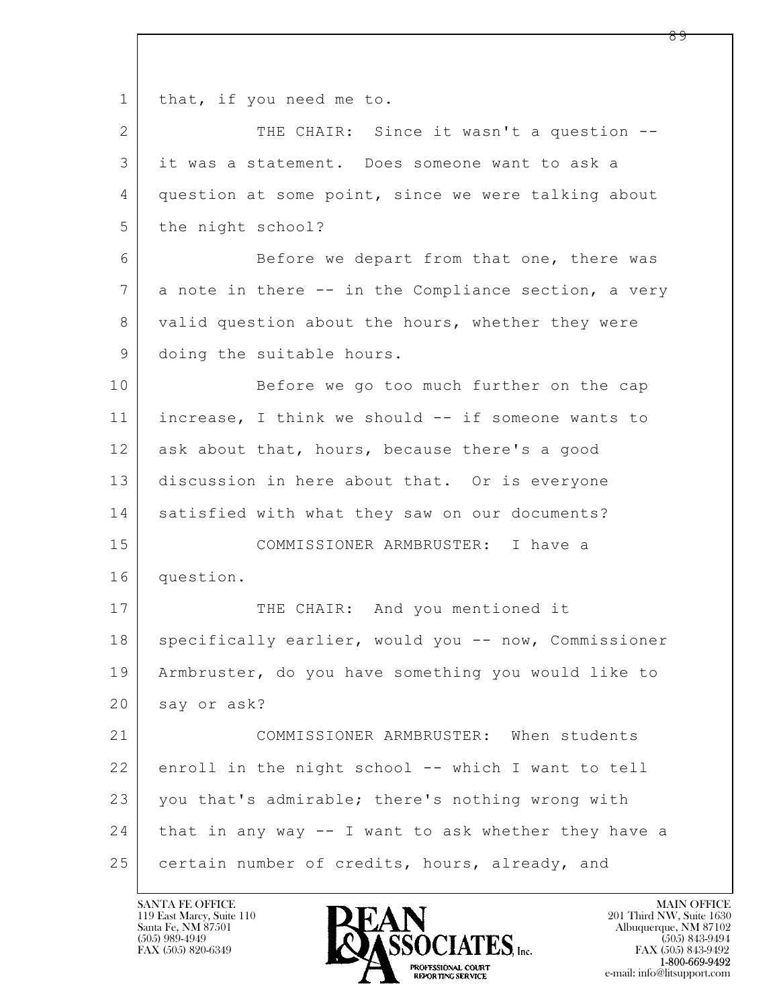$\mathbf{L}$  1 | that, if you need me to. 2 THE CHAIR: Since it wasn't a question --3 it was a statement. Does someone want to ask a 4 question at some point, since we were talking about 5 the night school? 6 Before we depart from that one, there was 7 a note in there -- in the Compliance section, a very 8 valid question about the hours, whether they were 9 doing the suitable hours. 10 Before we go too much further on the cap 11 increase, I think we should -- if someone wants to 12 ask about that, hours, because there's a good 13 discussion in here about that. Or is everyone 14 satisfied with what they saw on our documents? 15 COMMISSIONER ARMBRUSTER: I have a 16 question. 17 THE CHAIR: And you mentioned it 18 | specifically earlier, would you -- now, Commissioner 19 Armbruster, do you have something you would like to 20 say or ask? 21 COMMISSIONER ARMBRUSTER: When students 22 enroll in the night school -- which I want to tell 23 you that's admirable; there's nothing wrong with 24 that in any way -- I want to ask whether they have a 25 certain number of credits, hours, already, and

119 East Marcy, Suite 110<br>Santa Fe, NM 87501

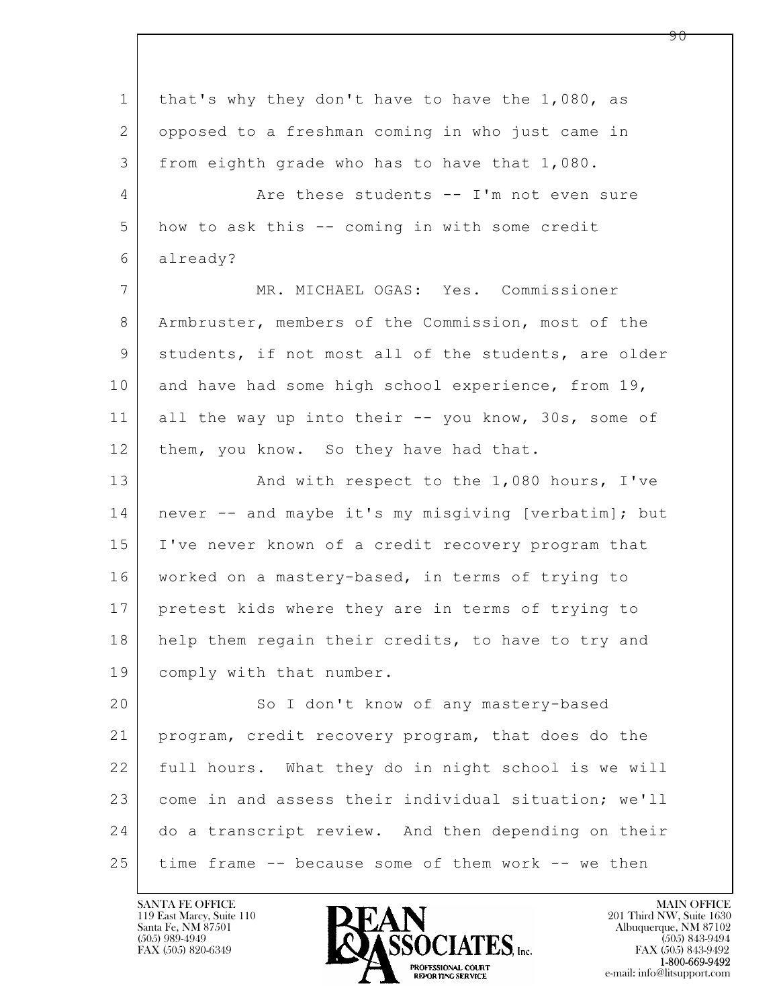| $\mathbf 1$    | that's why they don't have to have the 1,080, as     |
|----------------|------------------------------------------------------|
| 2              | opposed to a freshman coming in who just came in     |
| 3              | from eighth grade who has to have that 1,080.        |
| $\overline{4}$ | Are these students -- I'm not even sure              |
| 5              | how to ask this -- coming in with some credit        |
| 6              | already?                                             |
| $7\phantom{.}$ | MR. MICHAEL OGAS: Yes. Commissioner                  |
| 8              | Armbruster, members of the Commission, most of the   |
| 9              | students, if not most all of the students, are older |
| 10             | and have had some high school experience, from 19,   |
| 11             | all the way up into their -- you know, 30s, some of  |
| 12             | them, you know. So they have had that.               |
| 13             | And with respect to the 1,080 hours, I've            |
| 14             | never -- and maybe it's my misgiving [verbatim]; but |
| 15             | I've never known of a credit recovery program that   |
| 16             | worked on a mastery-based, in terms of trying to     |
| 17             | pretest kids where they are in terms of trying to    |
| 18             | help them regain their credits, to have to try and   |
| 19             | comply with that number.                             |
| 20             | So I don't know of any mastery-based                 |
| 21             | program, credit recovery program, that does do the   |
| 22             | full hours. What they do in night school is we will  |
| 23             | come in and assess their individual situation; we'll |
| 24             | do a transcript review. And then depending on their  |
| 25             | time frame -- because some of them work -- we then   |

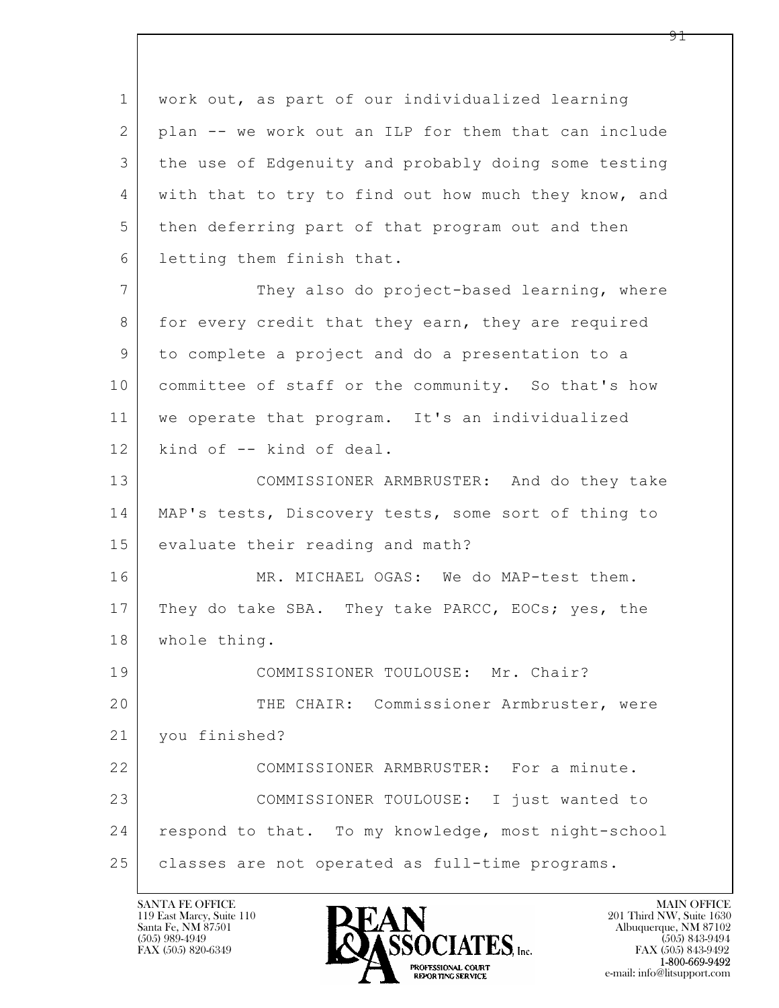$\mathbf{L}$  1 work out, as part of our individualized learning 2 plan -- we work out an ILP for them that can include 3 the use of Edgenuity and probably doing some testing 4 with that to try to find out how much they know, and 5 then deferring part of that program out and then 6 letting them finish that. 7 They also do project-based learning, where 8 | for every credit that they earn, they are required 9 to complete a project and do a presentation to a 10 committee of staff or the community. So that's how 11 we operate that program. It's an individualized 12 kind of -- kind of deal. 13 COMMISSIONER ARMBRUSTER: And do they take 14 | MAP's tests, Discovery tests, some sort of thing to 15 evaluate their reading and math? 16 MR. MICHAEL OGAS: We do MAP-test them. 17 They do take SBA. They take PARCC, EOCs; yes, the 18 whole thing. 19 COMMISSIONER TOULOUSE: Mr. Chair? 20 THE CHAIR: Commissioner Armbruster, were 21 you finished? 22 COMMISSIONER ARMBRUSTER: For a minute. 23 COMMISSIONER TOULOUSE: I just wanted to 24 respond to that. To my knowledge, most night-school 25 | classes are not operated as full-time programs.

119 East Marcy, Suite 110<br>Santa Fe, NM 87501

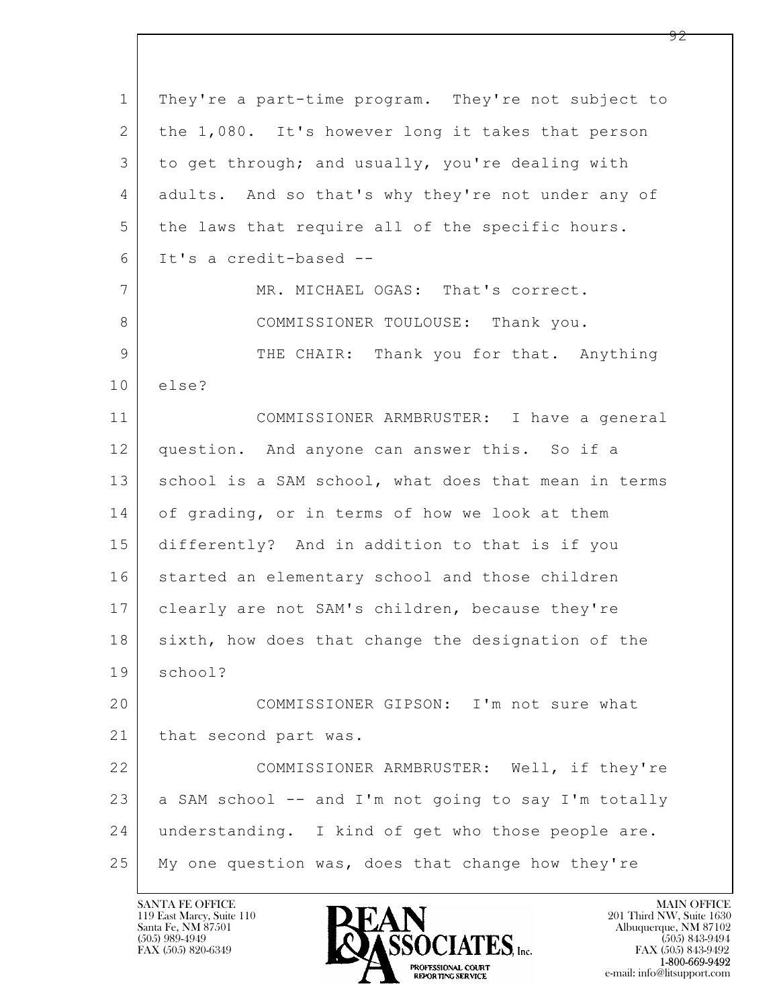| $\mathbf 1$ | They're a part-time program. They're not subject to  |
|-------------|------------------------------------------------------|
| 2           | the 1,080. It's however long it takes that person    |
| 3           | to get through; and usually, you're dealing with     |
| 4           | adults. And so that's why they're not under any of   |
| 5           | the laws that require all of the specific hours.     |
| 6           | It's a credit-based --                               |
| 7           | MR. MICHAEL OGAS: That's correct.                    |
| 8           | COMMISSIONER TOULOUSE: Thank you.                    |
| 9           | THE CHAIR: Thank you for that. Anything              |
| 10          | else?                                                |
| 11          | COMMISSIONER ARMBRUSTER: I have a general            |
| 12          | question. And anyone can answer this. So if a        |
| 13          | school is a SAM school, what does that mean in terms |
| 14          | of grading, or in terms of how we look at them       |
| 15          | differently? And in addition to that is if you       |
| 16          | started an elementary school and those children      |
| 17          | clearly are not SAM's children, because they're      |
| 18          | sixth, how does that change the designation of the   |
| 19          | school?                                              |
| 20          | COMMISSIONER GIPSON: I'm not sure what               |
| 21          | that second part was.                                |
| 22          | COMMISSIONER ARMBRUSTER: Well, if they're            |
| 23          | a SAM school -- and I'm not going to say I'm totally |
| 24          | understanding. I kind of get who those people are.   |
| 25          | My one question was, does that change how they're    |

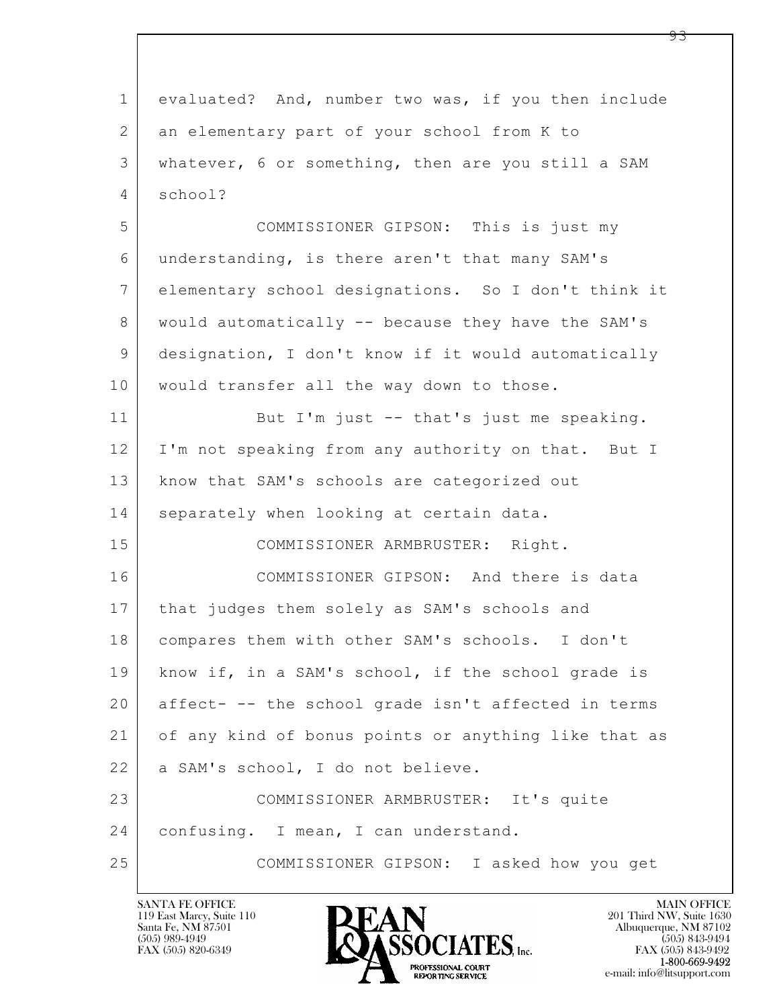| $\mathbf 1$   | evaluated? And, number two was, if you then include  |
|---------------|------------------------------------------------------|
| 2             | an elementary part of your school from K to          |
| 3             | whatever, 6 or something, then are you still a SAM   |
| 4             | school?                                              |
| 5             | COMMISSIONER GIPSON: This is just my                 |
| 6             | understanding, is there aren't that many SAM's       |
| 7             | elementary school designations. So I don't think it  |
| 8             | would automatically -- because they have the SAM's   |
| $\mathcal{G}$ | designation, I don't know if it would automatically  |
| 10            | would transfer all the way down to those.            |
| 11            | But I'm just -- that's just me speaking.             |
| 12            | I'm not speaking from any authority on that. But I   |
| 13            | know that SAM's schools are categorized out          |
| 14            | separately when looking at certain data.             |
| 15            | COMMISSIONER ARMBRUSTER: Right.                      |
| 16            | COMMISSIONER GIPSON: And there is data               |
| 17            | that judges them solely as SAM's schools and         |
| 18            | compares them with other SAM's schools. I don't      |
| 19            | know if, in a SAM's school, if the school grade is   |
| 20            | affect- -- the school grade isn't affected in terms  |
| 21            | of any kind of bonus points or anything like that as |
| 22            | a SAM's school, I do not believe.                    |
| 23            | COMMISSIONER ARMBRUSTER: It's quite                  |
| 24            | confusing. I mean, I can understand.                 |
| 25            | COMMISSIONER GIPSON: I asked how you get             |

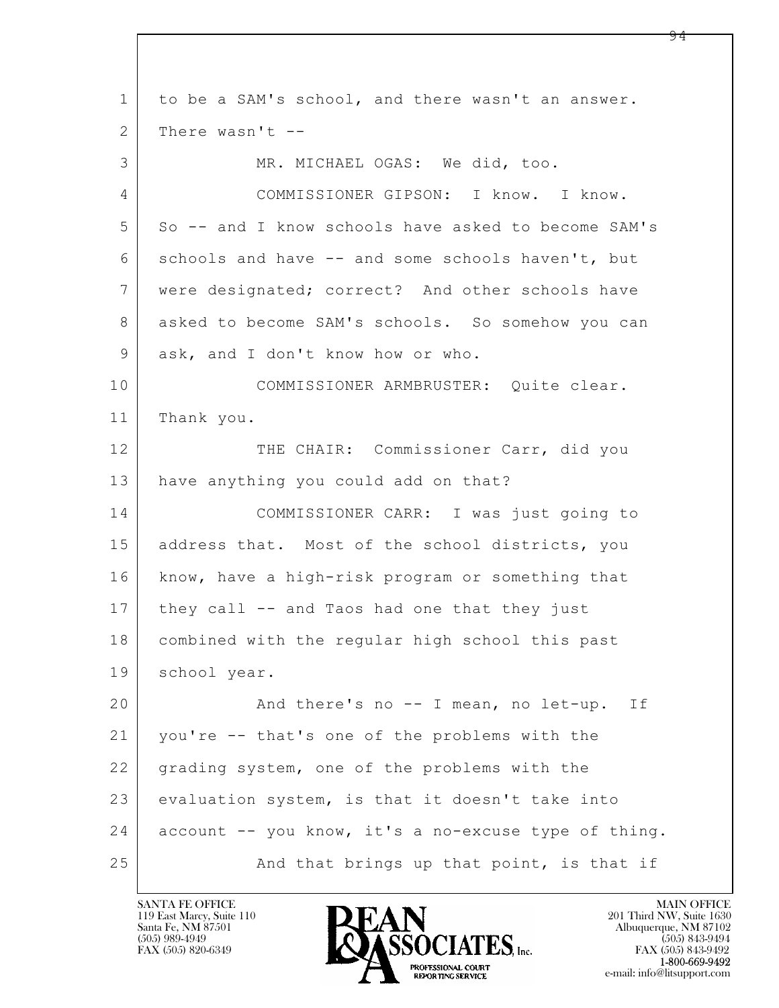$\mathbf{L}$  1 to be a SAM's school, and there wasn't an answer. 2 | There wasn't --3 MR. MICHAEL OGAS: We did, too. 4 COMMISSIONER GIPSON: I know. I know. 5 So -- and I know schools have asked to become SAM's 6 schools and have -- and some schools haven't, but 7 were designated; correct? And other schools have 8 asked to become SAM's schools. So somehow you can 9 ask, and I don't know how or who. 10 COMMISSIONER ARMBRUSTER: Quite clear. 11 Thank you. 12 THE CHAIR: Commissioner Carr, did you 13 have anything you could add on that? 14 COMMISSIONER CARR: I was just going to 15 | address that. Most of the school districts, you 16 know, have a high-risk program or something that 17 they call -- and Taos had one that they just 18 combined with the regular high school this past 19 school year. 20 And there's no -- I mean, no let-up. If 21 you're -- that's one of the problems with the 22 grading system, one of the problems with the 23 evaluation system, is that it doesn't take into  $24$  account  $-$  you know, it's a no-excuse type of thing. 25 And that brings up that point, is that if

119 East Marcy, Suite 110<br>Santa Fe, NM 87501



FAX (505) 843-9492 e-mail: info@litsupport.com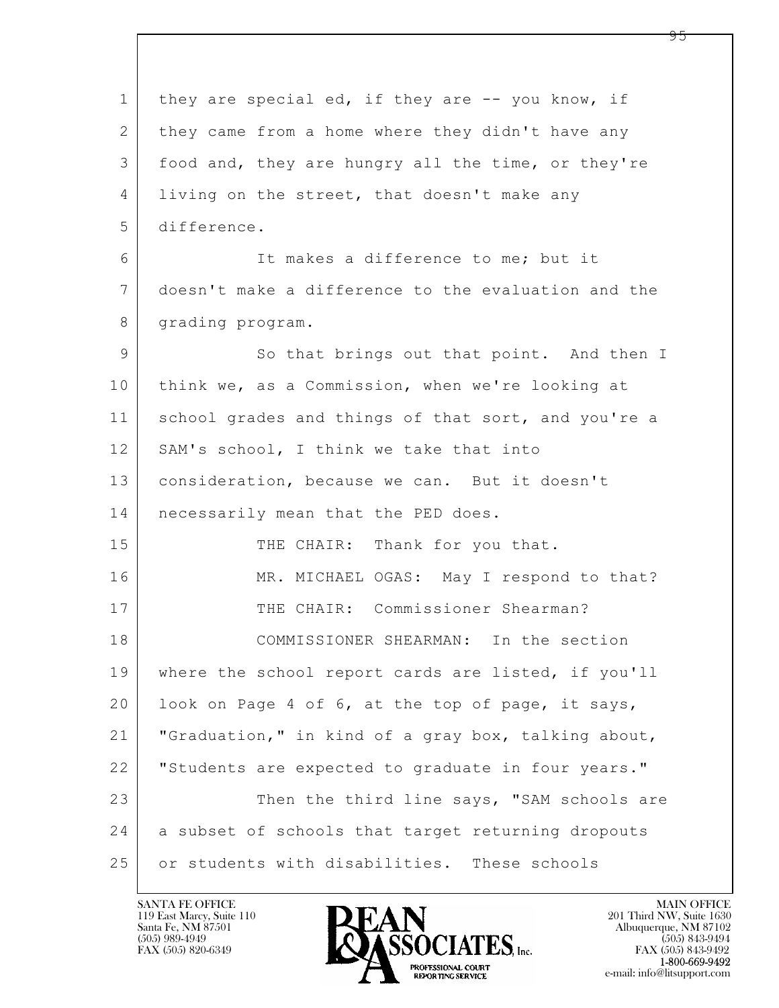$\mathbf{L}$  1 they are special ed, if they are -- you know, if 2 they came from a home where they didn't have any 3 food and, they are hungry all the time, or they're 4 living on the street, that doesn't make any 5 difference. 6 It makes a difference to me; but it 7 doesn't make a difference to the evaluation and the 8 | grading program. 9 So that brings out that point. And then I 10 think we, as a Commission, when we're looking at 11 school grades and things of that sort, and you're a 12 | SAM's school, I think we take that into 13 | consideration, because we can. But it doesn't 14 | necessarily mean that the PED does. 15 THE CHAIR: Thank for you that. 16 MR. MICHAEL OGAS: May I respond to that? 17 THE CHAIR: Commissioner Shearman? 18 COMMISSIONER SHEARMAN: In the section 19 where the school report cards are listed, if you'll 20 look on Page 4 of 6, at the top of page, it says, 21 "Graduation," in kind of a gray box, talking about, 22 "Students are expected to graduate in four years." 23 Then the third line says, "SAM schools are 24 a subset of schools that target returning dropouts 25 or students with disabilities. These schools

119 East Marcy, Suite 110<br>Santa Fe, NM 87501

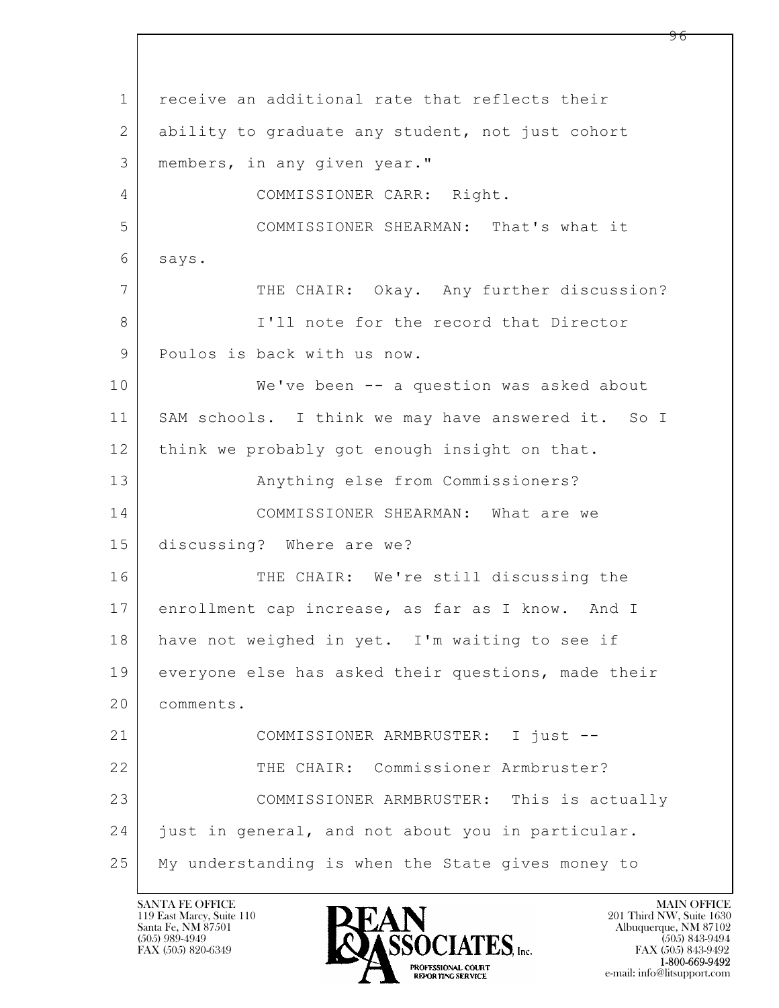$\mathbf{L}$  1 receive an additional rate that reflects their 2 ability to graduate any student, not just cohort 3 members, in any given year." 4 COMMISSIONER CARR: Right. 5 COMMISSIONER SHEARMAN: That's what it 6 says. 7 THE CHAIR: Okay. Any further discussion? 8 I'll note for the record that Director 9 | Poulos is back with us now. 10 We've been -- a question was asked about 11 SAM schools. I think we may have answered it. So I 12 | think we probably got enough insight on that. 13 | Anything else from Commissioners? 14 COMMISSIONER SHEARMAN: What are we 15 discussing? Where are we? 16 THE CHAIR: We're still discussing the 17 enrollment cap increase, as far as I know. And I 18 have not weighed in yet. I'm waiting to see if 19 everyone else has asked their questions, made their 20 comments. 21 COMMISSIONER ARMBRUSTER: I just -- 22 THE CHAIR: Commissioner Armbruster? 23 | COMMISSIONER ARMBRUSTER: This is actually 24 just in general, and not about you in particular. 25 My understanding is when the State gives money to

119 East Marcy, Suite 110<br>Santa Fe, NM 87501

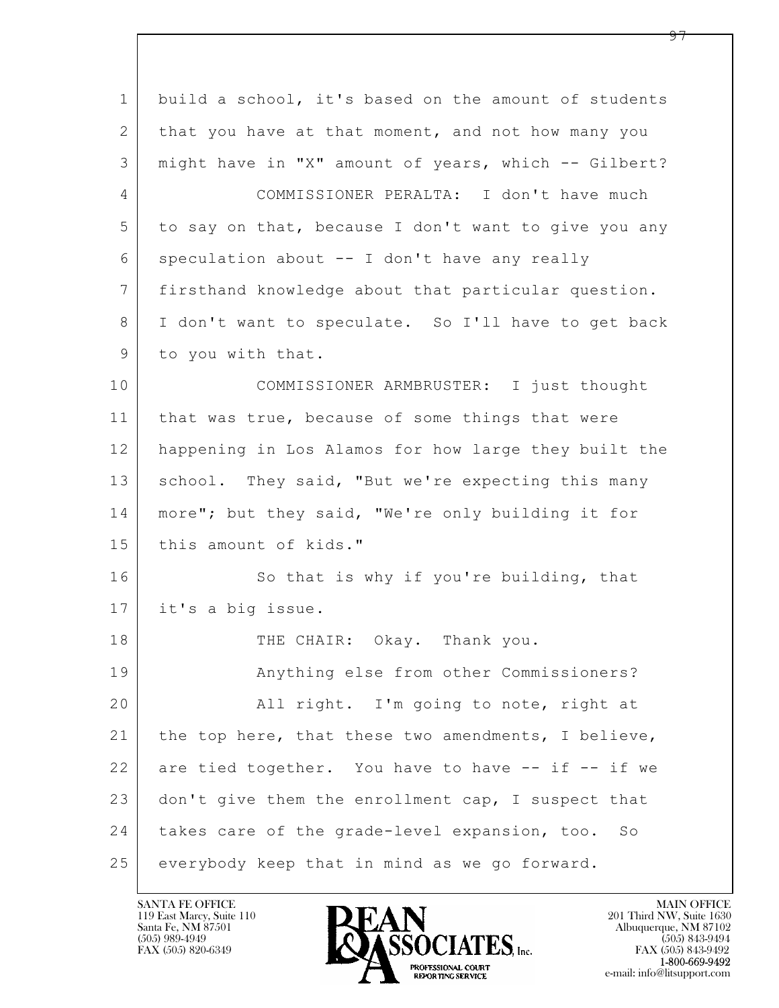| $\mathbf 1$ | build a school, it's based on the amount of students |
|-------------|------------------------------------------------------|
| 2           | that you have at that moment, and not how many you   |
| 3           | might have in "X" amount of years, which -- Gilbert? |
| 4           | COMMISSIONER PERALTA: I don't have much              |
| 5           | to say on that, because I don't want to give you any |
| 6           | speculation about -- I don't have any really         |
| 7           | firsthand knowledge about that particular question.  |
| 8           | I don't want to speculate. So I'll have to get back  |
| 9           | to you with that.                                    |
| 10          | COMMISSIONER ARMBRUSTER: I just thought              |
| 11          | that was true, because of some things that were      |
| 12          | happening in Los Alamos for how large they built the |
| 13          | school. They said, "But we're expecting this many    |
| 14          | more"; but they said, "We're only building it for    |
| 15          | this amount of kids."                                |
| 16          | So that is why if you're building, that              |
| 17          | it's a big issue.                                    |
| 18          | THE CHAIR: Okay. Thank you.                          |
| 19          | Anything else from other Commissioners?              |
| 20          | All right. I'm going to note, right at               |
| 21          | the top here, that these two amendments, I believe,  |
| 22          | are tied together. You have to have -- if -- if we   |
| 23          | don't give them the enrollment cap, I suspect that   |
| 24          | takes care of the grade-level expansion, too. So     |
| 25          | everybody keep that in mind as we go forward.        |

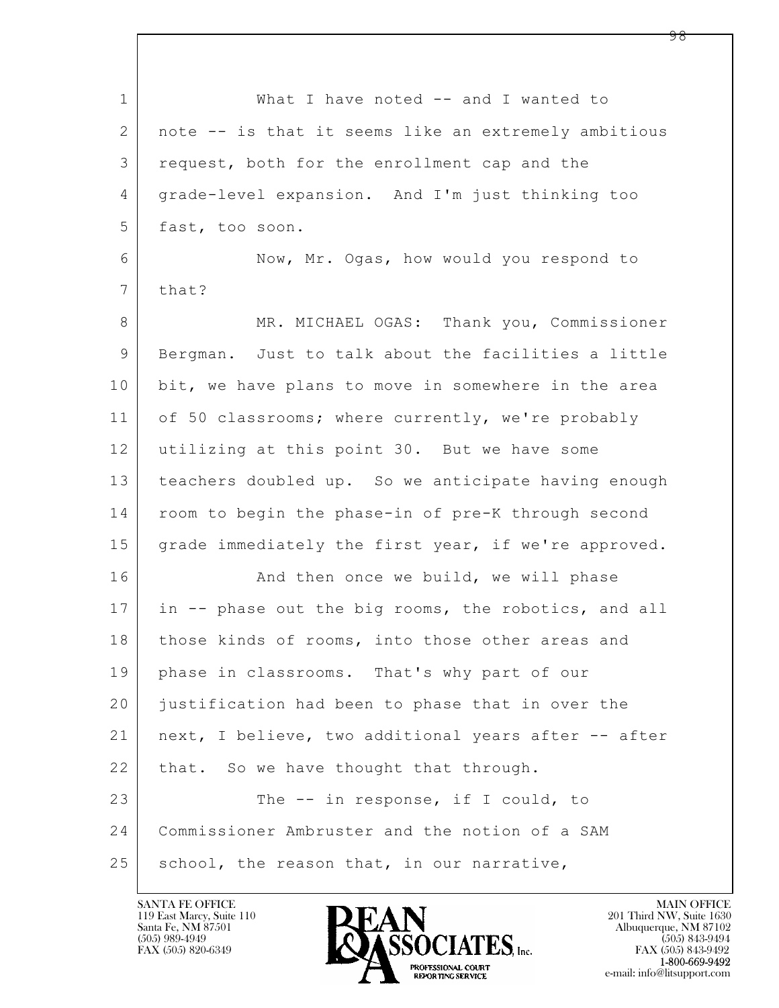$\mathbf{L}$  1 What I have noted -- and I wanted to 2 note -- is that it seems like an extremely ambitious 3 request, both for the enrollment cap and the 4 grade-level expansion. And I'm just thinking too 5 fast, too soon. 6 Now, Mr. Ogas, how would you respond to 7 that? 8 | MR. MICHAEL OGAS: Thank you, Commissioner 9 Bergman. Just to talk about the facilities a little 10 bit, we have plans to move in somewhere in the area 11 of 50 classrooms; where currently, we're probably 12 utilizing at this point 30. But we have some 13 teachers doubled up. So we anticipate having enough 14 | room to begin the phase-in of pre-K through second 15 grade immediately the first year, if we're approved. 16 And then once we build, we will phase 17 in -- phase out the big rooms, the robotics, and all 18 | those kinds of rooms, into those other areas and 19 phase in classrooms. That's why part of our 20 justification had been to phase that in over the 21 next, I believe, two additional years after -- after 22 | that. So we have thought that through. 23 The -- in response, if I could, to 24 Commissioner Ambruster and the notion of a SAM  $25$  school, the reason that, in our narrative,

119 East Marcy, Suite 110<br>Santa Fe, NM 87501



FAX (505) 843-9492 e-mail: info@litsupport.com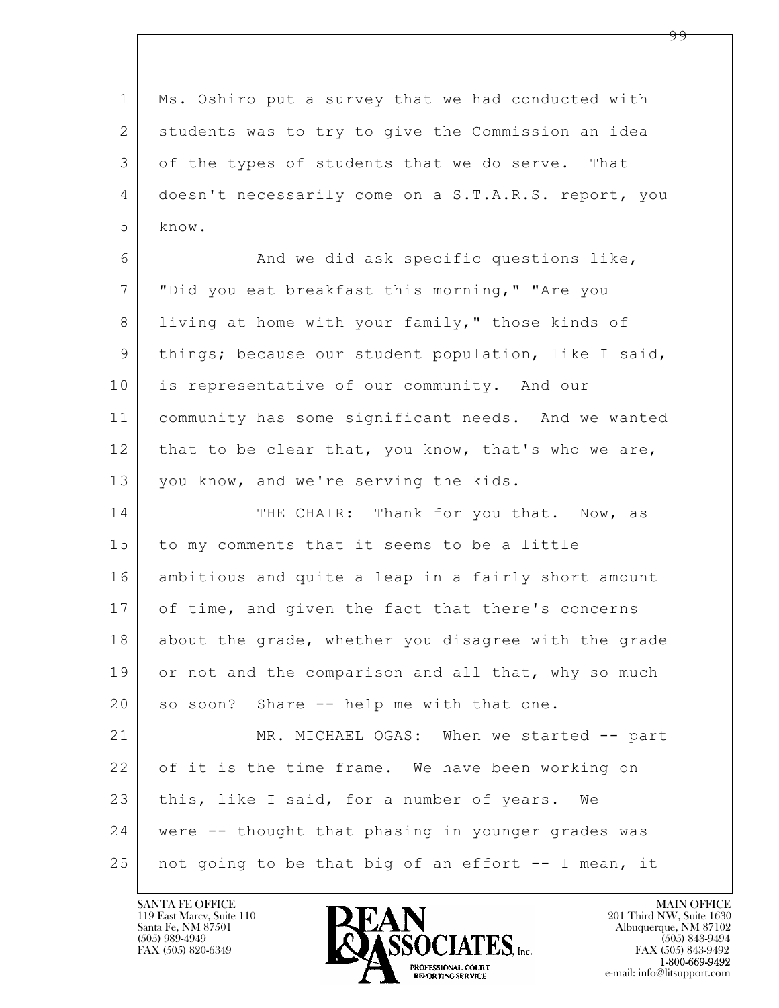$\mathbf{L}$  1 Ms. Oshiro put a survey that we had conducted with 2 students was to try to give the Commission an idea 3 of the types of students that we do serve. That 4 doesn't necessarily come on a S.T.A.R.S. report, you 5 know. 6 And we did ask specific questions like, 7 "Did you eat breakfast this morning," "Are you 8 living at home with your family," those kinds of 9 | things; because our student population, like I said, 10 is representative of our community. And our 11 community has some significant needs. And we wanted 12 that to be clear that, you know, that's who we are, 13 you know, and we're serving the kids. 14 THE CHAIR: Thank for you that. Now, as 15 to my comments that it seems to be a little 16 ambitious and quite a leap in a fairly short amount 17 of time, and given the fact that there's concerns 18 about the grade, whether you disagree with the grade 19 or not and the comparison and all that, why so much 20 so soon? Share -- help me with that one. 21 MR. MICHAEL OGAS: When we started -- part 22 of it is the time frame. We have been working on 23 this, like I said, for a number of years. We 24 were -- thought that phasing in younger grades was 25 | not going to be that big of an effort  $-$  I mean, it

119 East Marcy, Suite 110<br>Santa Fe, NM 87501



FAX (505) 843-9492 e-mail: info@litsupport.com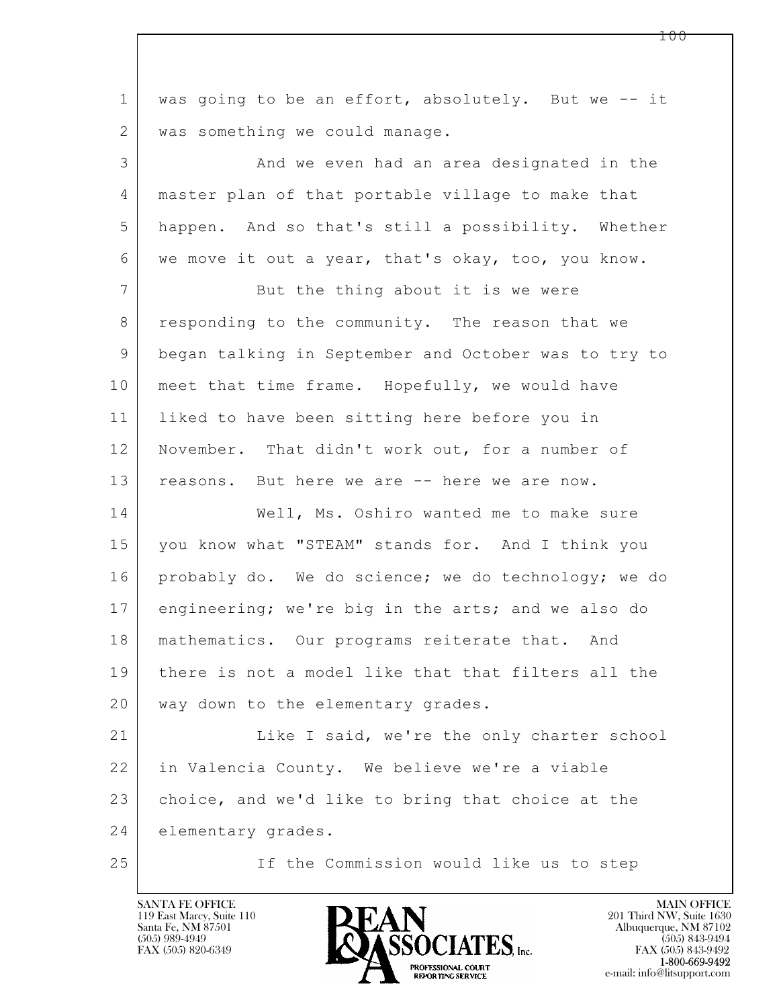| $\mathbf{1}$   | was going to be an effort, absolutely. But we -- it  |
|----------------|------------------------------------------------------|
| $\mathbf{2}$   | was something we could manage.                       |
| 3              | And we even had an area designated in the            |
| $\overline{4}$ | master plan of that portable village to make that    |
| 5              | happen. And so that's still a possibility. Whether   |
| 6              | we move it out a year, that's okay, too, you know.   |
| $7\phantom{.}$ | But the thing about it is we were                    |
| 8              | responding to the community. The reason that we      |
| 9              | began talking in September and October was to try to |
| 10             | meet that time frame. Hopefully, we would have       |
| 11             | liked to have been sitting here before you in        |
| 12             | November. That didn't work out, for a number of      |
| 13             | reasons. But here we are -- here we are now.         |
| 14             | Well, Ms. Oshiro wanted me to make sure              |
| 15             | you know what "STEAM" stands for. And I think you    |
| 16             | probably do. We do science; we do technology; we do  |
| 17             | engineering; we're big in the arts; and we also do   |
| 18             | mathematics. Our programs reiterate that. And        |
| 19             | there is not a model like that that filters all the  |
| 20             | way down to the elementary grades.                   |
| 21             | Like I said, we're the only charter school           |
| 22             | in Valencia County. We believe we're a viable        |
| 23             | choice, and we'd like to bring that choice at the    |
| 24             | elementary grades.                                   |
| 25             | If the Commission would like us to step              |

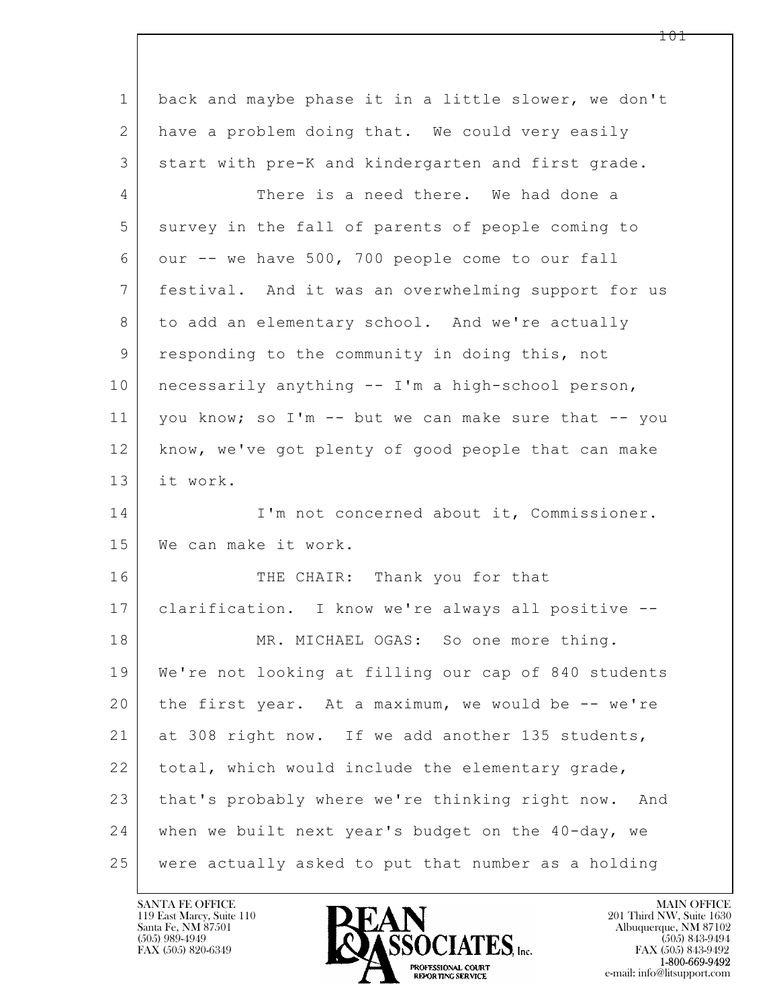| $\mathbf 1$    | back and maybe phase it in a little slower, we don't |
|----------------|------------------------------------------------------|
| $\overline{2}$ | have a problem doing that. We could very easily      |
| 3              | start with pre-K and kindergarten and first grade.   |
| 4              | There is a need there. We had done a                 |
| 5              | survey in the fall of parents of people coming to    |
| 6              | our -- we have 500, 700 people come to our fall      |
| $7\phantom{.}$ | festival. And it was an overwhelming support for us  |
| 8              | to add an elementary school. And we're actually      |
| 9              | responding to the community in doing this, not       |
| 10             | necessarily anything -- I'm a high-school person,    |
| 11             | you know; so I'm -- but we can make sure that -- you |
| 12             | know, we've got plenty of good people that can make  |
| 13             | it work.                                             |
| 14             | I'm not concerned about it, Commissioner.            |
| 15             | We can make it work.                                 |
| 16             | THE CHAIR: Thank you for that                        |
| 17             | clarification. I know we're always all positive --   |
| 18             | MR. MICHAEL OGAS: So one more thing.                 |
| 19             | We're not looking at filling our cap of 840 students |
| 20             | the first year. At a maximum, we would be -- we're   |
| 21             | at 308 right now. If we add another 135 students,    |
| 22             | total, which would include the elementary grade,     |
| 23             | that's probably where we're thinking right now. And  |
| 24             | when we built next year's budget on the 40-day, we   |
| 25             | were actually asked to put that number as a holding  |

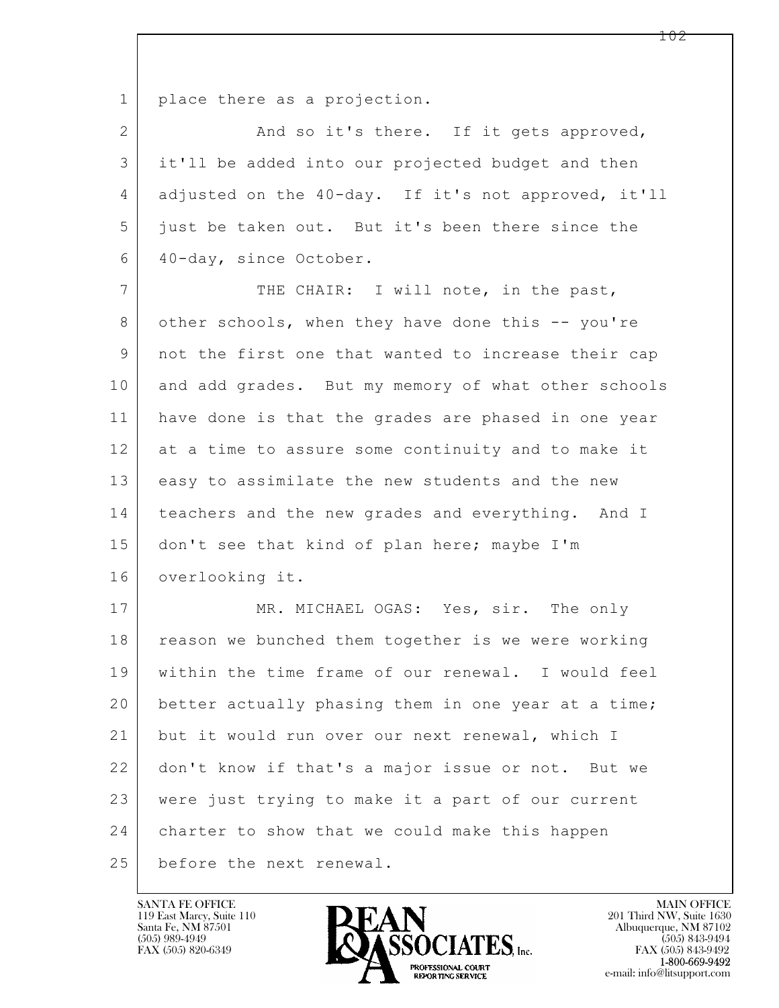1 place there as a projection.

2 And so it's there. If it gets approved, 3 it'll be added into our projected budget and then 4 adjusted on the 40-day. If it's not approved, it'll 5 just be taken out. But it's been there since the 6 40-day, since October.

7 THE CHAIR: I will note, in the past, 8 other schools, when they have done this -- you're 9 not the first one that wanted to increase their cap 10 and add grades. But my memory of what other schools 11 have done is that the grades are phased in one year 12 at a time to assure some continuity and to make it 13 easy to assimilate the new students and the new 14 teachers and the new grades and everything. And I 15 don't see that kind of plan here; maybe I'm 16 overlooking it.

 $\mathbf{L}$  17 MR. MICHAEL OGAS: Yes, sir. The only 18 reason we bunched them together is we were working 19 within the time frame of our renewal. I would feel 20 better actually phasing them in one year at a time; 21 but it would run over our next renewal, which I 22 don't know if that's a major issue or not. But we 23 were just trying to make it a part of our current 24 charter to show that we could make this happen 25 before the next renewal.

119 East Marcy, Suite 110<br>Santa Fe, NM 87501



FAX (505) 843-9492 e-mail: info@litsupport.com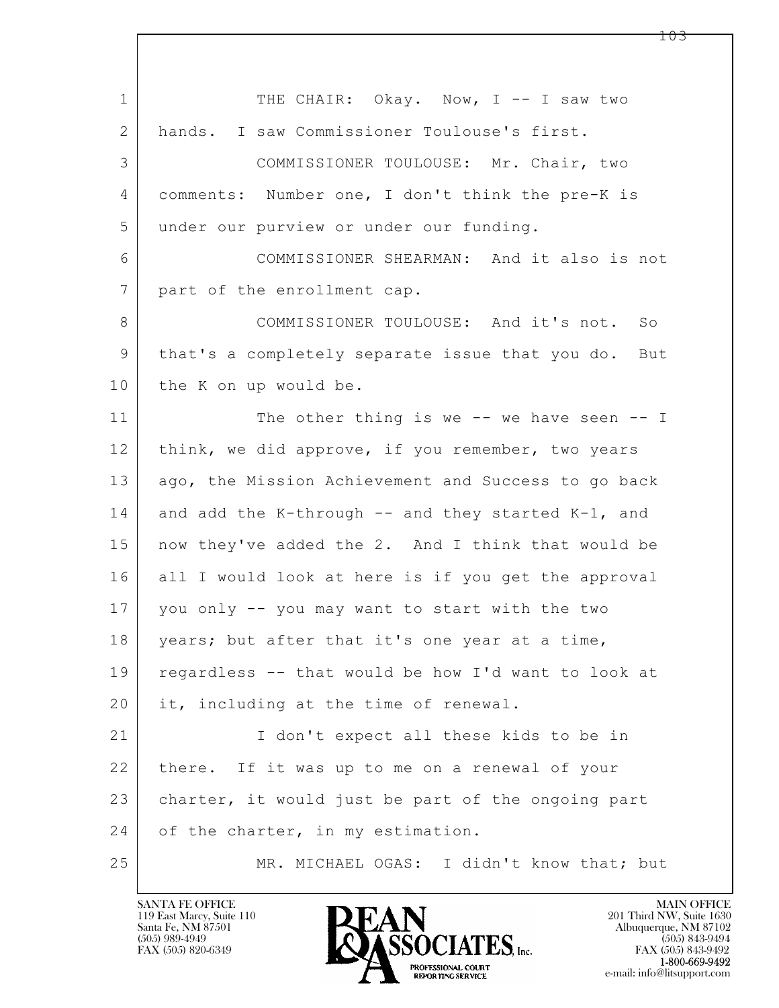| $\mathbf 1$ | THE CHAIR: Okay. Now, I -- I saw two                |
|-------------|-----------------------------------------------------|
| 2           | hands. I saw Commissioner Toulouse's first.         |
| 3           | COMMISSIONER TOULOUSE: Mr. Chair, two               |
| 4           | comments: Number one, I don't think the pre-K is    |
| 5           | under our purview or under our funding.             |
| 6           | COMMISSIONER SHEARMAN: And it also is not           |
| 7           | part of the enrollment cap.                         |
| 8           | COMMISSIONER TOULOUSE: And it's not. So             |
| 9           | that's a completely separate issue that you do. But |
| 10          | the K on up would be.                               |
| 11          | The other thing is we $-$ we have seen $-$ I        |
| 12          | think, we did approve, if you remember, two years   |
| 13          | ago, the Mission Achievement and Success to go back |
| 14          | and add the K-through -- and they started K-1, and  |
| 15          | now they've added the 2. And I think that would be  |
| 16          | all I would look at here is if you get the approval |
| 17          | you only -- you may want to start with the two      |
| 18          | years; but after that it's one year at a time,      |
| 19          | regardless -- that would be how I'd want to look at |
| 20          | it, including at the time of renewal.               |
| 21          | I don't expect all these kids to be in              |
| 22          | there. If it was up to me on a renewal of your      |
| 23          | charter, it would just be part of the ongoing part  |
| 24          | of the charter, in my estimation.                   |
| 25          | MR. MICHAEL OGAS: I didn't know that; but           |

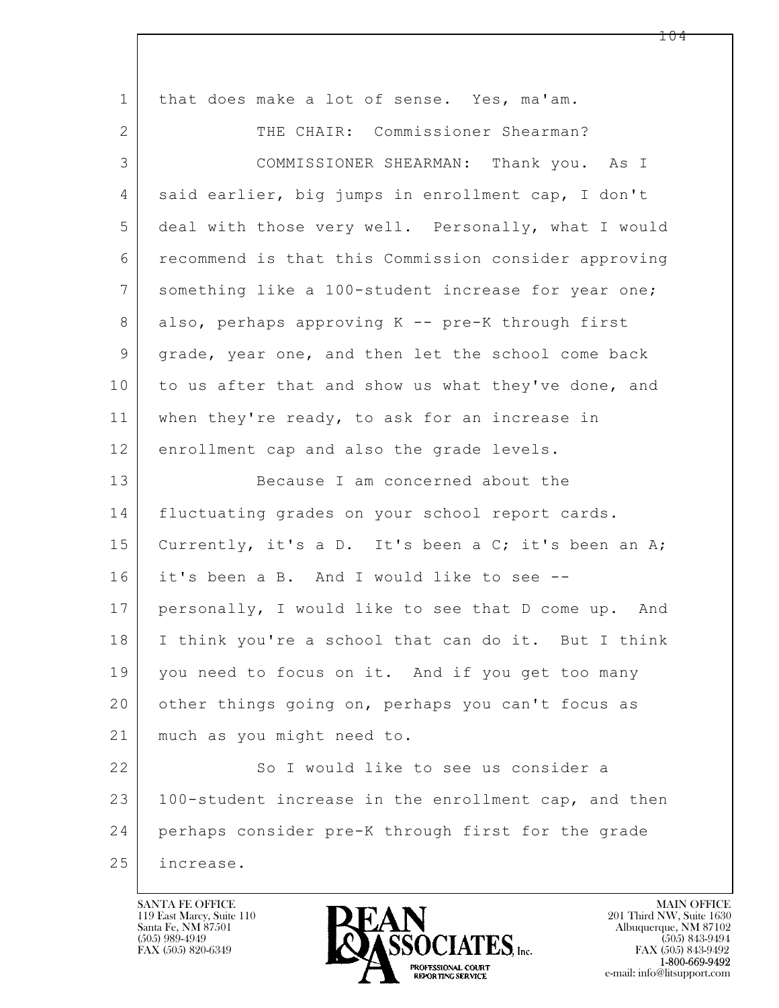| $\mathbf 1$    | that does make a lot of sense. Yes, ma'am.           |
|----------------|------------------------------------------------------|
| 2              | THE CHAIR: Commissioner Shearman?                    |
| 3              | COMMISSIONER SHEARMAN: Thank you. As I               |
| 4              | said earlier, big jumps in enrollment cap, I don't   |
| 5              | deal with those very well. Personally, what I would  |
| 6              | recommend is that this Commission consider approving |
| $7\phantom{.}$ | something like a 100-student increase for year one;  |
| 8              | also, perhaps approving K -- pre-K through first     |
| 9              | grade, year one, and then let the school come back   |
| 10             | to us after that and show us what they've done, and  |
| 11             | when they're ready, to ask for an increase in        |
| 12             | enrollment cap and also the grade levels.            |
| 13             | Because I am concerned about the                     |
| 14             | fluctuating grades on your school report cards.      |
| 15             | Currently, it's a D. It's been a C; it's been an A;  |
| 16             | it's been a B. And I would like to see --            |
| 17             | personally, I would like to see that D come up. And  |
| 18             | I think you're a school that can do it. But I think  |
| 19             | you need to focus on it. And if you get too many     |
| 20             | other things going on, perhaps you can't focus as    |
| 21             | much as you might need to.                           |
| 22             | So I would like to see us consider a                 |
| 23             | 100-student increase in the enrollment cap, and then |
| 24             | perhaps consider pre-K through first for the grade   |
| 25             | increase.                                            |

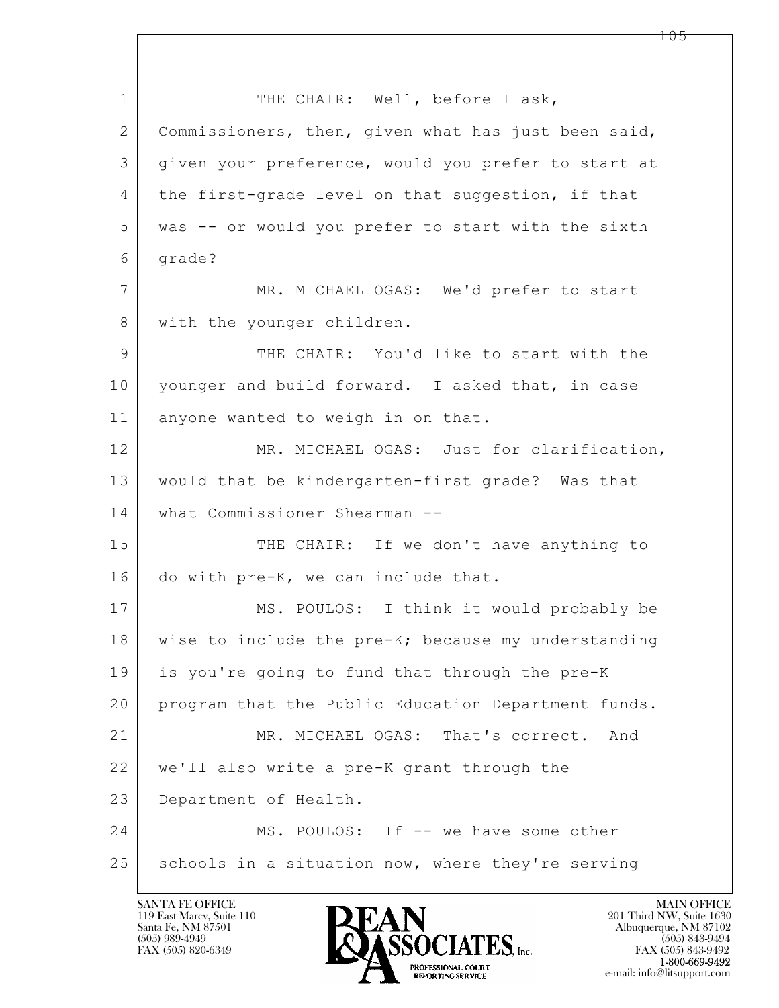$\mathbf{L}$  1 THE CHAIR: Well, before I ask, 2 Commissioners, then, given what has just been said, 3 given your preference, would you prefer to start at 4 the first-grade level on that suggestion, if that 5 was -- or would you prefer to start with the sixth 6 grade? 7 MR. MICHAEL OGAS: We'd prefer to start 8 | with the younger children. 9 THE CHAIR: You'd like to start with the 10 younger and build forward. I asked that, in case 11 anyone wanted to weigh in on that. 12 MR. MICHAEL OGAS: Just for clarification, 13 would that be kindergarten-first grade? Was that 14 what Commissioner Shearman -- 15 THE CHAIR: If we don't have anything to 16 do with pre-K, we can include that. 17 MS. POULOS: I think it would probably be 18 wise to include the pre-K; because my understanding 19 is you're going to fund that through the pre-K 20 program that the Public Education Department funds. 21 MR. MICHAEL OGAS: That's correct. And 22 we'll also write a pre-K grant through the 23 Department of Health. 24 MS. POULOS: If -- we have some other 25 schools in a situation now, where they're serving

119 East Marcy, Suite 110<br>Santa Fe, NM 87501



FAX (505) 843-9492 e-mail: info@litsupport.com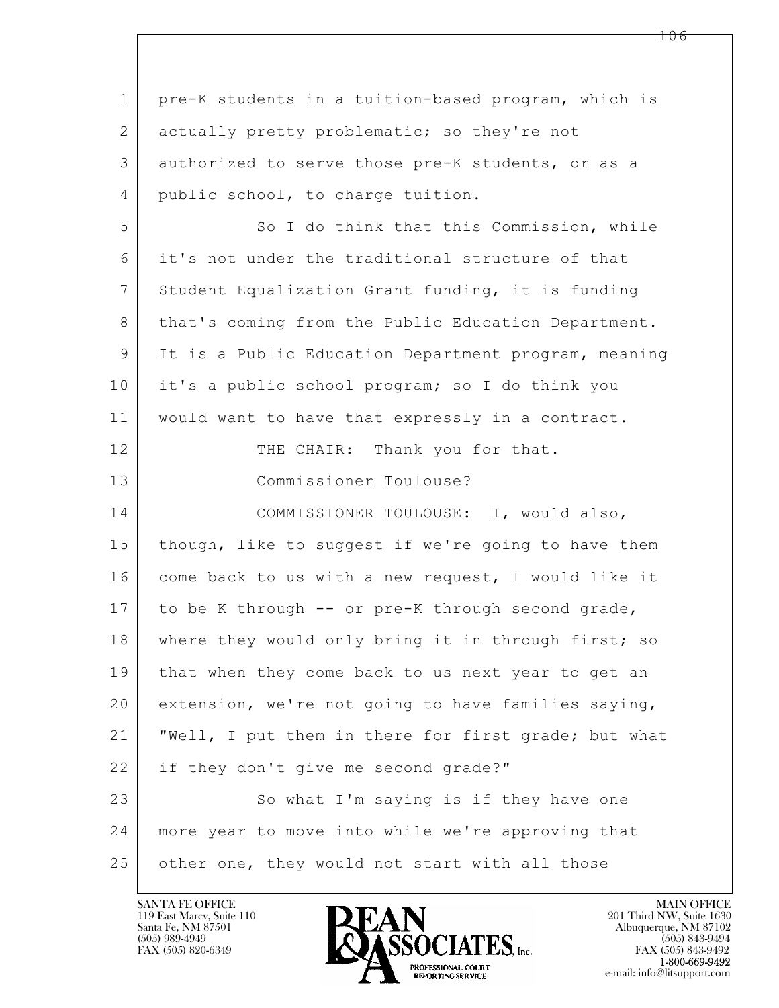$\mathbf{L}$  1 pre-K students in a tuition-based program, which is 2 | actually pretty problematic; so they're not 3 authorized to serve those pre-K students, or as a 4 | public school, to charge tuition. 5 So I do think that this Commission, while 6 it's not under the traditional structure of that 7 Student Equalization Grant funding, it is funding 8 | that's coming from the Public Education Department. 9 It is a Public Education Department program, meaning 10 it's a public school program; so I do think you 11 would want to have that expressly in a contract. 12 THE CHAIR: Thank you for that. 13 Commissioner Toulouse? 14 COMMISSIONER TOULOUSE: I, would also, 15 | though, like to suggest if we're going to have them 16 come back to us with a new request, I would like it 17 to be K through -- or pre-K through second grade, 18 where they would only bring it in through first; so 19 that when they come back to us next year to get an 20 extension, we're not going to have families saying, 21 "Well, I put them in there for first grade; but what 22 if they don't give me second grade?" 23 So what I'm saying is if they have one 24 more year to move into while we're approving that 25 other one, they would not start with all those

119 East Marcy, Suite 110<br>Santa Fe, NM 87501

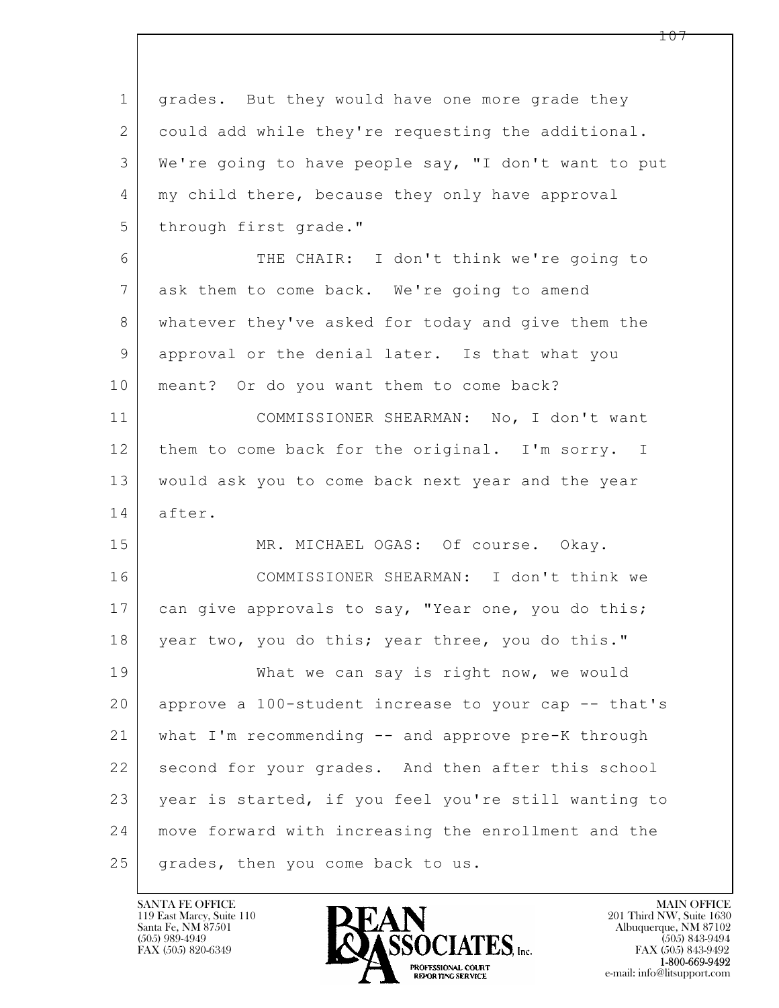$\mathbf{L}$  1 grades. But they would have one more grade they 2 could add while they're requesting the additional. 3 We're going to have people say, "I don't want to put 4 | my child there, because they only have approval 5 through first grade." 6 THE CHAIR: I don't think we're going to 7 ask them to come back. We're going to amend 8 whatever they've asked for today and give them the 9 approval or the denial later. Is that what you 10 | meant? Or do you want them to come back? 11 COMMISSIONER SHEARMAN: No, I don't want 12 them to come back for the original. I'm sorry. I 13 would ask you to come back next year and the year 14 after. 15 MR. MICHAEL OGAS: Of course. Okay. 16 COMMISSIONER SHEARMAN: I don't think we 17 can give approvals to say, "Year one, you do this; 18 | year two, you do this; year three, you do this." 19 What we can say is right now, we would 20 approve a 100-student increase to your cap -- that's 21 what I'm recommending -- and approve pre-K through 22 second for your grades. And then after this school 23 year is started, if you feel you're still wanting to 24 move forward with increasing the enrollment and the 25 | grades, then you come back to us.

119 East Marcy, Suite 110<br>Santa Fe, NM 87501

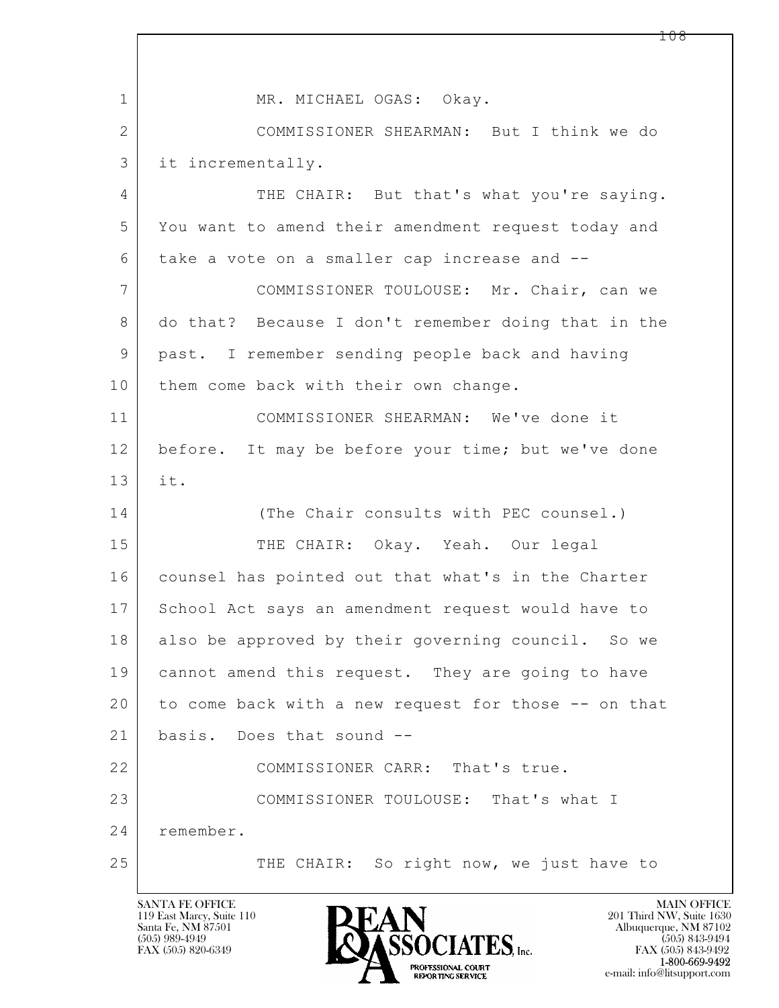$\mathbf{L}$  1 MR. MICHAEL OGAS: Okay. 2 COMMISSIONER SHEARMAN: But I think we do 3 it incrementally. 4 THE CHAIR: But that's what you're saying. 5 You want to amend their amendment request today and 6 take a vote on a smaller cap increase and -- 7 COMMISSIONER TOULOUSE: Mr. Chair, can we 8 do that? Because I don't remember doing that in the 9 past. I remember sending people back and having 10 them come back with their own change. 11 COMMISSIONER SHEARMAN: We've done it 12 before. It may be before your time; but we've done 13 it. 14 (The Chair consults with PEC counsel.) 15 THE CHAIR: Okay. Yeah. Our legal 16 counsel has pointed out that what's in the Charter 17 School Act says an amendment request would have to 18 also be approved by their governing council. So we 19 cannot amend this request. They are going to have 20 to come back with a new request for those -- on that 21 basis. Does that sound -- 22 COMMISSIONER CARR: That's true. 23 COMMISSIONER TOULOUSE: That's what I 24 remember. 25 THE CHAIR: So right now, we just have to

119 East Marcy, Suite 110<br>Santa Fe, NM 87501

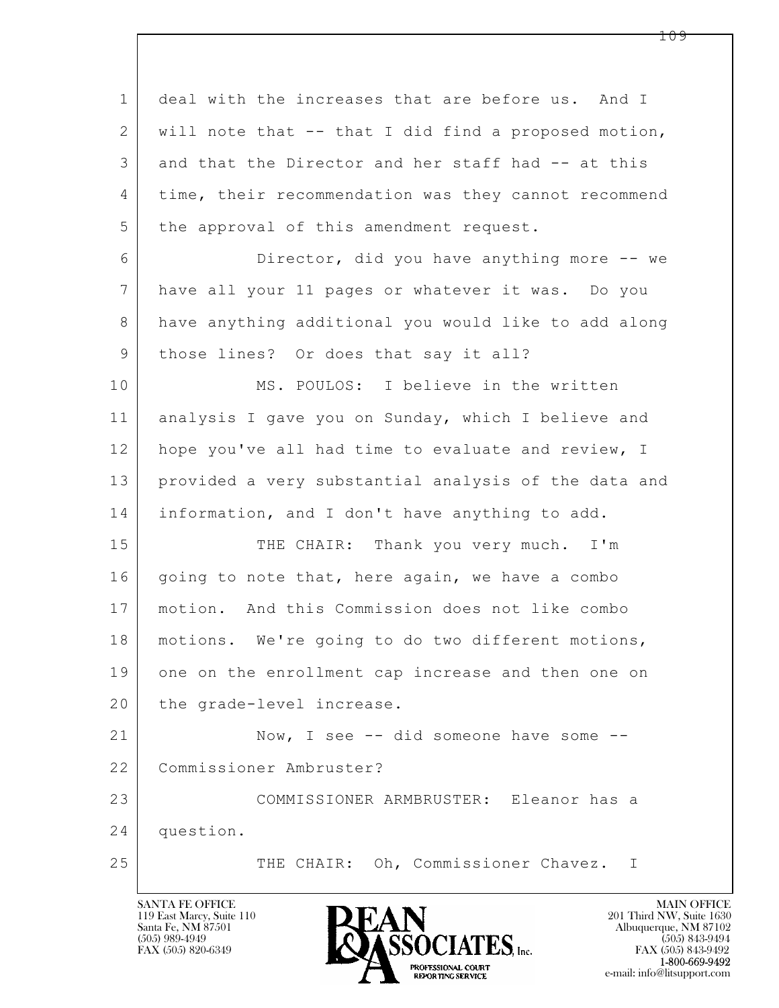$\mathbf{L}$  1 deal with the increases that are before us. And I 2 will note that -- that I did find a proposed motion, 3 and that the Director and her staff had -- at this 4 time, their recommendation was they cannot recommend 5 the approval of this amendment request. 6 Director, did you have anything more -- we 7 have all your 11 pages or whatever it was. Do you 8 have anything additional you would like to add along 9 | those lines? Or does that say it all? 10 MS. POULOS: I believe in the written 11 analysis I gave you on Sunday, which I believe and 12 hope you've all had time to evaluate and review, I 13 provided a very substantial analysis of the data and 14 | information, and I don't have anything to add. 15 THE CHAIR: Thank you very much. I'm 16 | going to note that, here again, we have a combo 17 motion. And this Commission does not like combo 18 motions. We're going to do two different motions, 19 one on the enrollment cap increase and then one on 20 the grade-level increase. 21 Now, I see -- did someone have some --22 Commissioner Ambruster? 23 COMMISSIONER ARMBRUSTER: Eleanor has a 24 question. 25 THE CHAIR: Oh, Commissioner Chavez. I

119 East Marcy, Suite 110<br>Santa Fe, NM 87501

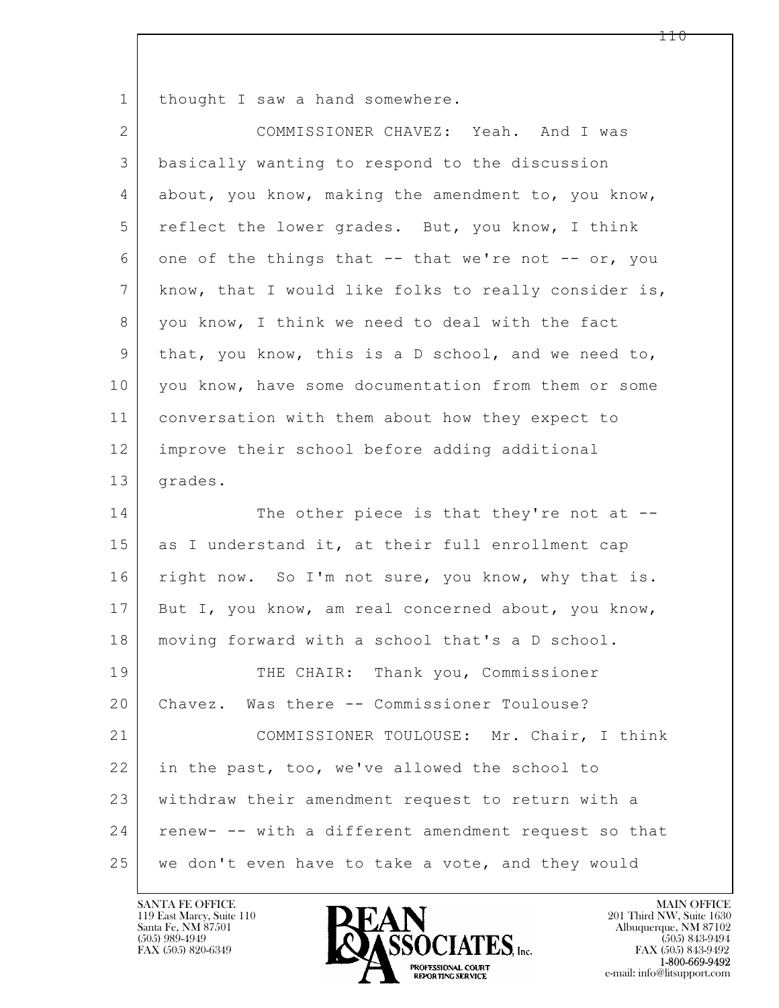1 thought I saw a hand somewhere.

| $\overline{2}$  | COMMISSIONER CHAVEZ: Yeah. And I was                                                           |
|-----------------|------------------------------------------------------------------------------------------------|
| 3               | basically wanting to respond to the discussion                                                 |
| 4               | about, you know, making the amendment to, you know,                                            |
| 5               | reflect the lower grades. But, you know, I think                                               |
| 6               | one of the things that -- that we're not -- or, you                                            |
| $7\phantom{.0}$ | know, that I would like folks to really consider is,                                           |
| 8               | you know, I think we need to deal with the fact                                                |
| $\mathsf 9$     | that, you know, this is a D school, and we need to,                                            |
| 10              | you know, have some documentation from them or some                                            |
| 11              | conversation with them about how they expect to                                                |
| 12              | improve their school before adding additional                                                  |
| 13              | grades.                                                                                        |
| 14              | The other piece is that they're not at $-$ -                                                   |
| 15              | as I understand it, at their full enrollment cap                                               |
| 16              | right now. So I'm not sure, you know, why that is.                                             |
| 17              | But I, you know, am real concerned about, you know,                                            |
| 18              | moving forward with a school that's a D school.                                                |
| 19              | THE CHAIR: Thank you, Commissioner                                                             |
| 20              | Chavez. Was there -- Commissioner Toulouse?                                                    |
| 21              |                                                                                                |
|                 |                                                                                                |
| 22              | in the past, too, we've allowed the school to                                                  |
| 23              | COMMISSIONER TOULOUSE: Mr. Chair, I think<br>withdraw their amendment request to return with a |
| 24              | renew- -- with a different amendment request so that                                           |

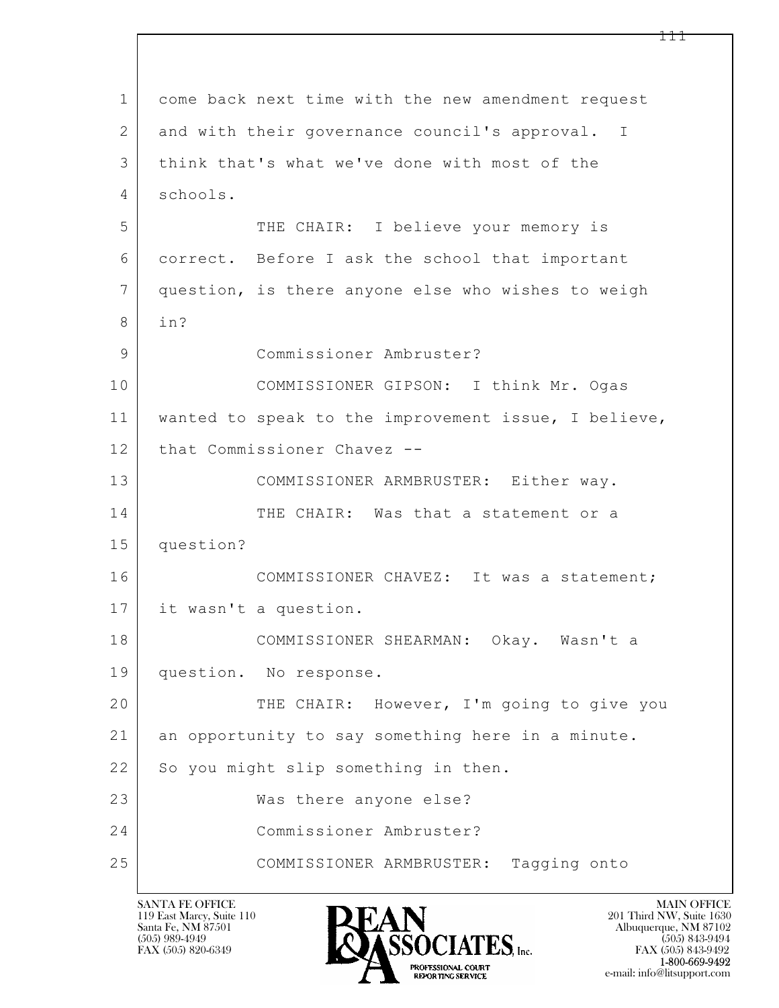$\mathbf{L}$  1 come back next time with the new amendment request 2 and with their governance council's approval. I 3 think that's what we've done with most of the 4 schools. 5 THE CHAIR: I believe your memory is 6 correct. Before I ask the school that important 7 question, is there anyone else who wishes to weigh 8 in? 9 Commissioner Ambruster? 10 COMMISSIONER GIPSON: I think Mr. Ogas 11 wanted to speak to the improvement issue, I believe, 12 that Commissioner Chavez --13 COMMISSIONER ARMBRUSTER: Either way. 14 THE CHAIR: Was that a statement or a 15 question? 16 COMMISSIONER CHAVEZ: It was a statement; 17 it wasn't a question. 18 COMMISSIONER SHEARMAN: Okay. Wasn't a 19 question. No response. 20 THE CHAIR: However, I'm going to give you 21 an opportunity to say something here in a minute. 22 So you might slip something in then. 23 Was there anyone else? 24 Commissioner Ambruster? 25 COMMISSIONER ARMBRUSTER: Tagging onto

119 East Marcy, Suite 110<br>Santa Fe, NM 87501



FAX (505) 843-9492 e-mail: info@litsupport.com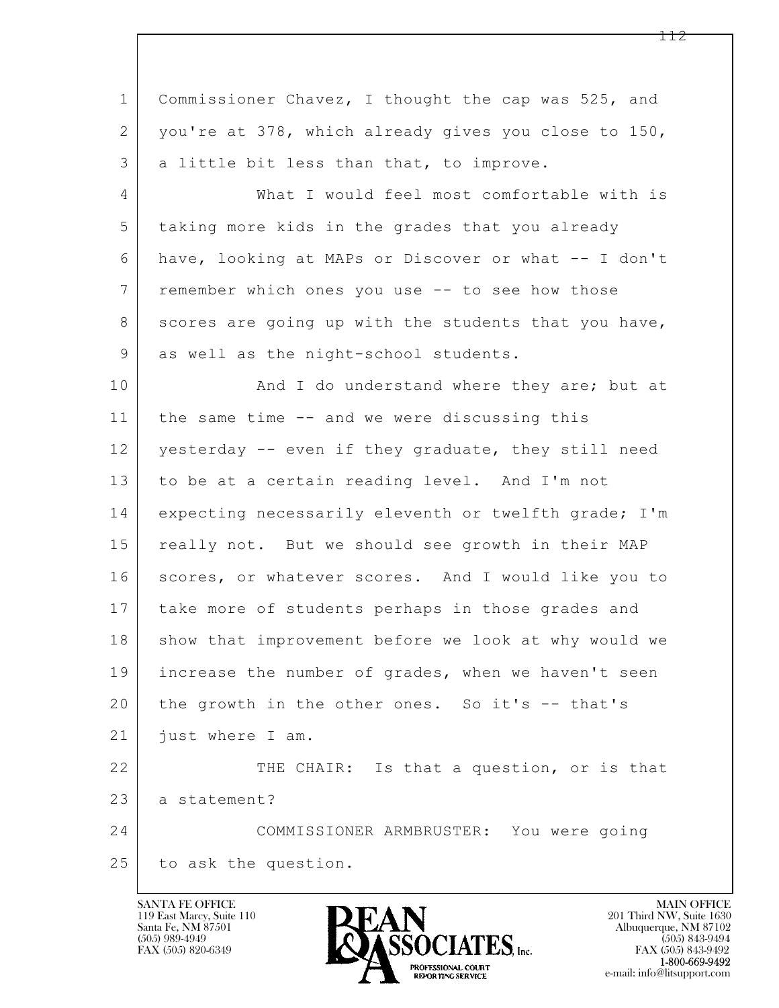| $\mathbf{1}$    | Commissioner Chavez, I thought the cap was 525, and  |
|-----------------|------------------------------------------------------|
| 2               | you're at 378, which already gives you close to 150, |
| 3               | a little bit less than that, to improve.             |
| $\overline{4}$  | What I would feel most comfortable with is           |
| 5               | taking more kids in the grades that you already      |
| 6               | have, looking at MAPs or Discover or what -- I don't |
| $7\phantom{.0}$ | remember which ones you use -- to see how those      |
| 8               | scores are going up with the students that you have, |
| 9               | as well as the night-school students.                |
| 10              | And I do understand where they are; but at           |
| 11              | the same time -- and we were discussing this         |
| 12              | yesterday -- even if they graduate, they still need  |
| 13              | to be at a certain reading level. And I'm not        |
| 14              | expecting necessarily eleventh or twelfth grade; I'm |
| 15              | really not. But we should see growth in their MAP    |
| 16              | scores, or whatever scores. And I would like you to  |
| 17              | take more of students perhaps in those grades and    |
| 18              | show that improvement before we look at why would we |
| 19              | increase the number of grades, when we haven't seen  |
| 20              | the growth in the other ones. So it's -- that's      |
| 21              | just where I am.                                     |
| 22              | THE CHAIR: Is that a question, or is that            |
| 23              | a statement?                                         |
| 24              | COMMISSIONER ARMBRUSTER: You were going              |
| 25              | to ask the question.                                 |
|                 |                                                      |

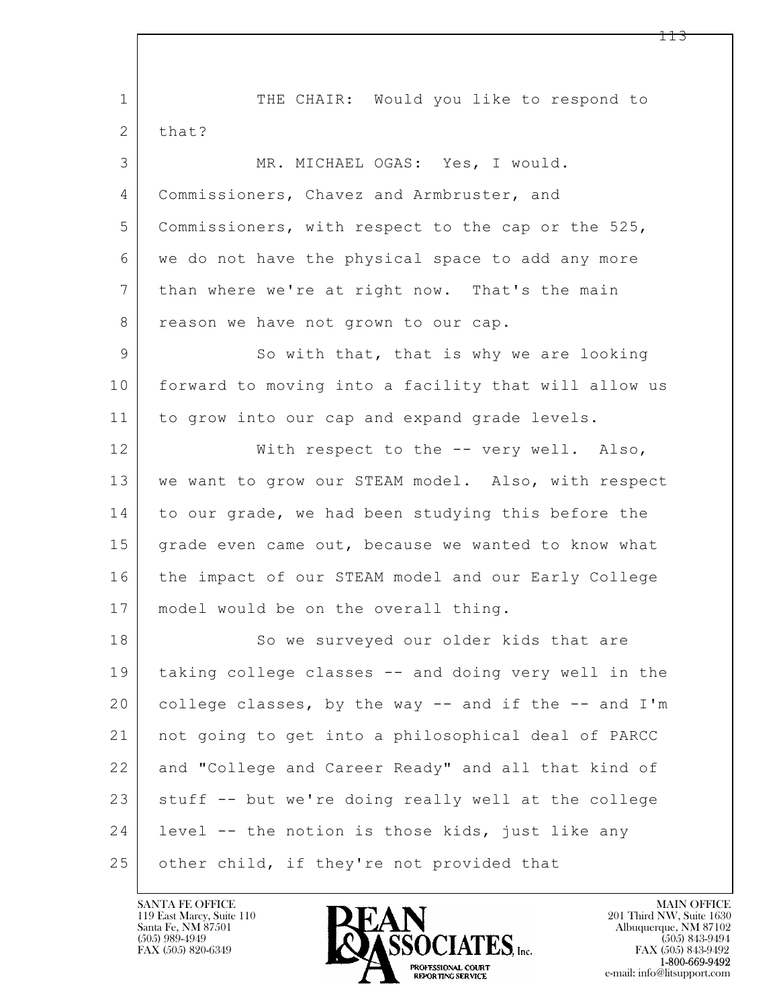$\mathbf{L}$  1 THE CHAIR: Would you like to respond to 2 that? 3 MR. MICHAEL OGAS: Yes, I would. 4 | Commissioners, Chavez and Armbruster, and 5 Commissioners, with respect to the cap or the 525, 6 we do not have the physical space to add any more 7 than where we're at right now. That's the main 8 reason we have not grown to our cap. 9 So with that, that is why we are looking 10 forward to moving into a facility that will allow us 11 to grow into our cap and expand grade levels. 12 | With respect to the -- very well. Also, 13 we want to grow our STEAM model. Also, with respect 14 to our grade, we had been studying this before the 15 grade even came out, because we wanted to know what 16 the impact of our STEAM model and our Early College 17 model would be on the overall thing. 18 So we surveyed our older kids that are 19 taking college classes -- and doing very well in the 20 college classes, by the way -- and if the -- and I'm 21 not going to get into a philosophical deal of PARCC 22 and "College and Career Ready" and all that kind of 23 stuff -- but we're doing really well at the college 24 | level -- the notion is those kids, just like any 25 other child, if they're not provided that

119 East Marcy, Suite 110<br>Santa Fe, NM 87501

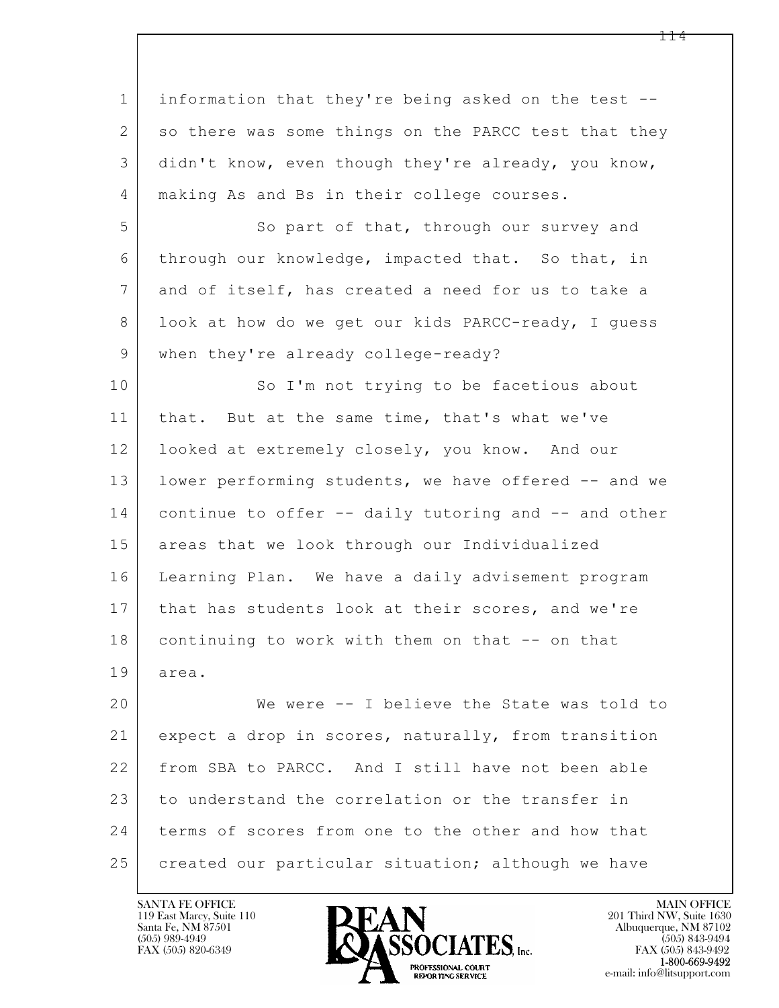$\mathbf{L}$  1 information that they're being asked on the test -- 2 so there was some things on the PARCC test that they 3 didn't know, even though they're already, you know, 4 | making As and Bs in their college courses. 5 So part of that, through our survey and 6 through our knowledge, impacted that. So that, in 7 and of itself, has created a need for us to take a 8 | look at how do we get our kids PARCC-ready, I guess 9 | when they're already college-ready? 10 So I'm not trying to be facetious about 11 | that. But at the same time, that's what we've 12 | looked at extremely closely, you know. And our 13 | lower performing students, we have offered -- and we 14 continue to offer -- daily tutoring and -- and other 15 areas that we look through our Individualized 16 Learning Plan. We have a daily advisement program 17 | that has students look at their scores, and we're 18 | continuing to work with them on that -- on that 19 area. 20 We were -- I believe the State was told to 21 expect a drop in scores, naturally, from transition 22 from SBA to PARCC. And I still have not been able 23 to understand the correlation or the transfer in 24 terms of scores from one to the other and how that 25 | created our particular situation; although we have

119 East Marcy, Suite 110<br>Santa Fe, NM 87501



FAX (505) 843-9492 e-mail: info@litsupport.com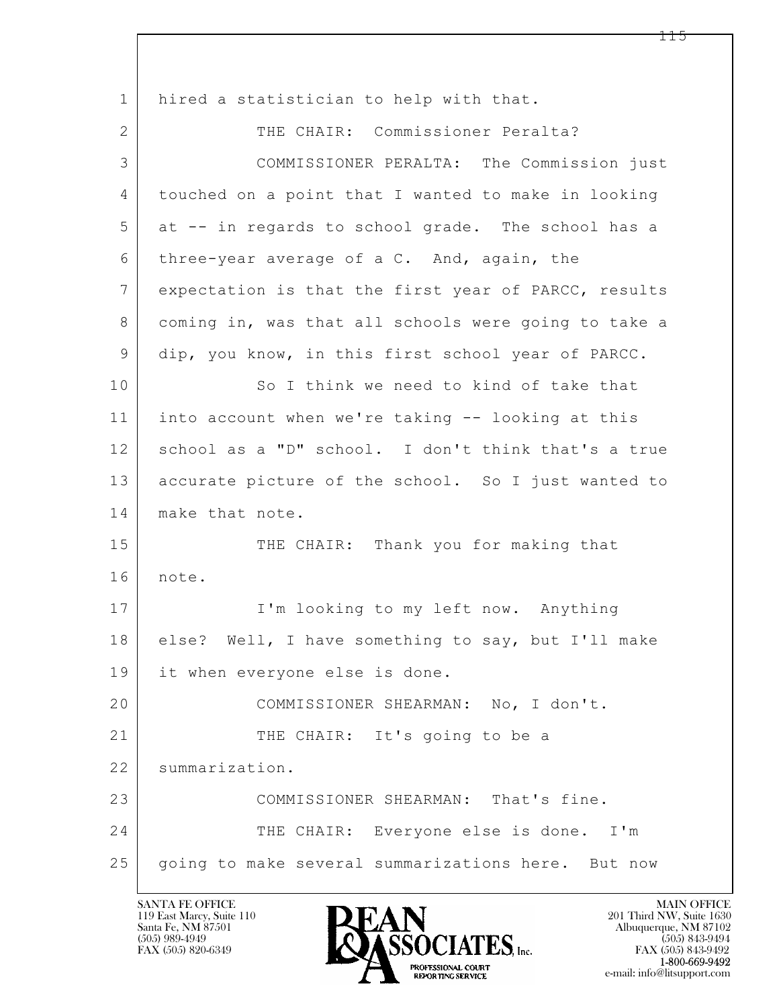$\mathbf{L}$  1 hired a statistician to help with that. 2 THE CHAIR: Commissioner Peralta? 3 COMMISSIONER PERALTA: The Commission just 4 touched on a point that I wanted to make in looking 5 at -- in regards to school grade. The school has a 6 three-year average of a C. And, again, the 7 expectation is that the first year of PARCC, results 8 | coming in, was that all schools were going to take a 9 dip, you know, in this first school year of PARCC. 10 So I think we need to kind of take that 11 into account when we're taking -- looking at this 12 | school as a "D" school. I don't think that's a true 13 accurate picture of the school. So I just wanted to 14 make that note. 15 THE CHAIR: Thank you for making that 16 note. 17 | I'm looking to my left now. Anything 18 else? Well, I have something to say, but I'll make 19 it when everyone else is done. 20 COMMISSIONER SHEARMAN: No, I don't. 21 THE CHAIR: It's going to be a 22 summarization. 23 COMMISSIONER SHEARMAN: That's fine. 24 THE CHAIR: Everyone else is done. I'm 25 going to make several summarizations here. But now

119 East Marcy, Suite 110<br>Santa Fe, NM 87501



FAX (505) 843-9492 e-mail: info@litsupport.com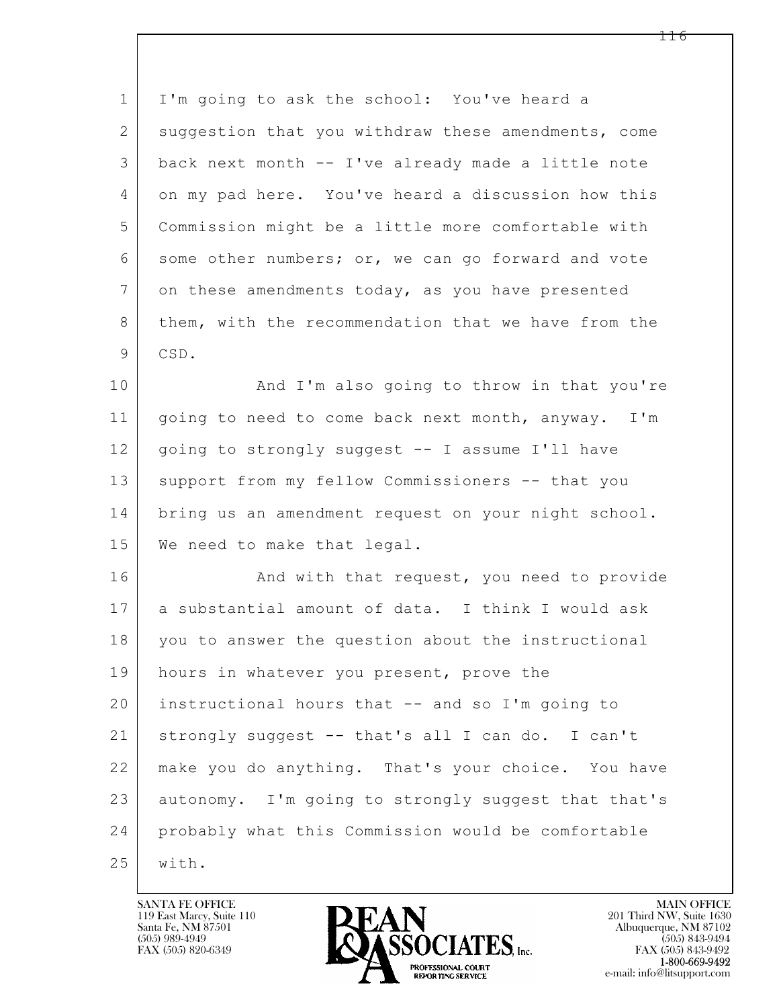| $\mathbf 1$     | I'm going to ask the school: You've heard a         |
|-----------------|-----------------------------------------------------|
| $\overline{2}$  | suggestion that you withdraw these amendments, come |
| 3               | back next month -- I've already made a little note  |
| 4               | on my pad here. You've heard a discussion how this  |
| 5               | Commission might be a little more comfortable with  |
| 6               | some other numbers; or, we can go forward and vote  |
| $7\phantom{.0}$ | on these amendments today, as you have presented    |
| 8               | them, with the recommendation that we have from the |
| 9               | CSD.                                                |
| 10              | And I'm also going to throw in that you're          |
| 11              | going to need to come back next month, anyway. I'm  |
| 12              | going to strongly suggest -- I assume I'll have     |
| 13              | support from my fellow Commissioners -- that you    |
| 14              | bring us an amendment request on your night school. |
| 15              | We need to make that legal.                         |
| 16              | And with that request, you need to provide          |
| 17              | a substantial amount of data. I think I would ask   |
| 18              | you to answer the question about the instructional  |
| 19              | hours in whatever you present, prove the            |
| 20              | instructional hours that -- and so I'm going to     |
| 21              | strongly suggest -- that's all I can do. I can't    |
| 22              | make you do anything. That's your choice. You have  |
| 23              | autonomy. I'm going to strongly suggest that that's |
| 24              | probably what this Commission would be comfortable  |
| 25              | with.                                               |

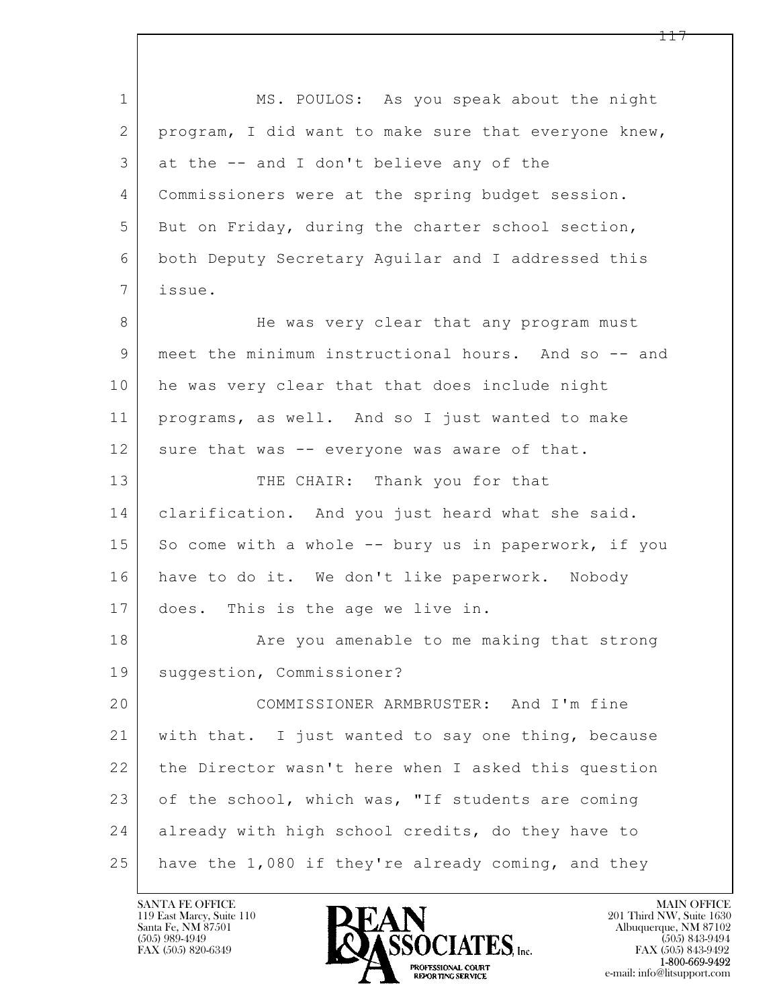$\mathbf{L}$  1 MS. POULOS: As you speak about the night 2 program, I did want to make sure that everyone knew, 3 at the -- and I don't believe any of the 4 Commissioners were at the spring budget session. 5 But on Friday, during the charter school section, 6 both Deputy Secretary Aguilar and I addressed this 7 issue. 8 He was very clear that any program must 9 meet the minimum instructional hours. And so -- and 10 he was very clear that that does include night 11 programs, as well. And so I just wanted to make 12 sure that was -- everyone was aware of that. 13 THE CHAIR: Thank you for that 14 clarification. And you just heard what she said. 15 So come with a whole  $--$  bury us in paperwork, if you 16 have to do it. We don't like paperwork. Nobody 17 does. This is the age we live in. 18 | The you amenable to me making that strong 19 suggestion, Commissioner? 20 COMMISSIONER ARMBRUSTER: And I'm fine 21 with that. I just wanted to say one thing, because 22 the Director wasn't here when I asked this question 23 of the school, which was, "If students are coming 24 already with high school credits, do they have to 25 have the 1,080 if they're already coming, and they

119 East Marcy, Suite 110<br>Santa Fe, NM 87501

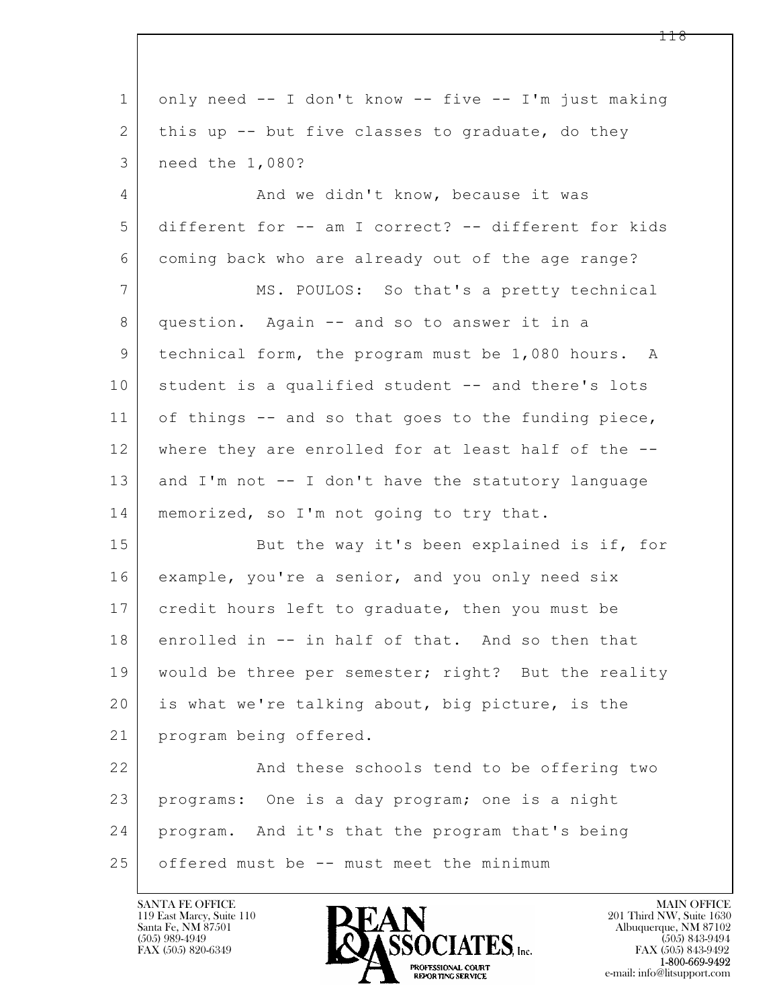| $\mathbf{1}$   | only need -- I don't know -- five -- I'm just making |
|----------------|------------------------------------------------------|
| 2              | this up -- but five classes to graduate, do they     |
| 3              | need the 1,080?                                      |
| $\overline{4}$ | And we didn't know, because it was                   |
| 5              | different for -- am I correct? -- different for kids |
| 6              | coming back who are already out of the age range?    |
| 7              | MS. POULOS: So that's a pretty technical             |
| 8              | question. Again -- and so to answer it in a          |
| 9              | technical form, the program must be 1,080 hours. A   |
| 10             | student is a qualified student -- and there's lots   |
| 11             | of things -- and so that goes to the funding piece,  |
| 12             | where they are enrolled for at least half of the --  |
| 13             | and I'm not -- I don't have the statutory language   |
| 14             | memorized, so I'm not going to try that.             |
| 15             | But the way it's been explained is if, for           |
| 16             | example, you're a senior, and you only need six      |
| 17             | credit hours left to graduate, then you must be      |
| 18             | enrolled in -- in half of that. And so then that     |
| 19             | would be three per semester; right? But the reality  |
| 20             | is what we're talking about, big picture, is the     |
| 21             | program being offered.                               |
| 22             | And these schools tend to be offering two            |
| 23             | programs: One is a day program; one is a night       |
| 24             | program. And it's that the program that's being      |
| 25             | offered must be -- must meet the minimum             |

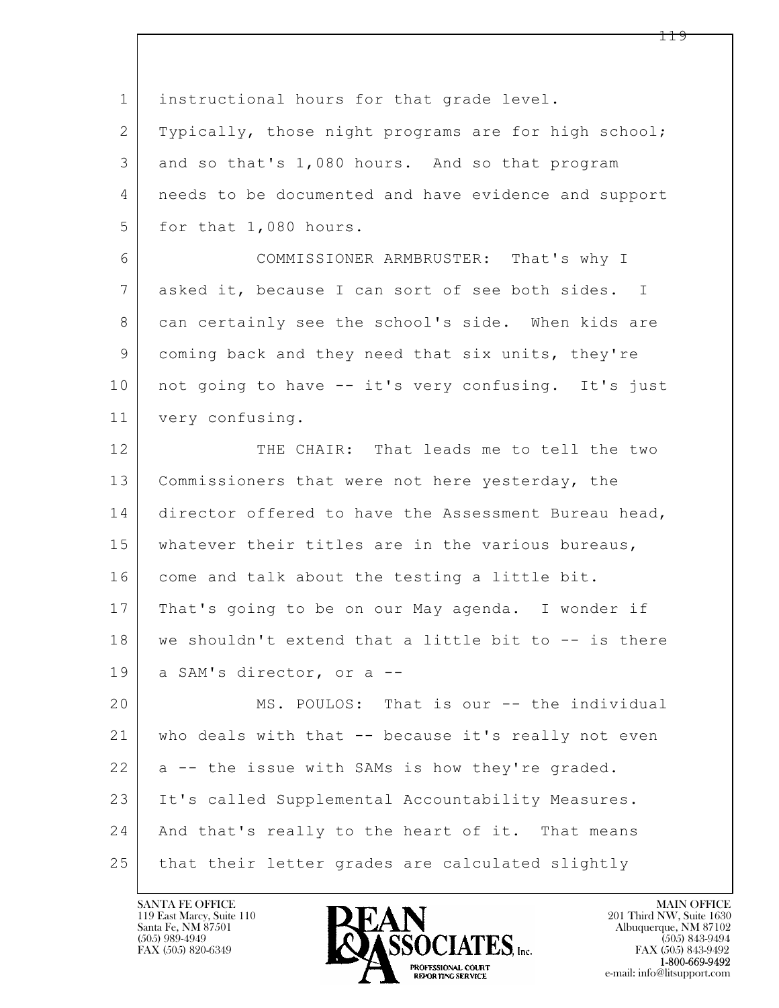| $\mathbf 1$    | instructional hours for that grade level.            |
|----------------|------------------------------------------------------|
| 2              | Typically, those night programs are for high school; |
| 3              | and so that's 1,080 hours. And so that program       |
| 4              | needs to be documented and have evidence and support |
| 5              | for that 1,080 hours.                                |
| 6              | COMMISSIONER ARMBRUSTER: That's why I                |
| $7\phantom{.}$ | asked it, because I can sort of see both sides. I    |
| 8              | can certainly see the school's side. When kids are   |
| 9              | coming back and they need that six units, they're    |
| 10             | not going to have -- it's very confusing. It's just  |
| 11             | very confusing.                                      |
| 12             | THE CHAIR: That leads me to tell the two             |
| 13             | Commissioners that were not here yesterday, the      |
| 14             | director offered to have the Assessment Bureau head, |
| 15             | whatever their titles are in the various bureaus,    |
| 16             | come and talk about the testing a little bit.        |
| 17             | That's going to be on our May agenda. I wonder if    |
| 18             | we shouldn't extend that a little bit to -- is there |
| 19             | a SAM's director, or a --                            |
| 20             | MS. POULOS: That is our -- the individual            |
| 21             | who deals with that -- because it's really not even  |
| 22             | a -- the issue with SAMs is how they're graded.      |
| 23             | It's called Supplemental Accountability Measures.    |
| 24             | And that's really to the heart of it. That means     |
| 25             | that their letter grades are calculated slightly     |

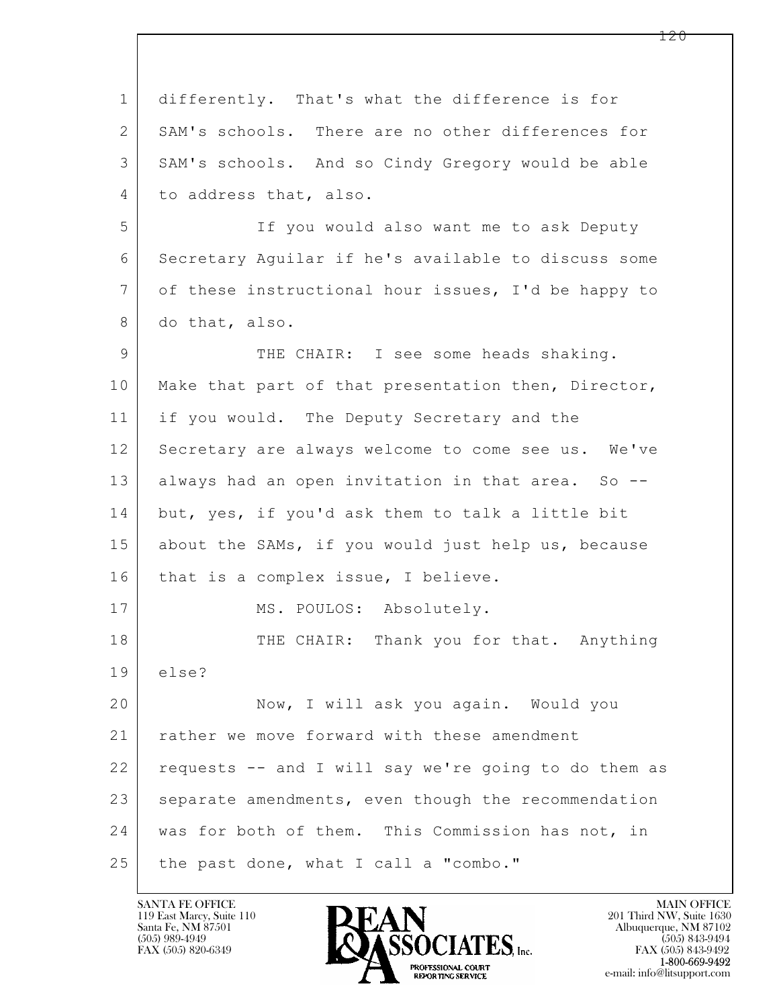| $\mathbf{1}$   | differently. That's what the difference is for       |
|----------------|------------------------------------------------------|
| 2              | SAM's schools. There are no other differences for    |
| 3              | SAM's schools. And so Cindy Gregory would be able    |
| $\overline{4}$ | to address that, also.                               |
| 5              | If you would also want me to ask Deputy              |
| 6              | Secretary Aguilar if he's available to discuss some  |
| 7              | of these instructional hour issues, I'd be happy to  |
| 8              | do that, also.                                       |
| $\mathsf 9$    | THE CHAIR: I see some heads shaking.                 |
| 10             | Make that part of that presentation then, Director,  |
| 11             | if you would. The Deputy Secretary and the           |
| 12             | Secretary are always welcome to come see us. We've   |
| 13             | always had an open invitation in that area. So --    |
| 14             | but, yes, if you'd ask them to talk a little bit     |
| 15             | about the SAMs, if you would just help us, because   |
| 16             | that is a complex issue, I believe.                  |
| 17             | MS. POULOS: Absolutely.                              |
| 18             | THE CHAIR: Thank you for that. Anything              |
| 19             | else?                                                |
| 20             | Now, I will ask you again. Would you                 |
| 21             | rather we move forward with these amendment          |
| 22             | requests -- and I will say we're going to do them as |
| 23             | separate amendments, even though the recommendation  |
| 24             | was for both of them. This Commission has not, in    |
| 25             | the past done, what I call a "combo."                |

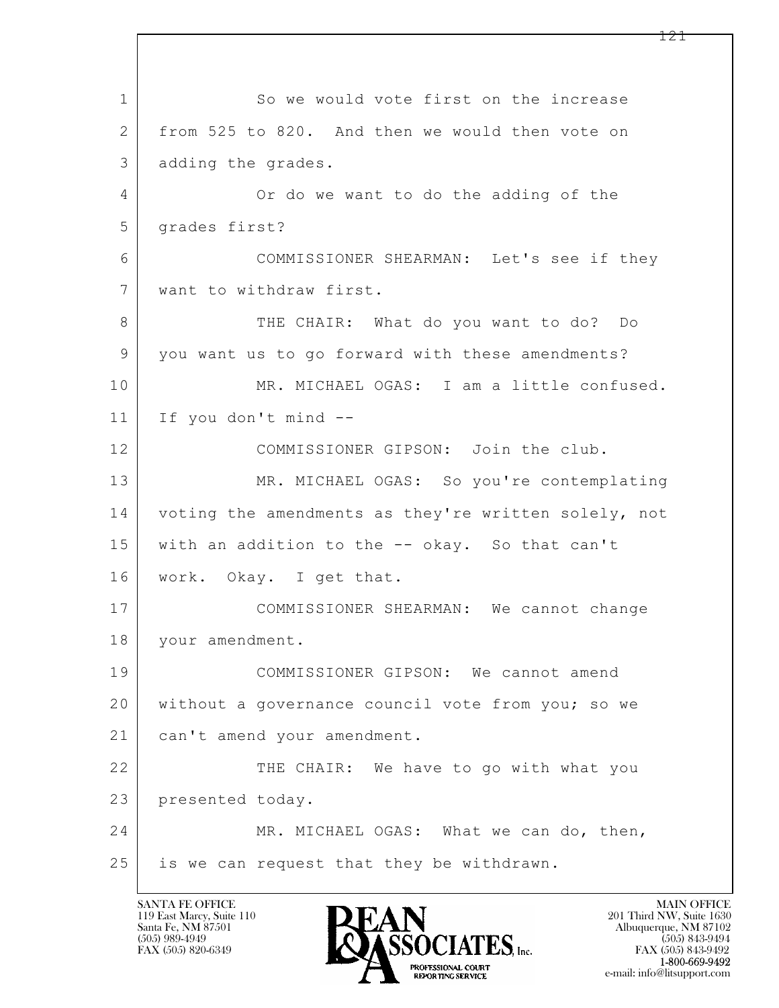$\mathbf{L}$  1 So we would vote first on the increase 2 from 525 to 820. And then we would then vote on 3 adding the grades. 4 Or do we want to do the adding of the 5 | grades first? 6 COMMISSIONER SHEARMAN: Let's see if they 7 want to withdraw first. 8 THE CHAIR: What do you want to do? Do 9 you want us to go forward with these amendments? 10 MR. MICHAEL OGAS: I am a little confused. 11 If you don't mind -- 12 COMMISSIONER GIPSON: Join the club. 13 MR. MICHAEL OGAS: So you're contemplating 14 voting the amendments as they're written solely, not 15 with an addition to the -- okay. So that can't 16 work. Okay. I get that. 17 COMMISSIONER SHEARMAN: We cannot change 18 | your amendment. 19 COMMISSIONER GIPSON: We cannot amend 20 without a governance council vote from you; so we 21 | can't amend your amendment. 22 THE CHAIR: We have to go with what you 23 presented today. 24 MR. MICHAEL OGAS: What we can do, then, 25 is we can request that they be withdrawn.

119 East Marcy, Suite 110<br>Santa Fe, NM 87501

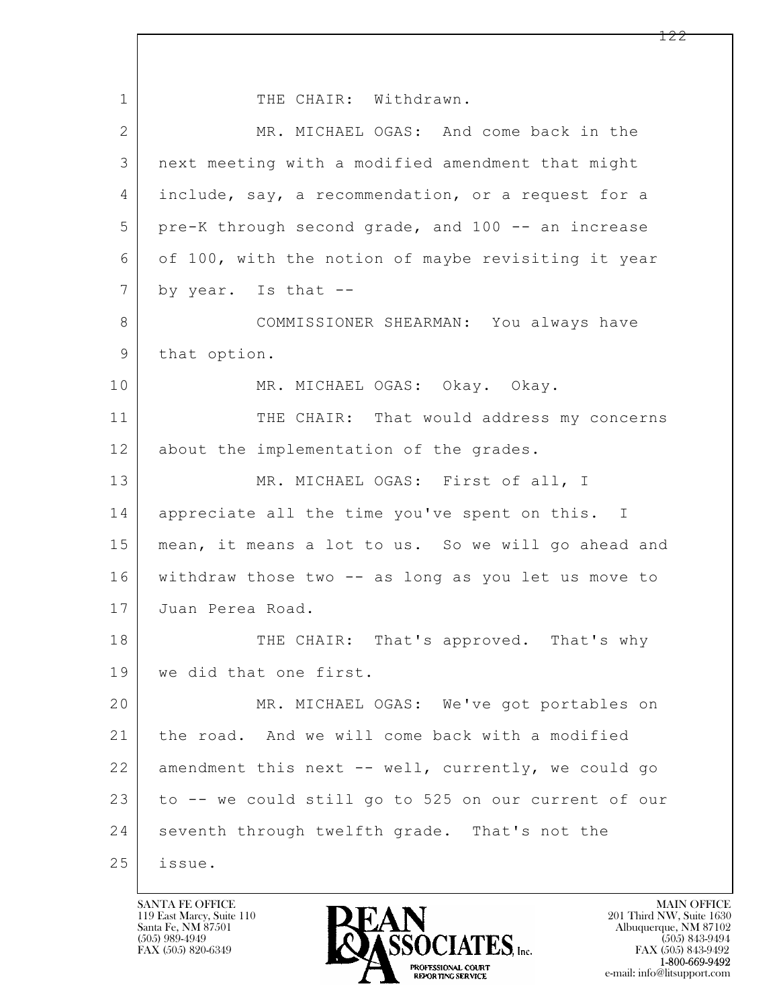$\mathbf{L}$  1 THE CHAIR: Withdrawn. 2 MR. MICHAEL OGAS: And come back in the 3 next meeting with a modified amendment that might 4 include, say, a recommendation, or a request for a 5 pre-K through second grade, and 100 -- an increase 6 of 100, with the notion of maybe revisiting it year  $7$  by year. Is that  $-$ 8 COMMISSIONER SHEARMAN: You always have 9 that option. 10 MR. MICHAEL OGAS: Okay. Okay. 11 THE CHAIR: That would address my concerns 12 about the implementation of the grades. 13 MR. MICHAEL OGAS: First of all, I 14 appreciate all the time you've spent on this. I 15 | mean, it means a lot to us. So we will go ahead and 16 withdraw those two -- as long as you let us move to 17 Juan Perea Road. 18 THE CHAIR: That's approved. That's why 19 we did that one first. 20 MR. MICHAEL OGAS: We've got portables on 21 | the road. And we will come back with a modified 22 amendment this next -- well, currently, we could go 23 to -- we could still go to 525 on our current of our 24 seventh through twelfth grade. That's not the 25 issue.

119 East Marcy, Suite 110<br>Santa Fe, NM 87501

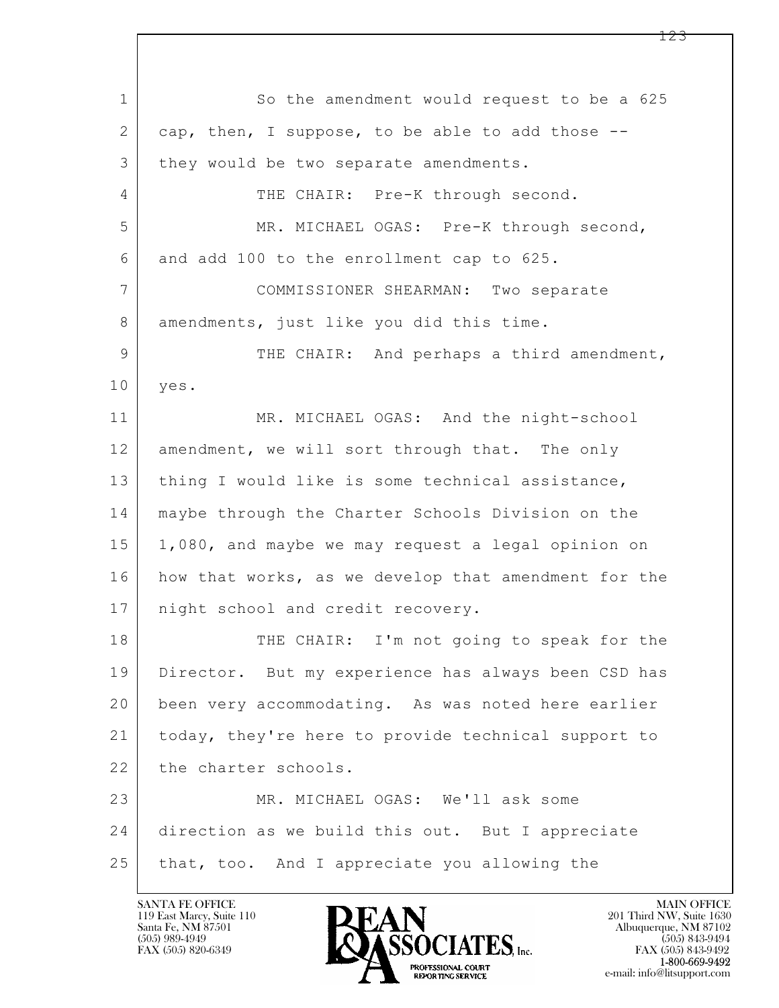$\mathbf{L}$  1 So the amendment would request to be a 625 2 cap, then, I suppose, to be able to add those --3 | they would be two separate amendments. 4 THE CHAIR: Pre-K through second. 5 MR. MICHAEL OGAS: Pre-K through second, 6 and add 100 to the enrollment cap to 625. 7 COMMISSIONER SHEARMAN: Two separate 8 amendments, just like you did this time. 9 | THE CHAIR: And perhaps a third amendment, 10 yes. 11 MR. MICHAEL OGAS: And the night-school 12 amendment, we will sort through that. The only 13 | thing I would like is some technical assistance, 14 maybe through the Charter Schools Division on the 15 1,080, and maybe we may request a legal opinion on 16 how that works, as we develop that amendment for the 17 | night school and credit recovery. 18 THE CHAIR: I'm not going to speak for the 19 Director. But my experience has always been CSD has 20 been very accommodating. As was noted here earlier 21 today, they're here to provide technical support to 22 the charter schools. 23 MR. MICHAEL OGAS: We'll ask some 24 direction as we build this out. But I appreciate 25 that, too. And I appreciate you allowing the

119 East Marcy, Suite 110<br>Santa Fe, NM 87501



FAX (505) 843-9492 e-mail: info@litsupport.com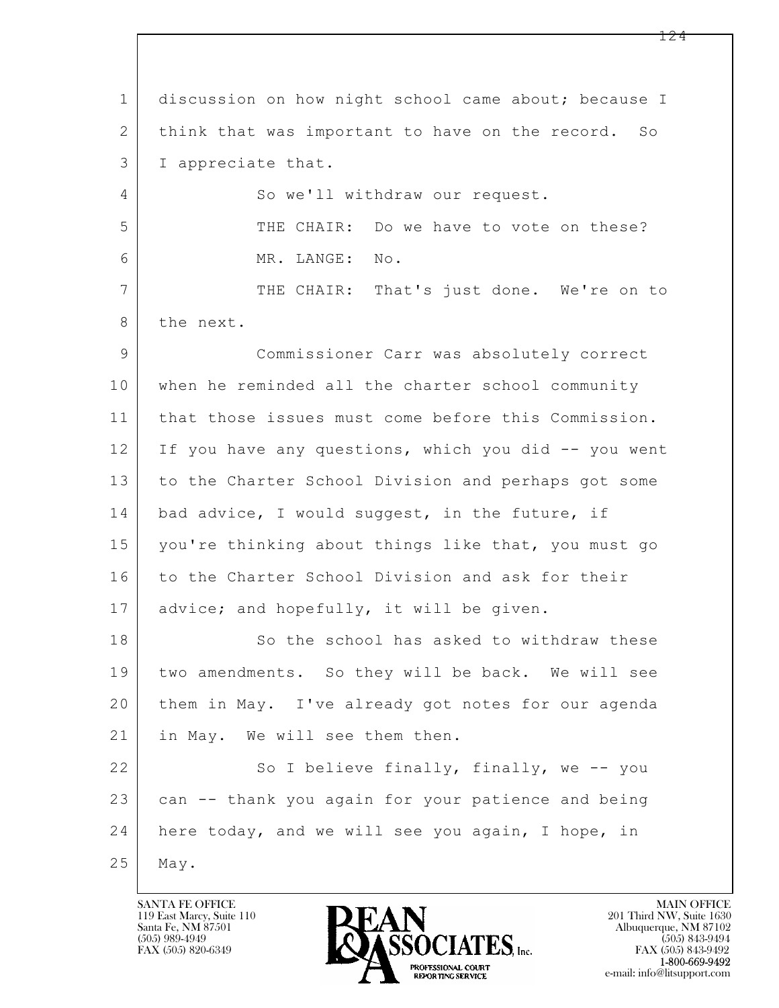$\mathbf{L}$  1 discussion on how night school came about; because I 2 think that was important to have on the record. So 3 I appreciate that. 4 So we'll withdraw our request. 5 THE CHAIR: Do we have to vote on these? 6 MR. LANGE: No. 7 | THE CHAIR: That's just done. We're on to 8 the next. 9 Commissioner Carr was absolutely correct 10 when he reminded all the charter school community 11 that those issues must come before this Commission. 12 If you have any questions, which you did -- you went 13 to the Charter School Division and perhaps got some 14 | bad advice, I would suggest, in the future, if 15 you're thinking about things like that, you must go 16 | to the Charter School Division and ask for their 17 advice; and hopefully, it will be given. 18 So the school has asked to withdraw these 19 two amendments. So they will be back. We will see 20 them in May. I've already got notes for our agenda 21 in May. We will see them then. 22 So I believe finally, finally, we -- you 23 can -- thank you again for your patience and being 24 here today, and we will see you again, I hope, in 25 May.

119 East Marcy, Suite 110<br>Santa Fe, NM 87501

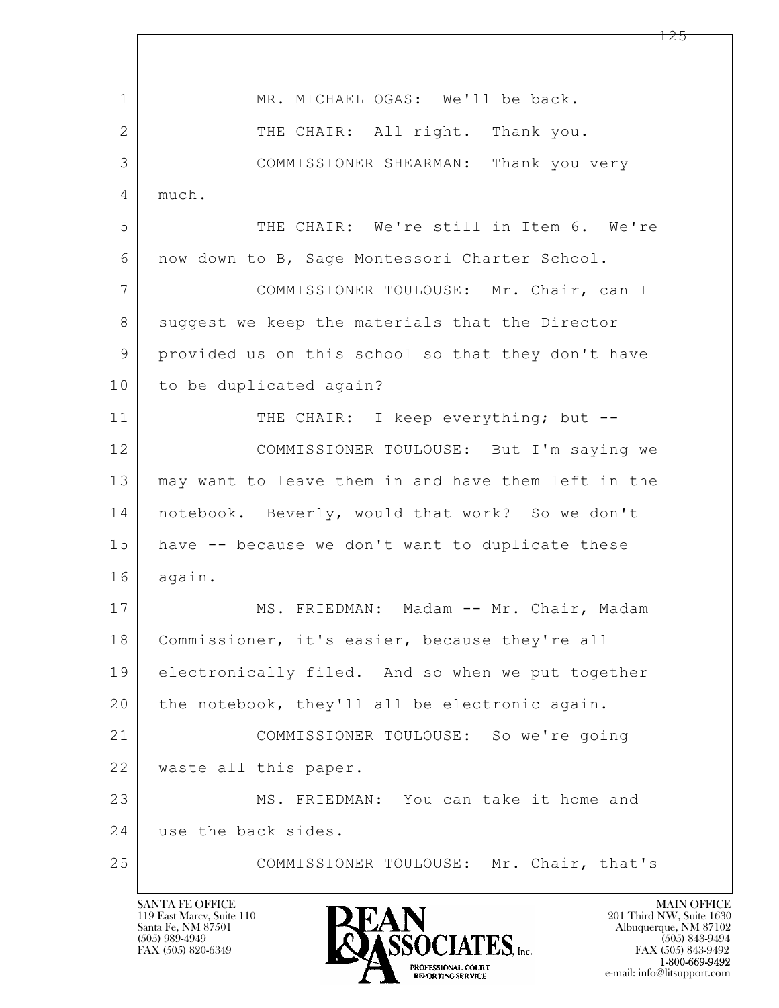$\mathbf{L}$  1 | MR. MICHAEL OGAS: We'll be back. 2 THE CHAIR: All right. Thank you. 3 COMMISSIONER SHEARMAN: Thank you very 4 much. 5 THE CHAIR: We're still in Item 6. We're 6 now down to B, Sage Montessori Charter School. 7 COMMISSIONER TOULOUSE: Mr. Chair, can I 8 suggest we keep the materials that the Director 9 provided us on this school so that they don't have 10 to be duplicated again? 11 THE CHAIR: I keep everything; but --12 COMMISSIONER TOULOUSE: But I'm saying we 13 may want to leave them in and have them left in the 14 notebook. Beverly, would that work? So we don't 15 have -- because we don't want to duplicate these 16 again. 17 | MS. FRIEDMAN: Madam -- Mr. Chair, Madam 18 | Commissioner, it's easier, because they're all 19 electronically filed. And so when we put together 20 the notebook, they'll all be electronic again. 21 COMMISSIONER TOULOUSE: So we're going 22 waste all this paper. 23 MS. FRIEDMAN: You can take it home and 24 use the back sides. 25 COMMISSIONER TOULOUSE: Mr. Chair, that's

119 East Marcy, Suite 110<br>Santa Fe, NM 87501

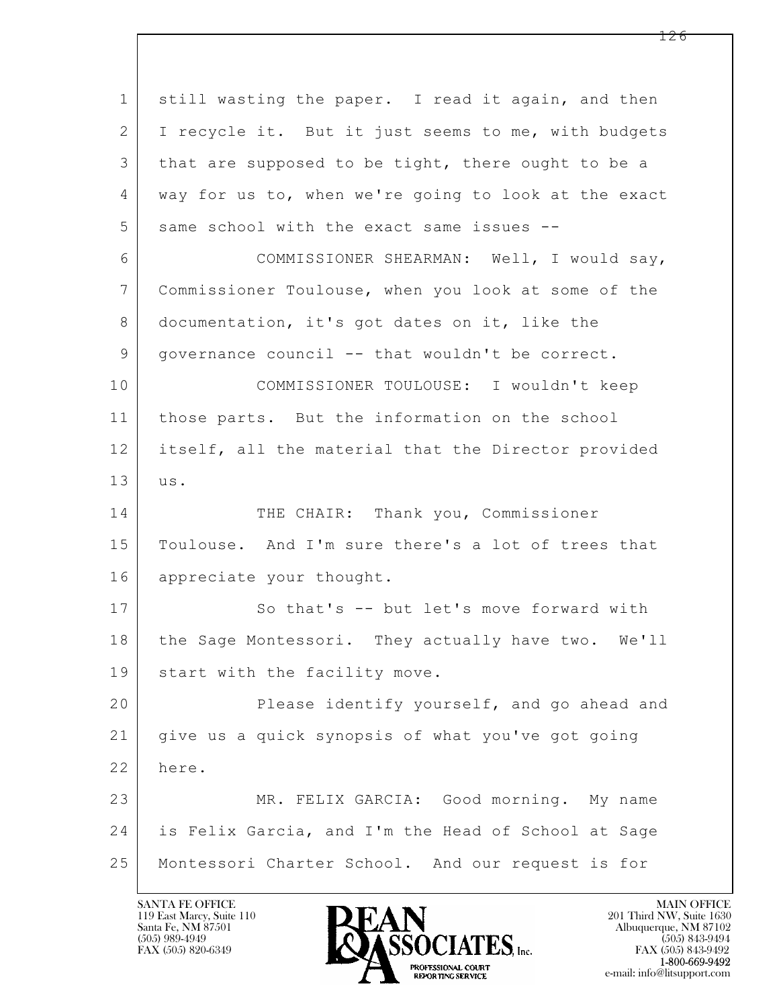$\mathbf{L}$  1 still wasting the paper. I read it again, and then 2 I recycle it. But it just seems to me, with budgets 3 that are supposed to be tight, there ought to be a 4 way for us to, when we're going to look at the exact 5 same school with the exact same issues --6 COMMISSIONER SHEARMAN: Well, I would say, 7 Commissioner Toulouse, when you look at some of the 8 documentation, it's got dates on it, like the 9 governance council -- that wouldn't be correct. 10 COMMISSIONER TOULOUSE: I wouldn't keep 11 | those parts. But the information on the school 12 itself, all the material that the Director provided 13 us. 14 THE CHAIR: Thank you, Commissioner 15 Toulouse. And I'm sure there's a lot of trees that 16 appreciate your thought. 17 | So that's -- but let's move forward with 18 | the Sage Montessori. They actually have two. We'll 19 | start with the facility move. 20 **Please identify yourself, and go ahead and** 21 give us a quick synopsis of what you've got going 22 here. 23 MR. FELIX GARCIA: Good morning. My name 24 is Felix Garcia, and I'm the Head of School at Sage 25 Montessori Charter School. And our request is for

119 East Marcy, Suite 110<br>Santa Fe, NM 87501



FAX (505) 843-9492 e-mail: info@litsupport.com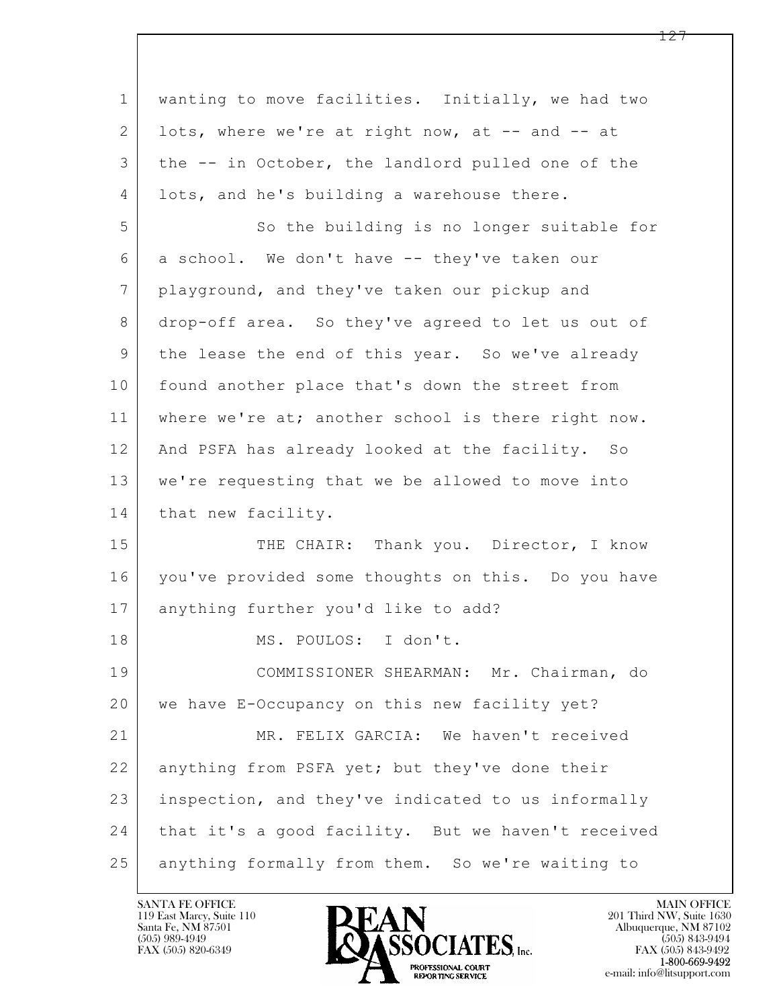| $\mathbf 1$ | wanting to move facilities. Initially, we had two  |
|-------------|----------------------------------------------------|
| 2           | lots, where we're at right now, at -- and -- at    |
| 3           | the -- in October, the landlord pulled one of the  |
| 4           | lots, and he's building a warehouse there.         |
| 5           | So the building is no longer suitable for          |
| 6           | a school. We don't have -- they've taken our       |
| 7           | playground, and they've taken our pickup and       |
| 8           | drop-off area. So they've agreed to let us out of  |
| 9           | the lease the end of this year. So we've already   |
| 10          | found another place that's down the street from    |
| 11          | where we're at; another school is there right now. |
| 12          | And PSFA has already looked at the facility. So    |
| 13          | we're requesting that we be allowed to move into   |
| 14          | that new facility.                                 |
| 15          | THE CHAIR: Thank you. Director, I know             |
| 16          | you've provided some thoughts on this. Do you have |
| 17          | anything further you'd like to add?                |
| 18          | MS. POULOS: I don't.                               |
| 19          | COMMISSIONER SHEARMAN: Mr. Chairman, do            |
| 20          | we have E-Occupancy on this new facility yet?      |
| 21          | MR. FELIX GARCIA: We haven't received              |
| 22          | anything from PSFA yet; but they've done their     |
| 23          | inspection, and they've indicated to us informally |
| 24          | that it's a good facility. But we haven't received |
| 25          | anything formally from them. So we're waiting to   |

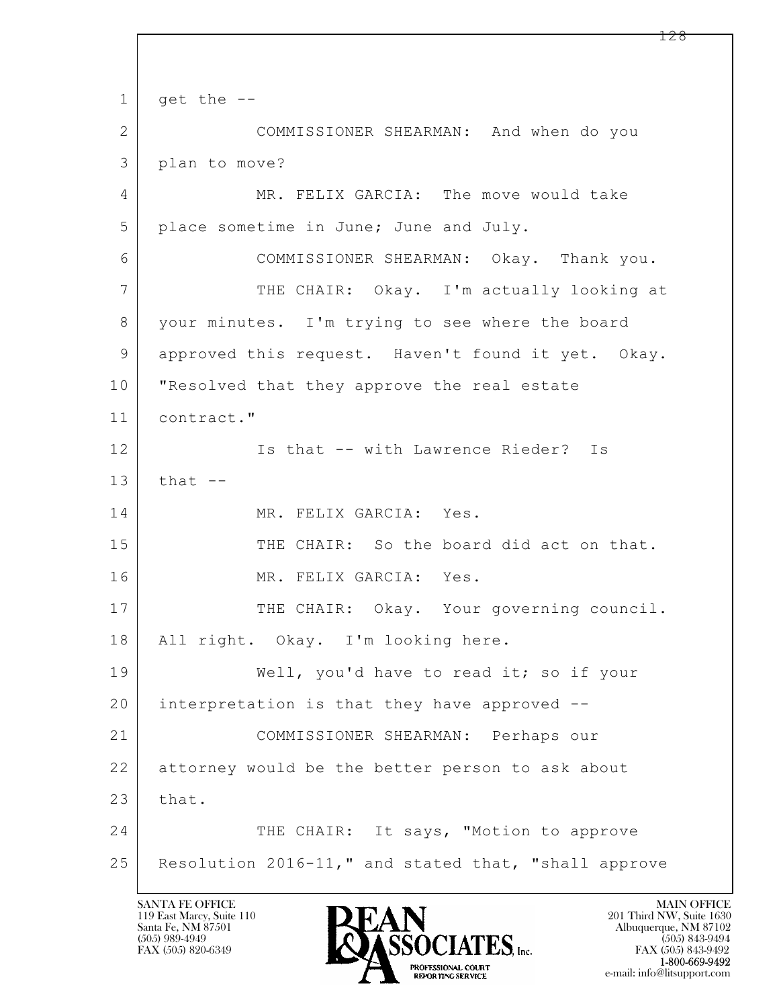$\mathbf{L}$   $1$  get the  $-$ -2 COMMISSIONER SHEARMAN: And when do you 3 plan to move? 4 MR. FELIX GARCIA: The move would take 5 place sometime in June; June and July. 6 COMMISSIONER SHEARMAN: Okay. Thank you. 7 THE CHAIR: Okay. I'm actually looking at 8 your minutes. I'm trying to see where the board 9 approved this request. Haven't found it yet. Okay. 10 "Resolved that they approve the real estate 11 contract." 12 Is that -- with Lawrence Rieder? Is  $13$  that  $-$ 14 MR. FELIX GARCIA: Yes. 15 THE CHAIR: So the board did act on that. 16 MR. FELIX GARCIA: Yes. 17 THE CHAIR: Okay. Your governing council. 18 | All right. Okay. I'm looking here. 19 Well, you'd have to read it; so if your 20 interpretation is that they have approved -- 21 COMMISSIONER SHEARMAN: Perhaps our 22 attorney would be the better person to ask about  $23$  that. 24 THE CHAIR: It says, "Motion to approve 25 Resolution 2016-11," and stated that, "shall approve

119 East Marcy, Suite 110<br>Santa Fe, NM 87501

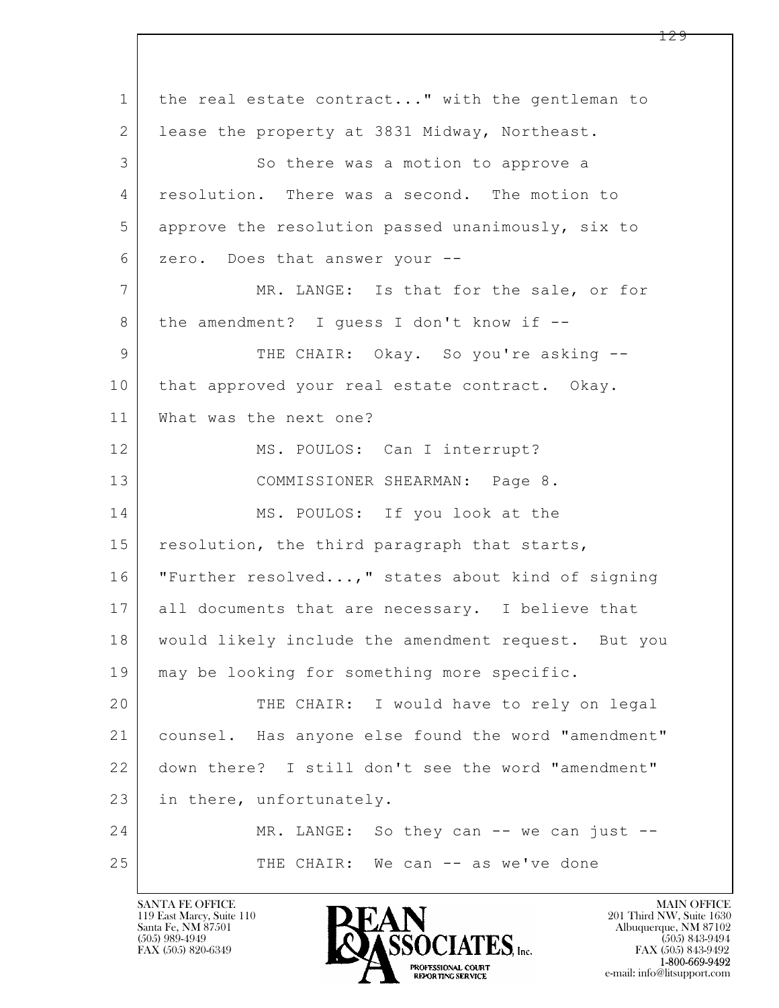$\mathbf{L}$  1 the real estate contract..." with the gentleman to 2 | lease the property at 3831 Midway, Northeast. 3 So there was a motion to approve a 4 resolution. There was a second. The motion to 5 approve the resolution passed unanimously, six to 6 zero. Does that answer your -- 7 MR. LANGE: Is that for the sale, or for  $8$  the amendment? I guess I don't know if  $-$ 9 THE CHAIR: Okay. So you're asking --10 that approved your real estate contract. Okay. 11 What was the next one? 12 MS. POULOS: Can I interrupt? 13 COMMISSIONER SHEARMAN: Page 8. 14 MS. POULOS: If you look at the 15 resolution, the third paragraph that starts, 16 "Further resolved...," states about kind of signing 17 all documents that are necessary. I believe that 18 would likely include the amendment request. But you 19 | may be looking for something more specific. 20 THE CHAIR: I would have to rely on legal 21 counsel. Has anyone else found the word "amendment" 22 down there? I still don't see the word "amendment" 23 in there, unfortunately. 24 MR. LANGE: So they can -- we can just --25 THE CHAIR: We can -- as we've done

119 East Marcy, Suite 110<br>Santa Fe, NM 87501

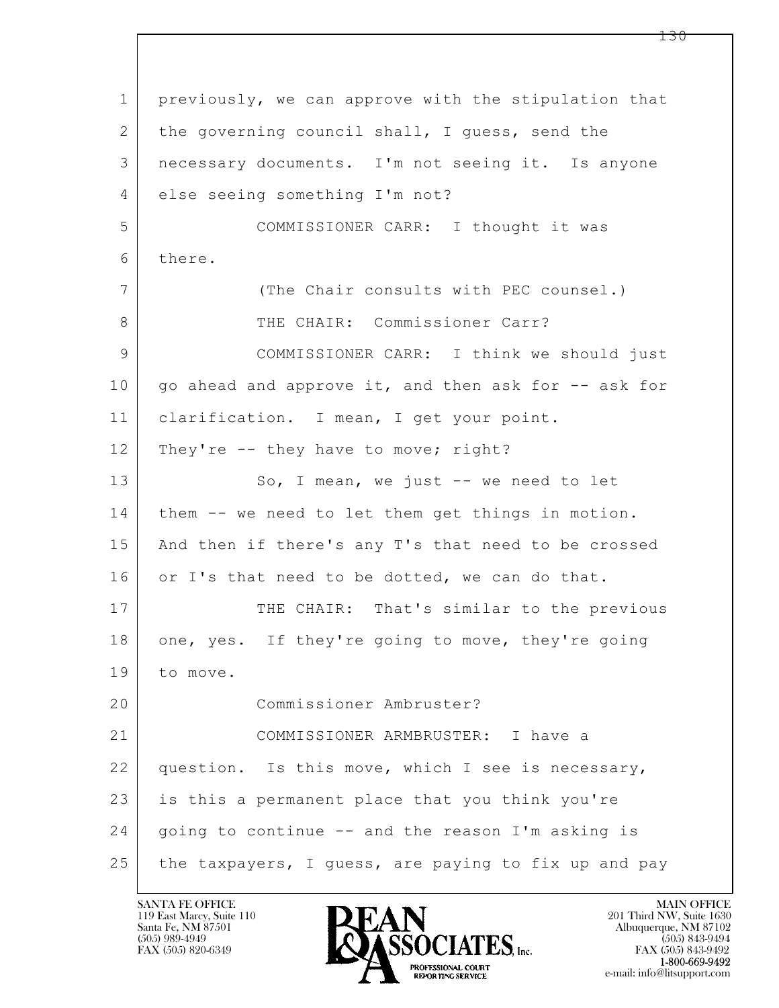$\mathbf{L}$  1 previously, we can approve with the stipulation that 2 the governing council shall, I guess, send the 3 necessary documents. I'm not seeing it. Is anyone 4 else seeing something I'm not? 5 COMMISSIONER CARR: I thought it was 6 there. 7 (The Chair consults with PEC counsel.) 8 THE CHAIR: Commissioner Carr? 9 COMMISSIONER CARR: I think we should just 10 | go ahead and approve it, and then ask for -- ask for 11 clarification. I mean, I get your point. 12 They're -- they have to move; right? 13 So, I mean, we just -- we need to let 14 | them -- we need to let them get things in motion. 15 | And then if there's any T's that need to be crossed 16 or I's that need to be dotted, we can do that. 17 THE CHAIR: That's similar to the previous 18 one, yes. If they're going to move, they're going 19 to move. 20 Commissioner Ambruster? 21 COMMISSIONER ARMBRUSTER: I have a 22 question. Is this move, which I see is necessary, 23 is this a permanent place that you think you're 24 going to continue -- and the reason I'm asking is 25 the taxpayers, I guess, are paying to fix up and pay



FAX (505) 843-9492 e-mail: info@litsupport.com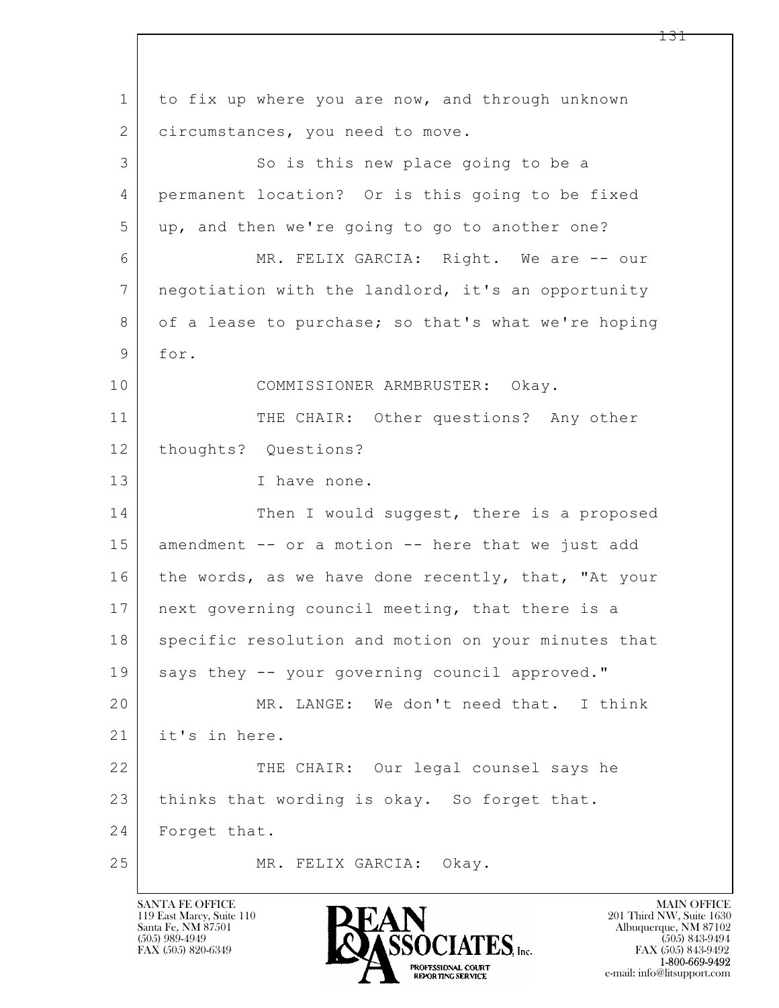$\mathbf{L}$  1 to fix up where you are now, and through unknown 2 circumstances, you need to move. 3 So is this new place going to be a 4 permanent location? Or is this going to be fixed 5 up, and then we're going to go to another one? 6 MR. FELIX GARCIA: Right. We are -- our 7 negotiation with the landlord, it's an opportunity 8 of a lease to purchase; so that's what we're hoping 9 for. 10 COMMISSIONER ARMBRUSTER: Okay. 11 THE CHAIR: Other questions? Any other 12 | thoughts? Questions? 13 I have none. 14 Then I would suggest, there is a proposed 15 amendment -- or a motion -- here that we just add 16 the words, as we have done recently, that, "At your 17 | next governing council meeting, that there is a 18 specific resolution and motion on your minutes that 19 says they -- your governing council approved." 20 MR. LANGE: We don't need that. I think 21 it's in here. 22 THE CHAIR: Our legal counsel says he 23 thinks that wording is okay. So forget that. 24 Forget that. 25 MR. FELIX GARCIA: Okay.

119 East Marcy, Suite 110<br>Santa Fe, NM 87501



FAX (505) 843-9492 e-mail: info@litsupport.com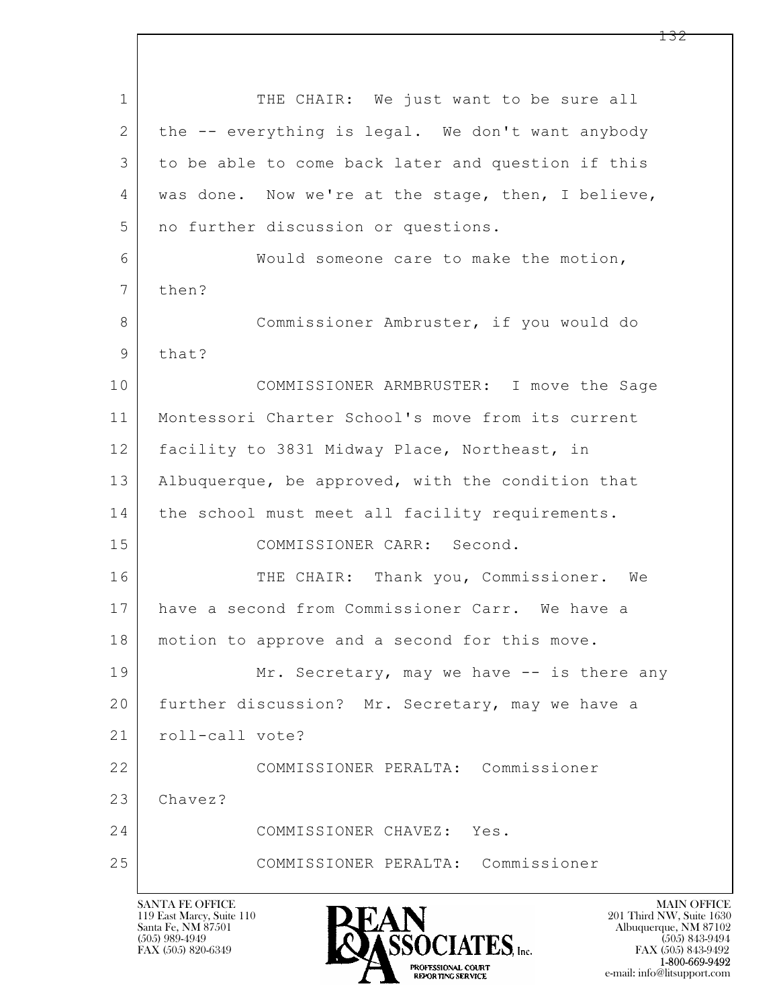$\mathbf{L}$  1 THE CHAIR: We just want to be sure all 2 the -- everything is legal. We don't want anybody 3 to be able to come back later and question if this 4 | was done. Now we're at the stage, then, I believe, 5 | no further discussion or questions. 6 Would someone care to make the motion, 7 then? 8 Commissioner Ambruster, if you would do 9 that? 10 COMMISSIONER ARMBRUSTER: I move the Sage 11 Montessori Charter School's move from its current 12 facility to 3831 Midway Place, Northeast, in 13 | Albuquerque, be approved, with the condition that 14 | the school must meet all facility requirements. 15 COMMISSIONER CARR: Second. 16 THE CHAIR: Thank you, Commissioner. We 17 have a second from Commissioner Carr. We have a 18 motion to approve and a second for this move. 19 Mr. Secretary, may we have -- is there any 20 further discussion? Mr. Secretary, may we have a 21 | roll-call vote? 22 COMMISSIONER PERALTA: Commissioner 23 Chavez? 24 COMMISSIONER CHAVEZ: Yes. 25 COMMISSIONER PERALTA: Commissioner



FAX (505) 843-9492 e-mail: info@litsupport.com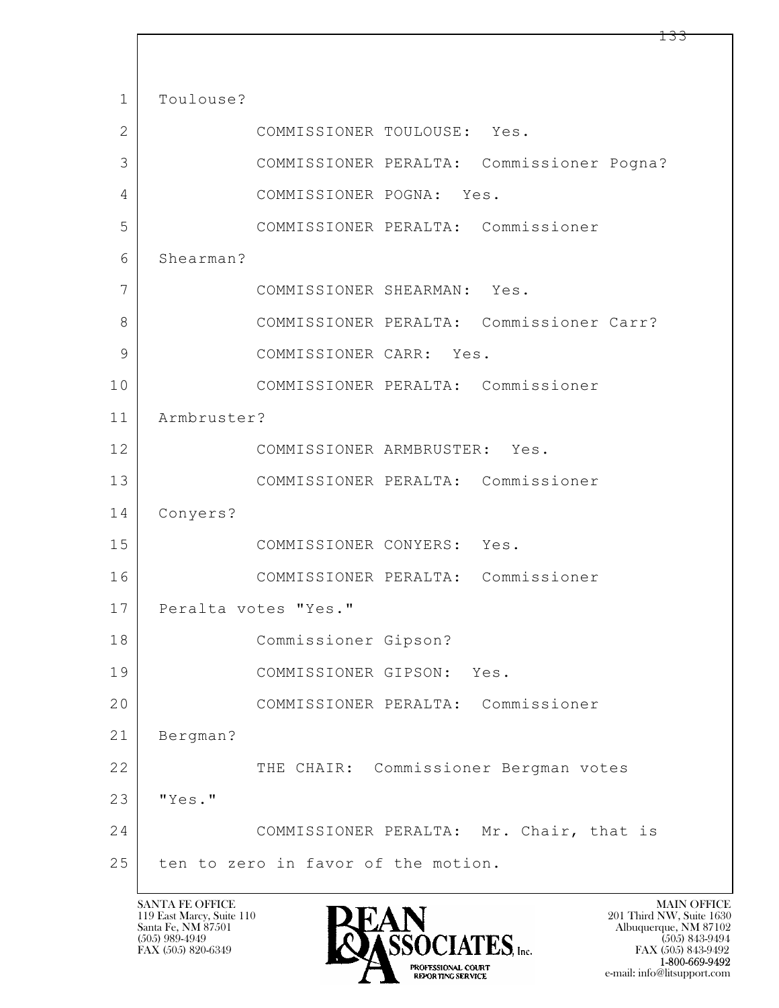$\mathbf{L}$  1 | Toulouse? 2 COMMISSIONER TOULOUSE: Yes. 3 COMMISSIONER PERALTA: Commissioner Pogna? 4 COMMISSIONER POGNA: Yes. 5 COMMISSIONER PERALTA: Commissioner 6 Shearman? 7 COMMISSIONER SHEARMAN: Yes. 8 COMMISSIONER PERALTA: Commissioner Carr? 9 COMMISSIONER CARR: Yes. 10 COMMISSIONER PERALTA: Commissioner 11 Armbruster? 12 COMMISSIONER ARMBRUSTER: Yes. 13 COMMISSIONER PERALTA: Commissioner 14 Conyers? 15 COMMISSIONER CONYERS: Yes. 16 COMMISSIONER PERALTA: Commissioner 17 Peralta votes "Yes." 18 Commissioner Gipson? 19 COMMISSIONER GIPSON: Yes. 20 COMMISSIONER PERALTA: Commissioner 21 Bergman? 22 THE CHAIR: Commissioner Bergman votes 23 "Yes." 24 | COMMISSIONER PERALTA: Mr. Chair, that is 25 ten to zero in favor of the motion.

119 East Marcy, Suite 110<br>Santa Fe, NM 87501

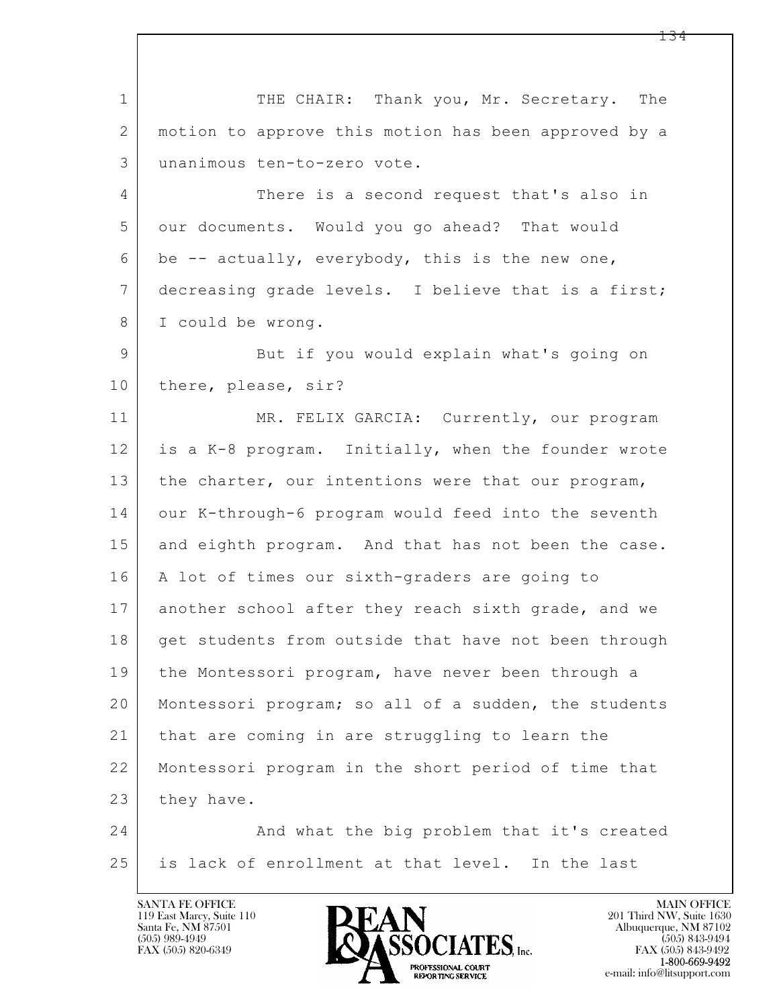$\mathbf{L}$  1 THE CHAIR: Thank you, Mr. Secretary. The 2 motion to approve this motion has been approved by a 3 unanimous ten-to-zero vote. 4 There is a second request that's also in 5 our documents. Would you go ahead? That would  $6$  be  $-$  actually, everybody, this is the new one, 7 decreasing grade levels. I believe that is a first; 8 I could be wrong. 9 But if you would explain what's going on 10 | there, please, sir? 11 MR. FELIX GARCIA: Currently, our program 12 is a K-8 program. Initially, when the founder wrote 13 | the charter, our intentions were that our program, 14 our K-through-6 program would feed into the seventh 15 and eighth program. And that has not been the case. 16 | A lot of times our sixth-graders are going to 17 another school after they reach sixth grade, and we 18 get students from outside that have not been through 19 the Montessori program, have never been through a 20 | Montessori program; so all of a sudden, the students 21 that are coming in are struggling to learn the 22 Montessori program in the short period of time that 23 they have. 24 And what the big problem that it's created 25 is lack of enrollment at that level. In the last

119 East Marcy, Suite 110<br>Santa Fe, NM 87501



FAX (505) 843-9492 e-mail: info@litsupport.com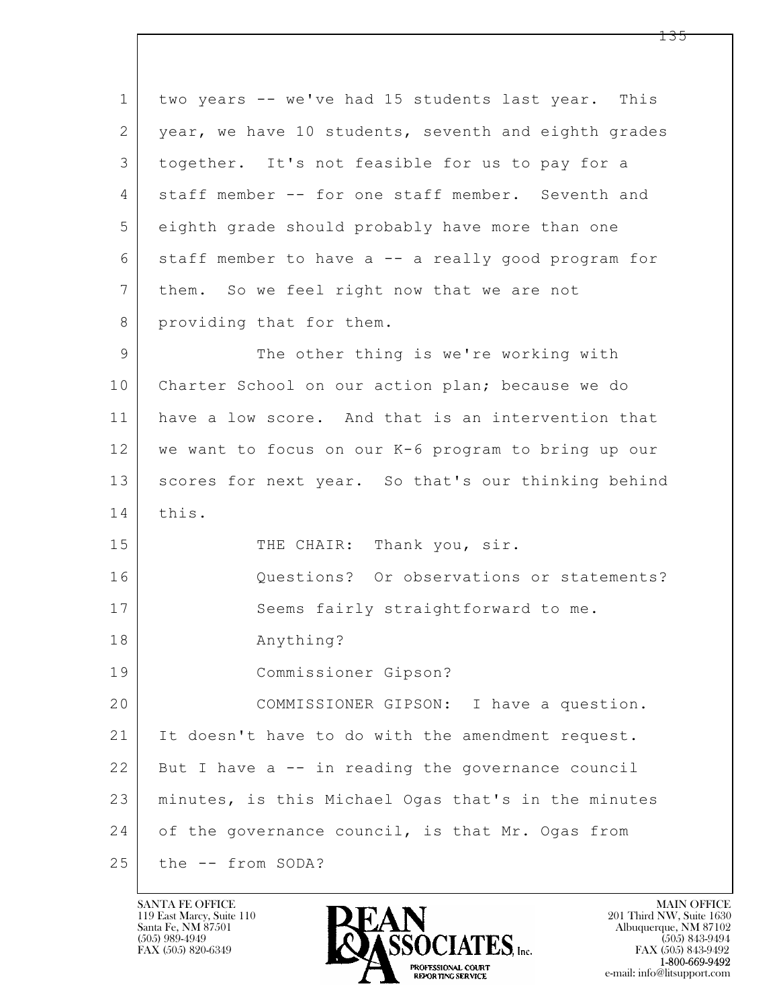| $\mathbf{1}$    | two years -- we've had 15 students last year. This   |
|-----------------|------------------------------------------------------|
| 2               | year, we have 10 students, seventh and eighth grades |
| 3               | together. It's not feasible for us to pay for a      |
| 4               | staff member -- for one staff member. Seventh and    |
| 5               | eighth grade should probably have more than one      |
| 6               | staff member to have a -- a really good program for  |
| $7\phantom{.0}$ | them. So we feel right now that we are not           |
| 8               | providing that for them.                             |
| $\mathsf{9}$    | The other thing is we're working with                |
| 10              | Charter School on our action plan; because we do     |
| 11              | have a low score. And that is an intervention that   |
| 12              | we want to focus on our K-6 program to bring up our  |
| 13              | scores for next year. So that's our thinking behind  |
| 14              | this.                                                |
| 15              | THE CHAIR: Thank you, sir.                           |
| 16              | Questions? Or observations or statements?            |
| 17              | Seems fairly straightforward to me.                  |
| 18              | Anything?                                            |
| 19              | Commissioner Gipson?                                 |
| 20              | COMMISSIONER GIPSON: I have a question.              |
| 21              | It doesn't have to do with the amendment request.    |
| 22              | But I have a -- in reading the governance council    |
| 23              | minutes, is this Michael Ogas that's in the minutes  |
| 24              | of the governance council, is that Mr. Ogas from     |
| 25              | the -- from SODA?                                    |

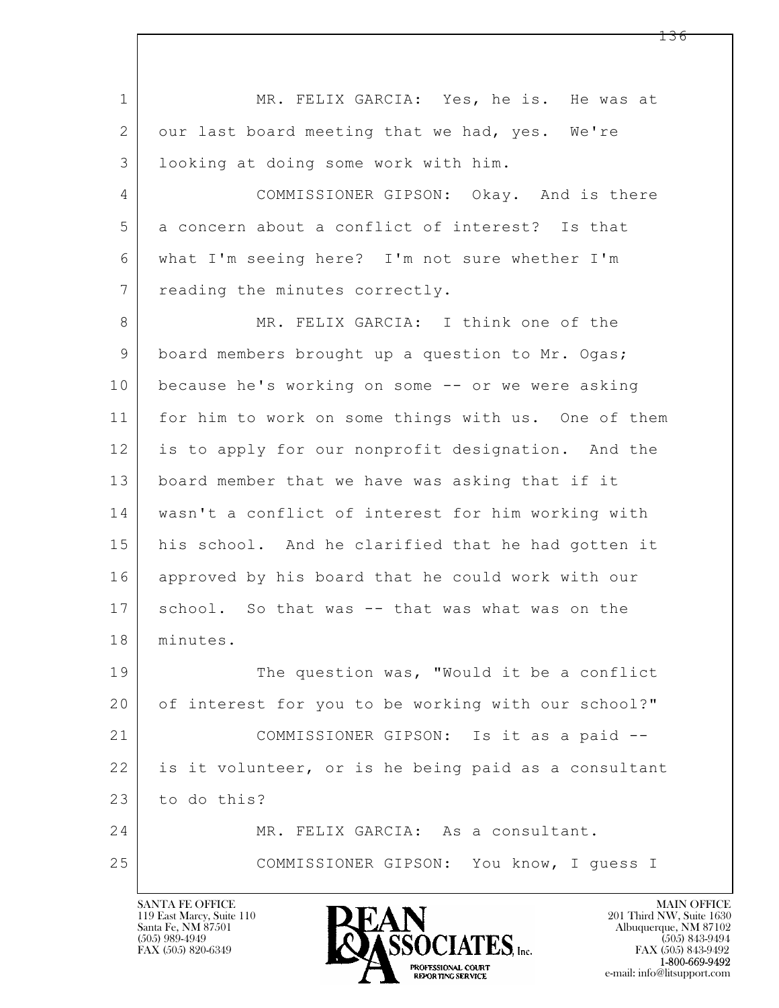$\mathbf{L}$  1 | MR. FELIX GARCIA: Yes, he is. He was at 2 our last board meeting that we had, yes. We're 3 looking at doing some work with him. 4 COMMISSIONER GIPSON: Okay. And is there 5 a concern about a conflict of interest? Is that 6 what I'm seeing here? I'm not sure whether I'm 7 reading the minutes correctly. 8 MR. FELIX GARCIA: I think one of the 9 board members brought up a question to Mr. Ogas; 10 because he's working on some -- or we were asking 11 for him to work on some things with us. One of them 12 is to apply for our nonprofit designation. And the 13 board member that we have was asking that if it 14 wasn't a conflict of interest for him working with 15 | his school. And he clarified that he had gotten it 16 approved by his board that he could work with our 17 | school. So that was -- that was what was on the 18 minutes. 19 The question was, "Would it be a conflict 20 of interest for you to be working with our school?" 21 COMMISSIONER GIPSON: Is it as a paid -- 22 is it volunteer, or is he being paid as a consultant 23 to do this? 24 MR. FELIX GARCIA: As a consultant. 25 COMMISSIONER GIPSON: You know, I guess I

119 East Marcy, Suite 110<br>Santa Fe, NM 87501



FAX (505) 843-9492 e-mail: info@litsupport.com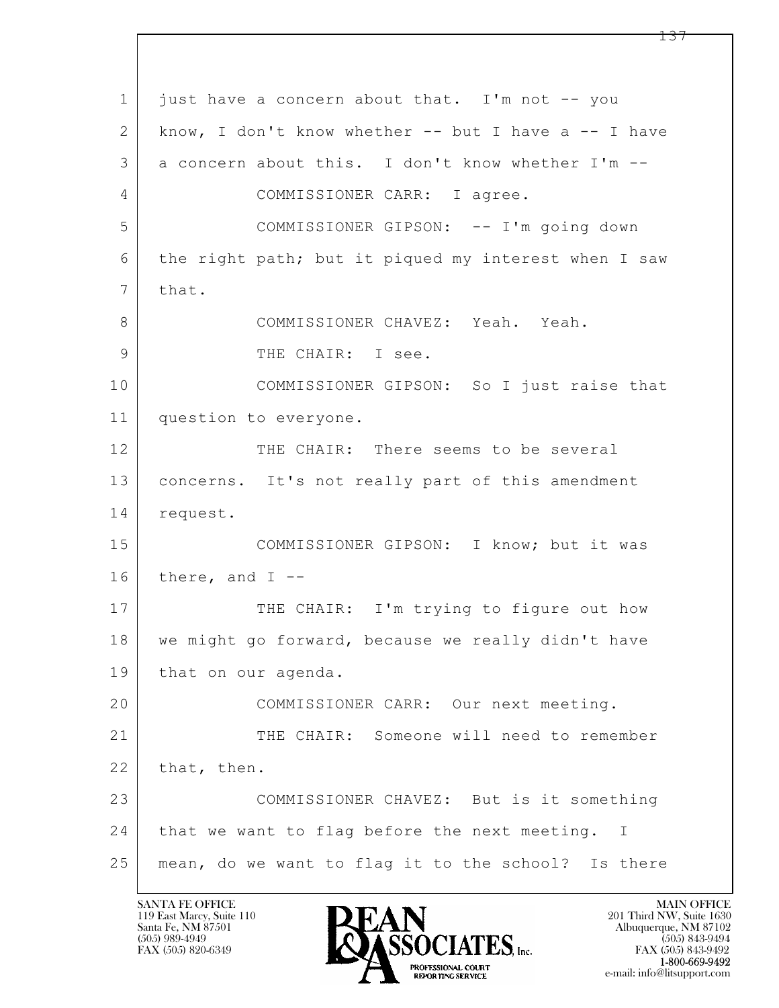$\mathbf{L}$  1 just have a concern about that. I'm not -- you 2 know, I don't know whether -- but I have a -- I have 3 a concern about this. I don't know whether I'm -- 4 COMMISSIONER CARR: I agree. 5 COMMISSIONER GIPSON: -- I'm going down 6 the right path; but it piqued my interest when I saw 7 | that. 8 COMMISSIONER CHAVEZ: Yeah. Yeah. 9 THE CHAIR: I see. 10 COMMISSIONER GIPSON: So I just raise that 11 question to everyone. 12 THE CHAIR: There seems to be several 13 concerns. It's not really part of this amendment 14 request. 15 | COMMISSIONER GIPSON: I know; but it was  $16$  there, and I --17 THE CHAIR: I'm trying to figure out how 18 we might go forward, because we really didn't have 19 that on our agenda. 20 COMMISSIONER CARR: Our next meeting. 21 THE CHAIR: Someone will need to remember 22 that, then. 23 COMMISSIONER CHAVEZ: But is it something 24 that we want to flag before the next meeting. I 25 mean, do we want to flag it to the school? Is there

119 East Marcy, Suite 110<br>Santa Fe, NM 87501



FAX (505) 843-9492 e-mail: info@litsupport.com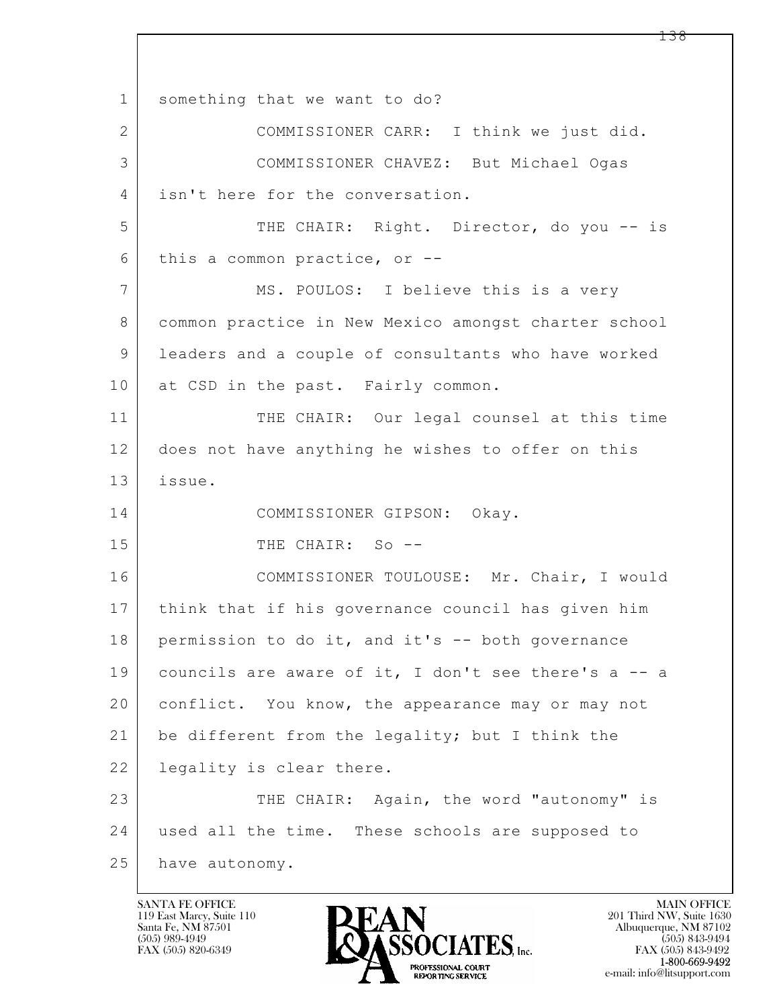$\mathbf{L}$  1 something that we want to do? 2 COMMISSIONER CARR: I think we just did. 3 COMMISSIONER CHAVEZ: But Michael Ogas 4 isn't here for the conversation. 5 THE CHAIR: Right. Director, do you -- is 6 this a common practice, or -- 7 MS. POULOS: I believe this is a very 8 | common practice in New Mexico amongst charter school 9 leaders and a couple of consultants who have worked 10 at CSD in the past. Fairly common. 11 THE CHAIR: Our legal counsel at this time 12 does not have anything he wishes to offer on this 13 issue. 14 COMMISSIONER GIPSON: Okay. 15 THE CHAIR: So --16 COMMISSIONER TOULOUSE: Mr. Chair, I would 17 think that if his governance council has given him 18 permission to do it, and it's -- both governance 19 councils are aware of it, I don't see there's a -- a 20 conflict. You know, the appearance may or may not 21 be different from the legality; but I think the 22 | legality is clear there. 23 THE CHAIR: Again, the word "autonomy" is 24 used all the time. These schools are supposed to 25 have autonomy.

119 East Marcy, Suite 110<br>Santa Fe, NM 87501

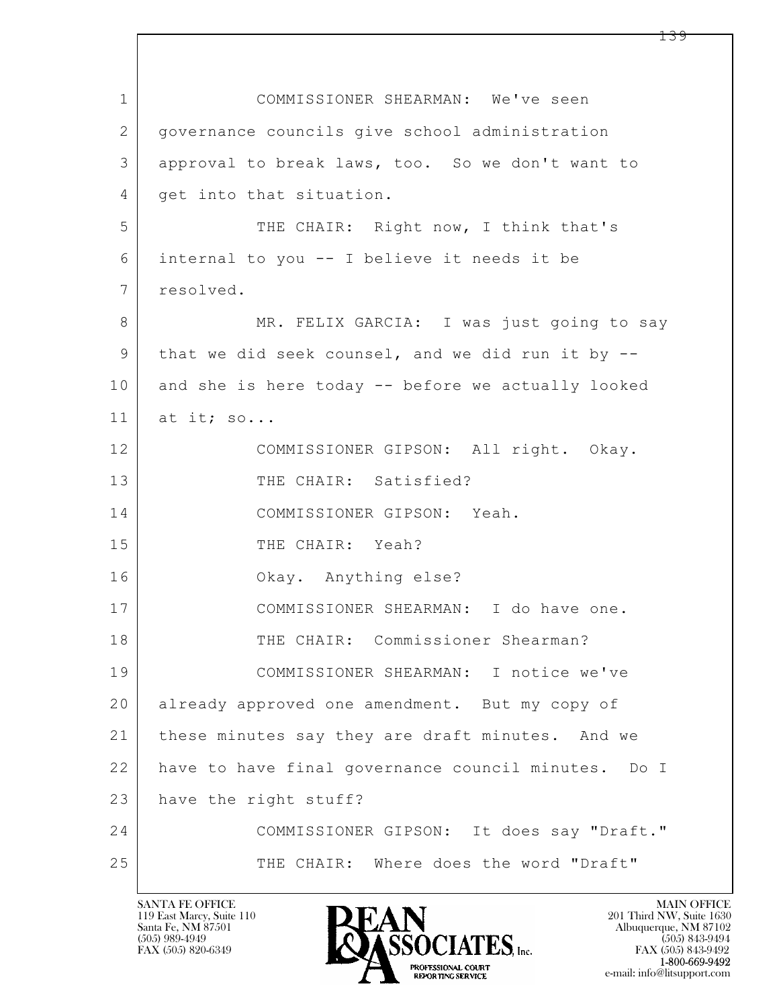$\mathbf{L}$  1 COMMISSIONER SHEARMAN: We've seen 2 governance councils give school administration 3 approval to break laws, too. So we don't want to 4 get into that situation. 5 THE CHAIR: Right now, I think that's 6 internal to you -- I believe it needs it be 7 resolved. 8 MR. FELIX GARCIA: I was just going to say 9 that we did seek counsel, and we did run it by -- 10 and she is here today -- before we actually looked 11 at it; so... 12 COMMISSIONER GIPSON: All right. Okay. 13 THE CHAIR: Satisfied? 14 COMMISSIONER GIPSON: Yeah. 15 THE CHAIR: Yeah? 16 Okay. Anything else? 17 COMMISSIONER SHEARMAN: I do have one. 18 THE CHAIR: Commissioner Shearman? 19 COMMISSIONER SHEARMAN: I notice we've 20 already approved one amendment. But my copy of 21 | these minutes say they are draft minutes. And we 22 have to have final governance council minutes. Do I 23 have the right stuff? 24 COMMISSIONER GIPSON: It does say "Draft." 25 THE CHAIR: Where does the word "Draft"

119 East Marcy, Suite 110<br>Santa Fe, NM 87501

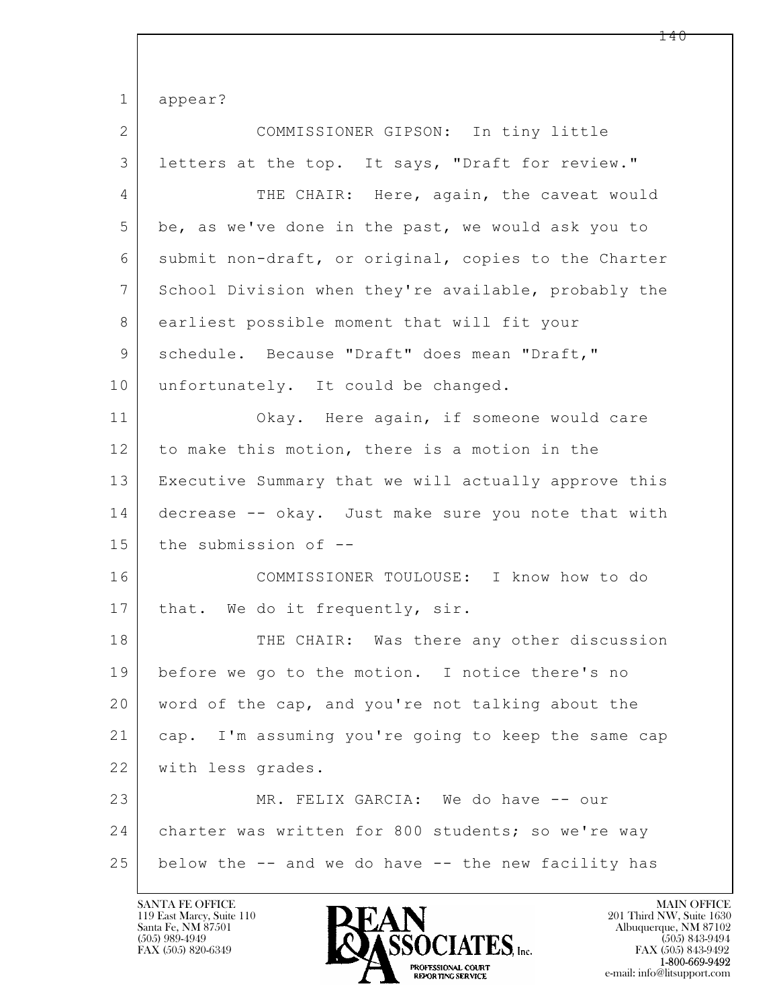$\mathbf{L}$  1 appear? 2 COMMISSIONER GIPSON: In tiny little 3 letters at the top. It says, "Draft for review." 4 THE CHAIR: Here, again, the caveat would 5 be, as we've done in the past, we would ask you to 6 submit non-draft, or original, copies to the Charter 7 School Division when they're available, probably the 8 earliest possible moment that will fit your 9 schedule. Because "Draft" does mean "Draft," 10 unfortunately. It could be changed. 11 Okay. Here again, if someone would care 12 to make this motion, there is a motion in the 13 Executive Summary that we will actually approve this 14 decrease -- okay. Just make sure you note that with 15 the submission of --16 COMMISSIONER TOULOUSE: I know how to do 17 | that. We do it frequently, sir. 18 THE CHAIR: Was there any other discussion 19 before we go to the motion. I notice there's no 20 word of the cap, and you're not talking about the 21 cap. I'm assuming you're going to keep the same cap 22 with less grades. 23 MR. FELIX GARCIA: We do have -- our 24 | charter was written for 800 students; so we're way 25 below the -- and we do have -- the new facility has

119 East Marcy, Suite 110<br>Santa Fe, NM 87501

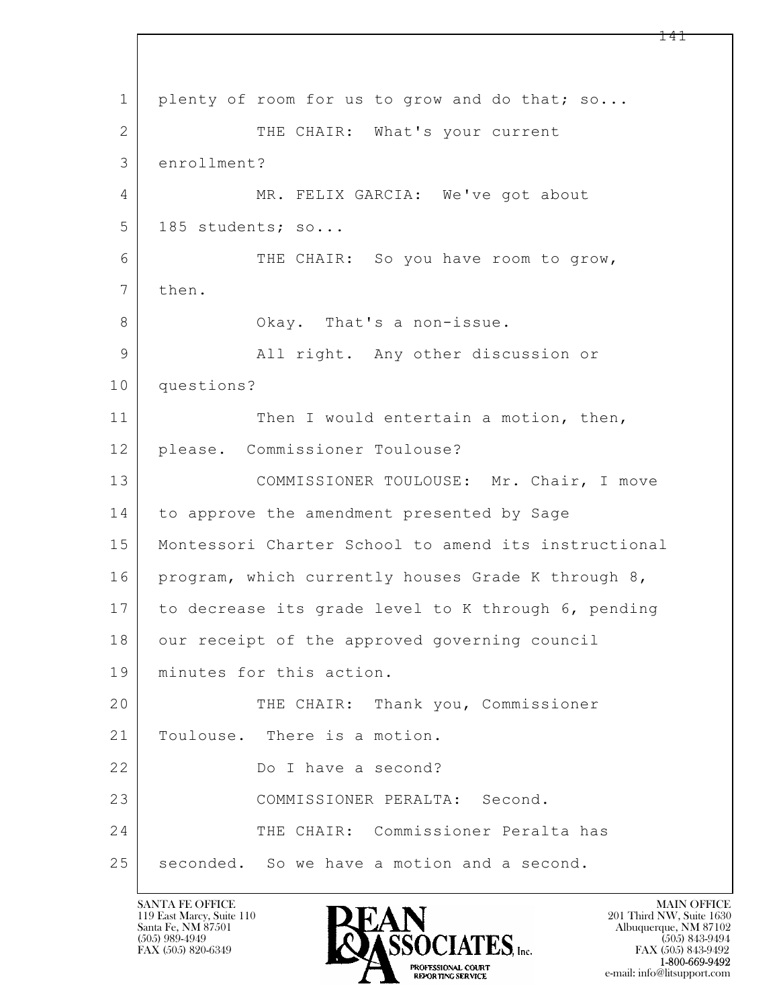$\mathbf{L}$  1 plenty of room for us to grow and do that; so... 2 THE CHAIR: What's your current 3 enrollment? 4 MR. FELIX GARCIA: We've got about 5 185 students; so... 6 THE CHAIR: So you have room to grow, 7 then. 8 | Ckay. That's a non-issue. 9 All right. Any other discussion or 10 questions? 11 Then I would entertain a motion, then, 12 please. Commissioner Toulouse? 13 COMMISSIONER TOULOUSE: Mr. Chair, I move 14 to approve the amendment presented by Sage 15 Montessori Charter School to amend its instructional 16 | program, which currently houses Grade K through 8, 17 to decrease its grade level to K through 6, pending 18 | our receipt of the approved governing council 19 minutes for this action. 20 THE CHAIR: Thank you, Commissioner 21 | Toulouse. There is a motion. 22 Do I have a second? 23 COMMISSIONER PERALTA: Second. 24 THE CHAIR: Commissioner Peralta has 25 seconded. So we have a motion and a second.

119 East Marcy, Suite 110<br>Santa Fe, NM 87501

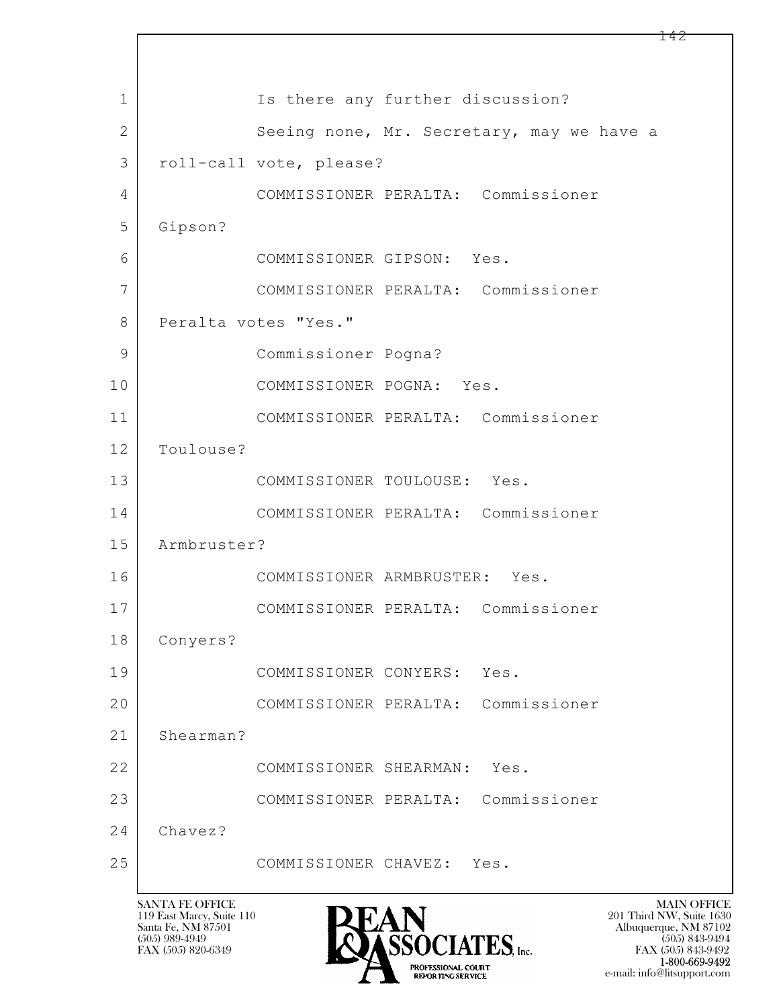$\mathbf{L}$  1 | Is there any further discussion? 2 Seeing none, Mr. Secretary, may we have a 3 roll-call vote, please? 4 COMMISSIONER PERALTA: Commissioner 5 Gipson? 6 COMMISSIONER GIPSON: Yes. 7 COMMISSIONER PERALTA: Commissioner 8 | Peralta votes "Yes." 9 Commissioner Pogna? 10 COMMISSIONER POGNA: Yes. 11 COMMISSIONER PERALTA: Commissioner 12 Toulouse? 13 COMMISSIONER TOULOUSE: Yes. 14 COMMISSIONER PERALTA: Commissioner 15 Armbruster? 16 COMMISSIONER ARMBRUSTER: Yes. 17 COMMISSIONER PERALTA: Commissioner 18 Conyers? 19 COMMISSIONER CONYERS: Yes. 20 COMMISSIONER PERALTA: Commissioner 21 Shearman? 22 COMMISSIONER SHEARMAN: Yes. 23 COMMISSIONER PERALTA: Commissioner 24 Chavez? 25 COMMISSIONER CHAVEZ: Yes.

119 East Marcy, Suite 110<br>Santa Fe, NM 87501



 $FAX (505) 843-9492$ <br>1-800-669-9492 e-mail: info@litsupport.com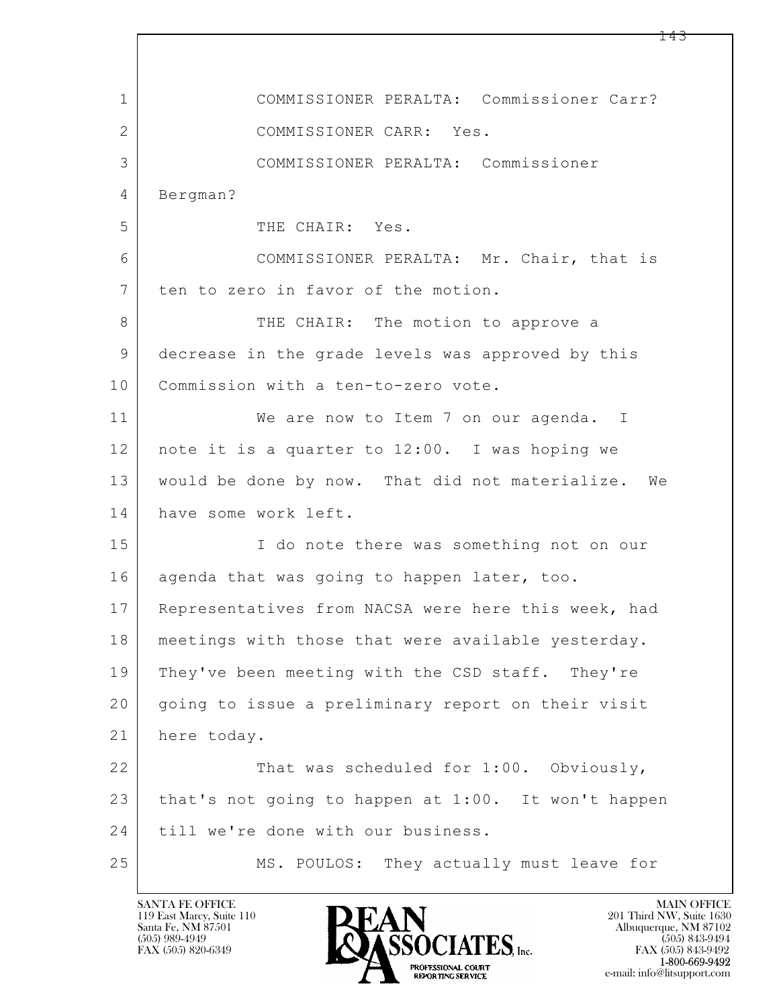$\mathbf{L}$  1 COMMISSIONER PERALTA: Commissioner Carr? 2 COMMISSIONER CARR: Yes. 3 COMMISSIONER PERALTA: Commissioner 4 Bergman? 5 THE CHAIR: Yes. 6 COMMISSIONER PERALTA: Mr. Chair, that is 7 ten to zero in favor of the motion. 8 THE CHAIR: The motion to approve a 9 decrease in the grade levels was approved by this 10 | Commission with a ten-to-zero vote. 11 We are now to Item 7 on our agenda. I 12 note it is a quarter to 12:00. I was hoping we 13 would be done by now. That did not materialize. We 14 have some work left. 15 | I do note there was something not on our 16 agenda that was going to happen later, too. 17 Representatives from NACSA were here this week, had 18 meetings with those that were available yesterday. 19 They've been meeting with the CSD staff. They're 20 | going to issue a preliminary report on their visit 21 here today. 22 That was scheduled for 1:00. Obviously, 23 that's not going to happen at 1:00. It won't happen 24 till we're done with our business. 25 MS. POULOS: They actually must leave for

119 East Marcy, Suite 110<br>Santa Fe, NM 87501

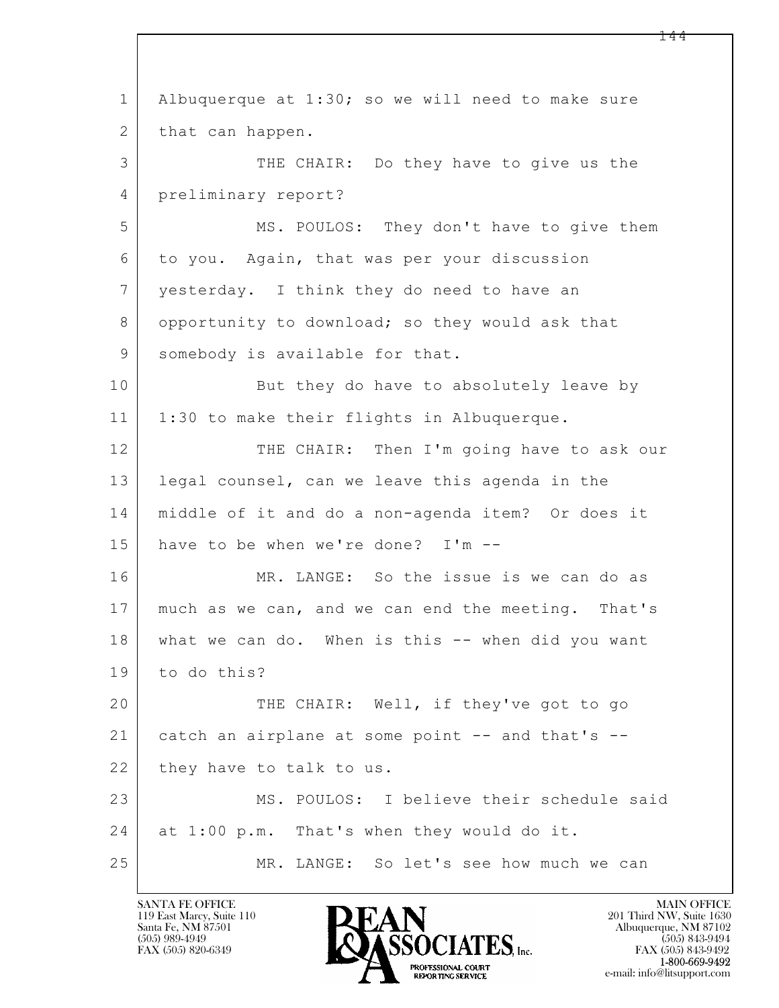$\mathbf{L}$  1 Albuquerque at 1:30; so we will need to make sure 2 that can happen. 3 THE CHAIR: Do they have to give us the 4 preliminary report? 5 | MS. POULOS: They don't have to give them 6 to you. Again, that was per your discussion 7 yesterday. I think they do need to have an 8 opportunity to download; so they would ask that 9 somebody is available for that. 10 But they do have to absolutely leave by 11 | 1:30 to make their flights in Albuquerque. 12 THE CHAIR: Then I'm going have to ask our 13 legal counsel, can we leave this agenda in the 14 middle of it and do a non-agenda item? Or does it 15 have to be when we're done? I'm -- 16 MR. LANGE: So the issue is we can do as 17 much as we can, and we can end the meeting. That's 18 what we can do. When is this -- when did you want 19 to do this? 20 THE CHAIR: Well, if they've got to go 21 catch an airplane at some point -- and that's --22 they have to talk to us. 23 MS. POULOS: I believe their schedule said 24 at 1:00 p.m. That's when they would do it. 25 MR. LANGE: So let's see how much we can

119 East Marcy, Suite 110<br>Santa Fe, NM 87501

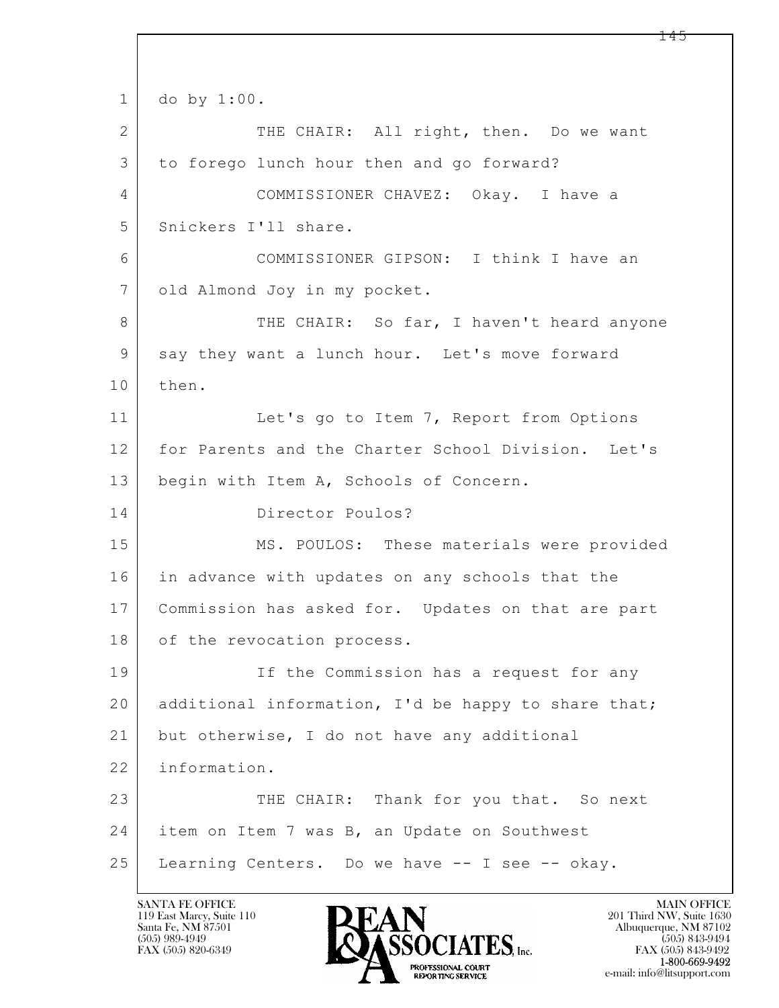$\mathbf{L}$  1 do by 1:00. 2 THE CHAIR: All right, then. Do we want 3 to forego lunch hour then and go forward? 4 COMMISSIONER CHAVEZ: Okay. I have a 5 Snickers I'll share. 6 COMMISSIONER GIPSON: I think I have an 7 | old Almond Joy in my pocket. 8 THE CHAIR: So far, I haven't heard anyone 9 say they want a lunch hour. Let's move forward 10 then. 11 Let's go to Item 7, Report from Options 12 for Parents and the Charter School Division. Let's 13 | begin with Item A, Schools of Concern. 14 Director Poulos? 15 | MS. POULOS: These materials were provided 16 in advance with updates on any schools that the 17 Commission has asked for. Updates on that are part 18 of the revocation process. 19 If the Commission has a request for any 20 additional information, I'd be happy to share that; 21 | but otherwise, I do not have any additional 22 information. 23 THE CHAIR: Thank for you that. So next 24 | item on Item 7 was B, an Update on Southwest 25 Learning Centers. Do we have -- I see -- okay.

119 East Marcy, Suite 110<br>Santa Fe, NM 87501



FAX (505) 843-9492 e-mail: info@litsupport.com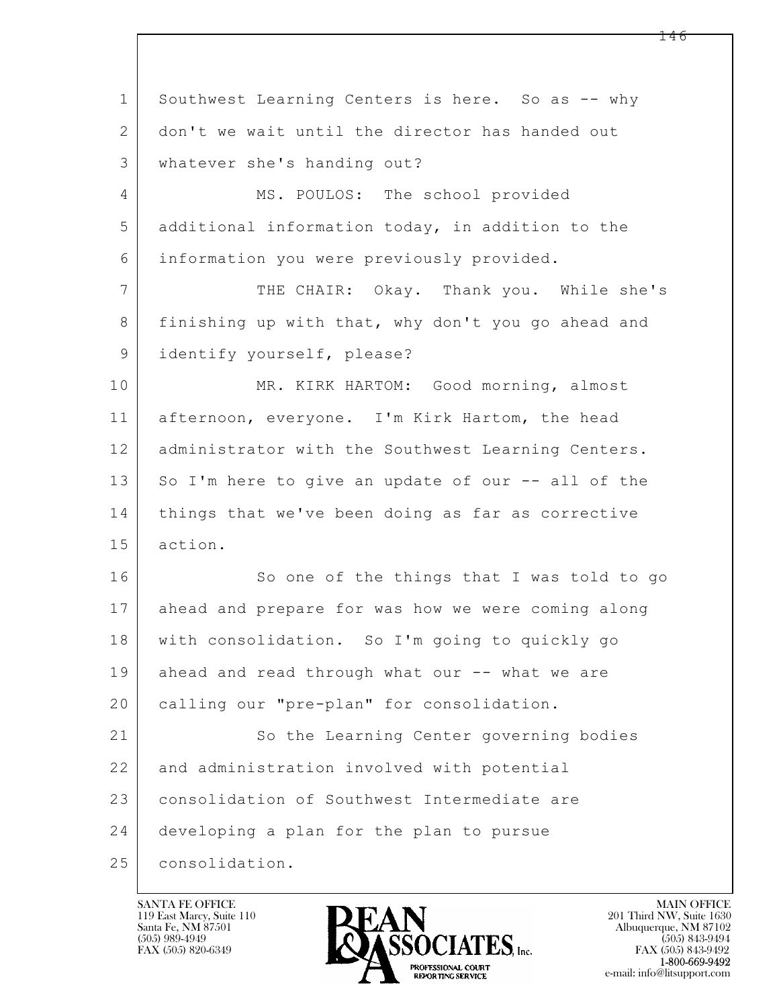$\mathbf{L}$  1 Southwest Learning Centers is here. So as -- why 2 don't we wait until the director has handed out 3 whatever she's handing out? 4 MS. POULOS: The school provided 5 additional information today, in addition to the 6 information you were previously provided. 7 THE CHAIR: Okay. Thank you. While she's 8 finishing up with that, why don't you go ahead and 9 identify yourself, please? 10 MR. KIRK HARTOM: Good morning, almost 11 afternoon, everyone. I'm Kirk Hartom, the head 12 | administrator with the Southwest Learning Centers. 13 So I'm here to give an update of our -- all of the 14 things that we've been doing as far as corrective 15 action. 16 So one of the things that I was told to go 17 ahead and prepare for was how we were coming along 18 with consolidation. So I'm going to quickly go 19 ahead and read through what our -- what we are 20 | calling our "pre-plan" for consolidation. 21 So the Learning Center governing bodies 22 and administration involved with potential 23 | consolidation of Southwest Intermediate are 24 developing a plan for the plan to pursue 25 consolidation.

119 East Marcy, Suite 110<br>Santa Fe, NM 87501



FAX (505) 843-9492 e-mail: info@litsupport.com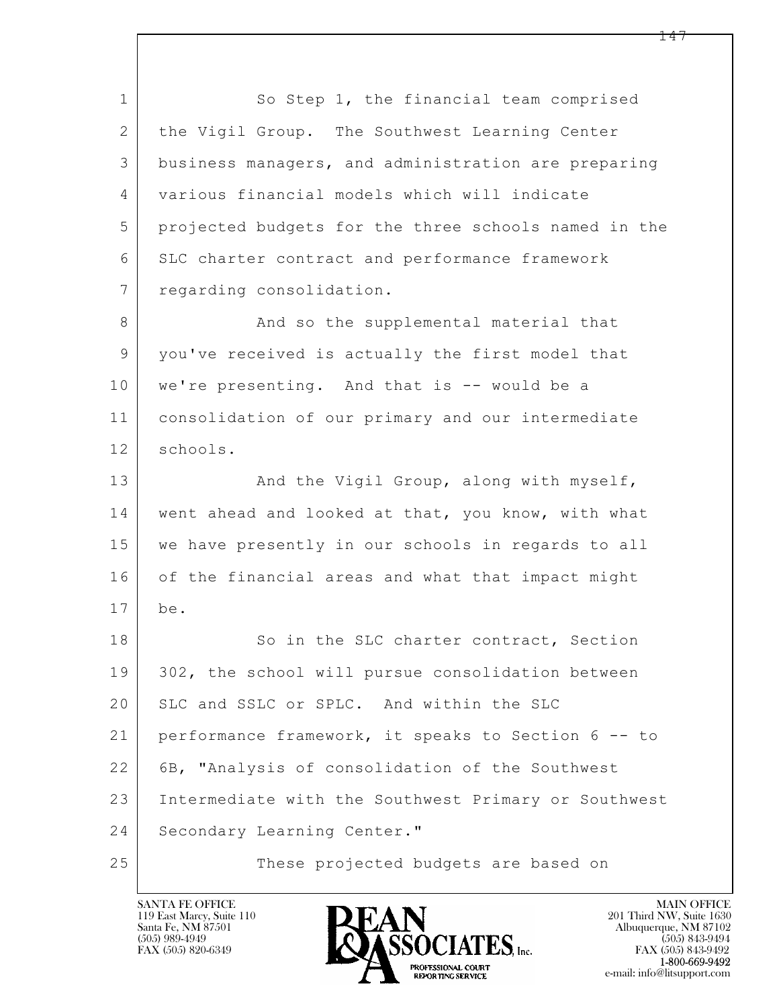$\mathbf{L}$  1 So Step 1, the financial team comprised 2 the Vigil Group. The Southwest Learning Center 3 business managers, and administration are preparing 4 various financial models which will indicate 5 projected budgets for the three schools named in the 6 SLC charter contract and performance framework 7 regarding consolidation. 8 And so the supplemental material that 9 you've received is actually the first model that 10 we're presenting. And that is -- would be a 11 consolidation of our primary and our intermediate 12 schools. 13 And the Vigil Group, along with myself, 14 went ahead and looked at that, you know, with what 15 we have presently in our schools in regards to all 16 of the financial areas and what that impact might 17 be. 18 So in the SLC charter contract, Section 19 302, the school will pursue consolidation between 20 SLC and SSLC or SPLC. And within the SLC 21 performance framework, it speaks to Section 6 -- to 22 6B, "Analysis of consolidation of the Southwest 23 Intermediate with the Southwest Primary or Southwest 24 Secondary Learning Center." 25 These projected budgets are based on

119 East Marcy, Suite 110<br>Santa Fe, NM 87501

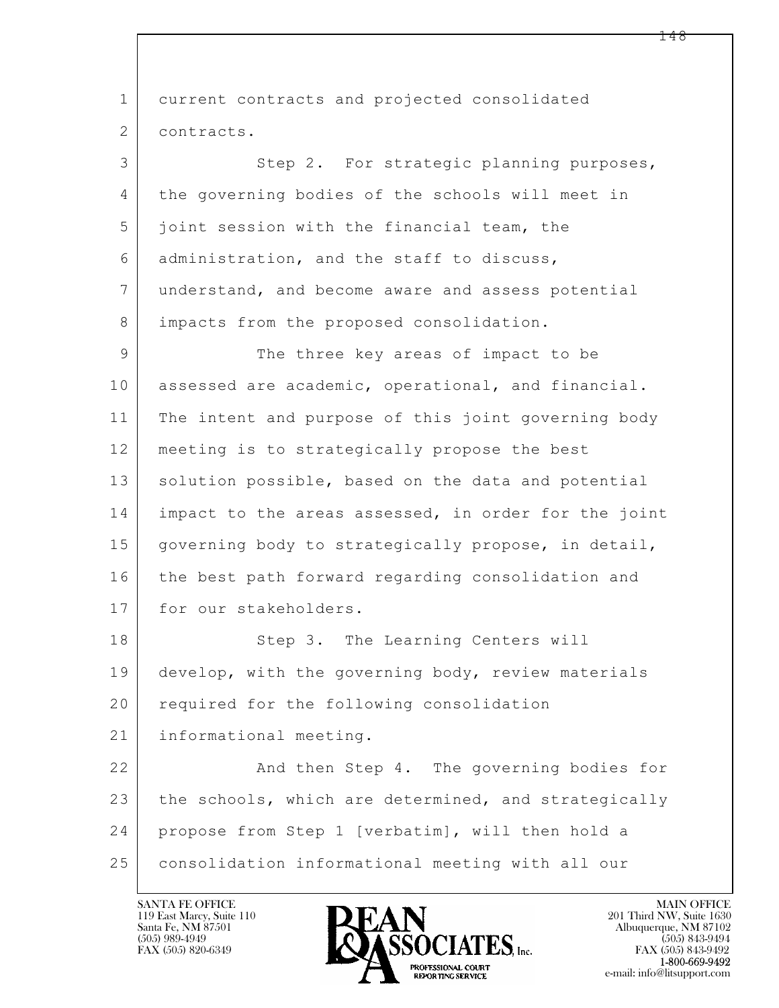$\mathbf{L}$  1 current contracts and projected consolidated 2 contracts. 3 Step 2. For strategic planning purposes, 4 the governing bodies of the schools will meet in 5 joint session with the financial team, the 6 administration, and the staff to discuss, 7 understand, and become aware and assess potential 8 | impacts from the proposed consolidation. 9 The three key areas of impact to be 10 assessed are academic, operational, and financial. 11 The intent and purpose of this joint governing body 12 meeting is to strategically propose the best 13 solution possible, based on the data and potential 14 impact to the areas assessed, in order for the joint 15 | governing body to strategically propose, in detail, 16 the best path forward regarding consolidation and 17 for our stakeholders. 18 Step 3. The Learning Centers will 19 develop, with the governing body, review materials 20 required for the following consolidation 21 | informational meeting. 22 And then Step 4. The governing bodies for 23 the schools, which are determined, and strategically 24 propose from Step 1 [verbatim], will then hold a 25 consolidation informational meeting with all our

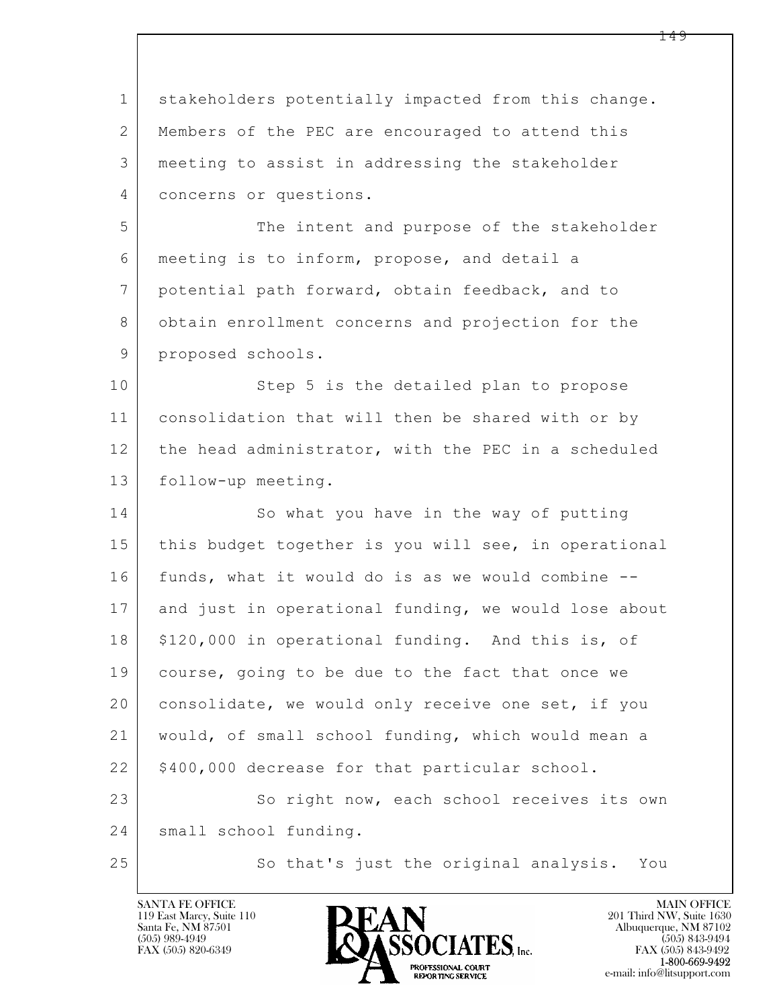| $\mathbf 1$ | stakeholders potentially impacted from this change.  |
|-------------|------------------------------------------------------|
| 2           | Members of the PEC are encouraged to attend this     |
| 3           | meeting to assist in addressing the stakeholder      |
| 4           | concerns or questions.                               |
| 5           | The intent and purpose of the stakeholder            |
| 6           | meeting is to inform, propose, and detail a          |
| 7           | potential path forward, obtain feedback, and to      |
| 8           | obtain enrollment concerns and projection for the    |
| 9           | proposed schools.                                    |
| 10          | Step 5 is the detailed plan to propose               |
| 11          | consolidation that will then be shared with or by    |
| 12          | the head administrator, with the PEC in a scheduled  |
| 13          | follow-up meeting.                                   |
| 14          | So what you have in the way of putting               |
| 15          | this budget together is you will see, in operational |
| 16          | funds, what it would do is as we would combine --    |
| 17          | and just in operational funding, we would lose about |
| 18          | \$120,000 in operational funding. And this is, of    |
| 19          | course, going to be due to the fact that once we     |
| 20          | consolidate, we would only receive one set, if you   |
| 21          | would, of small school funding, which would mean a   |
| 22          | \$400,000 decrease for that particular school.       |
| 23          | So right now, each school receives its own           |
| 24          | small school funding.                                |
| 25          | So that's just the original analysis. You            |

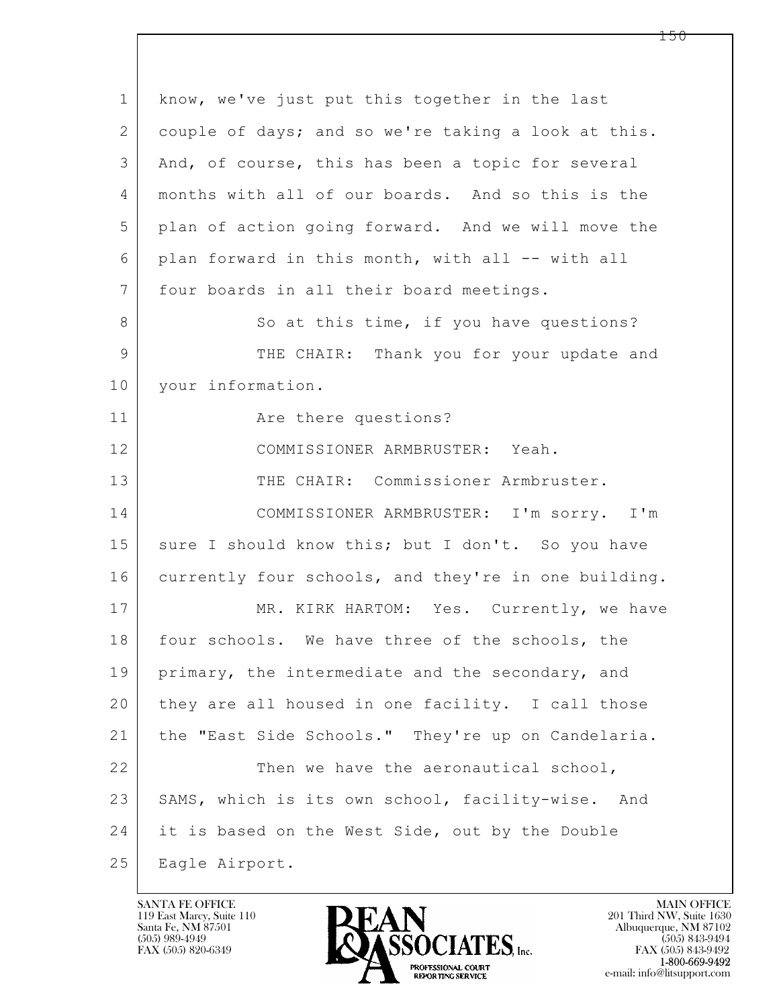| $\mathbf 1$  | know, we've just put this together in the last       |
|--------------|------------------------------------------------------|
| $\mathbf{2}$ | couple of days; and so we're taking a look at this.  |
| 3            | And, of course, this has been a topic for several    |
| 4            | months with all of our boards. And so this is the    |
| 5            | plan of action going forward. And we will move the   |
| 6            | plan forward in this month, with all -- with all     |
| 7            | four boards in all their board meetings.             |
| 8            | So at this time, if you have questions?              |
| 9            | THE CHAIR: Thank you for your update and             |
| 10           | your information.                                    |
| 11           | Are there questions?                                 |
| 12           | COMMISSIONER ARMBRUSTER: Yeah.                       |
| 13           | THE CHAIR: Commissioner Armbruster.                  |
| 14           | COMMISSIONER ARMBRUSTER: I'm sorry. I'm              |
| 15           | sure I should know this; but I don't. So you have    |
| 16           | currently four schools, and they're in one building. |
| 17           | MR. KIRK HARTOM: Yes. Currently, we have             |
| 18           | four schools. We have three of the schools, the      |
| 19           | primary, the intermediate and the secondary, and     |
| 20           | they are all housed in one facility. I call those    |
| 21           | the "East Side Schools." They're up on Candelaria.   |
| 22           | Then we have the aeronautical school,                |
| 23           | SAMS, which is its own school, facility-wise. And    |
| 24           | it is based on the West Side, out by the Double      |
| 25           | Eagle Airport.                                       |

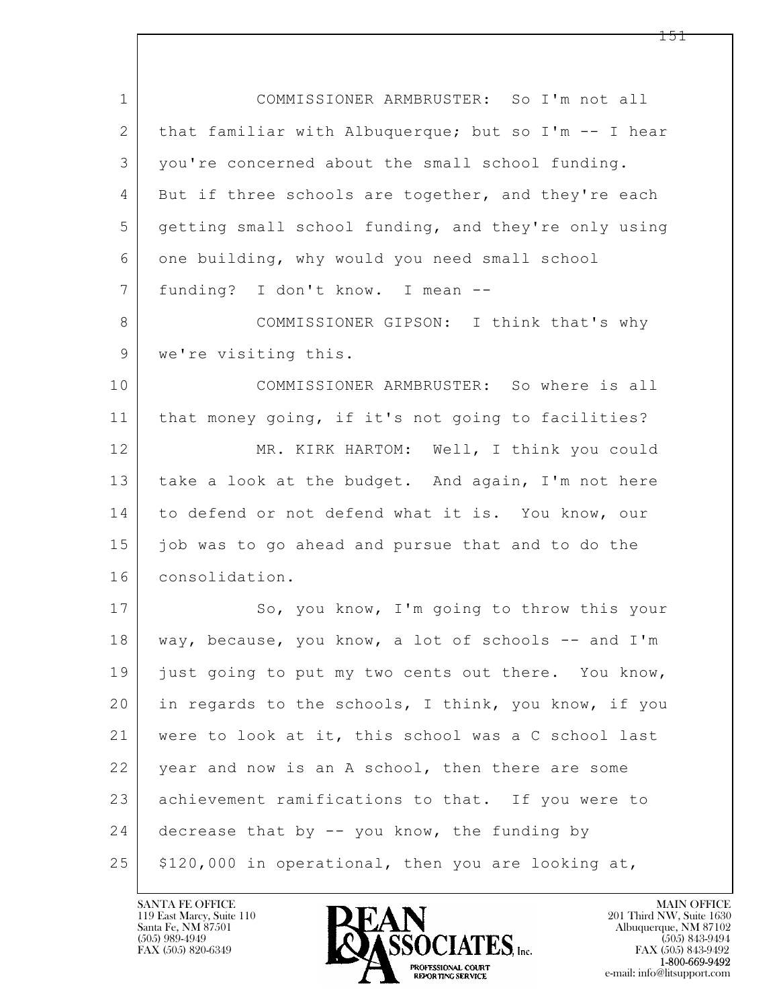| $\mathbf 1$     | COMMISSIONER ARMBRUSTER: So I'm not all              |
|-----------------|------------------------------------------------------|
| $\mathbf{2}$    | that familiar with Albuquerque; but so I'm -- I hear |
| 3               | you're concerned about the small school funding.     |
| 4               | But if three schools are together, and they're each  |
| 5               | getting small school funding, and they're only using |
| 6               | one building, why would you need small school        |
| $7\overline{ }$ | funding? I don't know. I mean --                     |
| 8               | COMMISSIONER GIPSON: I think that's why              |
| 9               | we're visiting this.                                 |
| 10              | COMMISSIONER ARMBRUSTER: So where is all             |
| 11              | that money going, if it's not going to facilities?   |
| 12              | MR. KIRK HARTOM: Well, I think you could             |
| 13              | take a look at the budget. And again, I'm not here   |
| 14              | to defend or not defend what it is. You know, our    |
| 15              | job was to go ahead and pursue that and to do the    |
| 16              | consolidation.                                       |
| 17              | So, you know, I'm going to throw this your           |
| 18              | way, because, you know, a lot of schools -- and I'm  |
| 19              | just going to put my two cents out there. You know,  |
| 20              | in regards to the schools, I think, you know, if you |
| 21              | were to look at it, this school was a C school last  |
| 22              | year and now is an A school, then there are some     |
| 23              | achievement ramifications to that. If you were to    |
| 24              | decrease that by -- you know, the funding by         |
| 25              | \$120,000 in operational, then you are looking at,   |

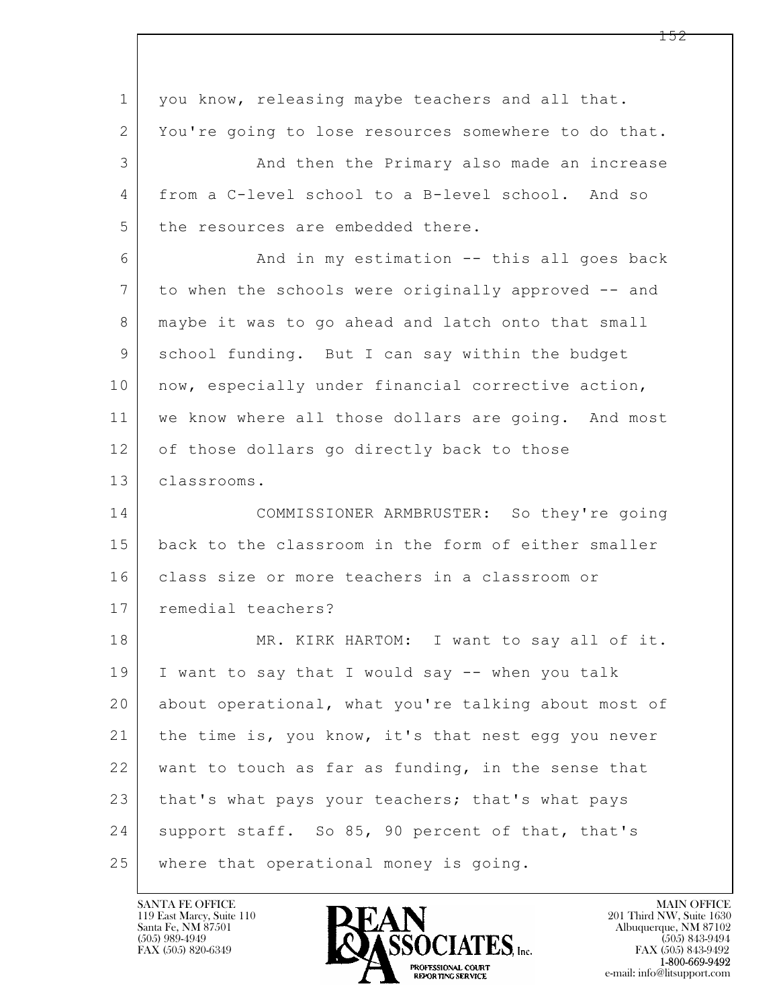| $\mathbf 1$    | you know, releasing maybe teachers and all that.     |
|----------------|------------------------------------------------------|
| 2              | You're going to lose resources somewhere to do that. |
| 3              | And then the Primary also made an increase           |
| 4              | from a C-level school to a B-level school. And so    |
| 5              | the resources are embedded there.                    |
| 6              | And in my estimation -- this all goes back           |
| $\overline{7}$ | to when the schools were originally approved -- and  |
| 8              | maybe it was to go ahead and latch onto that small   |
| 9              | school funding. But I can say within the budget      |
| 10             | now, especially under financial corrective action,   |
| 11             | we know where all those dollars are going. And most  |
| 12             | of those dollars go directly back to those           |
| 13             | classrooms.                                          |
| 14             | COMMISSIONER ARMBRUSTER: So they're going            |
| 15             | back to the classroom in the form of either smaller  |
| 16             | class size or more teachers in a classroom or        |
| 17             | remedial teachers?                                   |
| 18             | MR. KIRK HARTOM: I want to say all of it.            |
| 19             | I want to say that I would say -- when you talk      |
| 20             | about operational, what you're talking about most of |
| 21             | the time is, you know, it's that nest egg you never  |
| 22             | want to touch as far as funding, in the sense that   |
| 23             | that's what pays your teachers; that's what pays     |
| 24             | support staff. So 85, 90 percent of that, that's     |
| 25             | where that operational money is going.               |

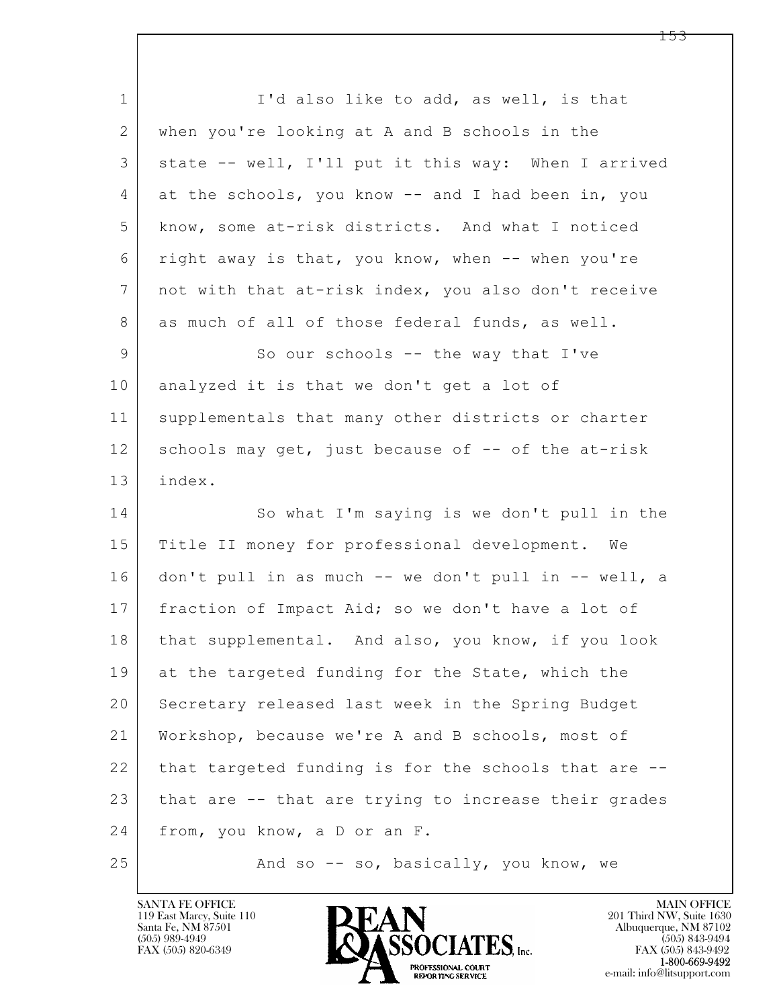$\mathbf{L}$  1 I'd also like to add, as well, is that 2 when you're looking at A and B schools in the 3 state -- well, I'll put it this way: When I arrived 4 at the schools, you know -- and I had been in, you 5 know, some at-risk districts. And what I noticed 6 right away is that, you know, when -- when you're 7 not with that at-risk index, you also don't receive 8 as much of all of those federal funds, as well. 9 So our schools -- the way that I've 10 analyzed it is that we don't get a lot of 11 | supplementals that many other districts or charter 12 schools may get, just because of -- of the at-risk 13 index. 14 So what I'm saying is we don't pull in the 15 | Title II money for professional development. We 16 don't pull in as much -- we don't pull in -- well, a 17 | fraction of Impact Aid; so we don't have a lot of 18 | that supplemental. And also, you know, if you look 19 at the targeted funding for the State, which the 20 Secretary released last week in the Spring Budget 21 Workshop, because we're A and B schools, most of 22 that targeted funding is for the schools that are --23 that are -- that are trying to increase their grades 24 from, you know, a D or an F. 25 | And so -- so, basically, you know, we

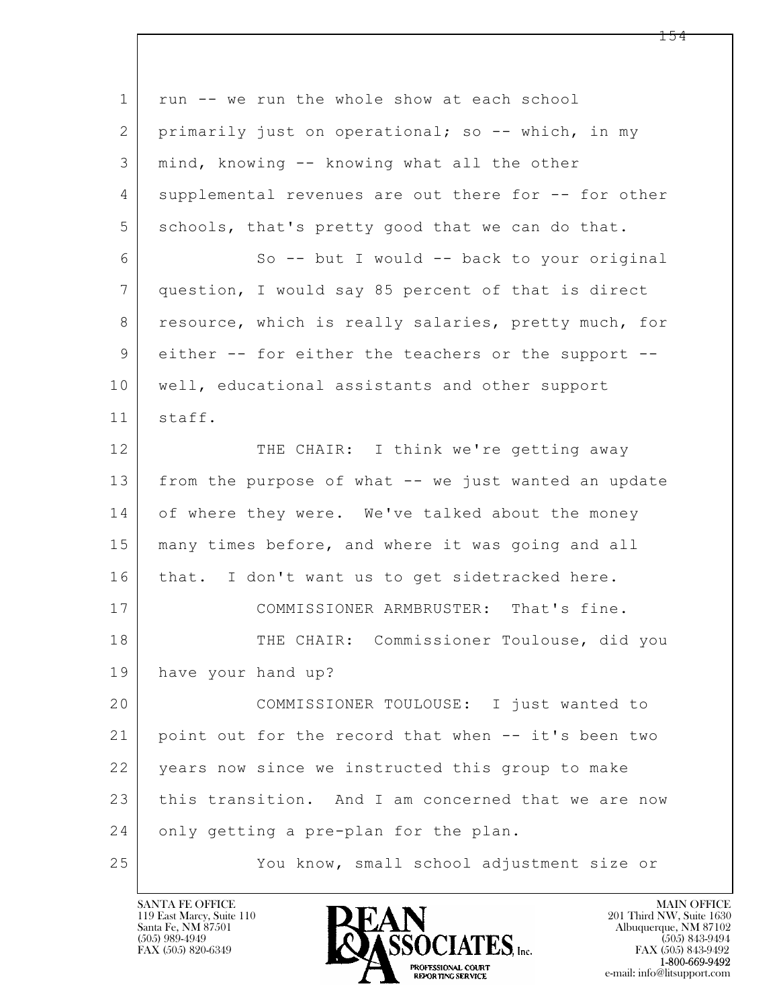| $\mathbf 1$    | run -- we run the whole show at each school          |
|----------------|------------------------------------------------------|
| 2              | primarily just on operational; so -- which, in my    |
| 3              | mind, knowing -- knowing what all the other          |
| 4              | supplemental revenues are out there for -- for other |
| 5              | schools, that's pretty good that we can do that.     |
| 6              | So -- but I would -- back to your original           |
| $7\phantom{.}$ | question, I would say 85 percent of that is direct   |
| 8              | resource, which is really salaries, pretty much, for |
| 9              | either -- for either the teachers or the support --  |
| 10             | well, educational assistants and other support       |
| 11             | staff.                                               |
| 12             | THE CHAIR: I think we're getting away                |
| 13             | from the purpose of what -- we just wanted an update |
| 14             | of where they were. We've talked about the money     |
| 15             | many times before, and where it was going and all    |
| 16             | that. I don't want us to get sidetracked here.       |
| 17             | COMMISSIONER ARMBRUSTER:<br>That's fine.             |
| 18             | THE CHAIR: Commissioner Toulouse, did you            |
| 19             | have your hand up?                                   |
| 20             | COMMISSIONER TOULOUSE: I just wanted to              |
| 21             | point out for the record that when -- it's been two  |
| 22             | years now since we instructed this group to make     |
| 23             | this transition. And I am concerned that we are now  |
| 24             | only getting a pre-plan for the plan.                |
| 25             | You know, small school adjustment size or            |

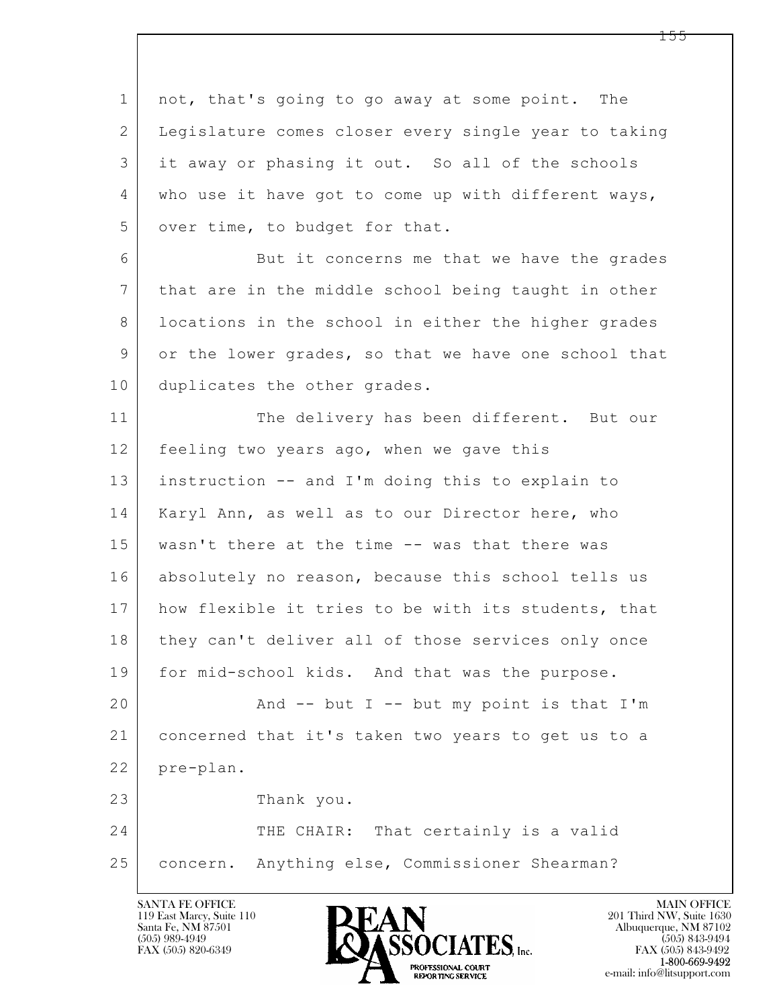$\mathbf{L}$  1 not, that's going to go away at some point. The 2 Legislature comes closer every single year to taking 3 it away or phasing it out. So all of the schools 4 who use it have got to come up with different ways, 5 over time, to budget for that. 6 But it concerns me that we have the grades 7 that are in the middle school being taught in other 8 | locations in the school in either the higher grades 9 or the lower grades, so that we have one school that 10 duplicates the other grades. 11 The delivery has been different. But our 12 | feeling two years ago, when we gave this 13 instruction -- and I'm doing this to explain to 14 | Karyl Ann, as well as to our Director here, who 15 | wasn't there at the time -- was that there was 16 absolutely no reason, because this school tells us 17 | how flexible it tries to be with its students, that 18 | they can't deliver all of those services only once 19 | for mid-school kids. And that was the purpose. 20 | Rnd -- but I -- but my point is that I'm 21 concerned that it's taken two years to get us to a 22 pre-plan. 23 Thank you. 24 THE CHAIR: That certainly is a valid 25 concern. Anything else, Commissioner Shearman?

119 East Marcy, Suite 110<br>Santa Fe, NM 87501



FAX (505) 843-9492 e-mail: info@litsupport.com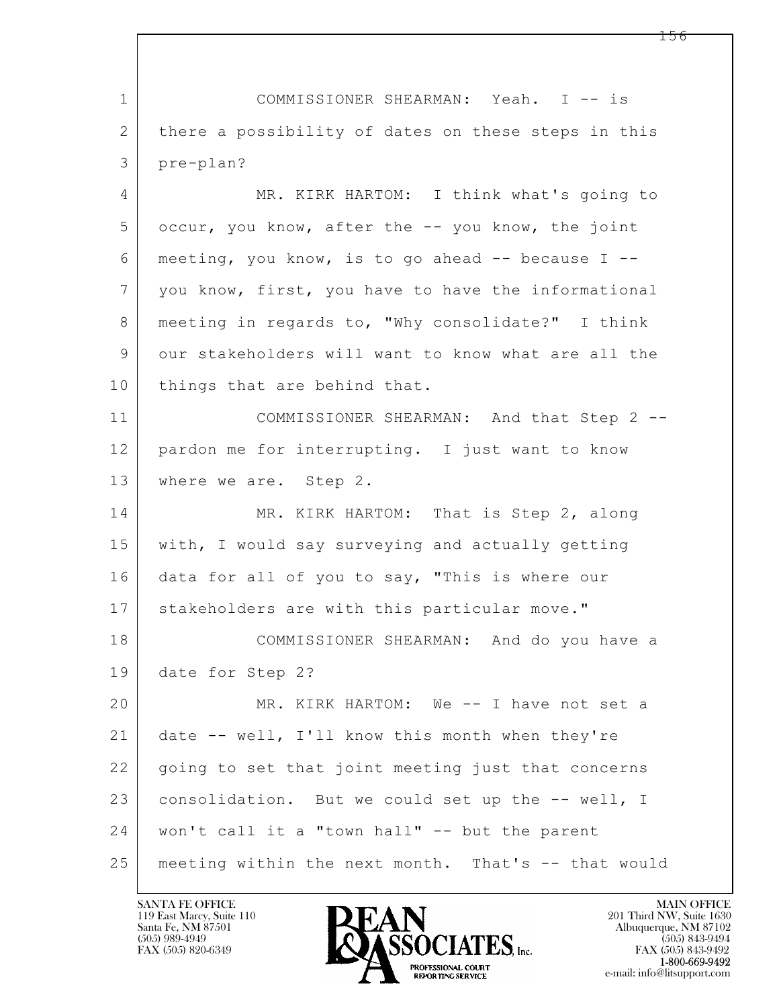$\mathbf{L}$  1 COMMISSIONER SHEARMAN: Yeah. I -- is 2 there a possibility of dates on these steps in this 3 pre-plan? 4 MR. KIRK HARTOM: I think what's going to 5 occur, you know, after the -- you know, the joint  $6$  meeting, you know, is to go ahead  $-$  because I  $-$ 7 you know, first, you have to have the informational 8 | meeting in regards to, "Why consolidate?" I think 9 our stakeholders will want to know what are all the 10 things that are behind that. 11 COMMISSIONER SHEARMAN: And that Step 2 -- 12 pardon me for interrupting. I just want to know 13 | where we are. Step 2. 14 MR. KIRK HARTOM: That is Step 2, along 15 with, I would say surveying and actually getting 16 data for all of you to say, "This is where our 17 stakeholders are with this particular move." 18 COMMISSIONER SHEARMAN: And do you have a 19 date for Step 2? 20 MR. KIRK HARTOM: We -- I have not set a 21 date -- well, I'll know this month when they're 22 | going to set that joint meeting just that concerns 23 consolidation. But we could set up the -- well, I 24 won't call it a "town hall" -- but the parent 25 meeting within the next month. That's -- that would

119 East Marcy, Suite 110<br>Santa Fe, NM 87501



FAX (505) 843-9492 e-mail: info@litsupport.com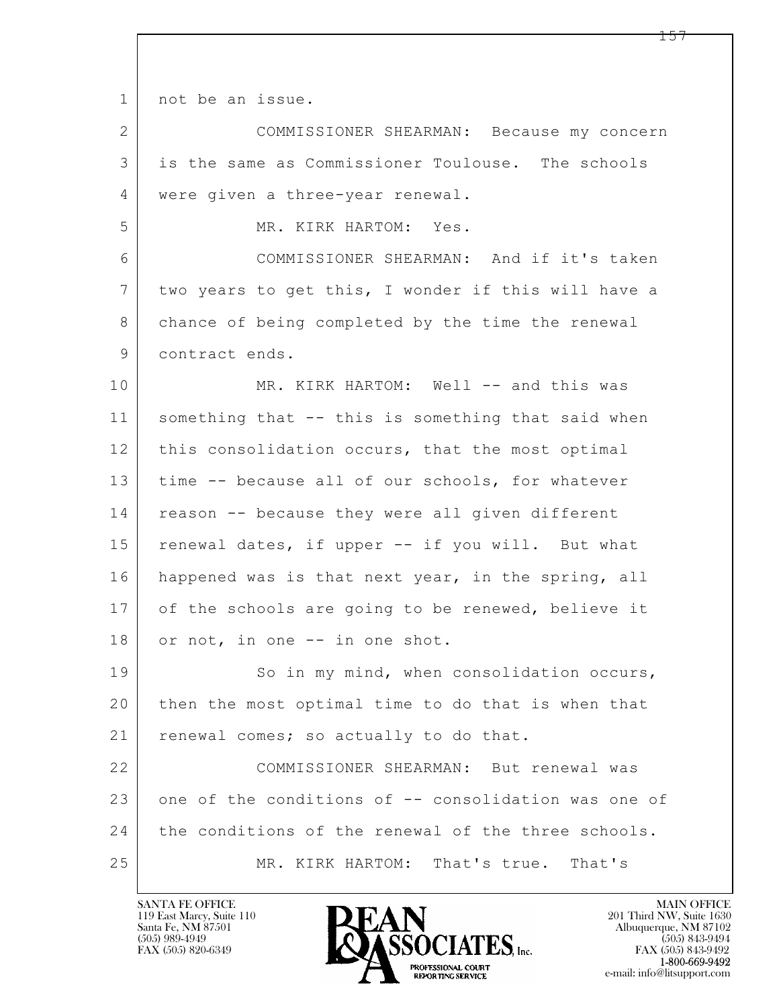1 not be an issue.

 $\mathbf{L}$  2 COMMISSIONER SHEARMAN: Because my concern 3 is the same as Commissioner Toulouse. The schools 4 | were given a three-year renewal. 5 MR. KIRK HARTOM: Yes. 6 COMMISSIONER SHEARMAN: And if it's taken 7 two years to get this, I wonder if this will have a 8 chance of being completed by the time the renewal 9 contract ends. 10 MR. KIRK HARTOM: Well -- and this was 11 something that -- this is something that said when 12 | this consolidation occurs, that the most optimal 13 time -- because all of our schools, for whatever 14 reason -- because they were all given different 15 | renewal dates, if upper -- if you will. But what 16 happened was is that next year, in the spring, all 17 of the schools are going to be renewed, believe it 18 or not, in one -- in one shot. 19 So in my mind, when consolidation occurs, 20 then the most optimal time to do that is when that 21 renewal comes; so actually to do that. 22 COMMISSIONER SHEARMAN: But renewal was 23 one of the conditions of -- consolidation was one of 24 the conditions of the renewal of the three schools. 25 MR. KIRK HARTOM: That's true. That's

119 East Marcy, Suite 110<br>Santa Fe, NM 87501



FAX (505) 843-9492 e-mail: info@litsupport.com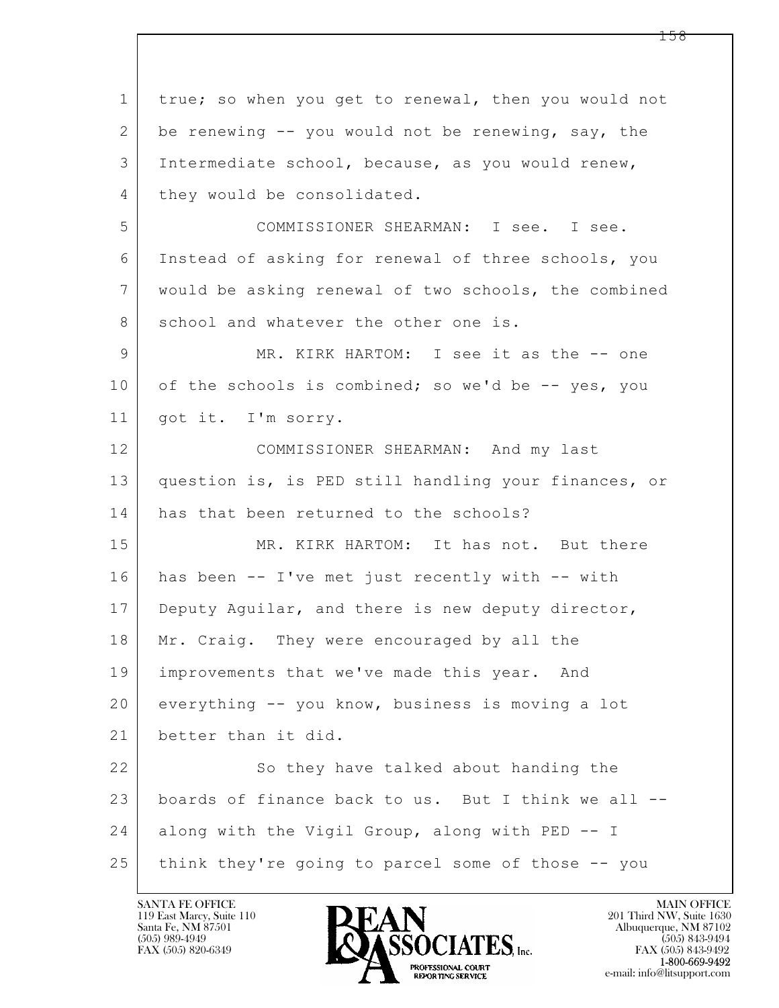$\mathbf{L}$  1 true; so when you get to renewal, then you would not 2 be renewing -- you would not be renewing, say, the 3 Intermediate school, because, as you would renew, 4 they would be consolidated. 5 COMMISSIONER SHEARMAN: I see. I see. 6 Instead of asking for renewal of three schools, you 7 would be asking renewal of two schools, the combined 8 school and whatever the other one is. 9 MR. KIRK HARTOM: I see it as the -- one 10 of the schools is combined; so we'd be  $-$ - yes, you 11 got it. I'm sorry. 12 COMMISSIONER SHEARMAN: And my last 13 question is, is PED still handling your finances, or 14 has that been returned to the schools? 15 MR. KIRK HARTOM: It has not. But there 16 has been -- I've met just recently with -- with 17 Deputy Aguilar, and there is new deputy director, 18 Mr. Craig. They were encouraged by all the 19 improvements that we've made this year. And 20 everything -- you know, business is moving a lot 21 better than it did. 22 So they have talked about handing the 23 boards of finance back to us. But I think we all -- 24 along with the Vigil Group, along with PED -- I 25 think they're going to parcel some of those -- you

119 East Marcy, Suite 110<br>Santa Fe, NM 87501

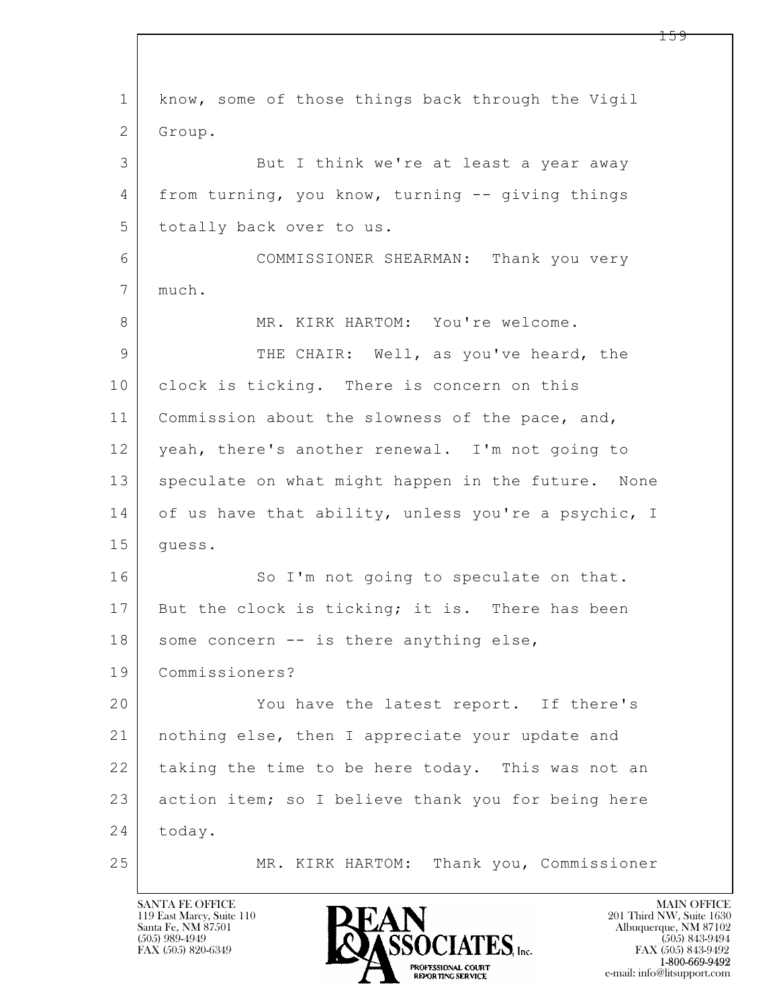$\mathbf{L}$  1 know, some of those things back through the Vigil 2 Group. 3 But I think we're at least a year away 4 from turning, you know, turning -- giving things 5 totally back over to us. 6 COMMISSIONER SHEARMAN: Thank you very 7 much. 8 MR. KIRK HARTOM: You're welcome. 9 THE CHAIR: Well, as you've heard, the 10 clock is ticking. There is concern on this 11 | Commission about the slowness of the pace, and, 12 yeah, there's another renewal. I'm not going to 13 speculate on what might happen in the future. None 14 of us have that ability, unless you're a psychic, I 15 guess. 16 So I'm not going to speculate on that. 17 But the clock is ticking; it is. There has been  $18$  some concern  $--$  is there anything else, 19 Commissioners? 20 You have the latest report. If there's 21 nothing else, then I appreciate your update and 22 taking the time to be here today. This was not an 23 action item; so I believe thank you for being here 24 today. 25 MR. KIRK HARTOM: Thank you, Commissioner

119 East Marcy, Suite 110<br>Santa Fe, NM 87501

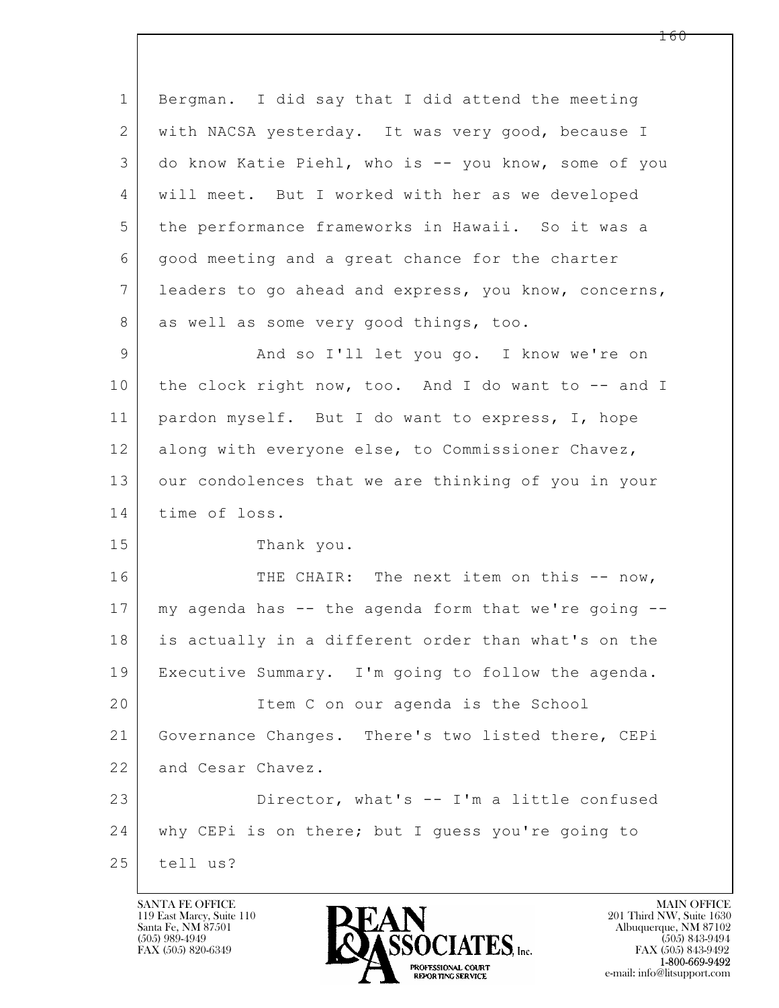$\mathbf{L}$  1 Bergman. I did say that I did attend the meeting 2 with NACSA yesterday. It was very good, because I 3 do know Katie Piehl, who is -- you know, some of you 4 will meet. But I worked with her as we developed 5 the performance frameworks in Hawaii. So it was a 6 good meeting and a great chance for the charter 7 leaders to go ahead and express, you know, concerns, 8 as well as some very good things, too. 9 And so I'll let you go. I know we're on 10 the clock right now, too. And I do want to -- and I 11 pardon myself. But I do want to express, I, hope 12 along with everyone else, to Commissioner Chavez, 13 our condolences that we are thinking of you in your 14 time of loss. 15 Thank you. 16 THE CHAIR: The next item on this -- now, 17 my agenda has -- the agenda form that we're going -- 18 is actually in a different order than what's on the 19 Executive Summary. I'm going to follow the agenda. 20 Item C on our agenda is the School 21 Governance Changes. There's two listed there, CEPi 22 and Cesar Chavez. 23 Director, what's -- I'm a little confused 24 why CEPi is on there; but I guess you're going to  $25$  tell us?

119 East Marcy, Suite 110<br>Santa Fe, NM 87501

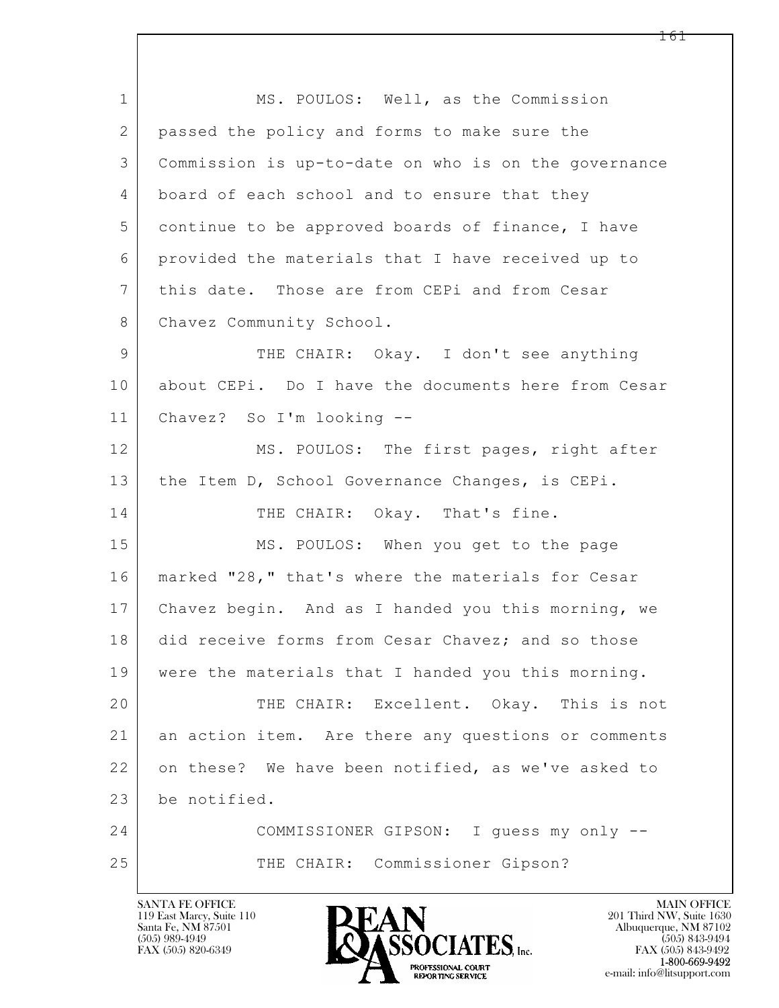$\mathbf{L}$  1 MS. POULOS: Well, as the Commission 2 passed the policy and forms to make sure the 3 Commission is up-to-date on who is on the governance 4 board of each school and to ensure that they 5 continue to be approved boards of finance, I have 6 provided the materials that I have received up to 7 this date. Those are from CEPi and from Cesar 8 Chavez Community School. 9 | THE CHAIR: Okay. I don't see anything 10 about CEPi. Do I have the documents here from Cesar 11 Chavez? So I'm looking -- 12 MS. POULOS: The first pages, right after 13 | the Item D, School Governance Changes, is CEPi. 14 THE CHAIR: Okay. That's fine. 15 MS. POULOS: When you get to the page 16 marked "28," that's where the materials for Cesar 17 | Chavez begin. And as I handed you this morning, we 18 did receive forms from Cesar Chavez; and so those 19 were the materials that I handed you this morning. 20 THE CHAIR: Excellent. Okay. This is not 21 an action item. Are there any questions or comments 22 on these? We have been notified, as we've asked to 23 be notified. 24 COMMISSIONER GIPSON: I guess my only -- 25 THE CHAIR: Commissioner Gipson?

119 East Marcy, Suite 110<br>Santa Fe, NM 87501



FAX (505) 843-9492 e-mail: info@litsupport.com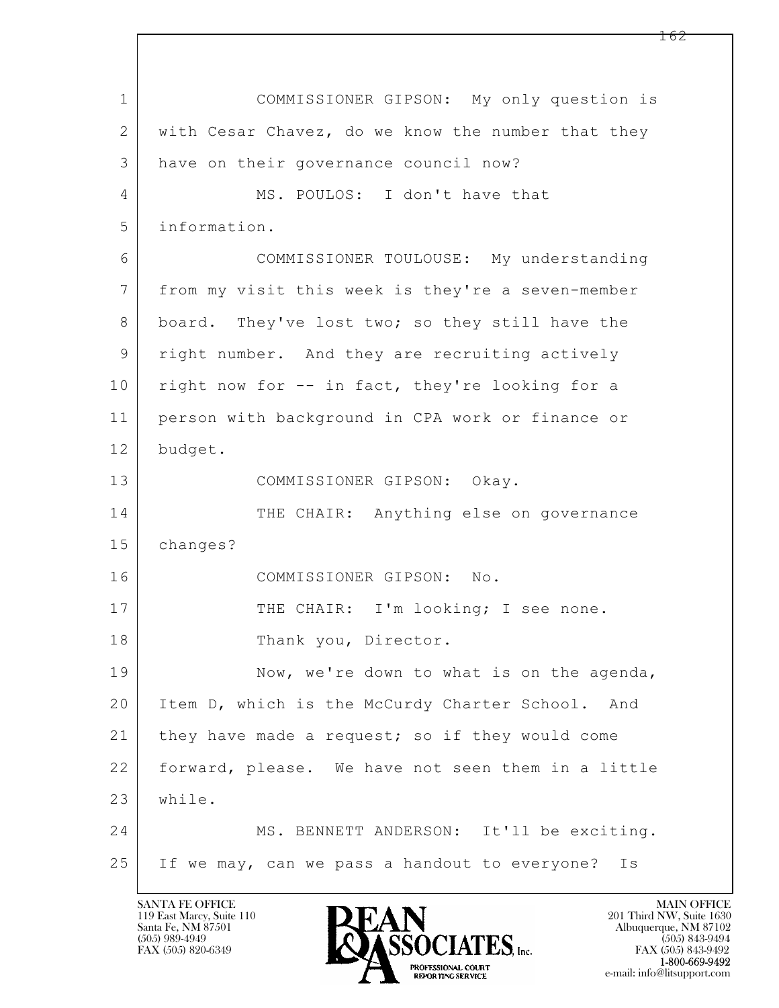$\mathbf{L}$  1 COMMISSIONER GIPSON: My only question is 2 with Cesar Chavez, do we know the number that they 3 have on their governance council now? 4 MS. POULOS: I don't have that 5 information. 6 COMMISSIONER TOULOUSE: My understanding 7 from my visit this week is they're a seven-member 8 board. They've lost two; so they still have the 9 right number. And they are recruiting actively 10 right now for -- in fact, they're looking for a 11 person with background in CPA work or finance or 12 budget. 13 COMMISSIONER GIPSON: Okay. 14 THE CHAIR: Anything else on governance 15 changes? 16 COMMISSIONER GIPSON: No. 17 THE CHAIR: I'm looking; I see none. 18 Thank you, Director. 19 Now, we're down to what is on the agenda, 20 Item D, which is the McCurdy Charter School. And 21 | they have made a request; so if they would come 22 forward, please. We have not seen them in a little 23 while. 24 MS. BENNETT ANDERSON: It'll be exciting. 25 If we may, can we pass a handout to everyone? Is

119 East Marcy, Suite 110<br>Santa Fe, NM 87501

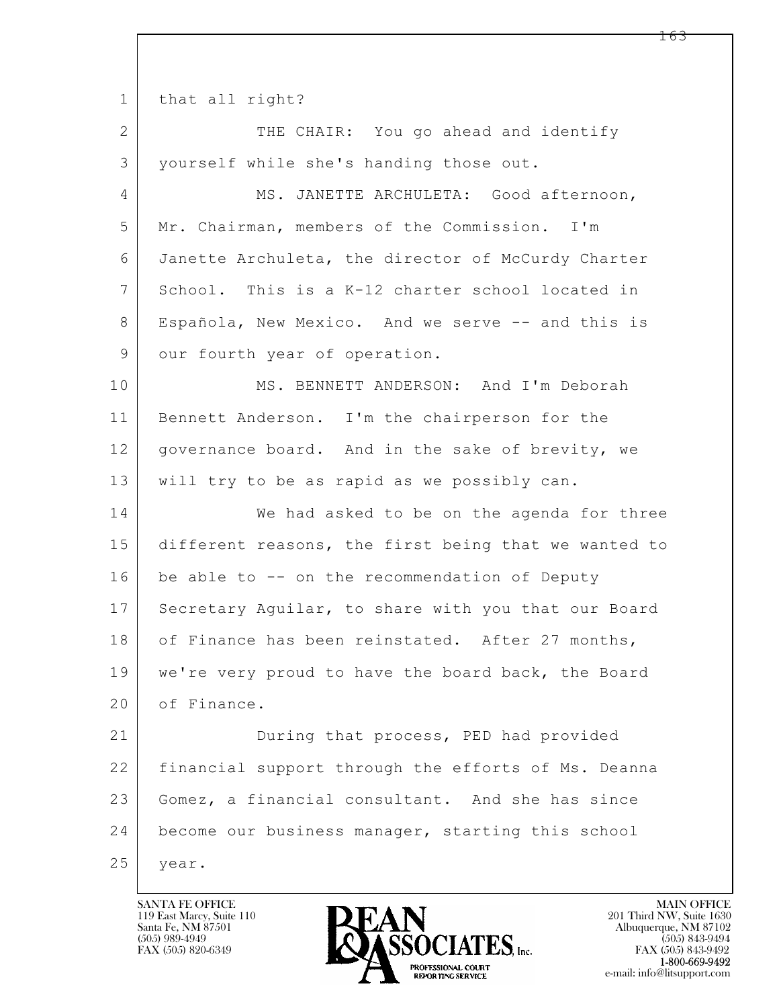$\mathbf{L}$  1 that all right? 2 THE CHAIR: You go ahead and identify 3 yourself while she's handing those out. 4 MS. JANETTE ARCHULETA: Good afternoon, 5 Mr. Chairman, members of the Commission. I'm 6 Janette Archuleta, the director of McCurdy Charter 7 School. This is a K-12 charter school located in 8 | Española, New Mexico. And we serve -- and this is 9 our fourth year of operation. 10 MS. BENNETT ANDERSON: And I'm Deborah 11 Bennett Anderson. I'm the chairperson for the 12 | governance board. And in the sake of brevity, we 13 will try to be as rapid as we possibly can. 14 We had asked to be on the agenda for three 15 different reasons, the first being that we wanted to 16 be able to -- on the recommendation of Deputy 17 Secretary Aguilar, to share with you that our Board 18 of Finance has been reinstated. After 27 months, 19 we're very proud to have the board back, the Board 20 of Finance. 21 During that process, PED had provided 22 financial support through the efforts of Ms. Deanna 23 Gomez, a financial consultant. And she has since 24 become our business manager, starting this school 25 | year.

119 East Marcy, Suite 110<br>Santa Fe, NM 87501

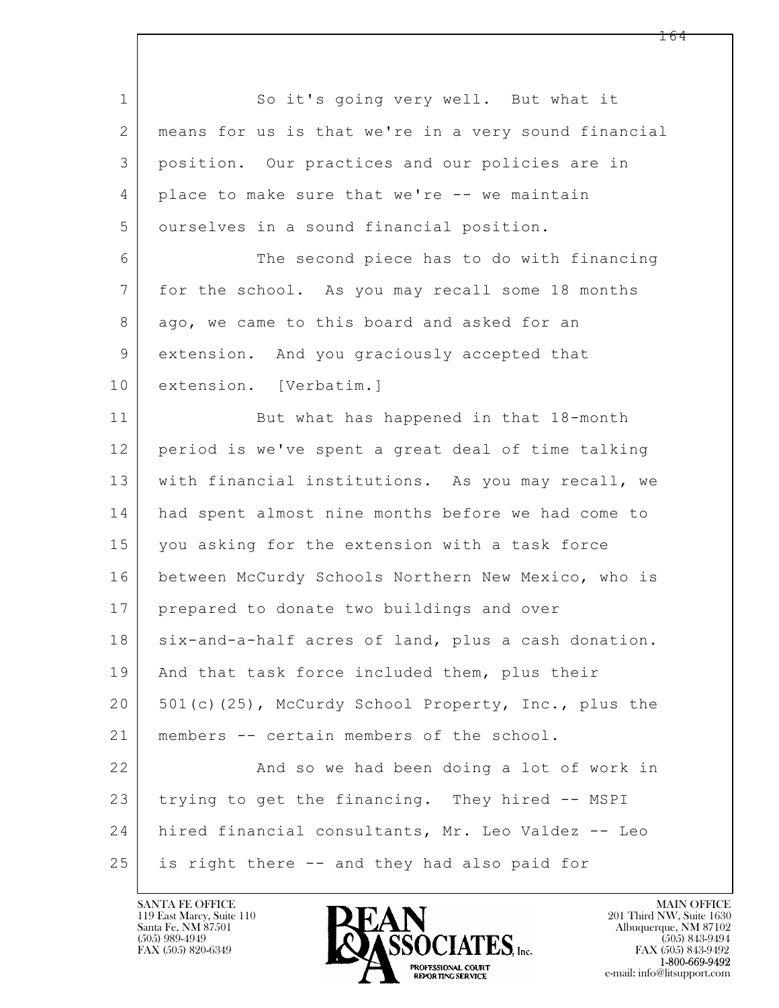$\mathbf{L}$  1 So it's going very well. But what it 2 means for us is that we're in a very sound financial 3 position. Our practices and our policies are in 4 place to make sure that we're -- we maintain 5 | ourselves in a sound financial position. 6 The second piece has to do with financing 7 for the school. As you may recall some 18 months 8 ago, we came to this board and asked for an 9 extension. And you graciously accepted that 10 extension. [Verbatim.] 11 But what has happened in that 18-month 12 period is we've spent a great deal of time talking 13 with financial institutions. As you may recall, we 14 had spent almost nine months before we had come to 15 you asking for the extension with a task force 16 between McCurdy Schools Northern New Mexico, who is 17 | prepared to donate two buildings and over 18 | six-and-a-half acres of land, plus a cash donation. 19 | And that task force included them, plus their 20 | 501(c)(25), McCurdy School Property, Inc., plus the 21 members -- certain members of the school. 22 And so we had been doing a lot of work in 23 trying to get the financing. They hired -- MSPI 24 hired financial consultants, Mr. Leo Valdez -- Leo 25 is right there -- and they had also paid for

119 East Marcy, Suite 110<br>Santa Fe, NM 87501



FAX (505) 843-9492 e-mail: info@litsupport.com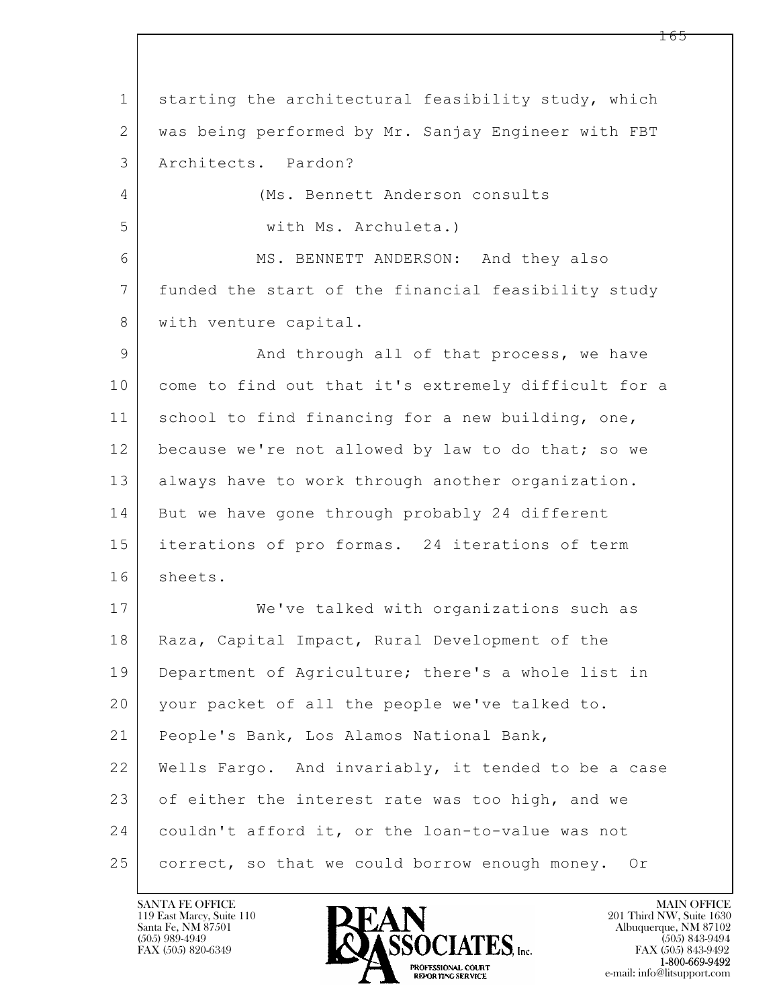$\mathbf{L}$  1 starting the architectural feasibility study, which 2 was being performed by Mr. Sanjay Engineer with FBT 3 Architects. Pardon? 4 (Ms. Bennett Anderson consults 5 with Ms. Archuleta.) 6 MS. BENNETT ANDERSON: And they also 7 funded the start of the financial feasibility study 8 | with venture capital. 9 And through all of that process, we have 10 come to find out that it's extremely difficult for a 11 school to find financing for a new building, one, 12 because we're not allowed by law to do that; so we 13 always have to work through another organization. 14 But we have gone through probably 24 different 15 iterations of pro formas. 24 iterations of term 16 sheets. 17 | We've talked with organizations such as 18 | Raza, Capital Impact, Rural Development of the 19 Department of Agriculture; there's a whole list in 20 your packet of all the people we've talked to. 21 People's Bank, Los Alamos National Bank, 22 Wells Fargo. And invariably, it tended to be a case 23 of either the interest rate was too high, and we 24 couldn't afford it, or the loan-to-value was not 25 correct, so that we could borrow enough money. Or

119 East Marcy, Suite 110<br>Santa Fe, NM 87501



FAX (505) 843-9492 e-mail: info@litsupport.com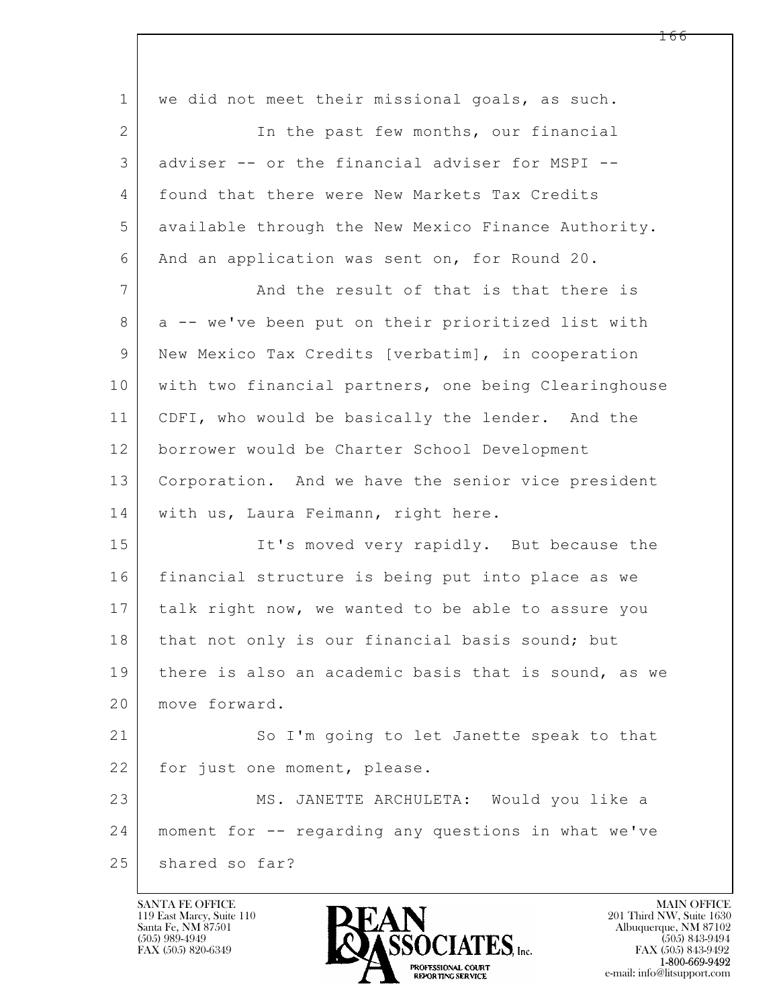| $\mathbf{1}$   | we did not meet their missional goals, as such.      |
|----------------|------------------------------------------------------|
| $\mathbf{2}$   | In the past few months, our financial                |
| 3              | adviser -- or the financial adviser for MSPI --      |
| 4              | found that there were New Markets Tax Credits        |
| 5              | available through the New Mexico Finance Authority.  |
| 6              | And an application was sent on, for Round 20.        |
| 7              | And the result of that is that there is              |
| 8              | a -- we've been put on their prioritized list with   |
| $\overline{9}$ | New Mexico Tax Credits [verbatim], in cooperation    |
| 10             | with two financial partners, one being Clearinghouse |
| 11             | CDFI, who would be basically the lender. And the     |
| 12             | borrower would be Charter School Development         |
| 13             | Corporation. And we have the senior vice president   |
| 14             | with us, Laura Feimann, right here.                  |
| 15             | It's moved very rapidly. But because the             |
| 16             | financial structure is being put into place as we    |
| 17             | talk right now, we wanted to be able to assure you   |
| 18             | that not only is our financial basis sound; but      |
| 19             | there is also an academic basis that is sound, as we |
| 20             | move forward.                                        |
| 21             | So I'm going to let Janette speak to that            |
| 22             | for just one moment, please.                         |
| 23             | MS. JANETTE ARCHULETA: Would you like a              |
| 24             | moment for -- regarding any questions in what we've  |
| 25             | shared so far?                                       |
|                |                                                      |

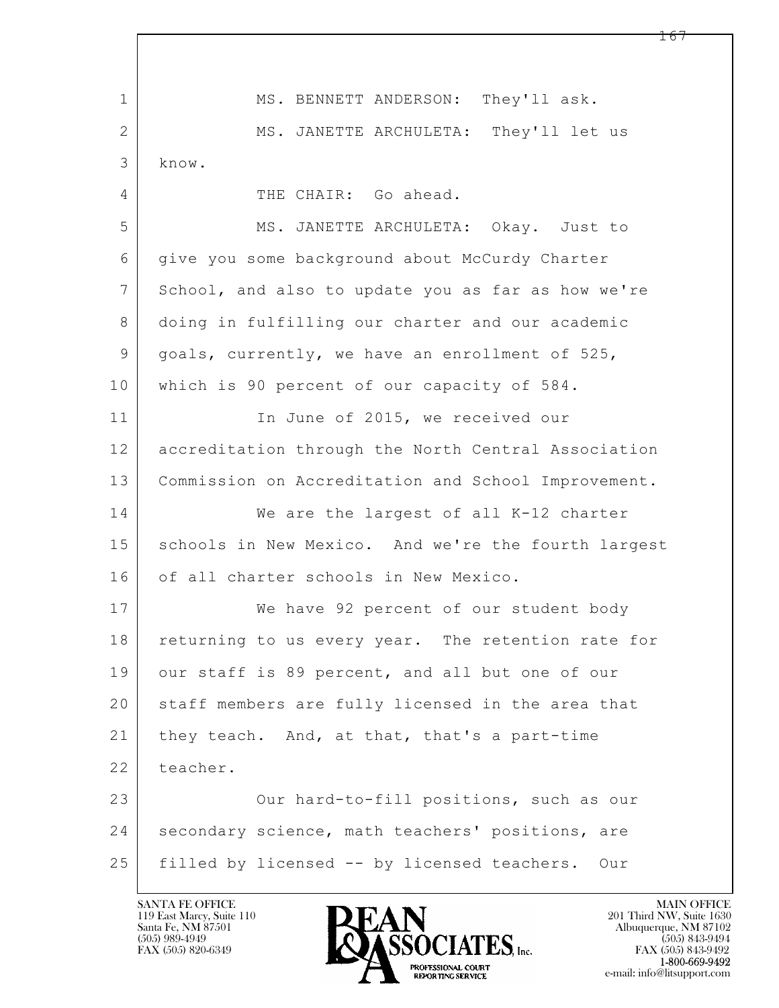$\mathbf{L}$  1 MS. BENNETT ANDERSON: They'll ask. 2 MS. JANETTE ARCHULETA: They'll let us 3 know. 4 THE CHAIR: Go ahead. 5 MS. JANETTE ARCHULETA: Okay. Just to 6 give you some background about McCurdy Charter 7 School, and also to update you as far as how we're 8 doing in fulfilling our charter and our academic 9 goals, currently, we have an enrollment of 525, 10 which is 90 percent of our capacity of 584. 11 | The June of 2015, we received our 12 accreditation through the North Central Association 13 Commission on Accreditation and School Improvement. 14 We are the largest of all K-12 charter 15 | schools in New Mexico. And we're the fourth largest 16 of all charter schools in New Mexico. 17 We have 92 percent of our student body 18 returning to us every year. The retention rate for 19 our staff is 89 percent, and all but one of our 20 staff members are fully licensed in the area that 21 | they teach. And, at that, that's a part-time 22 teacher. 23 Our hard-to-fill positions, such as our 24 | secondary science, math teachers' positions, are 25 filled by licensed -- by licensed teachers. Our

119 East Marcy, Suite 110<br>Santa Fe, NM 87501



FAX (505) 843-9492 e-mail: info@litsupport.com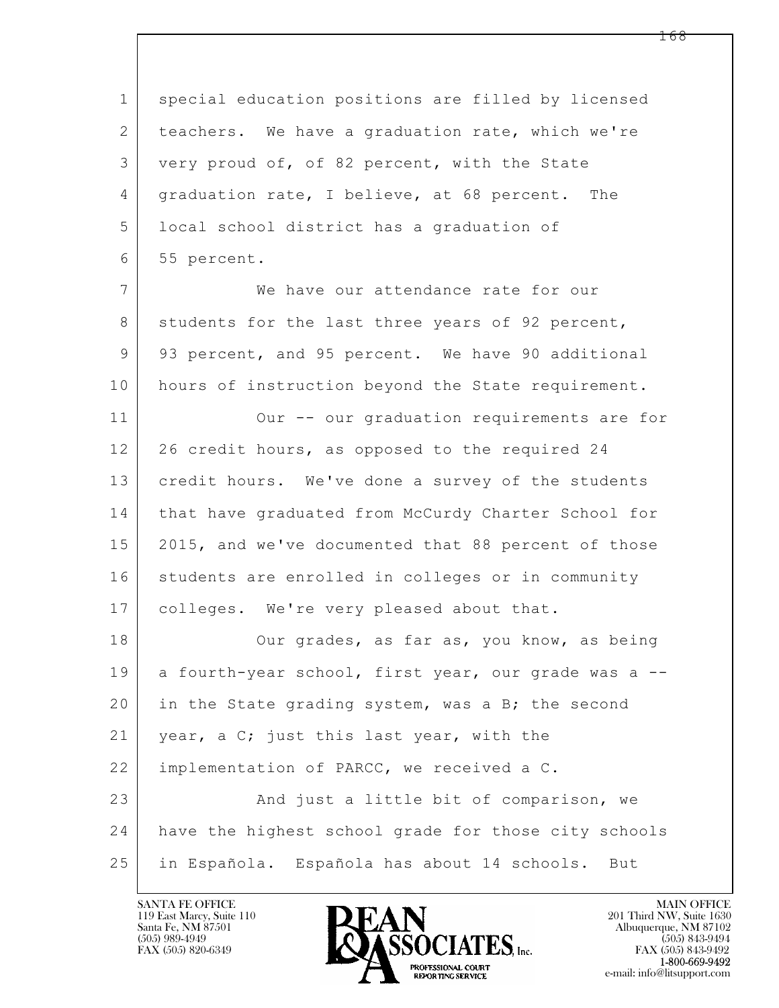$\mathbf{L}$  1 special education positions are filled by licensed 2 | teachers. We have a graduation rate, which we're 3 very proud of, of 82 percent, with the State 4 | graduation rate, I believe, at 68 percent. The 5 local school district has a graduation of 6 55 percent. 7 We have our attendance rate for our 8 students for the last three years of 92 percent, 9 | 93 percent, and 95 percent. We have 90 additional 10 hours of instruction beyond the State requirement. 11 | Our -- our graduation requirements are for 12 26 credit hours, as opposed to the required 24 13 credit hours. We've done a survey of the students 14 | that have graduated from McCurdy Charter School for 15 | 2015, and we've documented that 88 percent of those 16 students are enrolled in colleges or in community 17 | colleges. We're very pleased about that. 18 Our grades, as far as, you know, as being 19 a fourth-year school, first year, our grade was a --20 in the State grading system, was a B; the second 21 | year, a C; just this last year, with the 22 | implementation of PARCC, we received a C. 23 And just a little bit of comparison, we 24 have the highest school grade for those city schools 25 in Española. Española has about 14 schools. But

119 East Marcy, Suite 110<br>Santa Fe, NM 87501

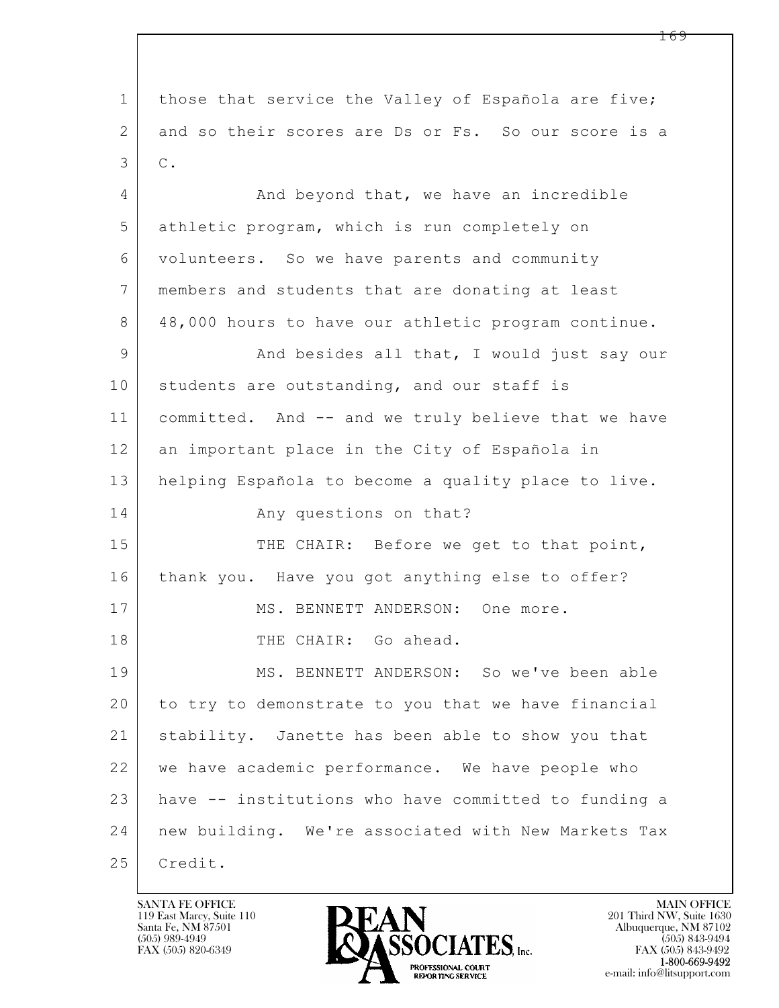$\mathbf{L}$  1 those that service the Valley of Española are five; 2 and so their scores are Ds or Fs. So our score is a  $3 \mid C$ . 4 And beyond that, we have an incredible 5 athletic program, which is run completely on 6 volunteers. So we have parents and community 7 members and students that are donating at least 8 48,000 hours to have our athletic program continue. 9 And besides all that, I would just say our 10 students are outstanding, and our staff is 11 committed. And -- and we truly believe that we have 12 an important place in the City of Española in 13 helping Española to become a quality place to live. 14 Any questions on that? 15 THE CHAIR: Before we get to that point, 16 thank you. Have you got anything else to offer? 17 MS. BENNETT ANDERSON: One more. 18 THE CHAIR: Go ahead. 19 MS. BENNETT ANDERSON: So we've been able 20 to try to demonstrate to you that we have financial 21 stability. Janette has been able to show you that 22 we have academic performance. We have people who 23 have -- institutions who have committed to funding a 24 new building. We're associated with New Markets Tax 25 | Credit.

119 East Marcy, Suite 110<br>Santa Fe, NM 87501

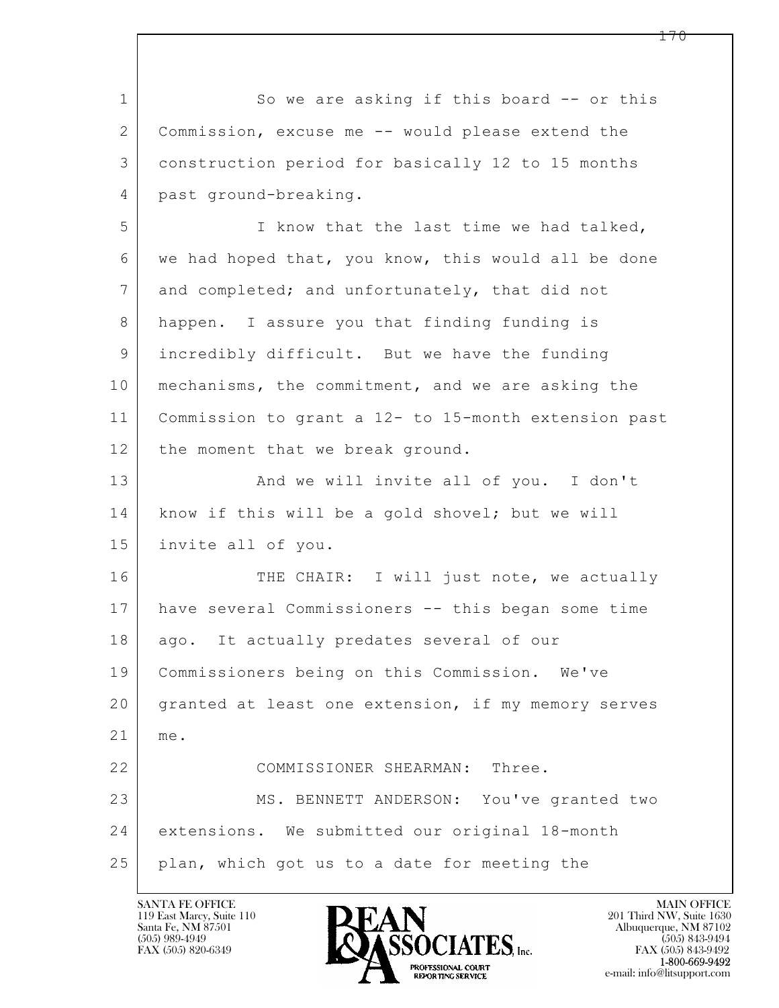$\mathbf{L}$  1 So we are asking if this board -- or this 2 Commission, excuse me -- would please extend the 3 construction period for basically 12 to 15 months 4 past ground-breaking. 5 I know that the last time we had talked, 6 we had hoped that, you know, this would all be done 7 and completed; and unfortunately, that did not 8 happen. I assure you that finding funding is 9 incredibly difficult. But we have the funding 10 | mechanisms, the commitment, and we are asking the 11 Commission to grant a 12- to 15-month extension past 12 the moment that we break ground. 13 And we will invite all of you. I don't 14 | know if this will be a gold shovel; but we will 15 invite all of you. 16 THE CHAIR: I will just note, we actually 17 have several Commissioners -- this began some time 18 | ago. It actually predates several of our 19 Commissioners being on this Commission. We've 20 granted at least one extension, if my memory serves 21 me. 22 COMMISSIONER SHEARMAN: Three. 23 MS. BENNETT ANDERSON: You've granted two 24 extensions. We submitted our original 18-month 25 plan, which got us to a date for meeting the

119 East Marcy, Suite 110<br>Santa Fe, NM 87501



 $FAX (505) 843-9492$ <br>1-800-669-9492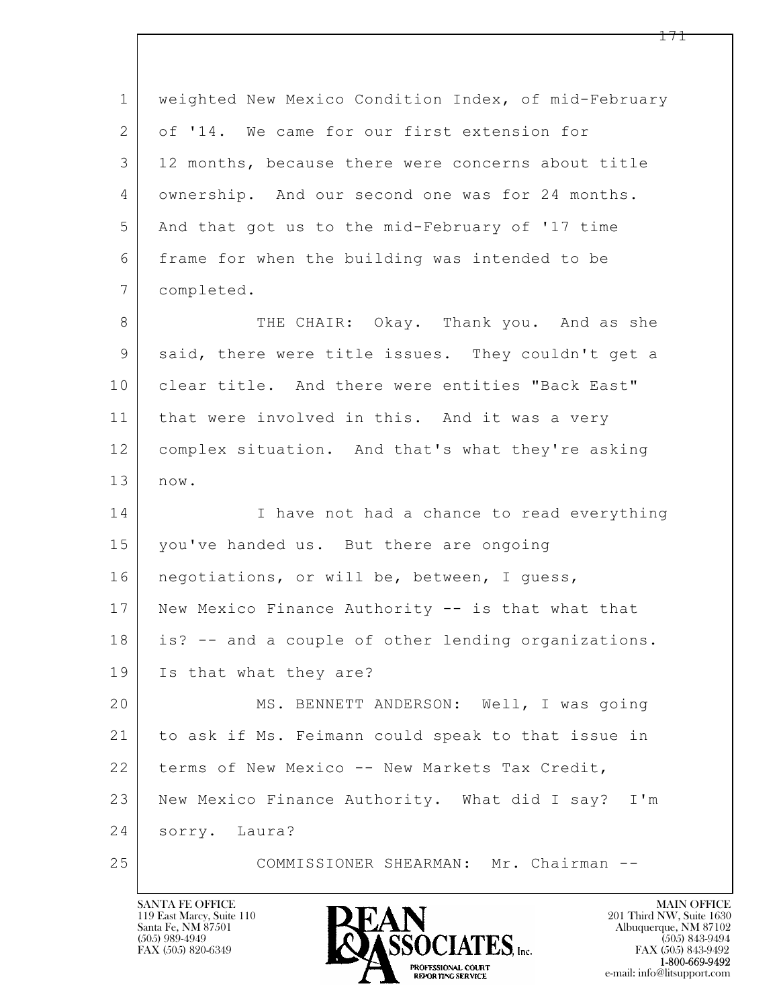| $\mathbf 1$ | weighted New Mexico Condition Index, of mid-February |
|-------------|------------------------------------------------------|
| 2           | of '14. We came for our first extension for          |
| 3           | 12 months, because there were concerns about title   |
| 4           | ownership. And our second one was for 24 months.     |
| 5           | And that got us to the mid-February of '17 time      |
| 6           | frame for when the building was intended to be       |
| 7           | completed.                                           |
| 8           | THE CHAIR: Okay. Thank you. And as she               |
| $\mathsf 9$ | said, there were title issues. They couldn't get a   |
| 10          | clear title. And there were entities "Back East"     |
| 11          | that were involved in this. And it was a very        |
| 12          | complex situation. And that's what they're asking    |
| 13          | now.                                                 |
| 14          | I have not had a chance to read everything           |
| 15          | you've handed us. But there are ongoing              |
| 16          | negotiations, or will be, between, I guess,          |
| 17          | New Mexico Finance Authority -- is that what that    |
| 18          | is? -- and a couple of other lending organizations.  |
| 19          | Is that what they are?                               |
| 20          | MS. BENNETT ANDERSON: Well, I was going              |
| 21          | to ask if Ms. Feimann could speak to that issue in   |
| 22          | terms of New Mexico -- New Markets Tax Credit,       |
| 23          | New Mexico Finance Authority. What did I say? I'm    |
| 24          | sorry. Laura?                                        |
| 25          | COMMISSIONER SHEARMAN: Mr. Chairman --               |

![](_page_170_Picture_2.jpeg)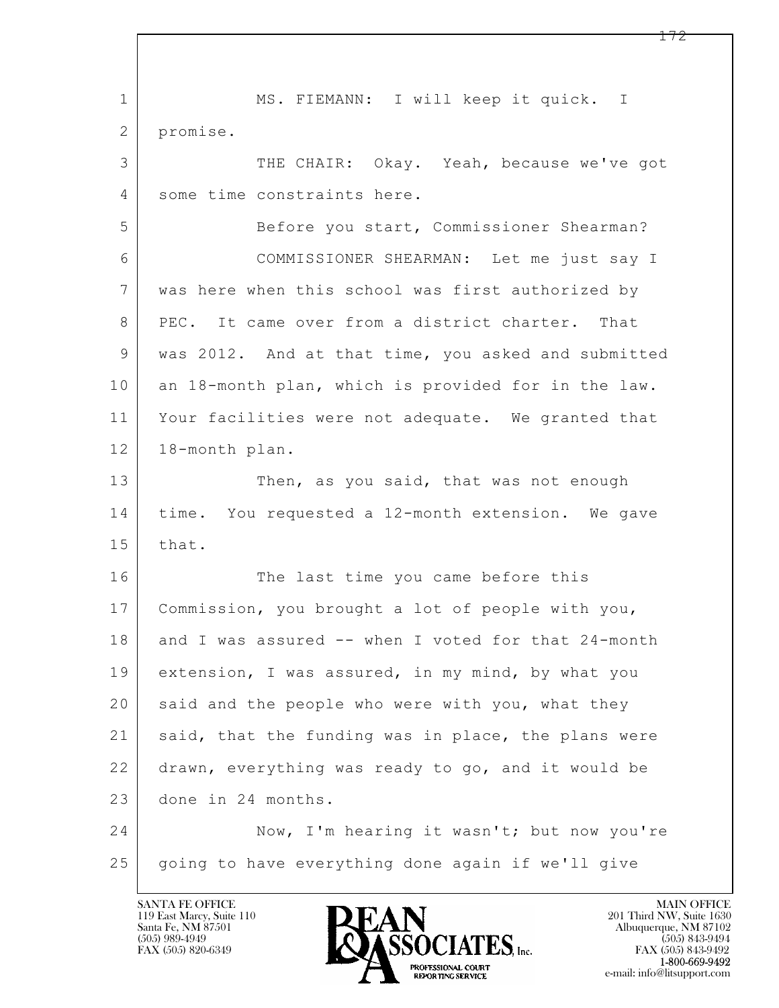$\mathbf{L}$  1 | MS. FIEMANN: I will keep it quick. I 2 promise. 3 THE CHAIR: Okay. Yeah, because we've got 4 some time constraints here. 5 Before you start, Commissioner Shearman? 6 COMMISSIONER SHEARMAN: Let me just say I 7 was here when this school was first authorized by 8 PEC. It came over from a district charter. That 9 was 2012. And at that time, you asked and submitted 10 an 18-month plan, which is provided for in the law. 11 Your facilities were not adequate. We granted that 12 18-month plan. 13 Then, as you said, that was not enough 14 time. You requested a 12-month extension. We gave 15 that. 16 The last time you came before this 17 Commission, you brought a lot of people with you, 18 and I was assured -- when I voted for that 24-month 19 extension, I was assured, in my mind, by what you 20 said and the people who were with you, what they 21 said, that the funding was in place, the plans were 22 drawn, everything was ready to go, and it would be 23 done in 24 months. 24 Now, I'm hearing it wasn't; but now you're 25 going to have everything done again if we'll give

119 East Marcy, Suite 110<br>Santa Fe, NM 87501

![](_page_171_Picture_2.jpeg)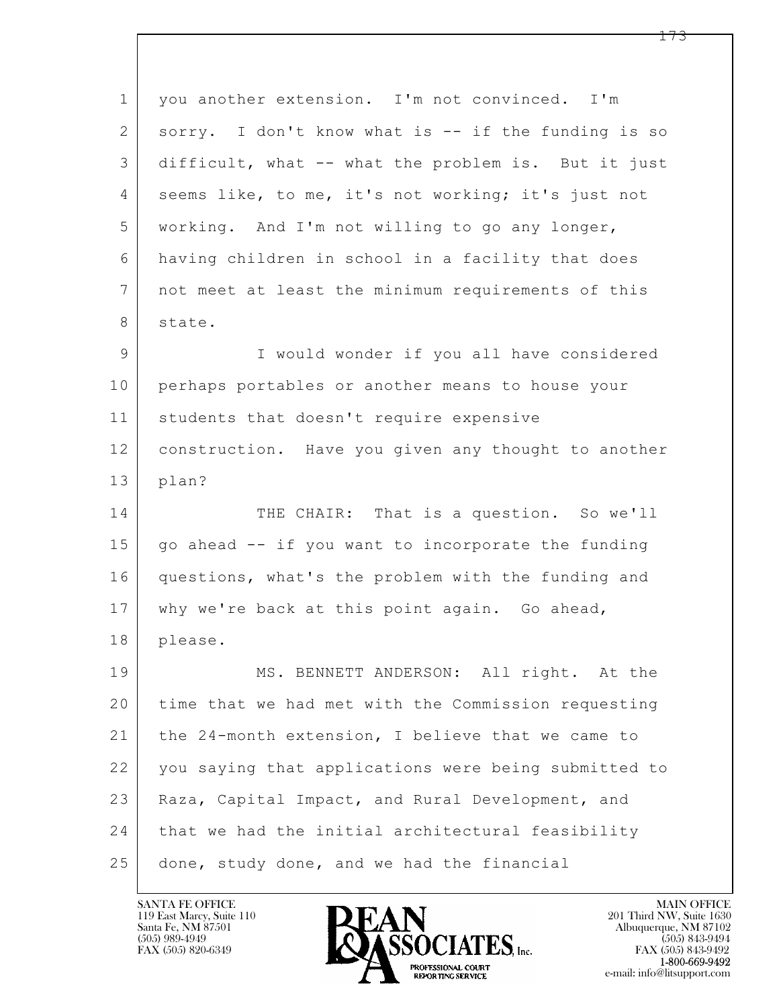$\mathbf{L}$  1 you another extension. I'm not convinced. I'm 2 sorry. I don't know what is -- if the funding is so 3 difficult, what -- what the problem is. But it just 4 seems like, to me, it's not working; it's just not 5 working. And I'm not willing to go any longer, 6 having children in school in a facility that does 7 not meet at least the minimum requirements of this 8 state. 9 I would wonder if you all have considered 10 perhaps portables or another means to house your 11 | students that doesn't require expensive 12 construction. Have you given any thought to another 13 plan? 14 THE CHAIR: That is a question. So we'll  $15$  go ahead  $-$  if you want to incorporate the funding 16 questions, what's the problem with the funding and 17 | why we're back at this point again. Go ahead, 18 please. 19 MS. BENNETT ANDERSON: All right. At the 20 time that we had met with the Commission requesting 21 the 24-month extension, I believe that we came to 22 you saying that applications were being submitted to 23 | Raza, Capital Impact, and Rural Development, and 24 | that we had the initial architectural feasibility 25 done, study done, and we had the financial

119 East Marcy, Suite 110<br>Santa Fe, NM 87501

![](_page_172_Picture_2.jpeg)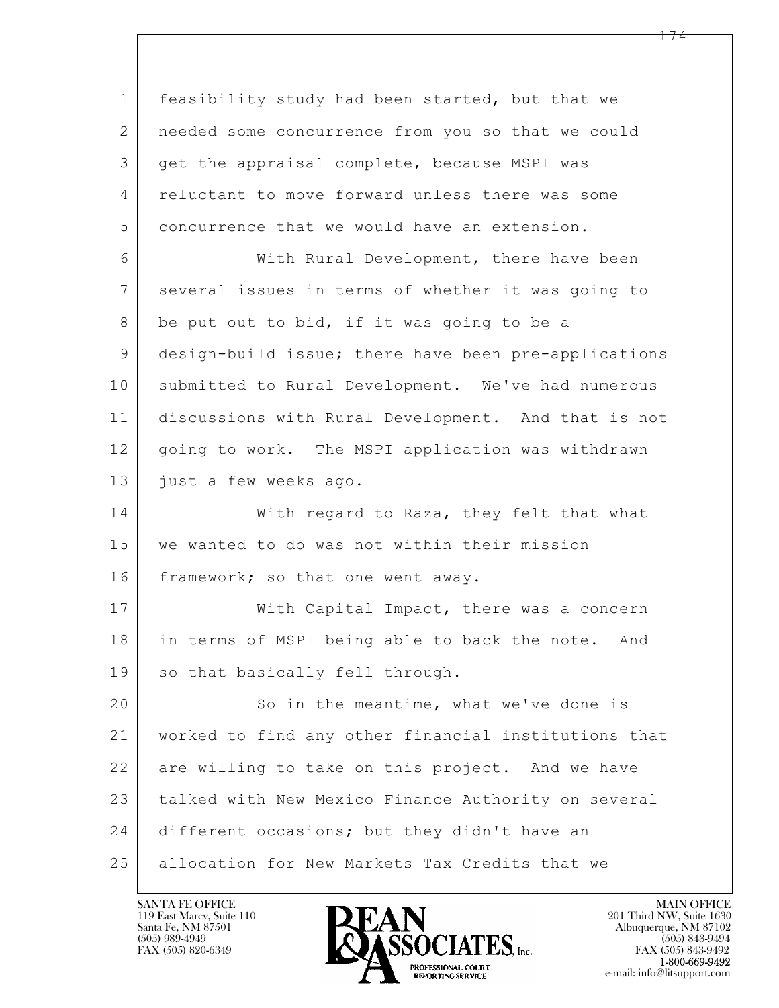$\mathbf{L}$  1 feasibility study had been started, but that we 2 needed some concurrence from you so that we could 3 get the appraisal complete, because MSPI was 4 reluctant to move forward unless there was some 5 concurrence that we would have an extension. 6 With Rural Development, there have been 7 several issues in terms of whether it was going to 8 be put out to bid, if it was going to be a 9 design-build issue; there have been pre-applications 10 submitted to Rural Development. We've had numerous 11 discussions with Rural Development. And that is not 12 going to work. The MSPI application was withdrawn 13 just a few weeks ago. 14 With regard to Raza, they felt that what 15 we wanted to do was not within their mission 16 framework; so that one went away. 17 | With Capital Impact, there was a concern 18 in terms of MSPI being able to back the note. And 19 so that basically fell through. 20 So in the meantime, what we've done is 21 worked to find any other financial institutions that 22 are willing to take on this project. And we have 23 talked with New Mexico Finance Authority on several 24 different occasions; but they didn't have an 25 allocation for New Markets Tax Credits that we

119 East Marcy, Suite 110<br>Santa Fe, NM 87501

![](_page_173_Picture_2.jpeg)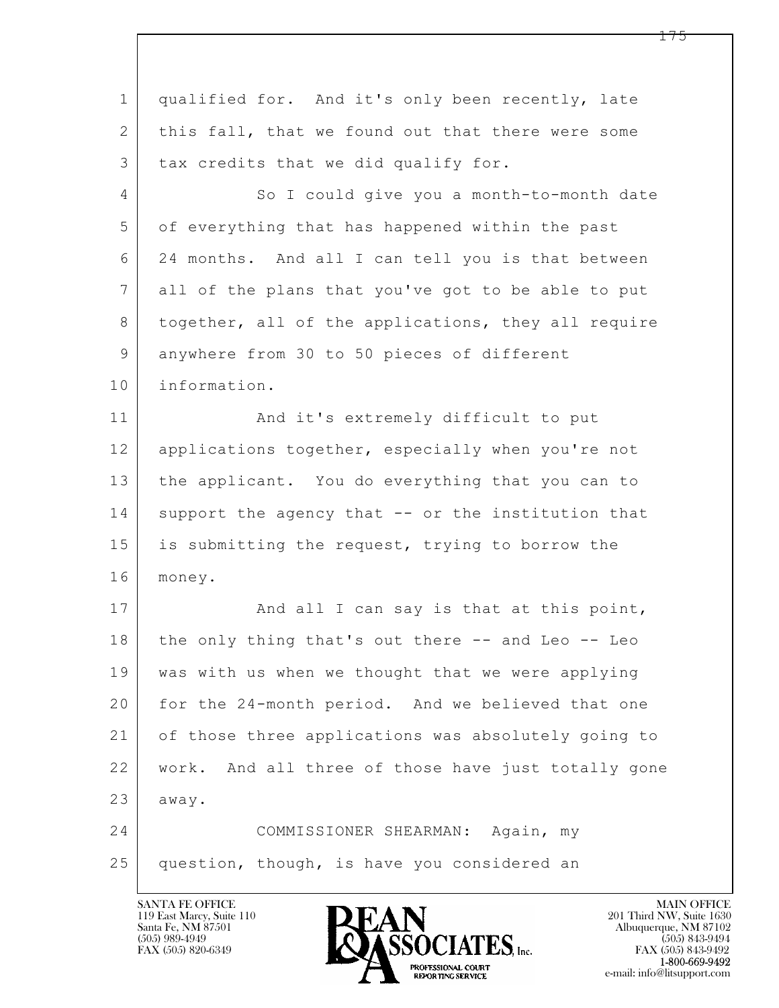| $\mathbf 1$    | qualified for. And it's only been recently, late    |
|----------------|-----------------------------------------------------|
| 2              | this fall, that we found out that there were some   |
| 3              | tax credits that we did qualify for.                |
| $\overline{4}$ | So I could give you a month-to-month date           |
| 5              | of everything that has happened within the past     |
| 6              | 24 months. And all I can tell you is that between   |
| 7              | all of the plans that you've got to be able to put  |
| $8\,$          | together, all of the applications, they all require |
| $\mathcal{G}$  | anywhere from 30 to 50 pieces of different          |
| 10             | information.                                        |
| 11             | And it's extremely difficult to put                 |
| 12             | applications together, especially when you're not   |
| 13             | the applicant. You do everything that you can to    |
| 14             | support the agency that -- or the institution that  |
| 15             | is submitting the request, trying to borrow the     |
| 16             | money.                                              |
| 17             | And all I can say is that at this point,            |
| 18             | the only thing that's out there -- and Leo -- Leo   |
| 19             | was with us when we thought that we were applying   |
| 20             | for the 24-month period. And we believed that one   |
| 21             | of those three applications was absolutely going to |
| 22             | work. And all three of those have just totally gone |
| 23             | away.                                               |
| 24             | COMMISSIONER SHEARMAN: Again, my                    |
| 25             | question, though, is have you considered an         |
|                |                                                     |

![](_page_174_Picture_2.jpeg)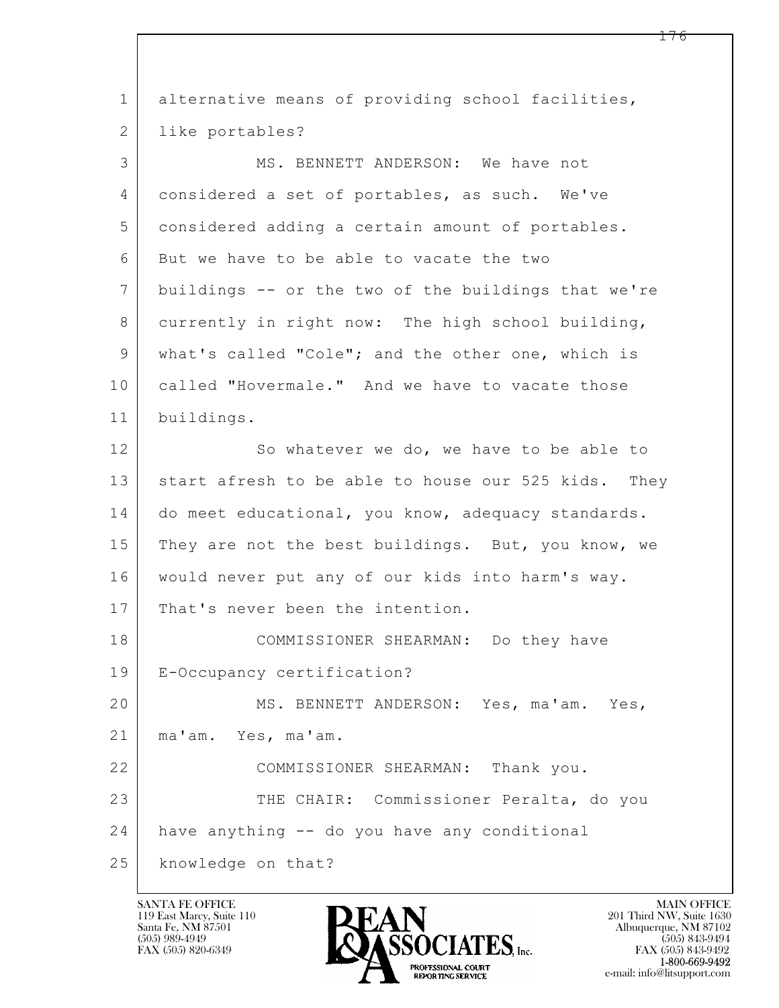| $\mathbf 1$    | alternative means of providing school facilities,      |
|----------------|--------------------------------------------------------|
| $\overline{2}$ | like portables?                                        |
| 3              | MS. BENNETT ANDERSON: We have not                      |
| 4              | considered a set of portables, as such. We've          |
| 5              | considered adding a certain amount of portables.       |
| 6              | But we have to be able to vacate the two               |
| $\overline{7}$ | buildings -- or the two of the buildings that we're    |
| 8              | currently in right now: The high school building,      |
| $\mathsf 9$    | what's called "Cole"; and the other one, which is      |
| 10             | called "Hovermale." And we have to vacate those        |
| 11             | buildings.                                             |
| 12             | So whatever we do, we have to be able to               |
| 13             | start afresh to be able to house our 525 kids.<br>They |
| 14             | do meet educational, you know, adequacy standards.     |
| 15             | They are not the best buildings. But, you know, we     |
| 16             | would never put any of our kids into harm's way.       |
| 17             | That's never been the intention.                       |
| 18             | COMMISSIONER SHEARMAN: Do they have                    |
| 19             | E-Occupancy certification?                             |
| 20             | MS. BENNETT ANDERSON: Yes, ma'am. Yes,                 |
| 21             | ma'am. Yes, ma'am.                                     |
| 22             | COMMISSIONER SHEARMAN: Thank you.                      |
| 23             | THE CHAIR: Commissioner Peralta, do you                |
| 24             | have anything -- do you have any conditional           |
| 25             | knowledge on that?                                     |

![](_page_175_Picture_2.jpeg)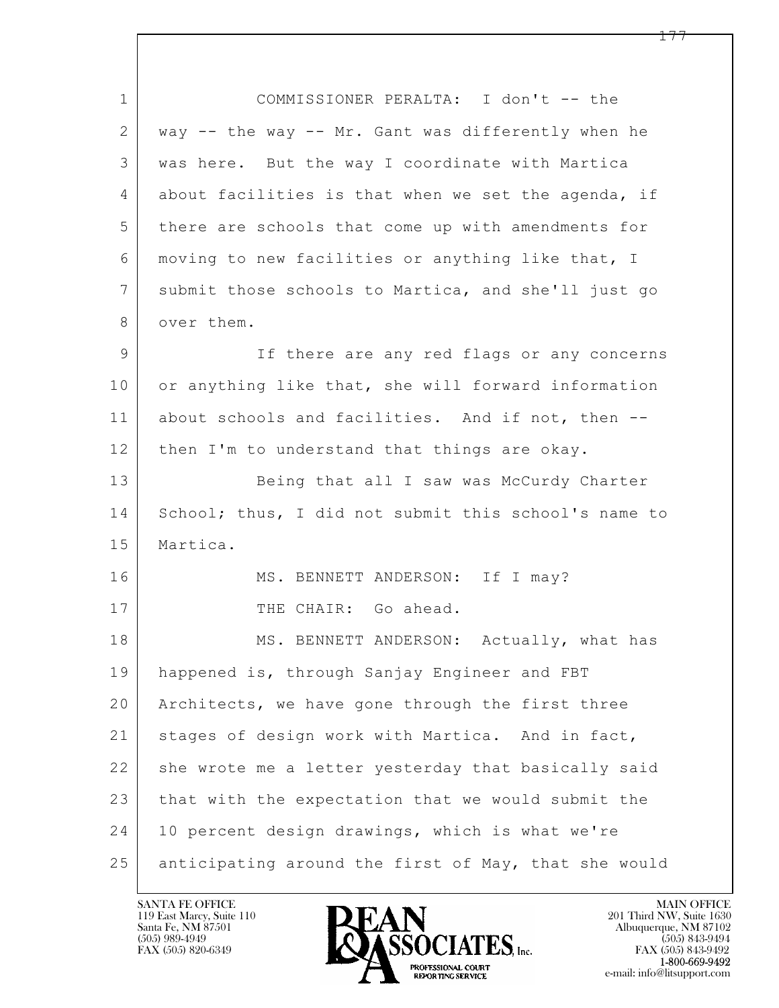$\mathbf{L}$  1 COMMISSIONER PERALTA: I don't -- the 2 way -- the way -- Mr. Gant was differently when he 3 was here. But the way I coordinate with Martica 4 about facilities is that when we set the agenda, if 5 there are schools that come up with amendments for 6 moving to new facilities or anything like that, I 7 submit those schools to Martica, and she'll just go 8 over them. 9 If there are any red flags or any concerns 10 or anything like that, she will forward information 11 about schools and facilities. And if not, then -- 12 then I'm to understand that things are okay. 13 Being that all I saw was McCurdy Charter 14 School; thus, I did not submit this school's name to 15 | Martica. 16 MS. BENNETT ANDERSON: If I may? 17 THE CHAIR: Go ahead. 18 MS. BENNETT ANDERSON: Actually, what has 19 happened is, through Sanjay Engineer and FBT 20 Architects, we have gone through the first three 21 | stages of design work with Martica. And in fact, 22 she wrote me a letter yesterday that basically said 23 that with the expectation that we would submit the 24 | 10 percent design drawings, which is what we're 25 anticipating around the first of May, that she would

119 East Marcy, Suite 110<br>Santa Fe, NM 87501

![](_page_176_Picture_2.jpeg)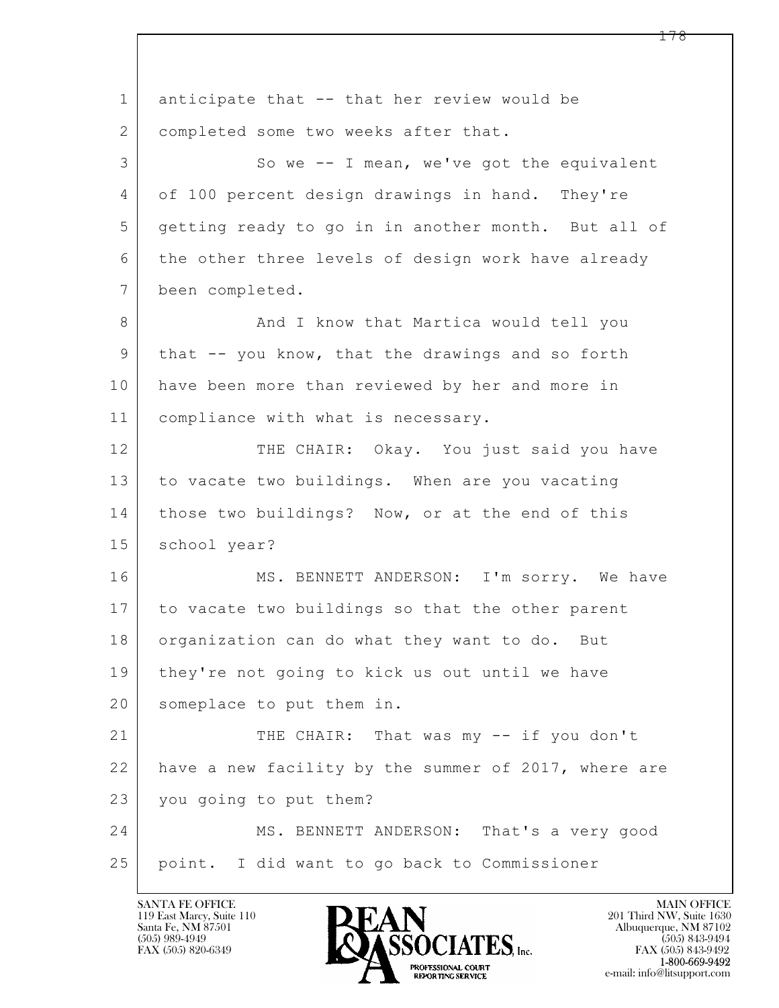$\mathbf{L}$  1 anticipate that -- that her review would be 2 | completed some two weeks after that. 3 So we -- I mean, we've got the equivalent 4 of 100 percent design drawings in hand. They're 5 getting ready to go in in another month. But all of 6 the other three levels of design work have already 7 been completed. 8 | And I know that Martica would tell you 9 that -- you know, that the drawings and so forth 10 have been more than reviewed by her and more in 11 compliance with what is necessary. 12 THE CHAIR: Okay. You just said you have 13 to vacate two buildings. When are you vacating 14 | those two buildings? Now, or at the end of this 15 school year? 16 MS. BENNETT ANDERSON: I'm sorry. We have 17 to vacate two buildings so that the other parent 18 organization can do what they want to do. But 19 | they're not going to kick us out until we have 20 someplace to put them in. 21 THE CHAIR: That was my -- if you don't 22 have a new facility by the summer of 2017, where are 23 you going to put them? 24 MS. BENNETT ANDERSON: That's a very good 25 point. I did want to go back to Commissioner

119 East Marcy, Suite 110<br>Santa Fe, NM 87501

![](_page_177_Picture_2.jpeg)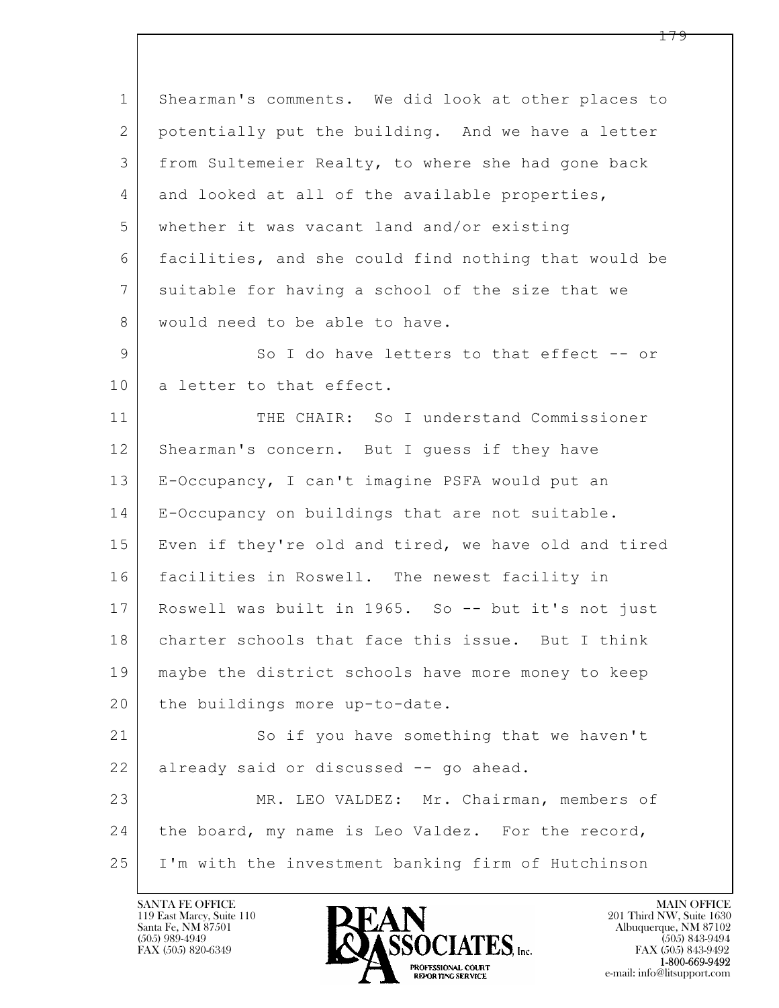$\mathbf{L}$  1 Shearman's comments. We did look at other places to 2 potentially put the building. And we have a letter 3 from Sultemeier Realty, to where she had gone back 4 and looked at all of the available properties, 5 whether it was vacant land and/or existing 6 facilities, and she could find nothing that would be 7 suitable for having a school of the size that we 8 | would need to be able to have. 9 So I do have letters to that effect -- or 10 | a letter to that effect. 11 THE CHAIR: So I understand Commissioner 12 Shearman's concern. But I quess if they have 13 E-Occupancy, I can't imagine PSFA would put an 14 E-Occupancy on buildings that are not suitable. 15 | Even if they're old and tired, we have old and tired 16 facilities in Roswell. The newest facility in 17 Roswell was built in 1965. So -- but it's not just 18 charter schools that face this issue. But I think 19 maybe the district schools have more money to keep 20 | the buildings more up-to-date. 21 So if you have something that we haven't 22 already said or discussed -- go ahead. 23 MR. LEO VALDEZ: Mr. Chairman, members of 24 | the board, my name is Leo Valdez. For the record, 25 I'm with the investment banking firm of Hutchinson

119 East Marcy, Suite 110<br>Santa Fe, NM 87501

![](_page_178_Picture_2.jpeg)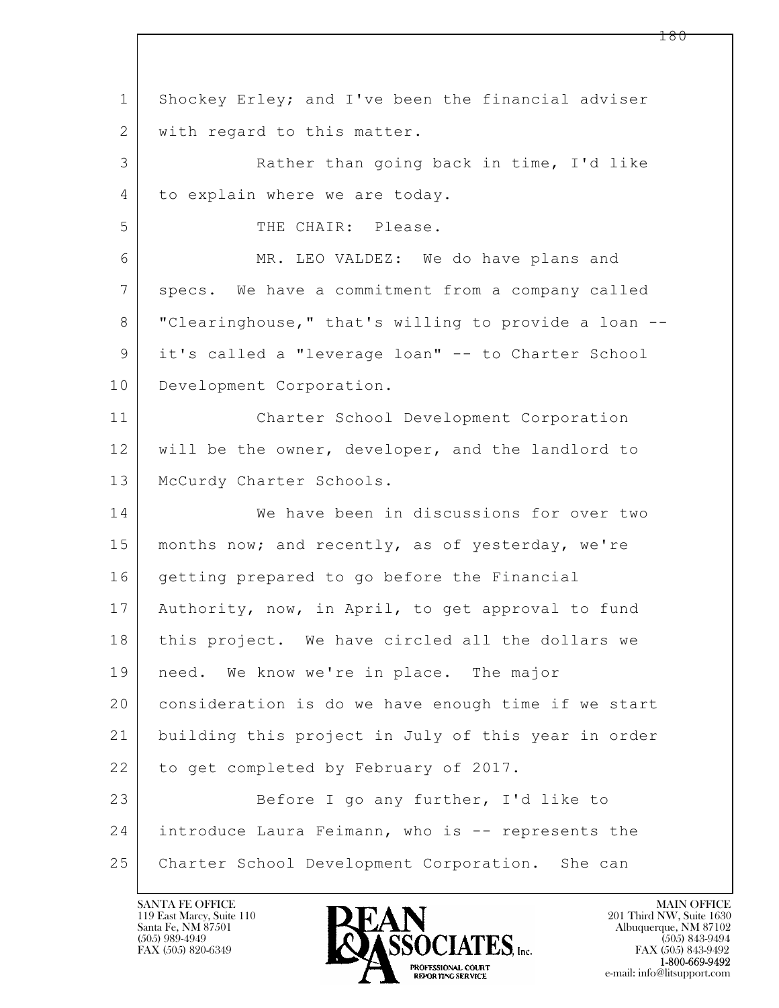$\mathbf{L}$  1 Shockey Erley; and I've been the financial adviser 2 with regard to this matter. 3 Rather than going back in time, I'd like 4 to explain where we are today. 5 THE CHAIR: Please. 6 MR. LEO VALDEZ: We do have plans and 7 specs. We have a commitment from a company called 8 "Clearinghouse," that's willing to provide a loan -- 9 it's called a "leverage loan" -- to Charter School 10 Development Corporation. 11 Charter School Development Corporation 12 will be the owner, developer, and the landlord to 13 | McCurdy Charter Schools. 14 We have been in discussions for over two 15 | months now; and recently, as of yesterday, we're 16 getting prepared to go before the Financial 17 Authority, now, in April, to get approval to fund 18 this project. We have circled all the dollars we 19 | need. We know we're in place. The major 20 consideration is do we have enough time if we start 21 building this project in July of this year in order 22 to get completed by February of 2017. 23 Before I go any further, I'd like to 24 introduce Laura Feimann, who is -- represents the 25 | Charter School Development Corporation. She can

119 East Marcy, Suite 110<br>Santa Fe, NM 87501

![](_page_179_Picture_2.jpeg)

FAX (505) 843-9492 e-mail: info@litsupport.com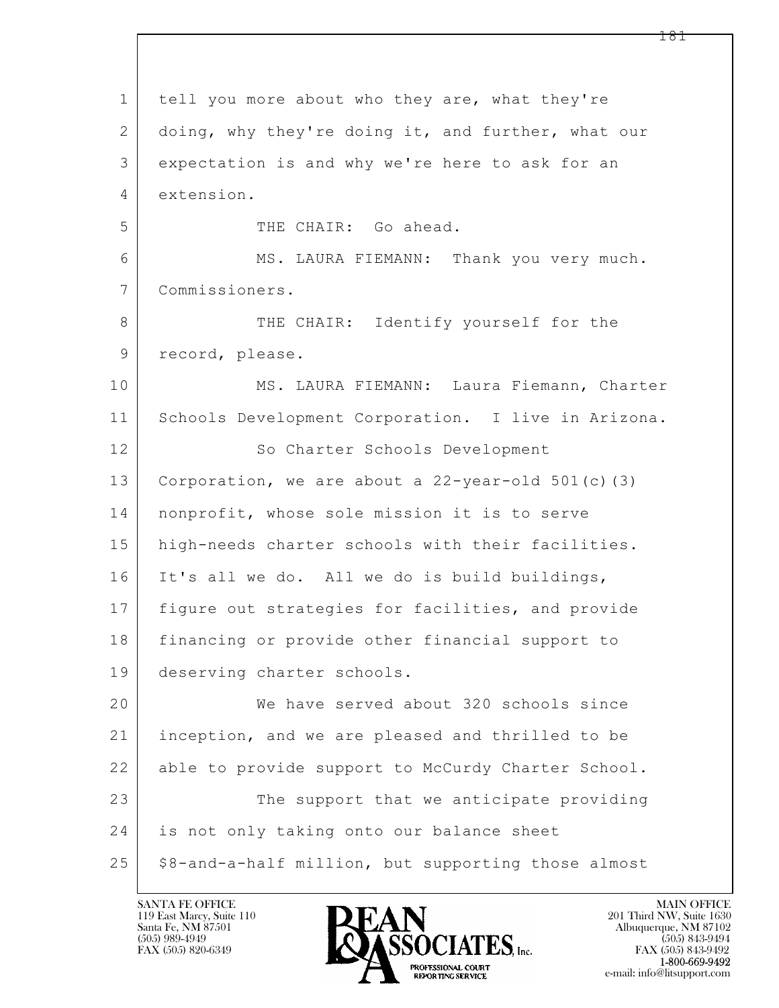$\mathbf{L}$  1 tell you more about who they are, what they're 2 doing, why they're doing it, and further, what our 3 expectation is and why we're here to ask for an 4 extension. 5 THE CHAIR: Go ahead. 6 MS. LAURA FIEMANN: Thank you very much. 7 Commissioners. 8 THE CHAIR: Identify yourself for the 9 | record, please. 10 | MS. LAURA FIEMANN: Laura Fiemann, Charter 11 Schools Development Corporation. I live in Arizona. 12 So Charter Schools Development 13 Corporation, we are about a 22-year-old 501(c)(3) 14 nonprofit, whose sole mission it is to serve 15 | high-needs charter schools with their facilities. 16 It's all we do. All we do is build buildings, 17 | figure out strategies for facilities, and provide 18 financing or provide other financial support to 19 deserving charter schools. 20 We have served about 320 schools since 21 inception, and we are pleased and thrilled to be 22 able to provide support to McCurdy Charter School. 23 The support that we anticipate providing 24 is not only taking onto our balance sheet 25 | \$8-and-a-half million, but supporting those almost

119 East Marcy, Suite 110<br>Santa Fe, NM 87501

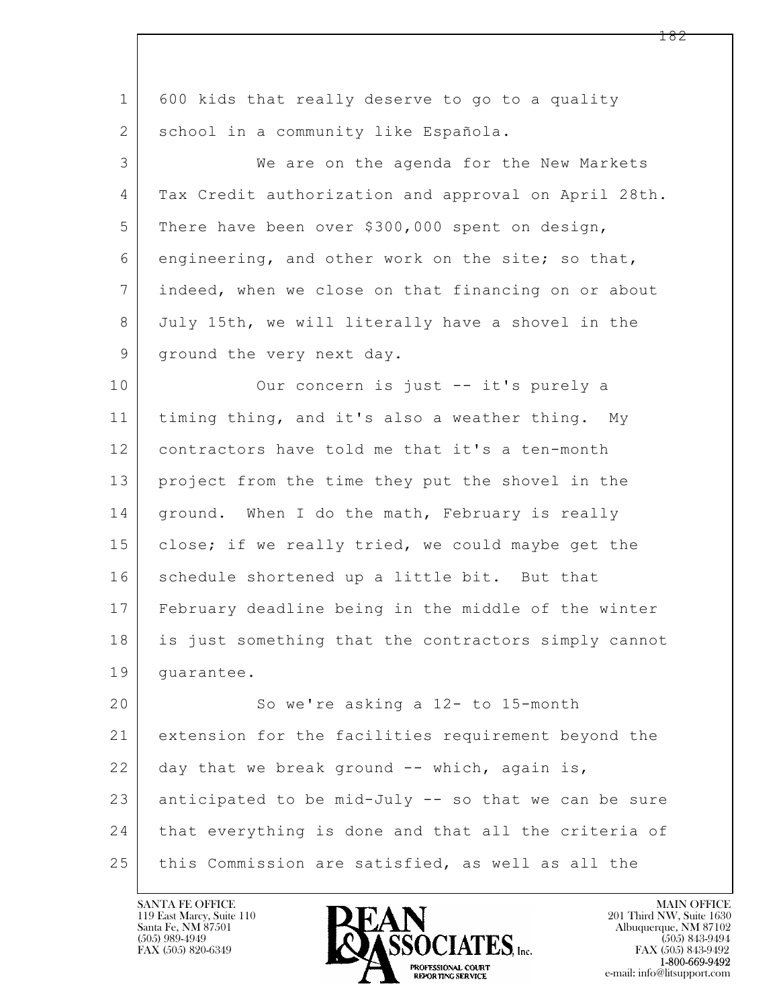$\mathbf{L}$  1 600 kids that really deserve to go to a quality 2 | school in a community like Española. 3 We are on the agenda for the New Markets 4 Tax Credit authorization and approval on April 28th. 5 There have been over \$300,000 spent on design, 6 engineering, and other work on the site; so that, 7 indeed, when we close on that financing on or about 8 July 15th, we will literally have a shovel in the 9 ground the very next day. 10 Our concern is just -- it's purely a 11 timing thing, and it's also a weather thing. My 12 contractors have told me that it's a ten-month 13 project from the time they put the shovel in the 14 | ground. When I do the math, February is really 15 | close; if we really tried, we could maybe get the 16 schedule shortened up a little bit. But that 17 February deadline being in the middle of the winter 18 is just something that the contractors simply cannot 19 guarantee. 20 So we're asking a 12- to 15-month 21 extension for the facilities requirement beyond the 22 day that we break ground  $-$  which, again is, 23 anticipated to be mid-July -- so that we can be sure 24 that everything is done and that all the criteria of 25 this Commission are satisfied, as well as all the



FAX (505) 843-9492 e-mail: info@litsupport.com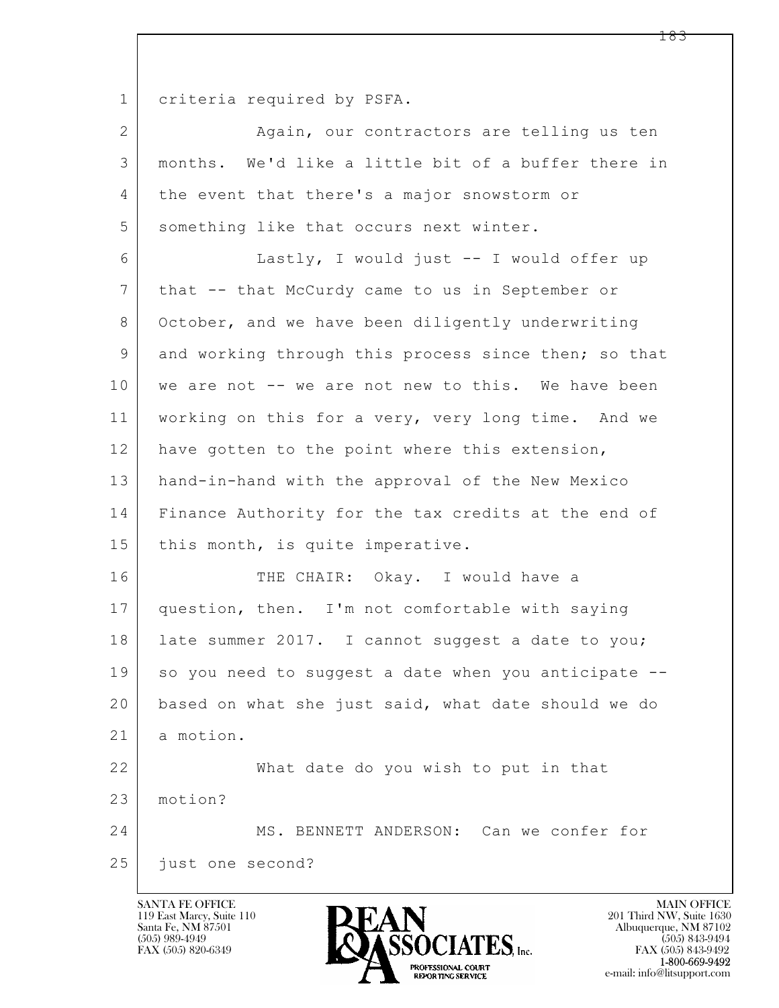1 criteria required by PSFA.

 $\mathbf{L}$  2 | Again, our contractors are telling us ten 3 months. We'd like a little bit of a buffer there in 4 the event that there's a major snowstorm or 5 something like that occurs next winter. 6 Lastly, I would just -- I would offer up 7 that -- that McCurdy came to us in September or 8 October, and we have been diligently underwriting 9 and working through this process since then; so that 10 | we are not -- we are not new to this. We have been 11 working on this for a very, very long time. And we 12 have gotten to the point where this extension, 13 hand-in-hand with the approval of the New Mexico 14 Finance Authority for the tax credits at the end of 15 | this month, is quite imperative. 16 THE CHAIR: Okay. I would have a 17 question, then. I'm not comfortable with saying 18 | late summer 2017. I cannot suggest a date to you; 19 so you need to suggest a date when you anticipate --20 based on what she just said, what date should we do 21 a motion. 22 What date do you wish to put in that 23 motion? 24 MS. BENNETT ANDERSON: Can we confer for 25 *just* one second?

119 East Marcy, Suite 110<br>Santa Fe, NM 87501



FAX (505) 843-9492 e-mail: info@litsupport.com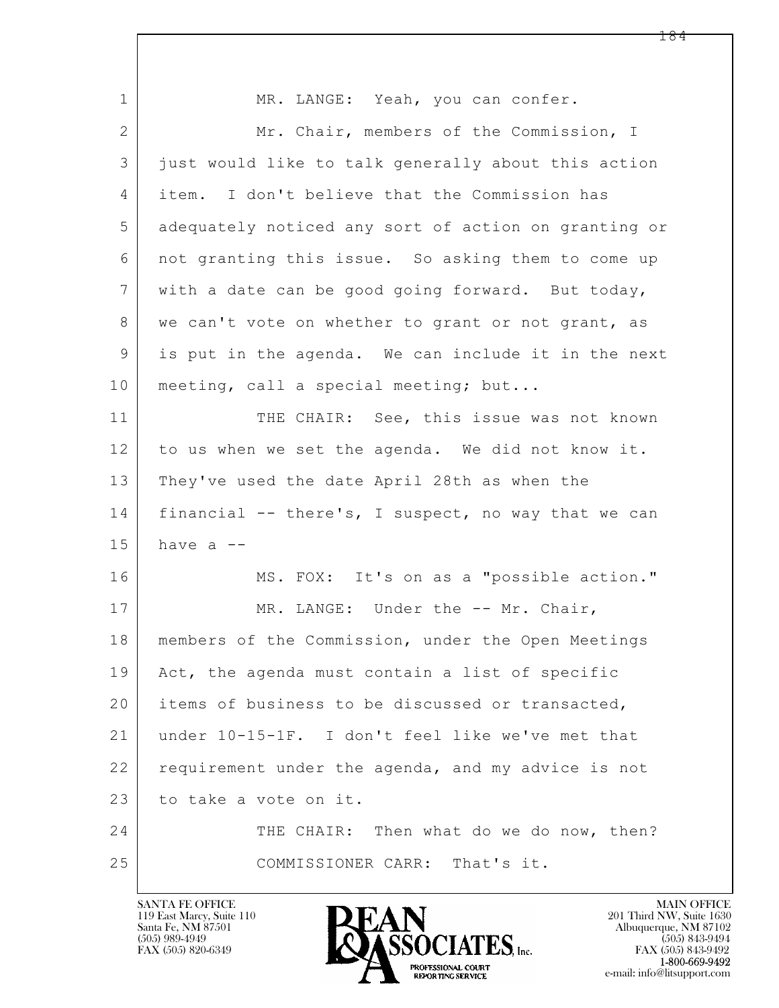| MR. LANGE: Yeah, you can confer.                     |  |  |  |  |
|------------------------------------------------------|--|--|--|--|
| Mr. Chair, members of the Commission, I              |  |  |  |  |
| just would like to talk generally about this action  |  |  |  |  |
| item. I don't believe that the Commission has        |  |  |  |  |
| adequately noticed any sort of action on granting or |  |  |  |  |
| not granting this issue. So asking them to come up   |  |  |  |  |
| with a date can be good going forward. But today,    |  |  |  |  |
| we can't vote on whether to grant or not grant, as   |  |  |  |  |
| is put in the agenda. We can include it in the next  |  |  |  |  |
| meeting, call a special meeting; but                 |  |  |  |  |
| THE CHAIR: See, this issue was not known             |  |  |  |  |
| to us when we set the agenda. We did not know it.    |  |  |  |  |
| They've used the date April 28th as when the         |  |  |  |  |
| financial -- there's, I suspect, no way that we can  |  |  |  |  |
| have $a$ --                                          |  |  |  |  |
| MS. FOX: It's on as a "possible action."             |  |  |  |  |
| MR. LANGE: Under the -- Mr. Chair,                   |  |  |  |  |
| members of the Commission, under the Open Meetings   |  |  |  |  |
| Act, the agenda must contain a list of specific      |  |  |  |  |
| items of business to be discussed or transacted,     |  |  |  |  |
| under 10-15-1F. I don't feel like we've met that     |  |  |  |  |
| requirement under the agenda, and my advice is not   |  |  |  |  |
| to take a vote on it.                                |  |  |  |  |
| THE CHAIR: Then what do we do now, then?             |  |  |  |  |
| COMMISSIONER CARR:<br>That's it.                     |  |  |  |  |
|                                                      |  |  |  |  |

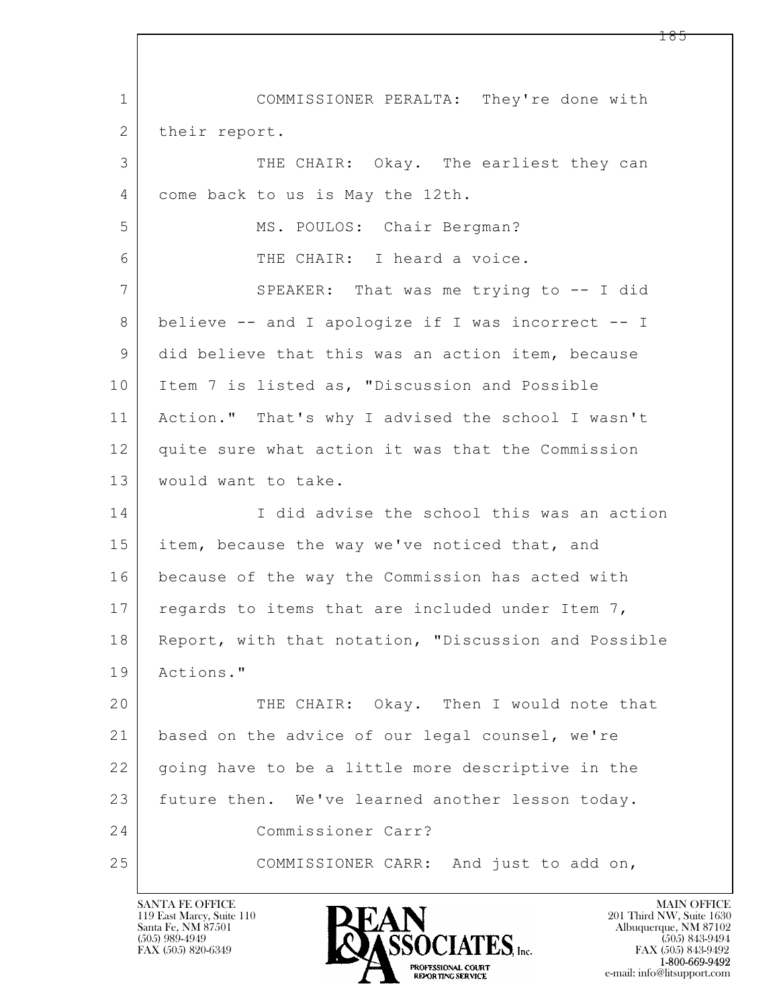$\mathbf{L}$  1 COMMISSIONER PERALTA: They're done with 2 | their report. 3 THE CHAIR: Okay. The earliest they can 4 come back to us is May the 12th. 5 MS. POULOS: Chair Bergman? 6 THE CHAIR: I heard a voice. 7 | SPEAKER: That was me trying to -- I did 8 believe -- and I apologize if I was incorrect -- I 9 did believe that this was an action item, because 10 Item 7 is listed as, "Discussion and Possible 11 Action." That's why I advised the school I wasn't 12 quite sure what action it was that the Commission 13 | would want to take. 14 I did advise the school this was an action 15 item, because the way we've noticed that, and 16 because of the way the Commission has acted with 17 regards to items that are included under Item  $7$ , 18 | Report, with that notation, "Discussion and Possible 19 Actions." 20 THE CHAIR: Okay. Then I would note that 21 based on the advice of our legal counsel, we're 22 | going have to be a little more descriptive in the 23 future then. We've learned another lesson today. 24 Commissioner Carr? 25 COMMISSIONER CARR: And just to add on,

119 East Marcy, Suite 110<br>Santa Fe, NM 87501

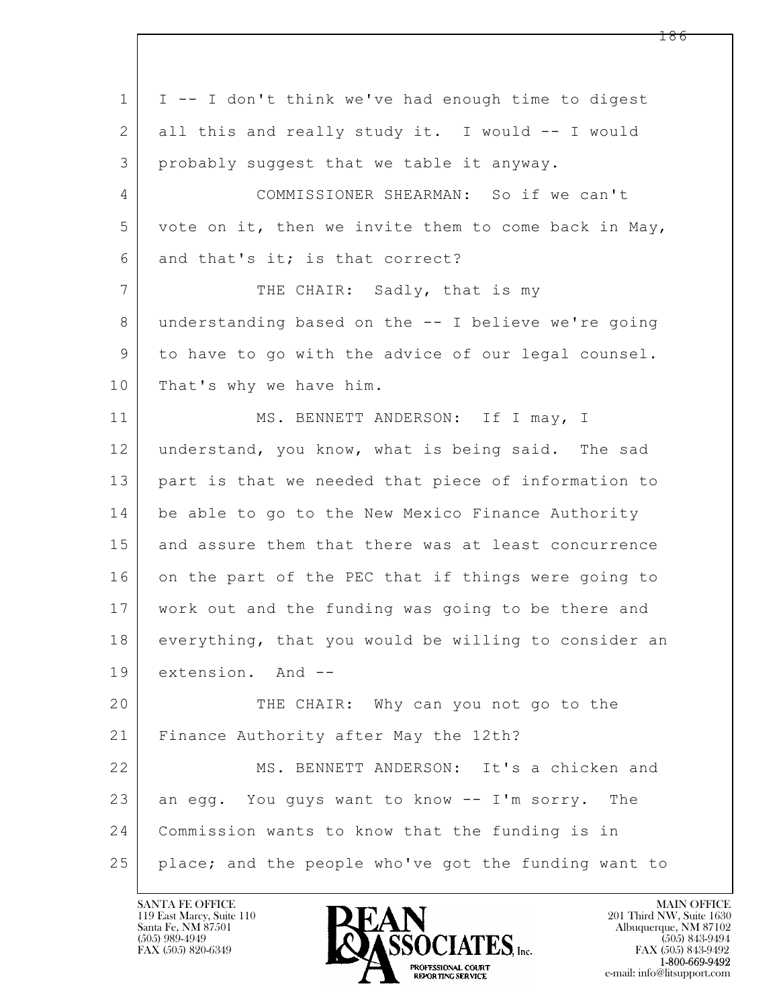$\mathbf{L}$  1 I -- I don't think we've had enough time to digest 2 all this and really study it. I would -- I would 3 probably suggest that we table it anyway. 4 COMMISSIONER SHEARMAN: So if we can't 5 vote on it, then we invite them to come back in May,  $6$  and that's it; is that correct? 7 THE CHAIR: Sadly, that is my 8 understanding based on the -- I believe we're going 9 to have to go with the advice of our legal counsel. 10 That's why we have him. 11 MS. BENNETT ANDERSON: If I may, I 12 understand, you know, what is being said. The sad 13 part is that we needed that piece of information to 14 be able to go to the New Mexico Finance Authority 15 and assure them that there was at least concurrence 16 on the part of the PEC that if things were going to 17 work out and the funding was going to be there and 18 everything, that you would be willing to consider an 19 extension. And -- 20 THE CHAIR: Why can you not go to the 21 Finance Authority after May the 12th? 22 MS. BENNETT ANDERSON: It's a chicken and 23 an egg. You guys want to know  $-$  I'm sorry. The 24 Commission wants to know that the funding is in 25 place; and the people who've got the funding want to

119 East Marcy, Suite 110<br>Santa Fe, NM 87501



FAX (505) 843-9492 e-mail: info@litsupport.com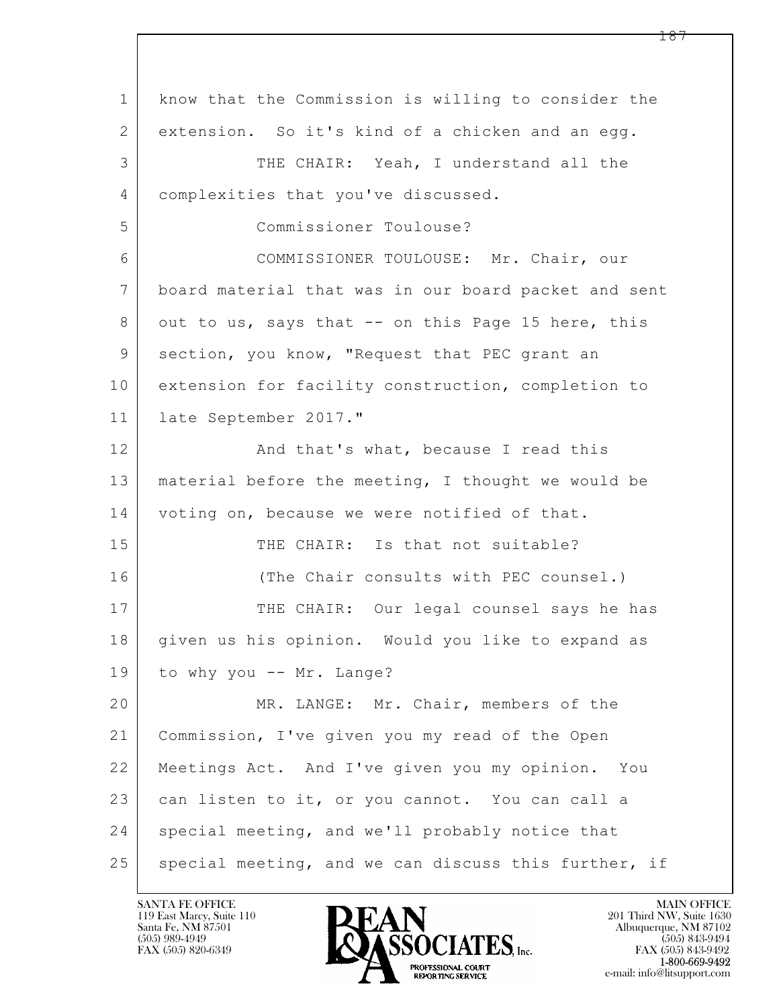| $\mathbf{1}$   | know that the Commission is willing to consider the  |
|----------------|------------------------------------------------------|
| 2              | extension. So it's kind of a chicken and an egg.     |
| 3              | THE CHAIR: Yeah, I understand all the                |
| 4              | complexities that you've discussed.                  |
| 5              | Commissioner Toulouse?                               |
| 6              | COMMISSIONER TOULOUSE: Mr. Chair, our                |
| $7\phantom{.}$ | board material that was in our board packet and sent |
| 8              | out to us, says that -- on this Page 15 here, this   |
| 9              | section, you know, "Request that PEC grant an        |
| 10             | extension for facility construction, completion to   |
| 11             | late September 2017."                                |
| 12             | And that's what, because I read this                 |
| 13             | material before the meeting, I thought we would be   |
| 14             | voting on, because we were notified of that.         |
| 15             | THE CHAIR: Is that not suitable?                     |
| 16             | (The Chair consults with PEC counsel.)               |
| 17             | THE CHAIR: Our legal counsel says he has             |
| 18             | given us his opinion. Would you like to expand as    |
| 19             | to why you -- Mr. Lange?                             |
| 20             | MR. LANGE: Mr. Chair, members of the                 |
| 21             | Commission, I've given you my read of the Open       |
| 22             | Meetings Act. And I've given you my opinion. You     |
| 23             | can listen to it, or you cannot. You can call a      |
| 24             | special meeting, and we'll probably notice that      |
| 25             | special meeting, and we can discuss this further, if |

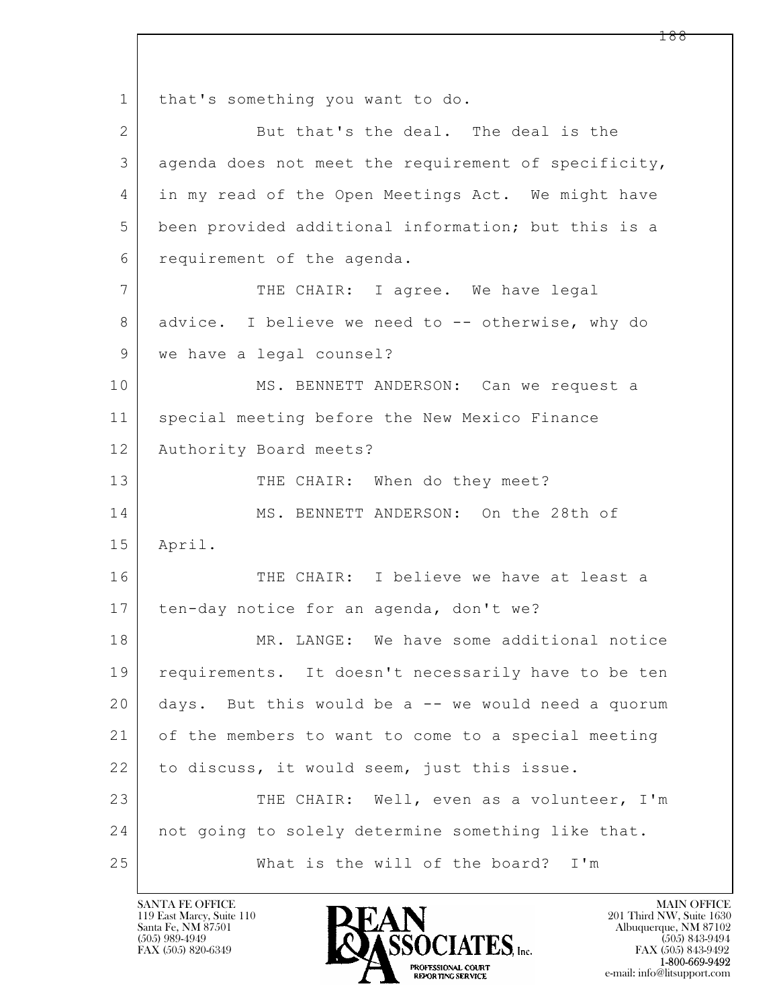$\mathbf{L}$  1 that's something you want to do. 2 But that's the deal. The deal is the 3 agenda does not meet the requirement of specificity, 4 in my read of the Open Meetings Act. We might have 5 been provided additional information; but this is a 6 requirement of the agenda. 7 THE CHAIR: I agree. We have legal 8 advice. I believe we need to -- otherwise, why do 9 we have a legal counsel? 10 | MS. BENNETT ANDERSON: Can we request a 11 | special meeting before the New Mexico Finance 12 | Authority Board meets? 13 THE CHAIR: When do they meet? 14 MS. BENNETT ANDERSON: On the 28th of 15 April. 16 THE CHAIR: I believe we have at least a 17 | ten-day notice for an agenda, don't we? 18 MR. LANGE: We have some additional notice 19 | requirements. It doesn't necessarily have to be ten 20 days. But this would be a -- we would need a quorum 21 of the members to want to come to a special meeting  $22$  to discuss, it would seem, just this issue. 23 THE CHAIR: Well, even as a volunteer, I'm 24 not going to solely determine something like that. 25 What is the will of the board? I'm

119 East Marcy, Suite 110<br>Santa Fe, NM 87501

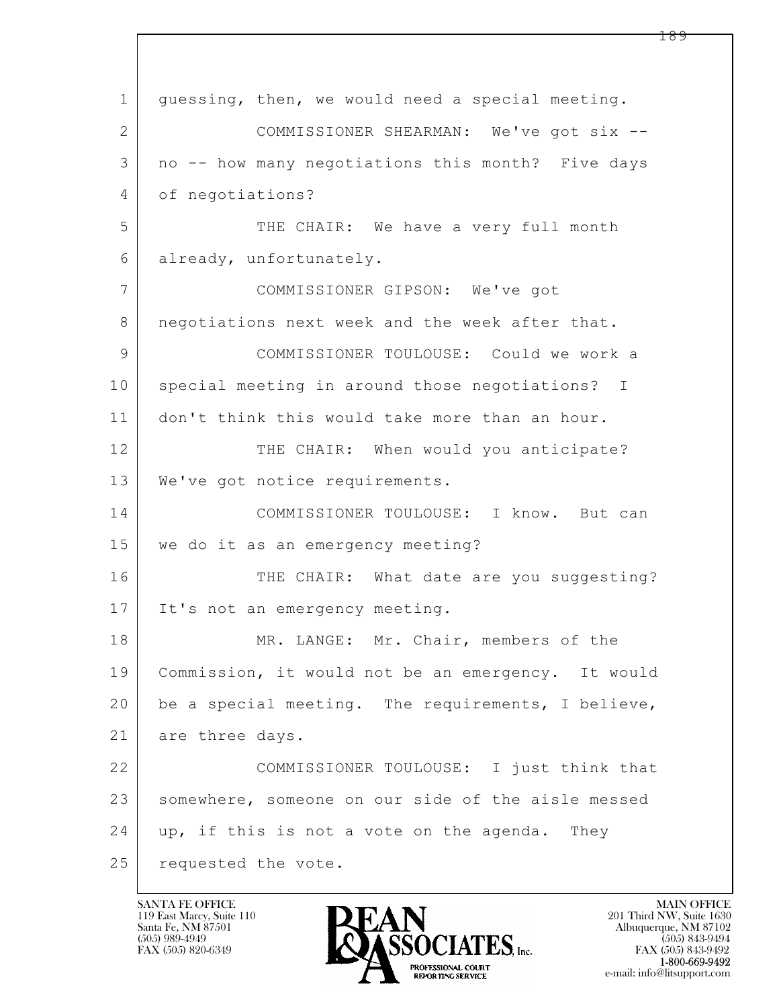| $\mathbf 1$ | quessing, then, we would need a special meeting.   |  |  |  |  |
|-------------|----------------------------------------------------|--|--|--|--|
| 2           | COMMISSIONER SHEARMAN: We've got six --            |  |  |  |  |
| 3           | no -- how many negotiations this month? Five days  |  |  |  |  |
| 4           | of negotiations?                                   |  |  |  |  |
| 5           | THE CHAIR: We have a very full month               |  |  |  |  |
| 6           | already, unfortunately.                            |  |  |  |  |
| 7           | COMMISSIONER GIPSON: We've got                     |  |  |  |  |
| 8           | negotiations next week and the week after that.    |  |  |  |  |
| 9           | COMMISSIONER TOULOUSE: Could we work a             |  |  |  |  |
| 10          | special meeting in around those negotiations? I    |  |  |  |  |
| 11          | don't think this would take more than an hour.     |  |  |  |  |
| 12          | THE CHAIR: When would you anticipate?              |  |  |  |  |
| 13          | We've got notice requirements.                     |  |  |  |  |
| 14          | COMMISSIONER TOULOUSE: I know. But can             |  |  |  |  |
| 15          | we do it as an emergency meeting?                  |  |  |  |  |
| 16          | THE CHAIR: What date are you suggesting?           |  |  |  |  |
| 17          | It's not an emergency meeting.                     |  |  |  |  |
| 18          | MR. LANGE: Mr. Chair, members of the               |  |  |  |  |
| 19          | Commission, it would not be an emergency. It would |  |  |  |  |
| 20          | be a special meeting. The requirements, I believe, |  |  |  |  |
| 21          | are three days.                                    |  |  |  |  |
| 22          | COMMISSIONER TOULOUSE: I just think that           |  |  |  |  |
| 23          | somewhere, someone on our side of the aisle messed |  |  |  |  |
| 24          | up, if this is not a vote on the agenda. They      |  |  |  |  |
| 25          | requested the vote.                                |  |  |  |  |

 $\overline{\phantom{a}}$ 

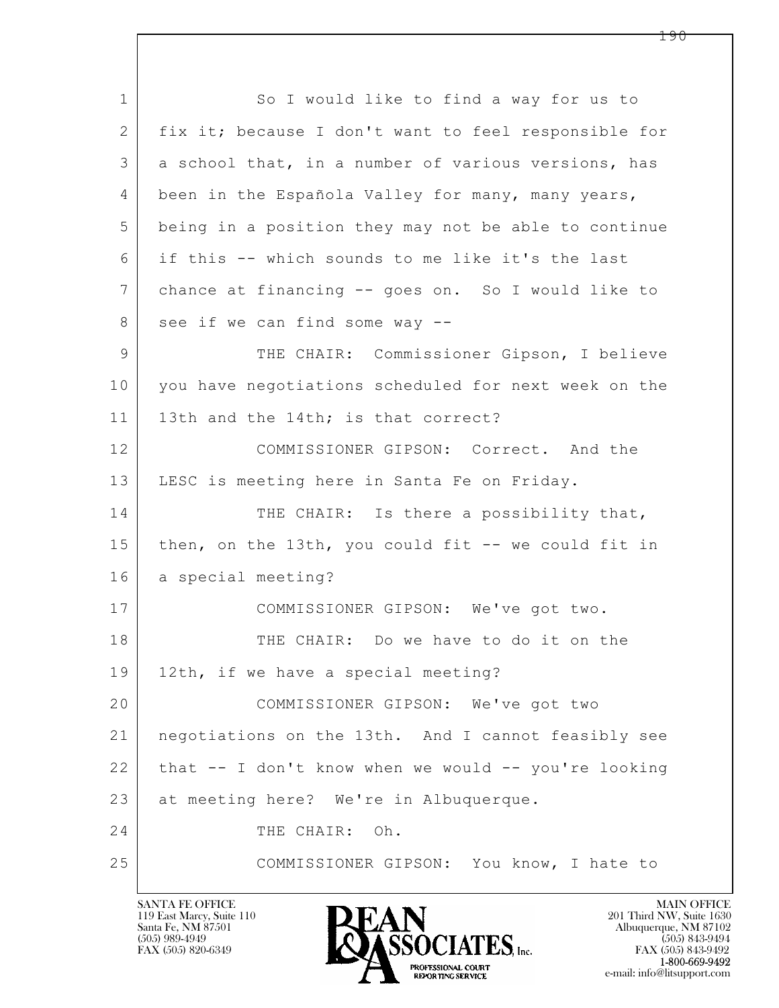$\mathbf{L}$  1 So I would like to find a way for us to 2 fix it; because I don't want to feel responsible for 3 a school that, in a number of various versions, has 4 been in the Española Valley for many, many years, 5 being in a position they may not be able to continue 6 if this -- which sounds to me like it's the last 7 chance at financing -- goes on. So I would like to 8 see if we can find some way --9 THE CHAIR: Commissioner Gipson, I believe 10 you have negotiations scheduled for next week on the 11 | 13th and the 14th; is that correct? 12 COMMISSIONER GIPSON: Correct. And the 13 LESC is meeting here in Santa Fe on Friday. 14 THE CHAIR: Is there a possibility that, 15 then, on the 13th, you could fit -- we could fit in 16 a special meeting? 17 COMMISSIONER GIPSON: We've got two. 18 THE CHAIR: Do we have to do it on the 19 | 12th, if we have a special meeting? 20 COMMISSIONER GIPSON: We've got two 21 negotiations on the 13th. And I cannot feasibly see  $22$  | that  $-$  I don't know when we would  $-$  you're looking 23 at meeting here? We're in Albuquerque. 24 THE CHAIR: Oh. 25 COMMISSIONER GIPSON: You know, I hate to

119 East Marcy, Suite 110<br>Santa Fe, NM 87501

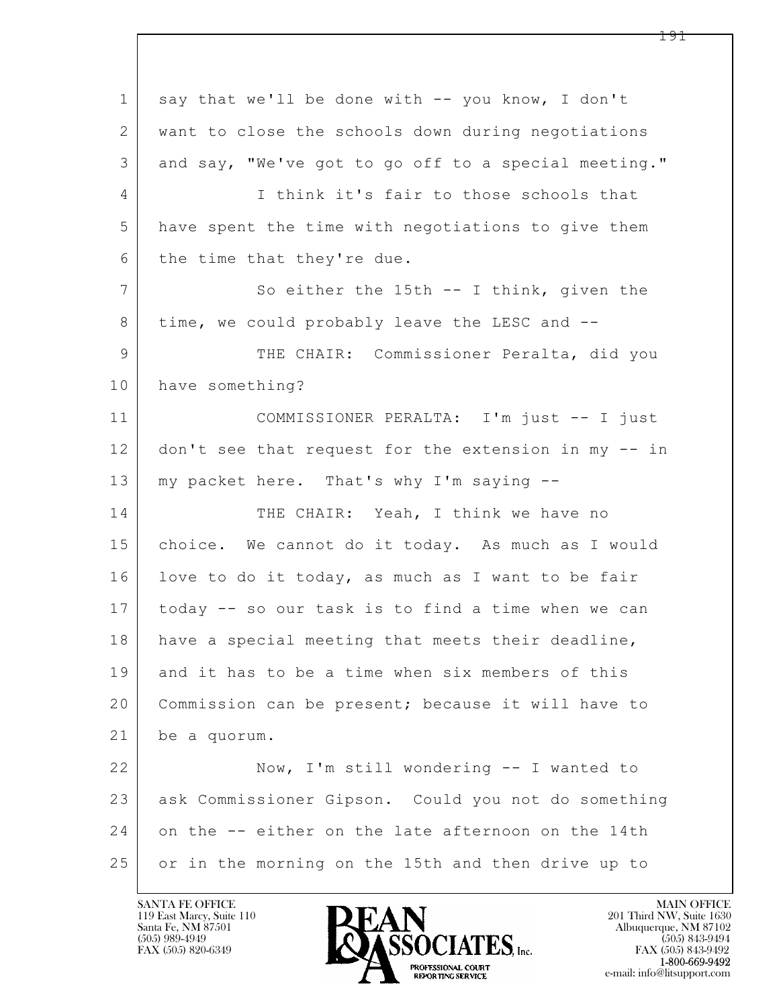$\mathbf{L}$  1 say that we'll be done with -- you know, I don't 2 want to close the schools down during negotiations 3 and say, "We've got to go off to a special meeting." 4 I think it's fair to those schools that 5 have spent the time with negotiations to give them 6 the time that they're due. 7 So either the 15th -- I think, given the 8 time, we could probably leave the LESC and --9 | THE CHAIR: Commissioner Peralta, did you 10 have something? 11 COMMISSIONER PERALTA: I'm just -- I just 12 don't see that request for the extension in my -- in 13 | my packet here. That's why I'm saying --14 THE CHAIR: Yeah, I think we have no 15 | choice. We cannot do it today. As much as I would 16 love to do it today, as much as I want to be fair 17 today -- so our task is to find a time when we can 18 have a special meeting that meets their deadline, 19 and it has to be a time when six members of this 20 Commission can be present; because it will have to 21 be a quorum. 22 Now, I'm still wondering -- I wanted to 23 ask Commissioner Gipson. Could you not do something 24 on the -- either on the late afternoon on the 14th 25 | or in the morning on the 15th and then drive up to

119 East Marcy, Suite 110<br>Santa Fe, NM 87501



FAX (505) 843-9492 e-mail: info@litsupport.com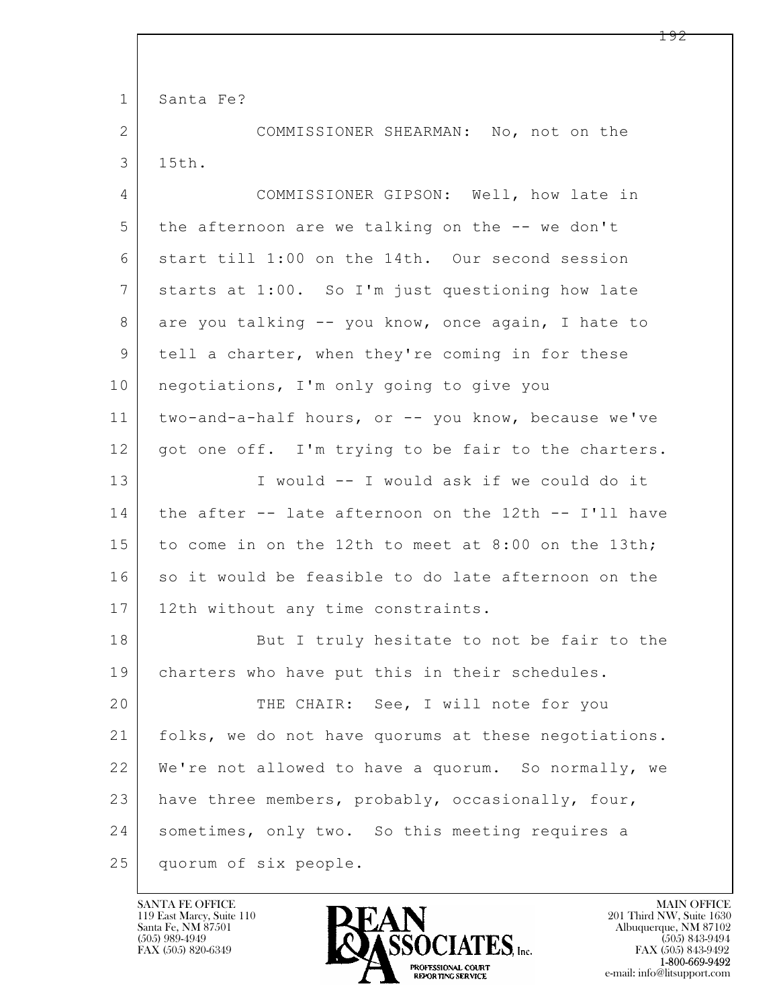$\mathbf{L}$  1 Santa Fe? 2 COMMISSIONER SHEARMAN: No, not on the 3 15th. 4 COMMISSIONER GIPSON: Well, how late in 5 the afternoon are we talking on the -- we don't 6 start till 1:00 on the 14th. Our second session 7 starts at 1:00. So I'm just questioning how late 8 are you talking -- you know, once again, I hate to 9 tell a charter, when they're coming in for these 10 | negotiations, I'm only going to give you 11 two-and-a-half hours, or -- you know, because we've 12 | got one off. I'm trying to be fair to the charters. 13 I would -- I would ask if we could do it 14 the after -- late afternoon on the 12th -- I'll have 15 to come in on the 12th to meet at 8:00 on the 13th; 16 so it would be feasible to do late afternoon on the 17 | 12th without any time constraints. 18 But I truly hesitate to not be fair to the 19 charters who have put this in their schedules. 20 THE CHAIR: See, I will note for you 21 folks, we do not have quorums at these negotiations. 22 We're not allowed to have a quorum. So normally, we 23 have three members, probably, occasionally, four, 24 sometimes, only two. So this meeting requires a 25 quorum of six people.

119 East Marcy, Suite 110<br>Santa Fe, NM 87501

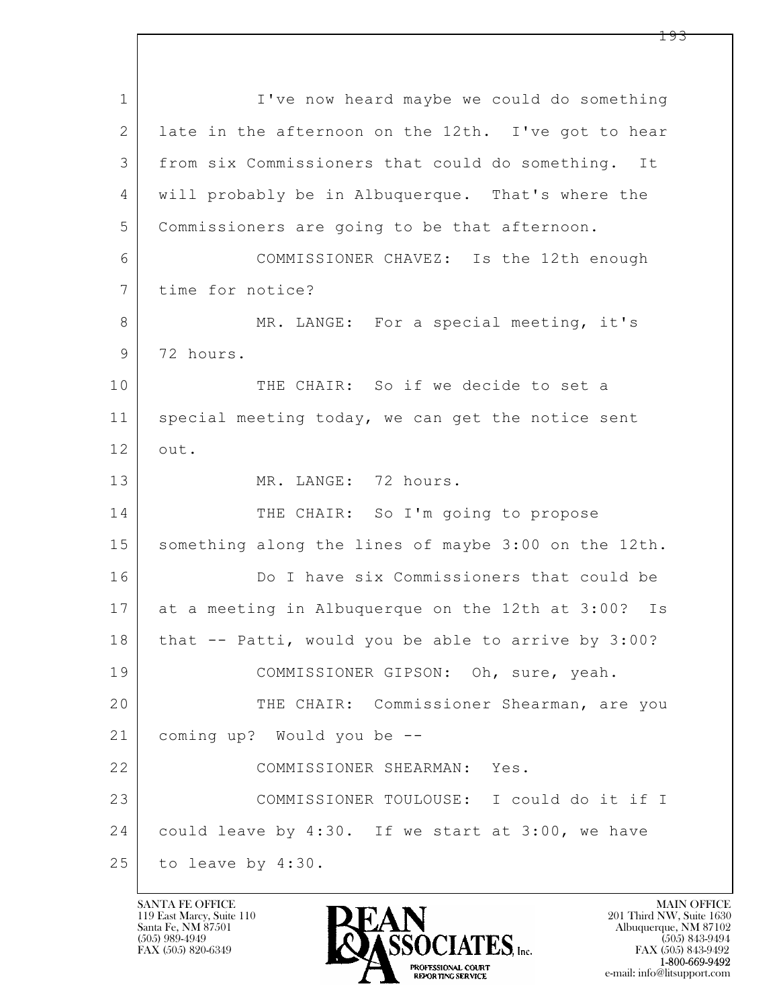$\mathbf{L}$  1 I've now heard maybe we could do something 2 late in the afternoon on the 12th. I've got to hear 3 from six Commissioners that could do something. It 4 will probably be in Albuquerque. That's where the 5 Commissioners are going to be that afternoon. 6 COMMISSIONER CHAVEZ: Is the 12th enough 7 time for notice? 8 MR. LANGE: For a special meeting, it's 9 72 hours. 10 THE CHAIR: So if we decide to set a 11 special meeting today, we can get the notice sent 12 out. 13 MR. LANGE: 72 hours. 14 THE CHAIR: So I'm going to propose 15 | something along the lines of maybe 3:00 on the 12th. 16 Do I have six Commissioners that could be 17 at a meeting in Albuquerque on the 12th at 3:00? Is  $18$  that  $-$  Patti, would you be able to arrive by 3:00? 19 | COMMISSIONER GIPSON: Oh, sure, yeah. 20 | THE CHAIR: Commissioner Shearman, are you 21 coming up? Would you be -- 22 COMMISSIONER SHEARMAN: Yes. 23 COMMISSIONER TOULOUSE: I could do it if I 24 could leave by 4:30. If we start at 3:00, we have 25 to leave by 4:30.

119 East Marcy, Suite 110<br>Santa Fe, NM 87501

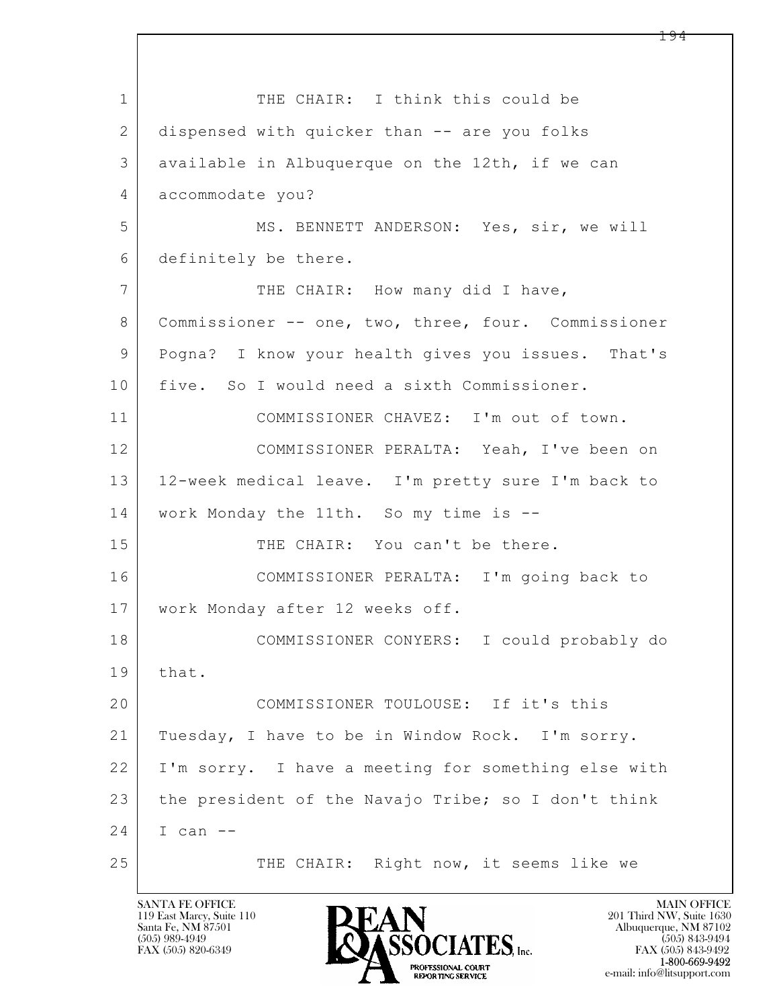$\mathbf{L}$  1 THE CHAIR: I think this could be 2 dispensed with quicker than -- are you folks 3 available in Albuquerque on the 12th, if we can 4 accommodate you? 5 MS. BENNETT ANDERSON: Yes, sir, we will 6 definitely be there. 7 THE CHAIR: How many did I have, 8 Commissioner -- one, two, three, four. Commissioner 9 Pogna? I know your health gives you issues. That's 10 five. So I would need a sixth Commissioner. 11 COMMISSIONER CHAVEZ: I'm out of town. 12 COMMISSIONER PERALTA: Yeah, I've been on 13 12-week medical leave. I'm pretty sure I'm back to 14 work Monday the 11th. So my time is -- 15 THE CHAIR: You can't be there. 16 COMMISSIONER PERALTA: I'm going back to 17 | work Monday after 12 weeks off. 18 COMMISSIONER CONYERS: I could probably do 19 | that. 20 COMMISSIONER TOULOUSE: If it's this 21 Tuesday, I have to be in Window Rock. I'm sorry. 22 I'm sorry. I have a meeting for something else with 23 the president of the Navajo Tribe; so I don't think 24 I can -- 25 THE CHAIR: Right now, it seems like we

119 East Marcy, Suite 110<br>Santa Fe, NM 87501

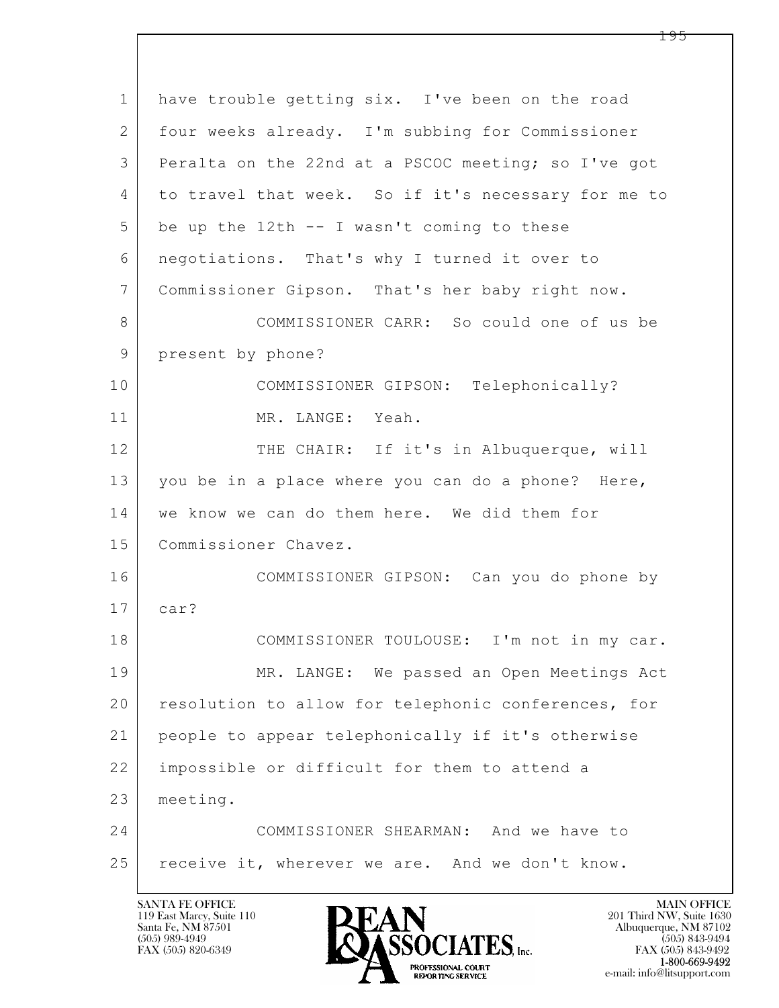$\mathbf{L}$  1 have trouble getting six. I've been on the road 2 four weeks already. I'm subbing for Commissioner 3 Peralta on the 22nd at a PSCOC meeting; so I've got 4 to travel that week. So if it's necessary for me to  $5$  be up the 12th  $-$  I wasn't coming to these 6 negotiations. That's why I turned it over to 7 Commissioner Gipson. That's her baby right now. 8 COMMISSIONER CARR: So could one of us be 9 present by phone? 10 COMMISSIONER GIPSON: Telephonically? 11 MR. LANGE: Yeah. 12 THE CHAIR: If it's in Albuquerque, will 13 you be in a place where you can do a phone? Here, 14 we know we can do them here. We did them for 15 | Commissioner Chavez. 16 COMMISSIONER GIPSON: Can you do phone by 17 car? 18 COMMISSIONER TOULOUSE: I'm not in my car. 19 MR. LANGE: We passed an Open Meetings Act 20 resolution to allow for telephonic conferences, for 21 people to appear telephonically if it's otherwise 22 impossible or difficult for them to attend a 23 meeting. 24 COMMISSIONER SHEARMAN: And we have to 25 | receive it, wherever we are. And we don't know.

119 East Marcy, Suite 110<br>Santa Fe, NM 87501

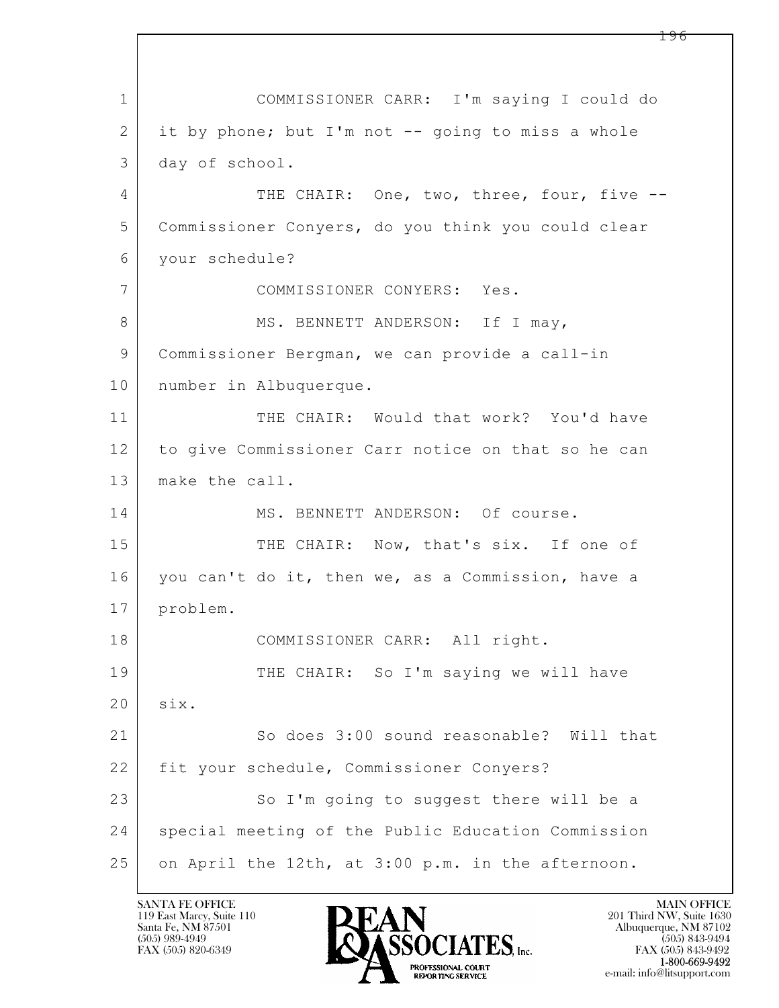$\mathbf{L}$  1 COMMISSIONER CARR: I'm saying I could do 2 it by phone; but I'm not -- going to miss a whole 3 day of school. 4 THE CHAIR: One, two, three, four, five --5 Commissioner Conyers, do you think you could clear 6 your schedule? 7 COMMISSIONER CONYERS: Yes. 8 | MS. BENNETT ANDERSON: If I may, 9 Commissioner Bergman, we can provide a call-in 10 number in Albuquerque. 11 THE CHAIR: Would that work? You'd have 12 to give Commissioner Carr notice on that so he can 13 make the call. 14 MS. BENNETT ANDERSON: Of course. 15 THE CHAIR: Now, that's six. If one of 16 you can't do it, then we, as a Commission, have a 17 problem. 18 | COMMISSIONER CARR: All right. 19 THE CHAIR: So I'm saying we will have 20 six. 21 So does 3:00 sound reasonable? Will that 22 | fit your schedule, Commissioner Conyers? 23 So I'm going to suggest there will be a 24 | special meeting of the Public Education Commission 25 on April the 12th, at 3:00 p.m. in the afternoon.

119 East Marcy, Suite 110<br>Santa Fe, NM 87501



FAX (505) 843-9492 e-mail: info@litsupport.com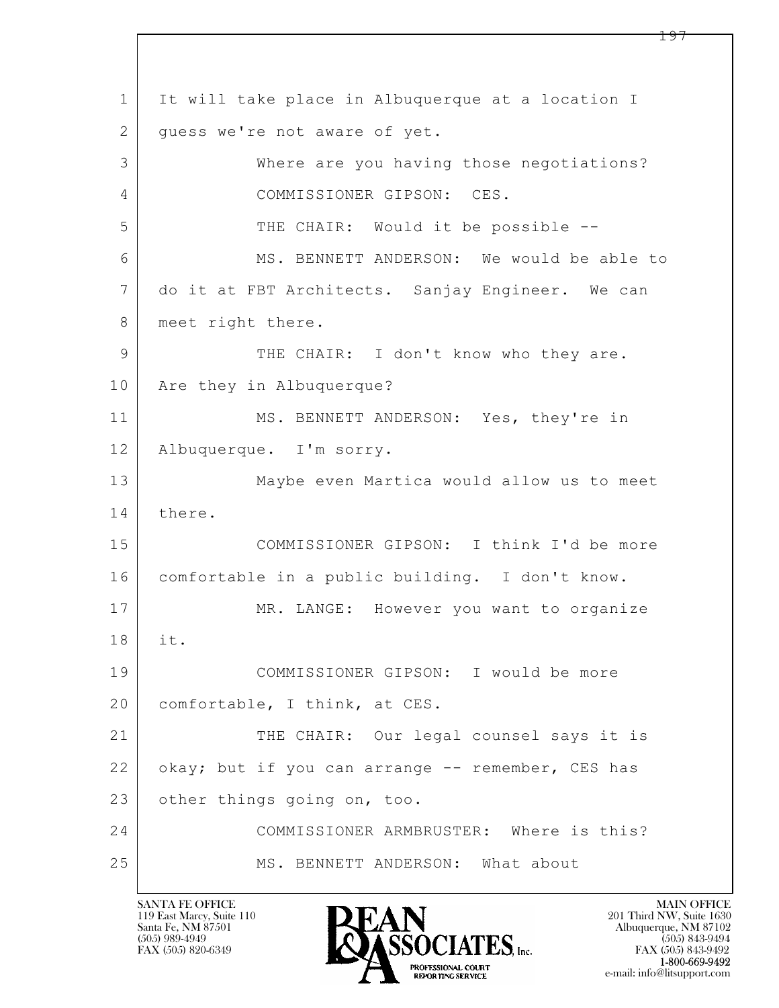$\mathbf{L}$  1 It will take place in Albuquerque at a location I 2 | guess we're not aware of yet. 3 Where are you having those negotiations? 4 COMMISSIONER GIPSON: CES. 5 THE CHAIR: Would it be possible --6 MS. BENNETT ANDERSON: We would be able to 7 do it at FBT Architects. Sanjay Engineer. We can 8 | meet right there. 9 THE CHAIR: I don't know who they are. 10 Are they in Albuquerque? 11 MS. BENNETT ANDERSON: Yes, they're in 12 Albuquerque. I'm sorry. 13 Maybe even Martica would allow us to meet 14 there. 15 COMMISSIONER GIPSON: I think I'd be more 16 comfortable in a public building. I don't know. 17 | MR. LANGE: However you want to organize 18 it. 19 COMMISSIONER GIPSON: I would be more 20 | comfortable, I think, at CES. 21 THE CHAIR: Our legal counsel says it is 22 okay; but if you can arrange -- remember, CES has 23 other things going on, too. 24 COMMISSIONER ARMBRUSTER: Where is this? 25 MS. BENNETT ANDERSON: What about

119 East Marcy, Suite 110<br>Santa Fe, NM 87501

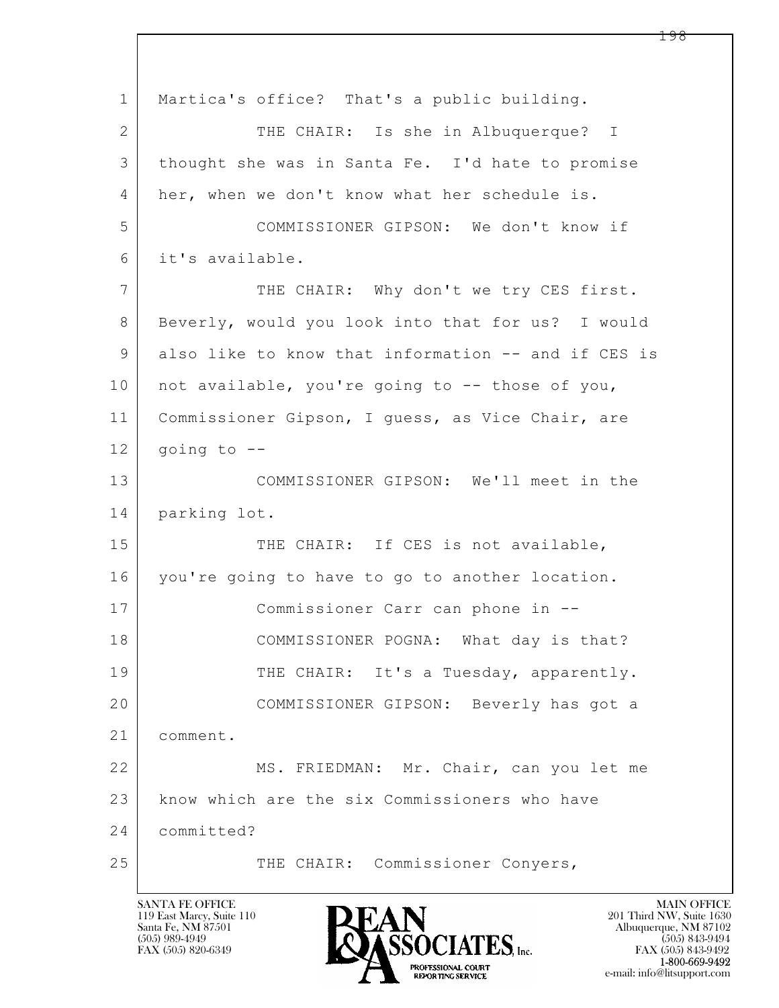$\mathbf{L}$  1 Martica's office? That's a public building. 2 THE CHAIR: Is she in Albuquerque? I 3 thought she was in Santa Fe. I'd hate to promise 4 her, when we don't know what her schedule is. 5 COMMISSIONER GIPSON: We don't know if 6 it's available. 7 THE CHAIR: Why don't we try CES first. 8 Beverly, would you look into that for us? I would 9 also like to know that information -- and if CES is 10 | not available, you're going to -- those of you, 11 Commissioner Gipson, I guess, as Vice Chair, are  $12$  going to  $-$ 13 COMMISSIONER GIPSON: We'll meet in the 14 parking lot. 15 THE CHAIR: If CES is not available, 16 you're going to have to go to another location. 17 Commissioner Carr can phone in -- 18 COMMISSIONER POGNA: What day is that? 19 THE CHAIR: It's a Tuesday, apparently. 20 COMMISSIONER GIPSON: Beverly has got a 21 comment. 22 MS. FRIEDMAN: Mr. Chair, can you let me 23 know which are the six Commissioners who have 24 committed? 25 THE CHAIR: Commissioner Conyers,



FAX (505) 843-9492 e-mail: info@litsupport.com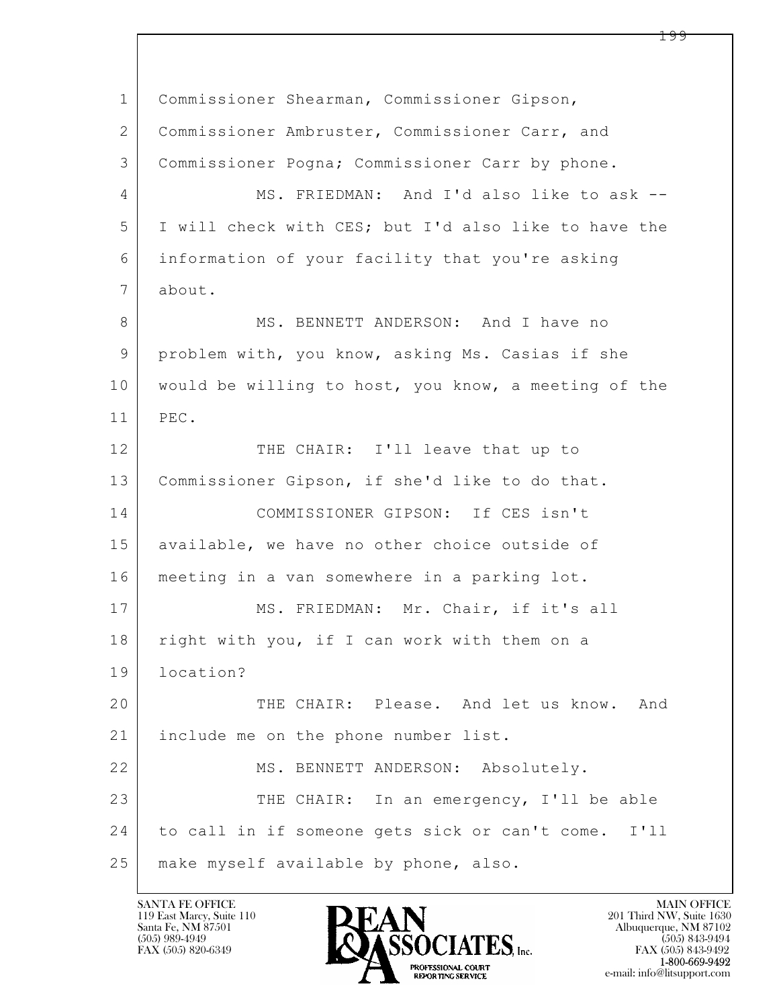$\mathbf{L}$  1 Commissioner Shearman, Commissioner Gipson, 2 Commissioner Ambruster, Commissioner Carr, and 3 Commissioner Pogna; Commissioner Carr by phone. 4 MS. FRIEDMAN: And I'd also like to ask --5 I will check with CES; but I'd also like to have the 6 information of your facility that you're asking 7 about. 8 MS. BENNETT ANDERSON: And I have no 9 problem with, you know, asking Ms. Casias if she 10 would be willing to host, you know, a meeting of the 11 PEC. 12 THE CHAIR: I'll leave that up to 13 Commissioner Gipson, if she'd like to do that. 14 COMMISSIONER GIPSON: If CES isn't 15 | available, we have no other choice outside of 16 meeting in a van somewhere in a parking lot. 17 | MS. FRIEDMAN: Mr. Chair, if it's all 18 right with you, if I can work with them on a 19 location? 20 THE CHAIR: Please. And let us know. And 21 include me on the phone number list. 22 MS. BENNETT ANDERSON: Absolutely. 23 THE CHAIR: In an emergency, I'll be able 24 to call in if someone gets sick or can't come. I'll 25 | make myself available by phone, also.

119 East Marcy, Suite 110<br>Santa Fe, NM 87501

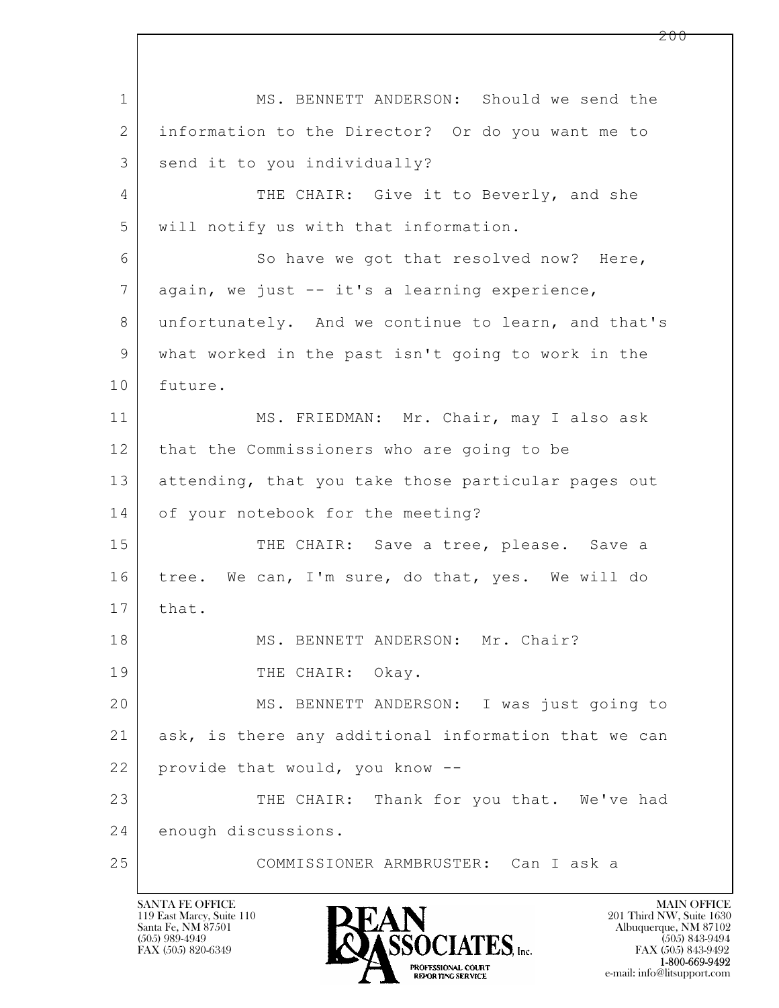$\mathbf{L}$  1 MS. BENNETT ANDERSON: Should we send the 2 information to the Director? Or do you want me to 3 send it to you individually? 4 THE CHAIR: Give it to Beverly, and she 5 will notify us with that information. 6 So have we got that resolved now? Here, 7 | again, we just -- it's a learning experience, 8 unfortunately. And we continue to learn, and that's 9 what worked in the past isn't going to work in the 10 future. 11 | MS. FRIEDMAN: Mr. Chair, may I also ask 12 that the Commissioners who are going to be 13 attending, that you take those particular pages out 14 of your notebook for the meeting? 15 THE CHAIR: Save a tree, please. Save a 16 tree. We can, I'm sure, do that, yes. We will do 17 | that. 18 | MS. BENNETT ANDERSON: Mr. Chair? 19 THE CHAIR: Okay. 20 MS. BENNETT ANDERSON: I was just going to 21 | ask, is there any additional information that we can 22 provide that would, you know --23 THE CHAIR: Thank for you that. We've had 24 enough discussions. 25 COMMISSIONER ARMBRUSTER: Can I ask a

119 East Marcy, Suite 110<br>Santa Fe, NM 87501

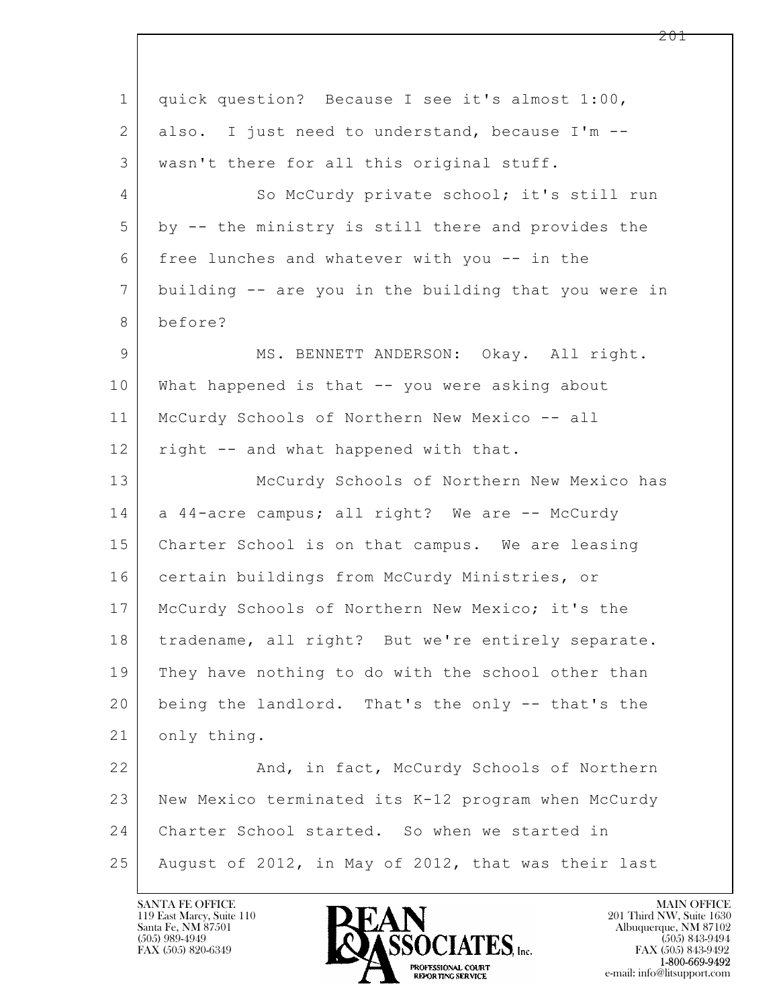$\mathbf{L}$  1 quick question? Because I see it's almost 1:00, 2 also. I just need to understand, because I'm --3 | wasn't there for all this original stuff. 4 So McCurdy private school; it's still run 5 by -- the ministry is still there and provides the 6 free lunches and whatever with you  $-$  in the 7 building -- are you in the building that you were in 8 before? 9 MS. BENNETT ANDERSON: Okay. All right. 10 What happened is that -- you were asking about 11 | McCurdy Schools of Northern New Mexico -- all 12 right -- and what happened with that. 13 McCurdy Schools of Northern New Mexico has  $14$  a 44-acre campus; all right? We are  $-$  McCurdy 15 | Charter School is on that campus. We are leasing 16 certain buildings from McCurdy Ministries, or 17 | McCurdy Schools of Northern New Mexico; it's the 18 | tradename, all right? But we're entirely separate. 19 They have nothing to do with the school other than 20 being the landlord. That's the only -- that's the 21 only thing. 22 And, in fact, McCurdy Schools of Northern 23 New Mexico terminated its K-12 program when McCurdy 24 Charter School started. So when we started in 25 August of 2012, in May of 2012, that was their last

119 East Marcy, Suite 110<br>Santa Fe, NM 87501



FAX (505) 843-9492 e-mail: info@litsupport.com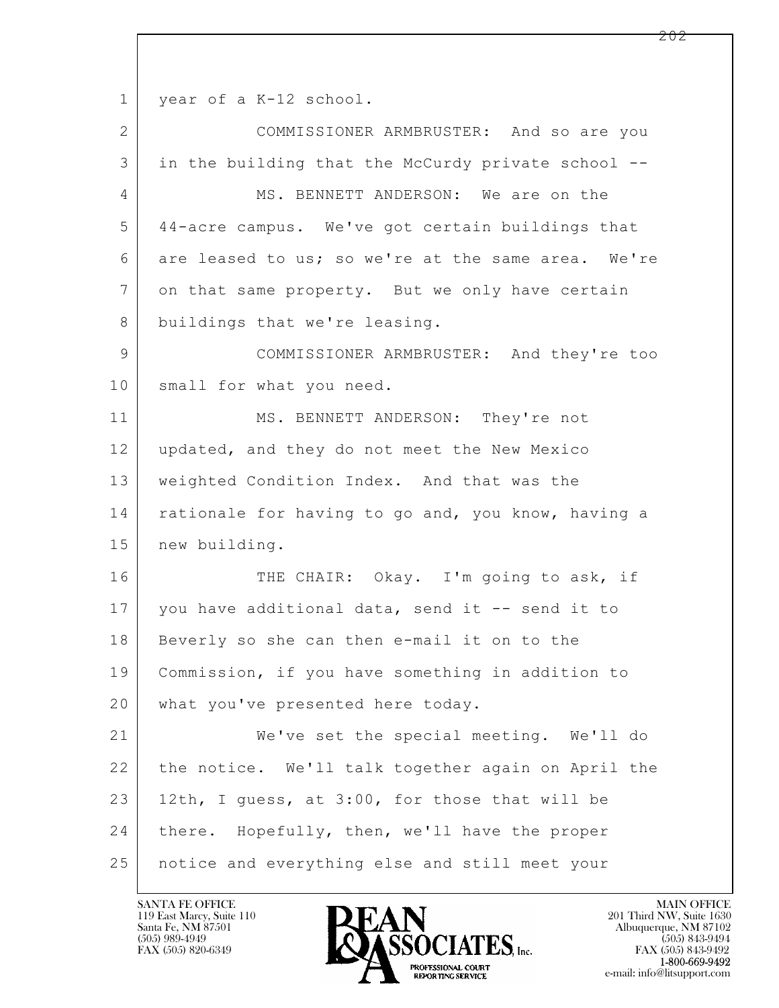1 year of a K-12 school.

| $\overline{2}$ | COMMISSIONER ARMBRUSTER: And so are you            |  |  |  |  |  |
|----------------|----------------------------------------------------|--|--|--|--|--|
| 3              | in the building that the McCurdy private school -- |  |  |  |  |  |
| 4              | MS. BENNETT ANDERSON: We are on the                |  |  |  |  |  |
| 5              | 44-acre campus. We've got certain buildings that   |  |  |  |  |  |
| 6              | are leased to us; so we're at the same area. We're |  |  |  |  |  |
| 7              | on that same property. But we only have certain    |  |  |  |  |  |
| 8              | buildings that we're leasing.                      |  |  |  |  |  |
| 9              | COMMISSIONER ARMBRUSTER: And they're too           |  |  |  |  |  |
| 10             | small for what you need.                           |  |  |  |  |  |
| 11             | MS. BENNETT ANDERSON: They're not                  |  |  |  |  |  |
| 12             | updated, and they do not meet the New Mexico       |  |  |  |  |  |
| 13             | weighted Condition Index. And that was the         |  |  |  |  |  |
| 14             | rationale for having to go and, you know, having a |  |  |  |  |  |
| 15             | new building.                                      |  |  |  |  |  |
| 16             | THE CHAIR: Okay. I'm going to ask, if              |  |  |  |  |  |
| 17             | you have additional data, send it -- send it to    |  |  |  |  |  |
| 18             | Beverly so she can then e-mail it on to the        |  |  |  |  |  |
| 19             | Commission, if you have something in addition to   |  |  |  |  |  |
| 20             | what you've presented here today.                  |  |  |  |  |  |
| 21             | We've set the special meeting. We'll do            |  |  |  |  |  |
| 22             | the notice. We'll talk together again on April the |  |  |  |  |  |
| 23             | 12th, I guess, at 3:00, for those that will be     |  |  |  |  |  |
| 24             | there. Hopefully, then, we'll have the proper      |  |  |  |  |  |
| 25             | notice and everything else and still meet your     |  |  |  |  |  |

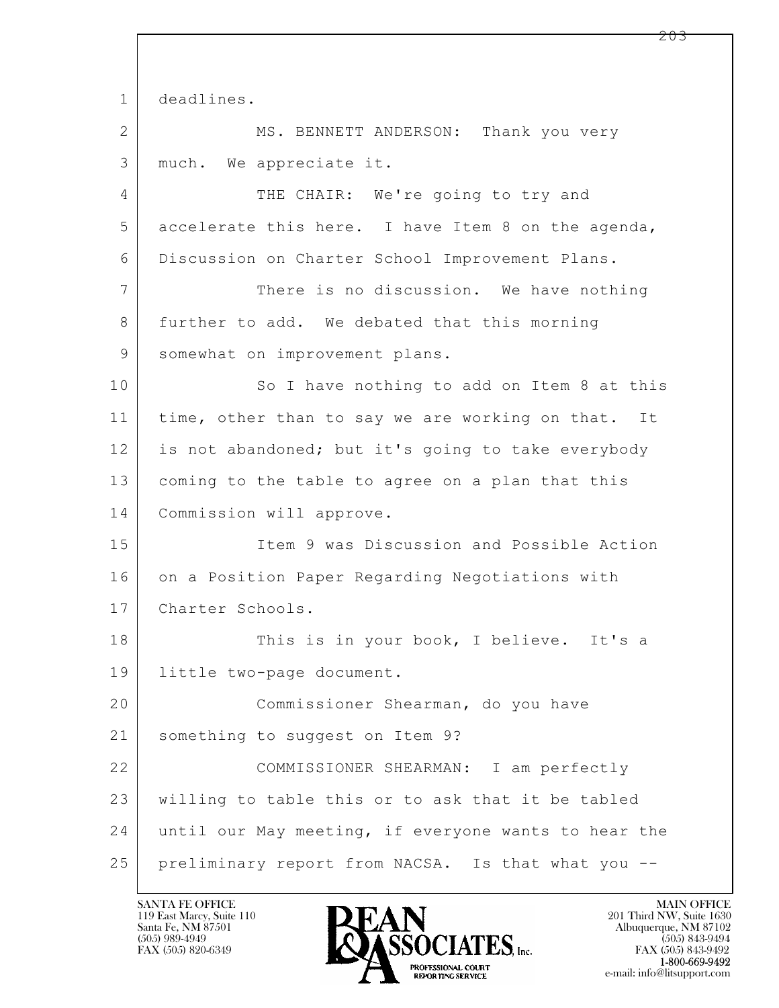$\mathbf{L}$  1 deadlines. 2 MS. BENNETT ANDERSON: Thank you very 3 much. We appreciate it. 4 THE CHAIR: We're going to try and 5 accelerate this here. I have Item 8 on the agenda, 6 Discussion on Charter School Improvement Plans. 7 There is no discussion. We have nothing 8 | further to add. We debated that this morning 9 | somewhat on improvement plans. 10 So I have nothing to add on Item 8 at this 11 | time, other than to say we are working on that. It 12 is not abandoned; but it's going to take everybody 13 coming to the table to agree on a plan that this 14 Commission will approve. 15 Item 9 was Discussion and Possible Action 16 on a Position Paper Regarding Negotiations with 17 Charter Schools. 18 This is in your book, I believe. It's a 19 little two-page document. 20 Commissioner Shearman, do you have 21 something to suggest on Item 9? 22 COMMISSIONER SHEARMAN: I am perfectly 23 willing to table this or to ask that it be tabled 24 until our May meeting, if everyone wants to hear the 25 preliminary report from NACSA. Is that what you --

119 East Marcy, Suite 110<br>Santa Fe, NM 87501

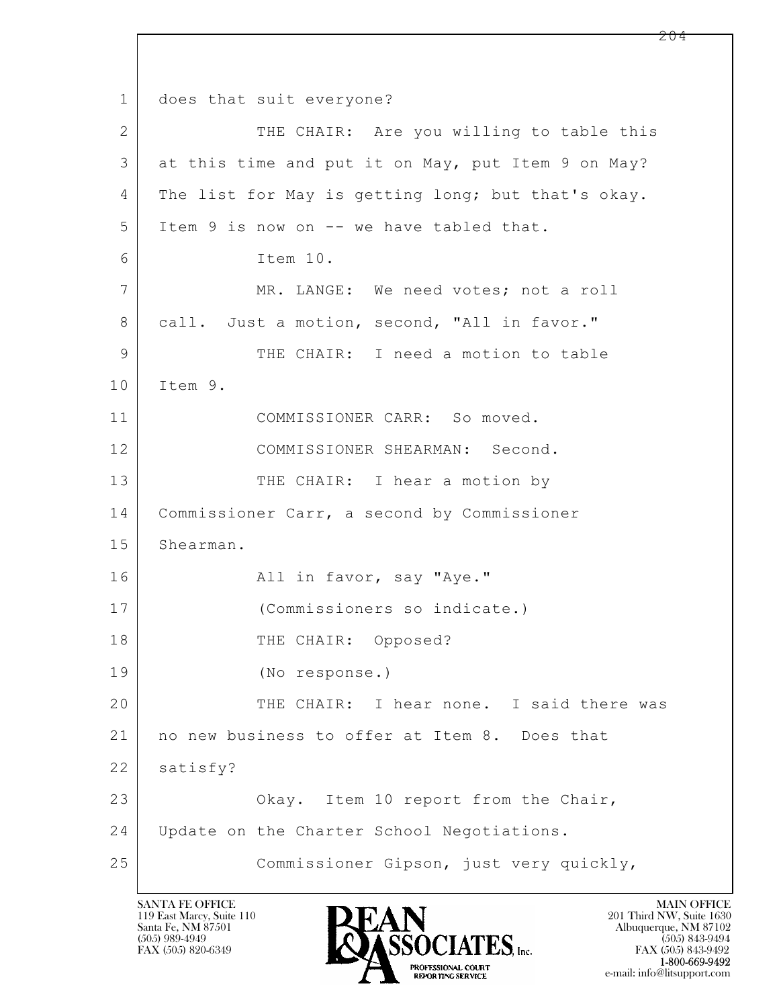$\mathbf{L}$  1 does that suit everyone? 2 THE CHAIR: Are you willing to table this 3 | at this time and put it on May, put Item 9 on May? 4 The list for May is getting long; but that's okay. 5 | Item 9 is now on -- we have tabled that. 6 Item 10. 7 MR. LANGE: We need votes; not a roll 8 call. Just a motion, second, "All in favor." 9 THE CHAIR: I need a motion to table 10 Item 9. 11 COMMISSIONER CARR: So moved. 12 COMMISSIONER SHEARMAN: Second. 13 THE CHAIR: I hear a motion by 14 Commissioner Carr, a second by Commissioner 15 Shearman. 16 All in favor, say "Aye." 17 (Commissioners so indicate.) 18 | THE CHAIR: Opposed? 19 (No response.) 20 THE CHAIR: I hear none. I said there was 21 | no new business to offer at Item 8. Does that 22 | satisfy? 23 Okay. Item 10 report from the Chair, 24 Update on the Charter School Negotiations. 25 Commissioner Gipson, just very quickly,

119 East Marcy, Suite 110<br>Santa Fe, NM 87501

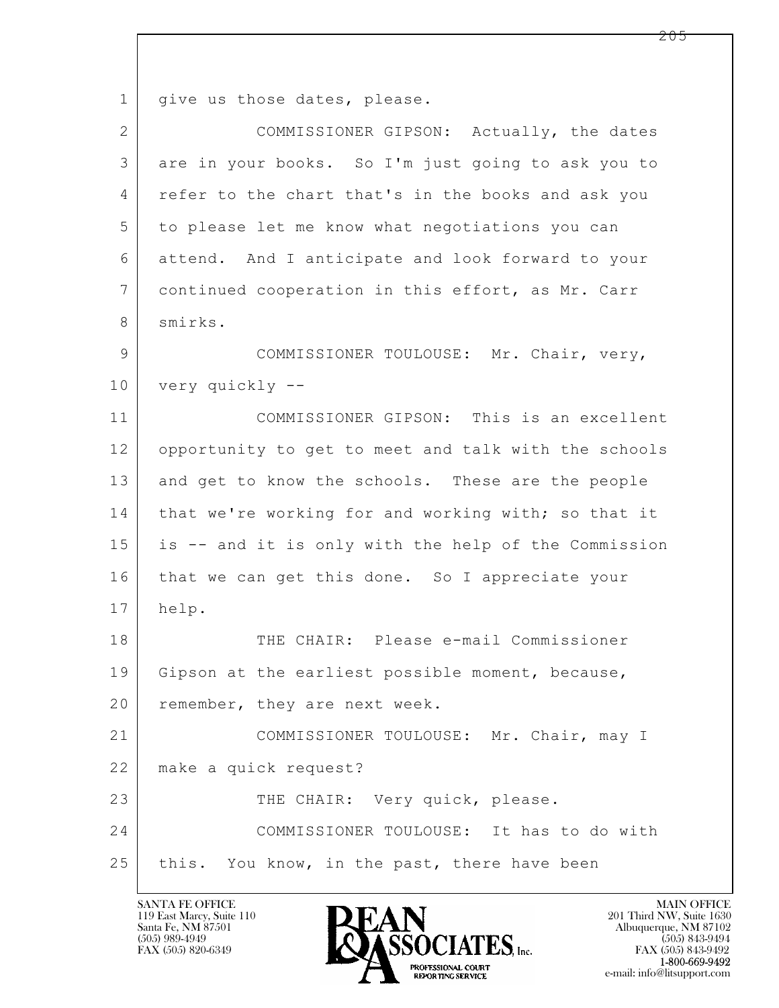$\mathbf{L}$  1 | give us those dates, please. 2 COMMISSIONER GIPSON: Actually, the dates 3 are in your books. So I'm just going to ask you to 4 refer to the chart that's in the books and ask you 5 to please let me know what negotiations you can 6 attend. And I anticipate and look forward to your 7 continued cooperation in this effort, as Mr. Carr 8 smirks. 9 COMMISSIONER TOULOUSE: Mr. Chair, very, 10 very quickly -- 11 COMMISSIONER GIPSON: This is an excellent 12 opportunity to get to meet and talk with the schools 13 and get to know the schools. These are the people 14 that we're working for and working with; so that it 15 is -- and it is only with the help of the Commission 16 that we can get this done. So I appreciate your 17 help. 18 THE CHAIR: Please e-mail Commissioner 19 Gipson at the earliest possible moment, because, 20 | remember, they are next week. 21 COMMISSIONER TOULOUSE: Mr. Chair, may I 22 make a quick request? 23 THE CHAIR: Very quick, please. 24 COMMISSIONER TOULOUSE: It has to do with 25 this. You know, in the past, there have been

119 East Marcy, Suite 110<br>Santa Fe, NM 87501

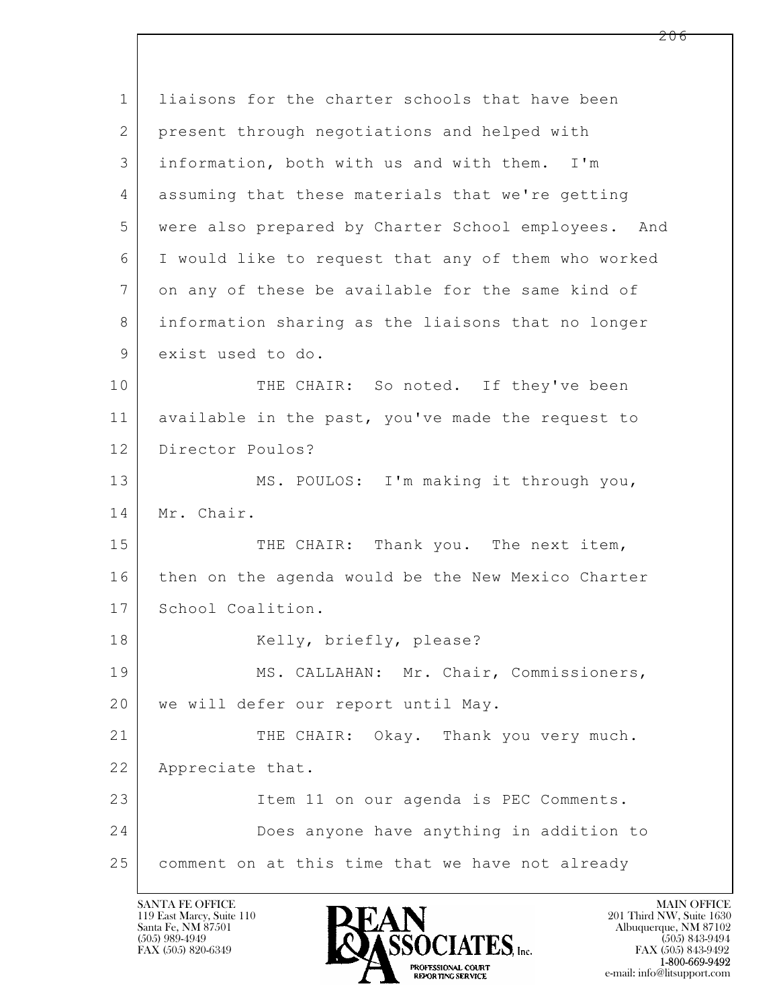$\mathbf{L}$  1 liaisons for the charter schools that have been 2 present through negotiations and helped with 3 information, both with us and with them. I'm 4 assuming that these materials that we're getting 5 were also prepared by Charter School employees. And 6 I would like to request that any of them who worked 7 on any of these be available for the same kind of 8 information sharing as the liaisons that no longer 9 exist used to do. 10 THE CHAIR: So noted. If they've been 11 available in the past, you've made the request to 12 Director Poulos? 13 MS. POULOS: I'm making it through you, 14 | Mr. Chair. 15 THE CHAIR: Thank you. The next item, 16 then on the agenda would be the New Mexico Charter 17 School Coalition. 18 | Kelly, briefly, please? 19 | MS. CALLAHAN: Mr. Chair, Commissioners, 20 | we will defer our report until May. 21 THE CHAIR: Okay. Thank you very much. 22 Appreciate that. 23 Item 11 on our agenda is PEC Comments. 24 Does anyone have anything in addition to 25 comment on at this time that we have not already

119 East Marcy, Suite 110<br>Santa Fe, NM 87501

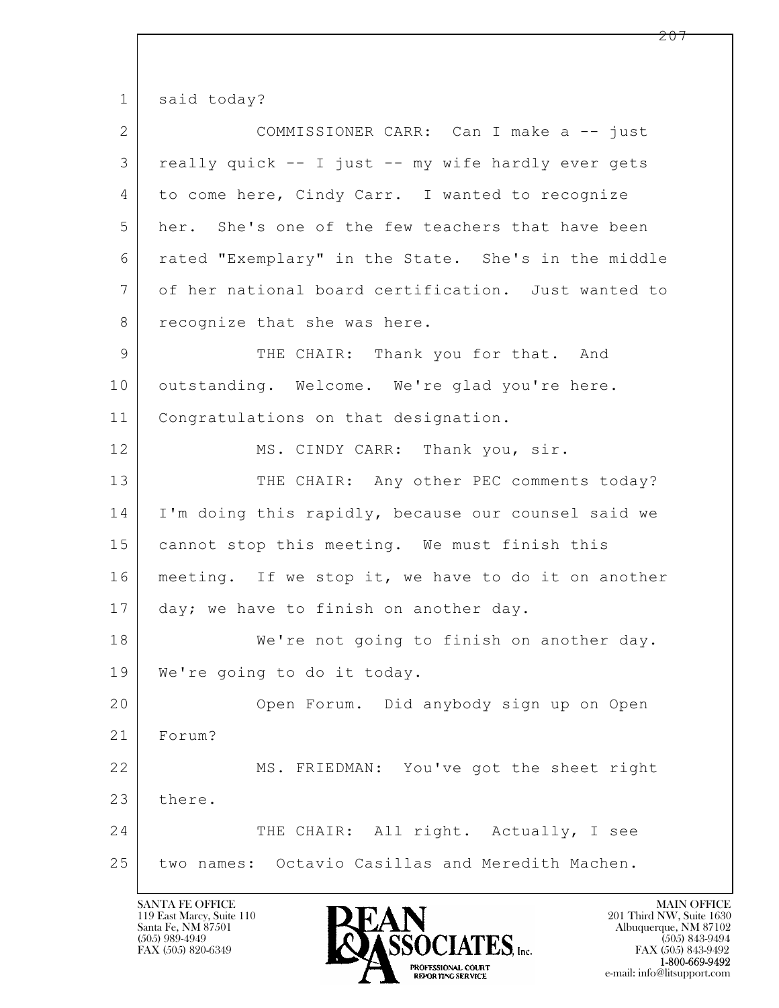1 said today?

| $\overline{2}$  | COMMISSIONER CARR: Can I make a -- just             |  |  |  |  |  |
|-----------------|-----------------------------------------------------|--|--|--|--|--|
| 3               | really quick -- I just -- my wife hardly ever gets  |  |  |  |  |  |
| 4               | to come here, Cindy Carr. I wanted to recognize     |  |  |  |  |  |
| 5               | her. She's one of the few teachers that have been   |  |  |  |  |  |
| 6               | rated "Exemplary" in the State. She's in the middle |  |  |  |  |  |
| $7\phantom{.0}$ | of her national board certification. Just wanted to |  |  |  |  |  |
| 8               | recognize that she was here.                        |  |  |  |  |  |
| $\mathsf 9$     | THE CHAIR: Thank you for that. And                  |  |  |  |  |  |
| 10              | outstanding. Welcome. We're glad you're here.       |  |  |  |  |  |
| 11              | Congratulations on that designation.                |  |  |  |  |  |
| 12              | MS. CINDY CARR: Thank you, sir.                     |  |  |  |  |  |
| 13              | THE CHAIR: Any other PEC comments today?            |  |  |  |  |  |
| 14              | I'm doing this rapidly, because our counsel said we |  |  |  |  |  |
| 15              | cannot stop this meeting. We must finish this       |  |  |  |  |  |
| 16              | meeting. If we stop it, we have to do it on another |  |  |  |  |  |
| 17              | day; we have to finish on another day.              |  |  |  |  |  |
| 18              | We're not going to finish on another day.           |  |  |  |  |  |
| 19              | We're going to do it today.                         |  |  |  |  |  |
| 20              | Open Forum. Did anybody sign up on Open             |  |  |  |  |  |
| 21              | Forum?                                              |  |  |  |  |  |
| 22              | MS. FRIEDMAN: You've got the sheet right            |  |  |  |  |  |
| 23              | there.                                              |  |  |  |  |  |
| 24              | THE CHAIR: All right. Actually, I see               |  |  |  |  |  |
| 25              | two names: Octavio Casillas and Meredith Machen.    |  |  |  |  |  |

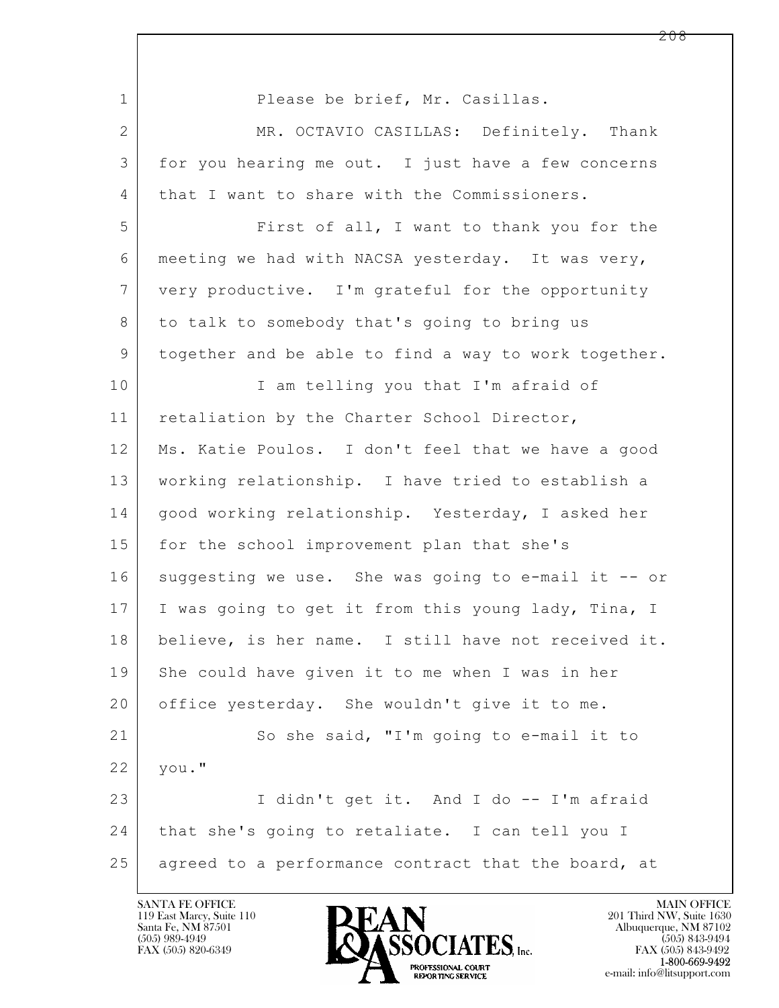$\mathbf{L}$  1 Please be brief, Mr. Casillas. 2 MR. OCTAVIO CASILLAS: Definitely. Thank 3 for you hearing me out. I just have a few concerns 4 that I want to share with the Commissioners. 5 First of all, I want to thank you for the 6 meeting we had with NACSA yesterday. It was very, 7 very productive. I'm grateful for the opportunity 8 to talk to somebody that's going to bring us 9 together and be able to find a way to work together. 10 | I am telling you that I'm afraid of 11 | retaliation by the Charter School Director, 12 | Ms. Katie Poulos. I don't feel that we have a good 13 working relationship. I have tried to establish a 14 | good working relationship. Yesterday, I asked her 15 for the school improvement plan that she's 16 suggesting we use. She was going to e-mail it -- or 17 I was going to get it from this young lady, Tina, I 18 believe, is her name. I still have not received it. 19 She could have given it to me when I was in her 20 office yesterday. She wouldn't give it to me. 21 So she said, "I'm going to e-mail it to 22 you." 23 I didn't get it. And I do -- I'm afraid 24 | that she's going to retaliate. I can tell you I 25 agreed to a performance contract that the board, at

119 East Marcy, Suite 110<br>Santa Fe, NM 87501



FAX (505) 843-9492 e-mail: info@litsupport.com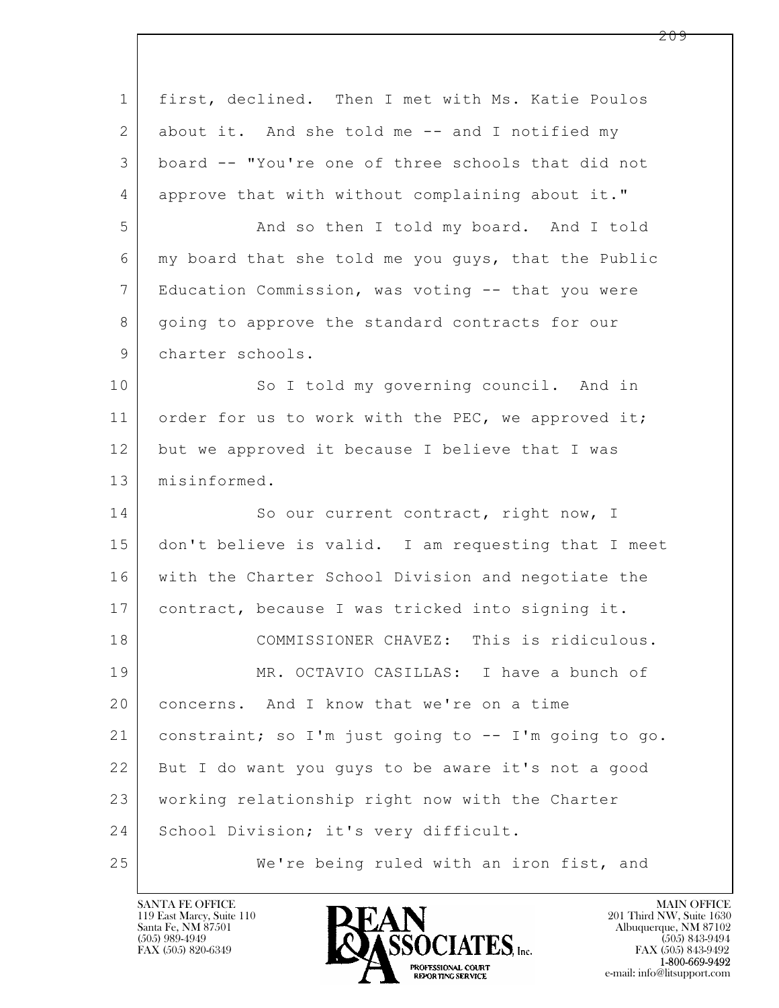| $\mathbf 1$ | first, declined. Then I met with Ms. Katie Poulos    |  |  |  |  |  |
|-------------|------------------------------------------------------|--|--|--|--|--|
| 2           | about it. And she told me -- and I notified my       |  |  |  |  |  |
| 3           | board -- "You're one of three schools that did not   |  |  |  |  |  |
| 4           | approve that with without complaining about it."     |  |  |  |  |  |
| 5           | And so then I told my board. And I told              |  |  |  |  |  |
| 6           | my board that she told me you guys, that the Public  |  |  |  |  |  |
| 7           | Education Commission, was voting -- that you were    |  |  |  |  |  |
| 8           | going to approve the standard contracts for our      |  |  |  |  |  |
| 9           | charter schools.                                     |  |  |  |  |  |
| 10          | So I told my governing council. And in               |  |  |  |  |  |
| 11          | order for us to work with the PEC, we approved it;   |  |  |  |  |  |
| 12          | but we approved it because I believe that I was      |  |  |  |  |  |
| 13          | misinformed.                                         |  |  |  |  |  |
| 14          | So our current contract, right now, I                |  |  |  |  |  |
| 15          | don't believe is valid. I am requesting that I meet  |  |  |  |  |  |
| 16          | with the Charter School Division and negotiate the   |  |  |  |  |  |
| 17          | contract, because I was tricked into signing it.     |  |  |  |  |  |
| 18          | COMMISSIONER CHAVEZ: This is ridiculous.             |  |  |  |  |  |
| 19          | MR. OCTAVIO CASILLAS: I have a bunch of              |  |  |  |  |  |
| 20          | concerns. And I know that we're on a time            |  |  |  |  |  |
| 21          | constraint; so I'm just going to -- I'm going to go. |  |  |  |  |  |
| 22          | But I do want you guys to be aware it's not a good   |  |  |  |  |  |
| 23          | working relationship right now with the Charter      |  |  |  |  |  |
| 24          | School Division; it's very difficult.                |  |  |  |  |  |
| 25          | We're being ruled with an iron fist, and             |  |  |  |  |  |

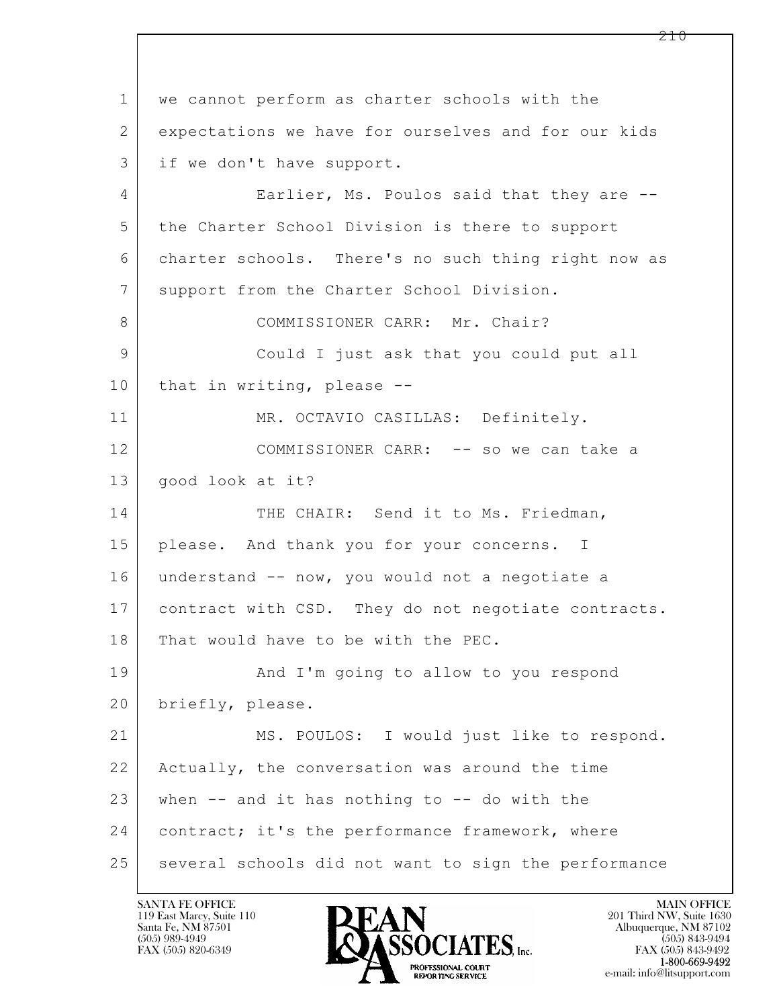$\mathbf{L}$  1 we cannot perform as charter schools with the 2 expectations we have for ourselves and for our kids 3 if we don't have support. 4 Earlier, Ms. Poulos said that they are  $-$ 5 the Charter School Division is there to support 6 charter schools. There's no such thing right now as 7 | support from the Charter School Division. 8 COMMISSIONER CARR: Mr. Chair? 9 Could I just ask that you could put all 10 that in writing, please --11 MR. OCTAVIO CASILLAS: Definitely. 12 COMMISSIONER CARR: -- so we can take a 13 good look at it? 14 THE CHAIR: Send it to Ms. Friedman, 15 please. And thank you for your concerns. I 16 understand -- now, you would not a negotiate a 17 contract with CSD. They do not negotiate contracts. 18 That would have to be with the PEC. 19 | And I'm going to allow to you respond 20 | briefly, please. 21 MS. POULOS: I would just like to respond. 22 Actually, the conversation was around the time  $23$  when  $-$  and it has nothing to  $-$  do with the 24 | contract; it's the performance framework, where 25 | several schools did not want to sign the performance

119 East Marcy, Suite 110<br>Santa Fe, NM 87501



FAX (505) 843-9492 e-mail: info@litsupport.com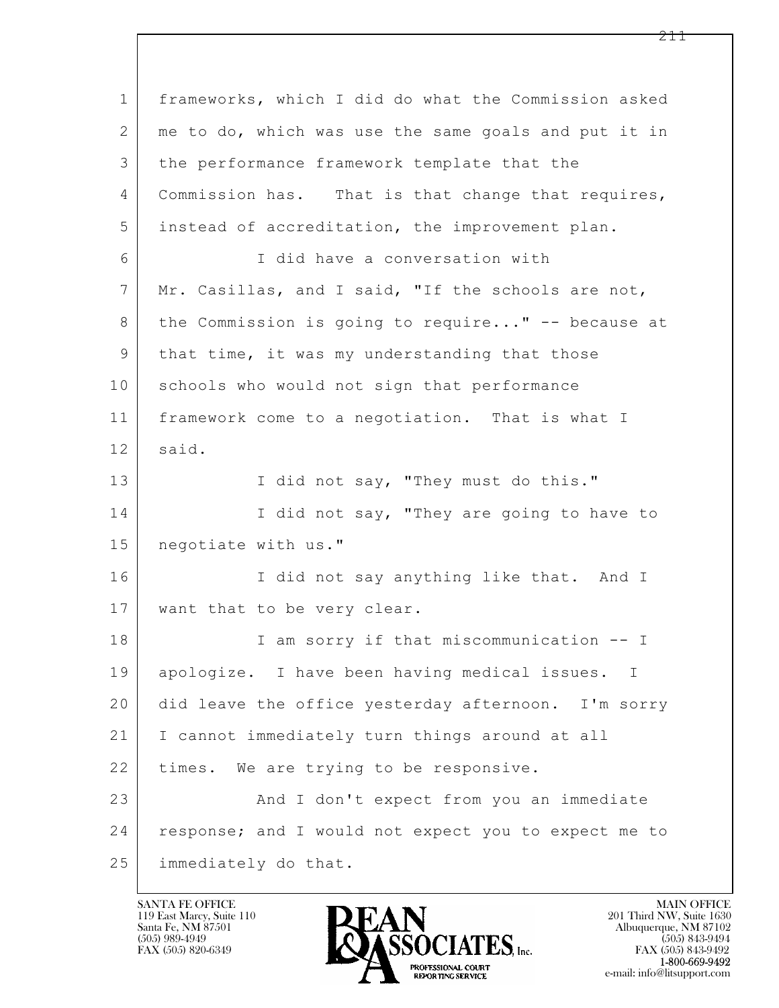$\mathbf{L}$  1 frameworks, which I did do what the Commission asked 2 me to do, which was use the same goals and put it in 3 the performance framework template that the 4 | Commission has. That is that change that requires, 5 instead of accreditation, the improvement plan. 6 I did have a conversation with 7 Mr. Casillas, and I said, "If the schools are not, 8 | the Commission is going to require..." -- because at 9 that time, it was my understanding that those 10 schools who would not sign that performance 11 framework come to a negotiation. That is what I 12 said. 13 | I did not say, "They must do this." 14 I did not say, "They are going to have to 15 negotiate with us." 16 I did not say anything like that. And I 17 | want that to be very clear. 18 | I am sorry if that miscommunication -- I 19 apologize. I have been having medical issues. I 20 did leave the office yesterday afternoon. I'm sorry 21 I cannot immediately turn things around at all 22 | times. We are trying to be responsive. 23 And I don't expect from you an immediate 24 | response; and I would not expect you to expect me to 25 immediately do that.

119 East Marcy, Suite 110<br>Santa Fe, NM 87501

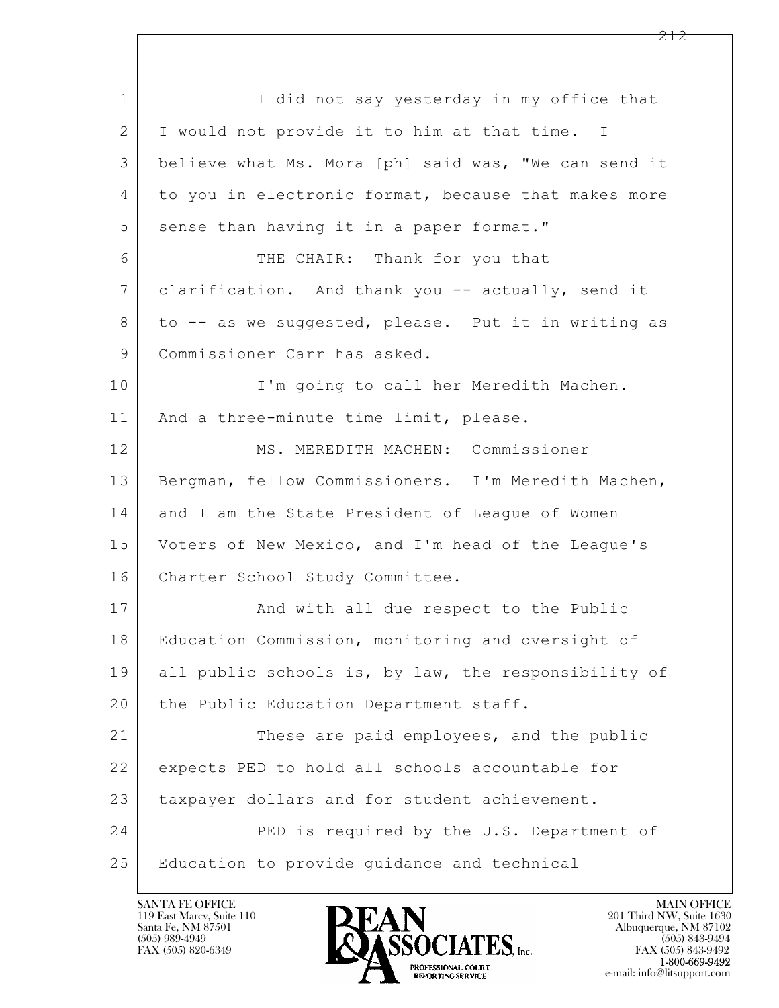$\mathbf{L}$  1 I did not say yesterday in my office that 2 I would not provide it to him at that time. I 3 believe what Ms. Mora [ph] said was, "We can send it 4 to you in electronic format, because that makes more 5 sense than having it in a paper format." 6 THE CHAIR: Thank for you that 7 clarification. And thank you -- actually, send it 8 to -- as we suggested, please. Put it in writing as 9 | Commissioner Carr has asked. 10 I'm going to call her Meredith Machen. 11 | And a three-minute time limit, please. 12 MS. MEREDITH MACHEN: Commissioner 13 | Bergman, fellow Commissioners. I'm Meredith Machen, 14 and I am the State President of League of Women 15 Voters of New Mexico, and I'm head of the League's 16 Charter School Study Committee. 17 | And with all due respect to the Public 18 Education Commission, monitoring and oversight of 19 all public schools is, by law, the responsibility of 20 | the Public Education Department staff. 21 These are paid employees, and the public 22 expects PED to hold all schools accountable for 23 taxpayer dollars and for student achievement. 24 PED is required by the U.S. Department of 25 Education to provide guidance and technical

119 East Marcy, Suite 110<br>Santa Fe, NM 87501

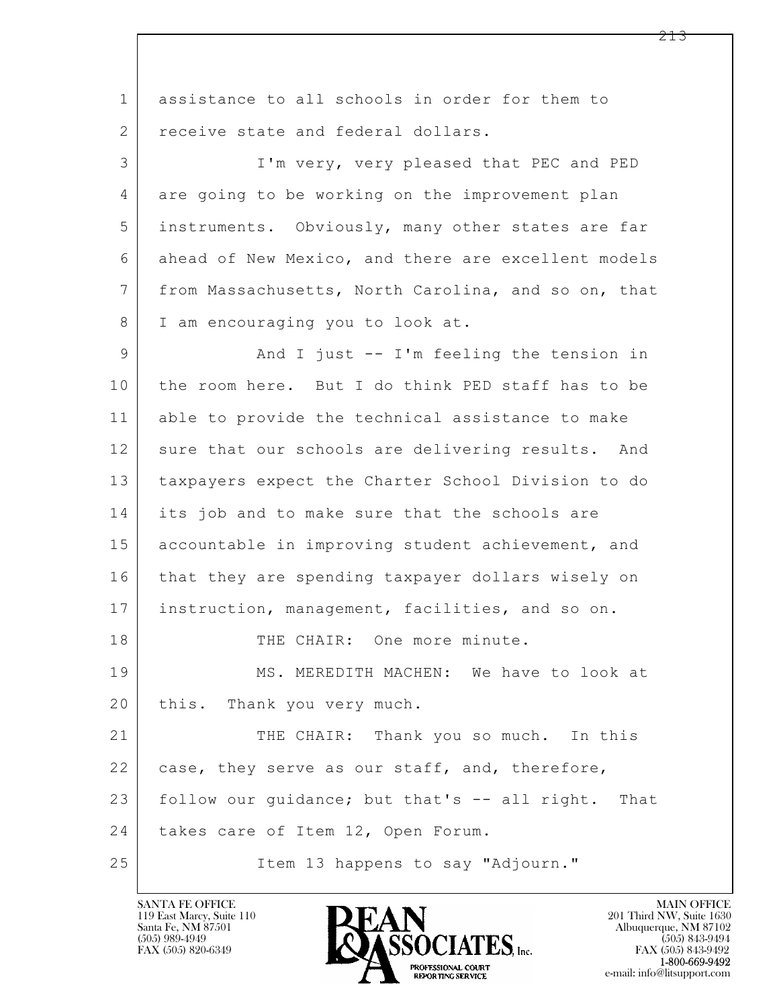$\mathbf{L}$  1 assistance to all schools in order for them to 2 receive state and federal dollars. 3 I'm very, very pleased that PEC and PED 4 are going to be working on the improvement plan 5 instruments. Obviously, many other states are far 6 ahead of New Mexico, and there are excellent models 7 from Massachusetts, North Carolina, and so on, that 8 I am encouraging you to look at. 9 And I just -- I'm feeling the tension in 10 the room here. But I do think PED staff has to be 11 able to provide the technical assistance to make 12 sure that our schools are delivering results. And 13 taxpayers expect the Charter School Division to do 14 its job and to make sure that the schools are 15 accountable in improving student achievement, and 16 that they are spending taxpayer dollars wisely on 17 instruction, management, facilities, and so on. 18 THE CHAIR: One more minute. 19 MS. MEREDITH MACHEN: We have to look at 20 this. Thank you very much. 21 THE CHAIR: Thank you so much. In this 22 case, they serve as our staff, and, therefore, 23 follow our quidance; but that's -- all right. That 24 | takes care of Item 12, Open Forum. 25 Item 13 happens to say "Adjourn."

119 East Marcy, Suite 110<br>Santa Fe, NM 87501



FAX (505) 843-9492 e-mail: info@litsupport.com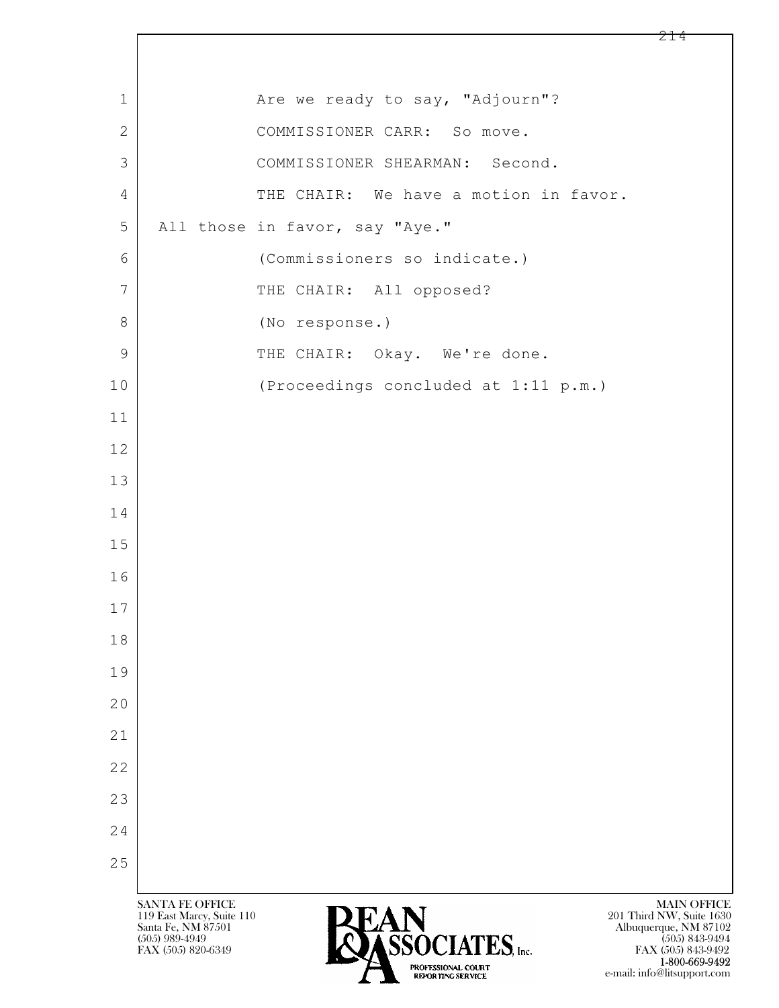| $\mathbf 1$  |                                                                                               | Are we ready to say, "Adjourn"?       |                                                                                             |
|--------------|-----------------------------------------------------------------------------------------------|---------------------------------------|---------------------------------------------------------------------------------------------|
| $\mathbf{2}$ |                                                                                               | COMMISSIONER CARR: So move.           |                                                                                             |
| 3            |                                                                                               | COMMISSIONER SHEARMAN: Second.        |                                                                                             |
| 4            |                                                                                               | THE CHAIR: We have a motion in favor. |                                                                                             |
| 5            |                                                                                               | All those in favor, say "Aye."        |                                                                                             |
| 6            |                                                                                               | (Commissioners so indicate.)          |                                                                                             |
| 7            |                                                                                               | THE CHAIR: All opposed?               |                                                                                             |
| $8\,$        |                                                                                               | (No response.)                        |                                                                                             |
| 9            |                                                                                               | THE CHAIR: Okay. We're done.          |                                                                                             |
| 10           |                                                                                               | (Proceedings concluded at 1:11 p.m.)  |                                                                                             |
| 11           |                                                                                               |                                       |                                                                                             |
| 12           |                                                                                               |                                       |                                                                                             |
| 13           |                                                                                               |                                       |                                                                                             |
| 14           |                                                                                               |                                       |                                                                                             |
| 15           |                                                                                               |                                       |                                                                                             |
| 16           |                                                                                               |                                       |                                                                                             |
| 17           |                                                                                               |                                       |                                                                                             |
| 18           |                                                                                               |                                       |                                                                                             |
| 19           |                                                                                               |                                       |                                                                                             |
| 20           |                                                                                               |                                       |                                                                                             |
| 21           |                                                                                               |                                       |                                                                                             |
| 22           |                                                                                               |                                       |                                                                                             |
| 23           |                                                                                               |                                       |                                                                                             |
| 24           |                                                                                               |                                       |                                                                                             |
| 25           |                                                                                               |                                       |                                                                                             |
|              | <b>SANTA FE OFFICE</b><br>119 East Marcy, Suite 110<br>Santa Fe, NM 87501<br>$(505)$ 989-4949 | REACLATER                             | <b>MAIN OFFICE</b><br>201 Third NW, Suite 1630<br>Albuquerque, NM 87102<br>$(505)$ 843-9494 |

 $\lceil$